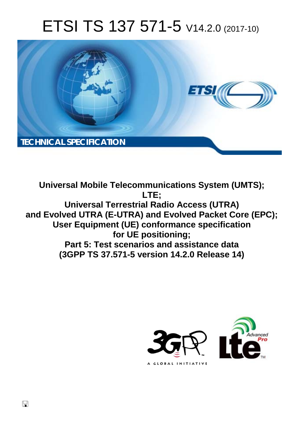# ETSI TS 137 571-5 V14.2.0 (2017-10)



**Universal Mobile Telecommunications System (UMTS); LTE; Universal Terrestrial Radio Access (UTRA) and Evolved UTRA (E-UTRA) and Evolved Packet Core (EPC); User Equipment (UE) conformance specification for UE positioning; Part 5: Test scenarios and assistance data (3GPP TS 37.571-5 version 14.2.0 Release 14)** 



 $\Box$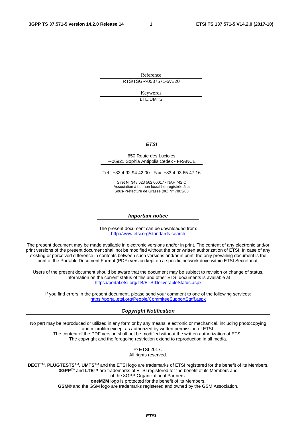Reference RTS/TSGR-0537571-5vE20

> Keywords LTE,UMTS

### *ETSI*

#### 650 Route des Lucioles F-06921 Sophia Antipolis Cedex - FRANCE

Tel.: +33 4 92 94 42 00 Fax: +33 4 93 65 47 16

Siret N° 348 623 562 00017 - NAF 742 C Association à but non lucratif enregistrée à la Sous-Préfecture de Grasse (06) N° 7803/88

#### *Important notice*

The present document can be downloaded from: <http://www.etsi.org/standards-search>

The present document may be made available in electronic versions and/or in print. The content of any electronic and/or print versions of the present document shall not be modified without the prior written authorization of ETSI. In case of any existing or perceived difference in contents between such versions and/or in print, the only prevailing document is the print of the Portable Document Format (PDF) version kept on a specific network drive within ETSI Secretariat.

Users of the present document should be aware that the document may be subject to revision or change of status. Information on the current status of this and other ETSI documents is available at <https://portal.etsi.org/TB/ETSIDeliverableStatus.aspx>

If you find errors in the present document, please send your comment to one of the following services: <https://portal.etsi.org/People/CommiteeSupportStaff.aspx>

#### *Copyright Notification*

No part may be reproduced or utilized in any form or by any means, electronic or mechanical, including photocopying and microfilm except as authorized by written permission of ETSI. The content of the PDF version shall not be modified without the written authorization of ETSI. The copyright and the foregoing restriction extend to reproduction in all media.

> © ETSI 2017. All rights reserved.

**DECT**TM, **PLUGTESTS**TM, **UMTS**TM and the ETSI logo are trademarks of ETSI registered for the benefit of its Members. **3GPP**TM and **LTE**™ are trademarks of ETSI registered for the benefit of its Members and of the 3GPP Organizational Partners. **oneM2M** logo is protected for the benefit of its Members.

**GSM**® and the GSM logo are trademarks registered and owned by the GSM Association.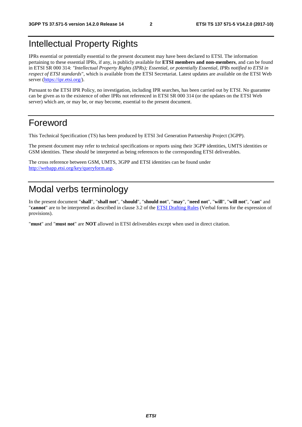# Intellectual Property Rights

IPRs essential or potentially essential to the present document may have been declared to ETSI. The information pertaining to these essential IPRs, if any, is publicly available for **ETSI members and non-members**, and can be found in ETSI SR 000 314: *"Intellectual Property Rights (IPRs); Essential, or potentially Essential, IPRs notified to ETSI in respect of ETSI standards"*, which is available from the ETSI Secretariat. Latest updates are available on the ETSI Web server ([https://ipr.etsi.org/\)](https://ipr.etsi.org/).

Pursuant to the ETSI IPR Policy, no investigation, including IPR searches, has been carried out by ETSI. No guarantee can be given as to the existence of other IPRs not referenced in ETSI SR 000 314 (or the updates on the ETSI Web server) which are, or may be, or may become, essential to the present document.

# Foreword

This Technical Specification (TS) has been produced by ETSI 3rd Generation Partnership Project (3GPP).

The present document may refer to technical specifications or reports using their 3GPP identities, UMTS identities or GSM identities. These should be interpreted as being references to the corresponding ETSI deliverables.

The cross reference between GSM, UMTS, 3GPP and ETSI identities can be found under [http://webapp.etsi.org/key/queryform.asp.](http://webapp.etsi.org/key/queryform.asp)

# Modal verbs terminology

In the present document "**shall**", "**shall not**", "**should**", "**should not**", "**may**", "**need not**", "**will**", "**will not**", "**can**" and "**cannot**" are to be interpreted as described in clause 3.2 of the [ETSI Drafting Rules](https://portal.etsi.org/Services/editHelp!/Howtostart/ETSIDraftingRules.aspx) (Verbal forms for the expression of provisions).

"**must**" and "**must not**" are **NOT** allowed in ETSI deliverables except when used in direct citation.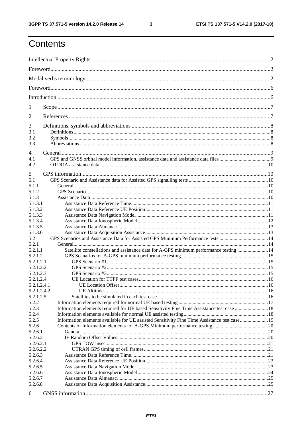| 1                  |                                                                                             |  |
|--------------------|---------------------------------------------------------------------------------------------|--|
| 2                  |                                                                                             |  |
| 3                  |                                                                                             |  |
| 3.1                |                                                                                             |  |
| 3.2                |                                                                                             |  |
| 3.3                |                                                                                             |  |
| $\overline{4}$     |                                                                                             |  |
| 4.1                |                                                                                             |  |
| 4.2                |                                                                                             |  |
|                    |                                                                                             |  |
| 5                  |                                                                                             |  |
| 5.1                |                                                                                             |  |
| 5.1.1              |                                                                                             |  |
| 5.1.2              |                                                                                             |  |
| 5.1.3              |                                                                                             |  |
| 5.1.3.1            |                                                                                             |  |
| 5.1.3.2            |                                                                                             |  |
| 5.1.3.3            |                                                                                             |  |
| 5.1.3.4            |                                                                                             |  |
| 5.1.3.5<br>5.1.3.6 |                                                                                             |  |
| 5.2                |                                                                                             |  |
| 5.2.1              |                                                                                             |  |
| 5.2.1.1            | Satellite constellations and assistance data for A-GPS minimum performance testing  14      |  |
| 5.2.1.2            |                                                                                             |  |
| 5.2.1.2.1          |                                                                                             |  |
| 5.2.1.2.2          |                                                                                             |  |
| 5.2.1.2.3          |                                                                                             |  |
| 5.2.1.2.4          |                                                                                             |  |
| 5.2.1.2.4.1        |                                                                                             |  |
| 5.2.1.2.4.2        |                                                                                             |  |
| 5.2.1.2.5          |                                                                                             |  |
| 5.2.2              |                                                                                             |  |
| 5.2.3              | Information elements required for UE based Sensitivity Fine Time Assistance test case 18    |  |
| 5.2.4              |                                                                                             |  |
| 5.2.5              | Information elements available for UE assisted Sensitivity Fine Time Assistance test case19 |  |
| 5.2.6              |                                                                                             |  |
| 5.2.6.1            |                                                                                             |  |
| 5.2.6.2            |                                                                                             |  |
| 5.2.6.2.1          |                                                                                             |  |
| 5.2.6.2.2          |                                                                                             |  |
| 5.2.6.3            |                                                                                             |  |
| 5.2.6.4            |                                                                                             |  |
| 5.2.6.5            |                                                                                             |  |
| 5.2.6.6            |                                                                                             |  |
| 5.2.6.7            |                                                                                             |  |
| 5.2.6.8            |                                                                                             |  |
|                    |                                                                                             |  |
| 6                  |                                                                                             |  |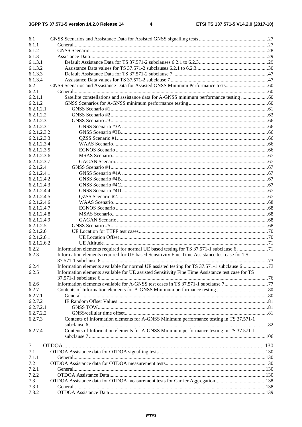| 6.1         |                                                                                                  |     |
|-------------|--------------------------------------------------------------------------------------------------|-----|
| 6.1.1       |                                                                                                  |     |
| 6.1.2       |                                                                                                  |     |
| 6.1.3       |                                                                                                  |     |
| 6.1.3.1     |                                                                                                  |     |
| 6.1.3.2     |                                                                                                  |     |
| 6.1.3.3     |                                                                                                  |     |
| 6.1.3.4     |                                                                                                  |     |
| 6.2         |                                                                                                  |     |
| 6.2.1       |                                                                                                  |     |
| 6.2.1.1     |                                                                                                  |     |
| 6.2.1.2     |                                                                                                  |     |
| 6.2.1.2.1   |                                                                                                  |     |
| 6.2.1.2.2   |                                                                                                  |     |
| 6.2.1.2.3   |                                                                                                  |     |
| 6.2.1.2.3.1 |                                                                                                  |     |
|             |                                                                                                  |     |
| 6.2.1.2.3.2 |                                                                                                  |     |
| 6.2.1.2.3.3 |                                                                                                  |     |
| 6.2.1.2.3.4 |                                                                                                  |     |
| 6.2.1.2.3.5 |                                                                                                  |     |
| 6.2.1.2.3.6 |                                                                                                  |     |
| 6.2.1.2.3.7 |                                                                                                  |     |
| 6.2.1.2.4   |                                                                                                  |     |
| 6.2.1.2.4.1 |                                                                                                  |     |
| 6.2.1.2.4.2 |                                                                                                  |     |
| 6.2.1.2.4.3 |                                                                                                  |     |
| 6.2.1.2.4.4 |                                                                                                  |     |
| 6.2.1.2.4.5 |                                                                                                  |     |
| 6.2.1.2.4.6 |                                                                                                  |     |
| 6.2.1.2.4.7 |                                                                                                  |     |
| 6.2.1.2.4.8 |                                                                                                  |     |
| 6.2.1.2.4.9 |                                                                                                  |     |
| 6.2.1.2.5   |                                                                                                  |     |
| 6.2.1.2.6   |                                                                                                  |     |
| 6.2.1.2.6.1 |                                                                                                  |     |
| 6.2.1.2.6.2 |                                                                                                  |     |
| 6.2.2       | Information elements required for normal UE based testing for TS 37.571-1 subclause 6 71         |     |
| 6.2.3       | Information elements required for UE based Sensitivity Fine Time Assistance test case for TS     |     |
|             |                                                                                                  | .73 |
| 6.2.4       | Information elements available for normal UE assisted testing for TS 37.571-1 subclause 673      |     |
| 6.2.5       | Information elements available for UE assisted Sensitivity Fine Time Assistance test case for TS |     |
|             |                                                                                                  |     |
| 6.2.6       |                                                                                                  |     |
| 6.2.7       |                                                                                                  |     |
| 6.2.7.1     |                                                                                                  |     |
| 6.2.7.2     |                                                                                                  |     |
| 6.2.7.2.1   |                                                                                                  |     |
| 6.2.7.2.2   |                                                                                                  |     |
| 6.2.7.3     | Contents of Information elements for A-GNSS Minimum performance testing in TS 37.571-1           |     |
|             |                                                                                                  |     |
| 6.2.7.4     | Contents of Information elements for A-GNSS Minimum performance testing in TS 37.571-1           |     |
|             |                                                                                                  |     |
|             |                                                                                                  |     |
| 7           |                                                                                                  |     |
| 7.1         |                                                                                                  |     |
| 7.1.1       |                                                                                                  |     |
| 7.2         |                                                                                                  |     |
| 7.2.1       |                                                                                                  |     |
| 7.2.2       |                                                                                                  |     |
| 7.3         |                                                                                                  |     |
| 7.3.1       |                                                                                                  |     |
| 7.3.2       |                                                                                                  |     |
|             |                                                                                                  |     |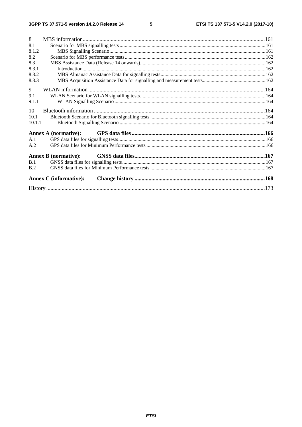$\overline{\phantom{a}}$  5

| 8      |                               |  |
|--------|-------------------------------|--|
| 8.1    |                               |  |
| 8.1.2  |                               |  |
| 8.2    |                               |  |
| 8.3    |                               |  |
| 8.3.1  |                               |  |
| 8.3.2  |                               |  |
| 8.3.3  |                               |  |
| 9      |                               |  |
| 9.1    |                               |  |
| 9.1.1  |                               |  |
| 10     |                               |  |
| 10.1   |                               |  |
| 10.1.1 |                               |  |
|        | Annex A (normative):          |  |
| A.1    |                               |  |
| A.2    |                               |  |
|        | <b>Annex B</b> (normative):   |  |
| B.1    |                               |  |
| B.2    |                               |  |
|        | <b>Annex C</b> (informative): |  |
|        |                               |  |
|        |                               |  |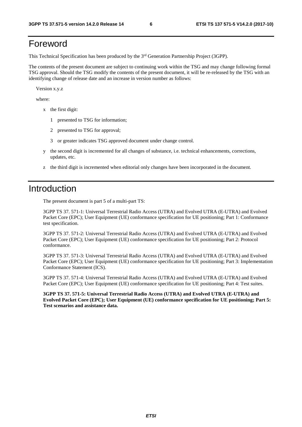# Foreword

This Technical Specification has been produced by the 3rd Generation Partnership Project (3GPP).

The contents of the present document are subject to continuing work within the TSG and may change following formal TSG approval. Should the TSG modify the contents of the present document, it will be re-released by the TSG with an identifying change of release date and an increase in version number as follows:

Version x.y.z

where:

- x the first digit:
	- 1 presented to TSG for information;
	- 2 presented to TSG for approval;
	- 3 or greater indicates TSG approved document under change control.
- y the second digit is incremented for all changes of substance, i.e. technical enhancements, corrections, updates, etc.
- z the third digit is incremented when editorial only changes have been incorporated in the document.

# Introduction

The present document is part 5 of a multi-part TS:

3GPP TS 37. 571-1: Universal Terrestrial Radio Access (UTRA) and Evolved UTRA (E-UTRA) and Evolved Packet Core (EPC); User Equipment (UE) conformance specification for UE positioning; Part 1: Conformance test specification.

3GPP TS 37. 571-2: Universal Terrestrial Radio Access (UTRA) and Evolved UTRA (E-UTRA) and Evolved Packet Core (EPC); User Equipment (UE) conformance specification for UE positioning; Part 2: Protocol conformance.

3GPP TS 37. 571-3: Universal Terrestrial Radio Access (UTRA) and Evolved UTRA (E-UTRA) and Evolved Packet Core (EPC); User Equipment (UE) conformance specification for UE positioning; Part 3: Implementation Conformance Statement (ICS).

3GPP TS 37. 571-4: Universal Terrestrial Radio Access (UTRA) and Evolved UTRA (E-UTRA) and Evolved Packet Core (EPC); User Equipment (UE) conformance specification for UE positioning; Part 4: Test suites.

**3GPP TS 37. 571-5: Universal Terrestrial Radio Access (UTRA) and Evolved UTRA (E-UTRA) and Evolved Packet Core (EPC); User Equipment (UE) conformance specification for UE positioning; Part 5: Test scenarios and assistance data.**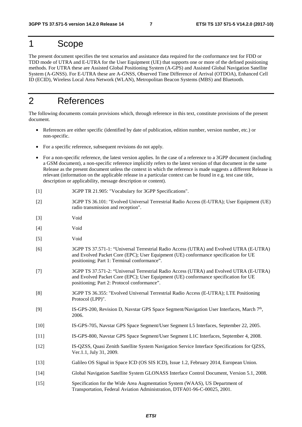# 1 Scope

The present document specifies the test scenarios and assistance data required for the conformance test for FDD or TDD mode of UTRA and E-UTRA for the User Equipment (UE) that supports one or more of the defined positioning methods. For UTRA these are Assisted Global Positioning System (A-GPS) and Assisted Global Navigation Satellite System (A-GNSS). For E-UTRA these are A-GNSS, Observed Time Difference of Arrival (OTDOA), Enhanced Cell ID (ECID), Wireless Local Area Network (WLAN), Metropolitan Beacon Systems (MBS) and Bluetooth.

# 2 References

The following documents contain provisions which, through reference in this text, constitute provisions of the present document.

- References are either specific (identified by date of publication, edition number, version number, etc.) or non-specific.
- For a specific reference, subsequent revisions do not apply.
- For a non-specific reference, the latest version applies. In the case of a reference to a 3GPP document (including a GSM document), a non-specific reference implicitly refers to the latest version of that document in the same Release as the present document unless the context in which the reference is made suggests a different Release is relevant (information on the applicable release in a particular context can be found in e.g. test case title, description or applicability, message description or content).
- [1] 3GPP TR 21.905: "Vocabulary for 3GPP Specifications".
- [2] 3GPP TS 36.101: "Evolved Universal Terrestrial Radio Access (E-UTRA); User Equipment (UE) radio transmission and reception".
- [3] Void
- [4] Void
- [5] Void
- [6] 3GPP TS 37.571-1: "Universal Terrestrial Radio Access (UTRA) and Evolved UTRA (E-UTRA) and Evolved Packet Core (EPC); User Equipment (UE) conformance specification for UE positioning; Part 1: Terminal conformance".
- [7] 3GPP TS 37.571-2: "Universal Terrestrial Radio Access (UTRA) and Evolved UTRA (E-UTRA) and Evolved Packet Core (EPC); User Equipment (UE) conformance specification for UE positioning; Part 2: Protocol conformance".
- [8] 3GPP TS 36.355: "Evolved Universal Terrestrial Radio Access (E-UTRA); LTE Positioning Protocol (LPP)".
- [9] IS-GPS-200, Revision D, Navstar GPS Space Segment/Navigation User Interfaces, March 7th, 2006.
- [10] IS-GPS-705, Navstar GPS Space Segment/User Segment L5 Interfaces, September 22, 2005.
- [11] IS-GPS-800, Navstar GPS Space Segment/User Segment L1C Interfaces, September 4, 2008.
- [12] IS-QZSS, Quasi Zenith Satellite System Navigation Service Interface Specifications for QZSS, Ver.1.1, July 31, 2009.
- [13] Galileo OS Signal in Space ICD (OS SIS ICD), Issue 1.2, February 2014, European Union.
- [14] Global Navigation Satellite System GLONASS Interface Control Document, Version 5.1, 2008.
- [15] Specification for the Wide Area Augmentation System (WAAS), US Department of Transportation, Federal Aviation Administration, DTFA01-96-C-00025, 2001.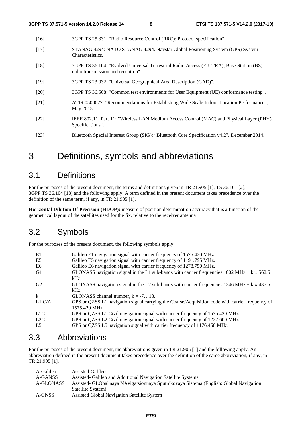| $[16]$ | 3GPP TS 25.331: "Radio Resource Control (RRC); Protocol specification"                                                        |
|--------|-------------------------------------------------------------------------------------------------------------------------------|
| $[17]$ | STANAG 4294: NATO STANAG 4294. Navstar Global Positioning System (GPS) System<br>Characteristics.                             |
| $[18]$ | 3GPP TS 36.104: "Evolved Universal Terrestrial Radio Access (E-UTRA); Base Station (BS)<br>radio transmission and reception". |
| $[19]$ | 3GPP TS 23.032: "Universal Geographical Area Description (GAD)".                                                              |
| $[20]$ | 3GPP TS 36.508: "Common test environments for User Equipment (UE) conformance testing".                                       |
| [21]   | ATIS-0500027: "Recommendations for Establishing Wide Scale Indoor Location Performance",<br>May 2015.                         |
| $[22]$ | IEEE 802.11, Part 11: "Wireless LAN Medium Access Control (MAC) and Physical Layer (PHY)<br>Specifications".                  |
| $[23]$ | Bluetooth Special Interest Group (SIG): "Bluetooth Core Specification v4.2", December 2014.                                   |
|        |                                                                                                                               |

# 3 Definitions, symbols and abbreviations

# 3.1 Definitions

For the purposes of the present document, the terms and definitions given in TR 21.905 [1], TS 36.101 [2], 3GPP TS 36.104 [18] and the following apply. A term defined in the present document takes precedence over the definition of the same term, if any, in TR 21.905 [1].

**Horizontal Dilution Of Precision (HDOP):** measure of position determination accuracy that is a function of the geometrical layout of the satellites used for the fix, relative to the receiver antenna

# 3.2 Symbols

For the purposes of the present document, the following symbols apply:

| E1             | Galileo E1 navigation signal with carrier frequency of 1575.420 MHz.                                              |
|----------------|-------------------------------------------------------------------------------------------------------------------|
| E5             | Galileo E5 navigation signal with carrier frequency of 1191.795 MHz.                                              |
| E6             | Galileo E6 navigation signal with carrier frequency of 1278.750 MHz.                                              |
| G1             | GLONASS navigation signal in the L1 sub-bands with carrier frequencies 1602 MHz $\pm$ k $\times$ 562.5<br>kHz.    |
| G <sub>2</sub> | GLONASS navigation signal in the L2 sub-bands with carrier frequencies 1246 MHz $\pm$ k $\times$ 437.5<br>$kHz$ . |
| k              | GLONASS channel number, $k = -713$ .                                                                              |
| L1 C/A         | GPS or QZSS L1 navigation signal carrying the Coarse/Acquisition code with carrier frequency of<br>1575.420 MHz.  |
| L1C            | GPS or QZSS L1 Civil navigation signal with carrier frequency of 1575.420 MHz.                                    |
| L2C            | GPS or QZSS L2 Civil navigation signal with carrier frequency of 1227.600 MHz.                                    |
| L <sub>5</sub> | GPS or QZSS L5 navigation signal with carrier frequency of 1176.450 MHz.                                          |

# 3.3 Abbreviations

For the purposes of the present document, the abbreviations given in TR 21.905 [1] and the following apply. An abbreviation defined in the present document takes precedence over the definition of the same abbreviation, if any, in TR 21.905 [1].

| A-Galileo | Assisted-Galileo                                                                       |
|-----------|----------------------------------------------------------------------------------------|
| A-GANSS   | Assisted Galileo and Additional Navigation Satellite Systems                           |
| A-GLONASS | Assisted- GLObal'naya NAvigatsionnaya Sputnikovaya Sistema (English: Global Navigation |
|           | Satellite System)                                                                      |
| A-GNSS    | Assisted Global Navigation Satellite System                                            |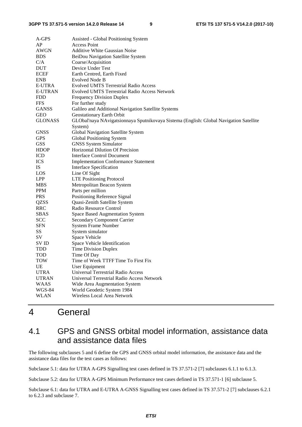| A-GPS          | Assisted - Global Positioning System                                                   |
|----------------|----------------------------------------------------------------------------------------|
| AP             | <b>Access Point</b>                                                                    |
| AWGN           | <b>Additive White Gaussian Noise</b>                                                   |
| <b>BDS</b>     | BeiDou Navigation Satellite System                                                     |
| C/A            | Coarse/Acquisition                                                                     |
| DUT            | Device Under Test                                                                      |
| <b>ECEF</b>    | Earth Centred, Earth Fixed                                                             |
| <b>ENB</b>     | Evolved Node B                                                                         |
| E-UTRA         | <b>Evolved UMTS Terrestrial Radio Access</b>                                           |
| <b>E-UTRAN</b> | <b>Evolved UMTS Terrestrial Radio Access Network</b>                                   |
| <b>FDD</b>     | <b>Frequency Division Duplex</b>                                                       |
| <b>FFS</b>     | For further study                                                                      |
| <b>GANSS</b>   | Galileo and Additional Navigation Satellite Systems                                    |
| <b>GEO</b>     | Geostationary Earth Orbit                                                              |
| <b>GLONASS</b> | GLObal'naya NAvigatsionnaya Sputnikovaya Sistema (English: Global Navigation Satellite |
|                | System)                                                                                |
| <b>GNSS</b>    | Global Navigation Satellite System                                                     |
| <b>GPS</b>     | Global Positioning System                                                              |
| <b>GSS</b>     | <b>GNSS System Simulator</b>                                                           |
| <b>HDOP</b>    | Horizontal Dilution Of Precision                                                       |
| ICD            | Interface Control Document                                                             |
| <b>ICS</b>     | <b>Implementation Conformance Statement</b>                                            |
| <b>IS</b>      | <b>Interface Specification</b>                                                         |
| LOS            | Line Of Sight                                                                          |
| <b>LPP</b>     | <b>LTE Positioning Protocol</b>                                                        |
| MBS            | Metropolitan Beacon System                                                             |
| PPM            | Parts per million                                                                      |
| <b>PRS</b>     | Positioning Reference Signal                                                           |
| QZSS           | Quasi-Zenith Satellite System                                                          |
| RRC            | Radio Resource Control                                                                 |
| <b>SBAS</b>    | Space Based Augmentation System                                                        |
| <b>SCC</b>     | <b>Secondary Component Carrier</b>                                                     |
| SFN            | <b>System Frame Number</b>                                                             |
| SS             | System simulator                                                                       |
| SV             | Space Vehicle                                                                          |
| SV ID          | Space Vehicle Identification                                                           |
| <b>TDD</b>     | <b>Time Division Duplex</b>                                                            |
| TOD            | Time Of Day                                                                            |
| TOW            | Time of Week TTFF Time To First Fix                                                    |
| UE             | User Equipment                                                                         |
| UTRA           | Universal Terrestrial Radio Access                                                     |
| <b>UTRAN</b>   | Universal Terrestrial Radio Access Network                                             |
| <b>WAAS</b>    | Wide Area Augmentation System                                                          |
| WGS-84         | World Geodetic System 1984                                                             |
| WLAN           | Wireless Local Area Network                                                            |
|                |                                                                                        |

# 4 General

# 4.1 GPS and GNSS orbital model information, assistance data and assistance data files

The following subclauses 5 and 6 define the GPS and GNSS orbital model information, the assistance data and the assistance data files for the test cases as follows:

Subclause 5.1: data for UTRA A-GPS Signalling test cases defined in TS 37.571-2 [7] subclauses 6.1.1 to 6.1.3.

Subclause 5.2: data for UTRA A-GPS Minimum Performance test cases defined in TS 37.571-1 [6] subclause 5.

Subclause 6.1: data for UTRA and E-UTRA A-GNSS Signalling test cases defined in TS 37.571-2 [7] subclauses 6.2.1 to 6.2.3 and subclause 7.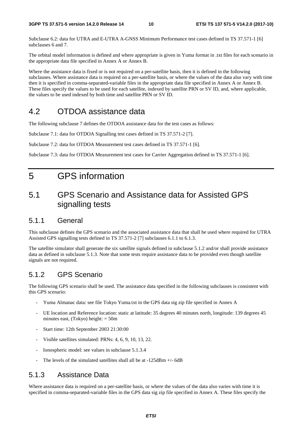Subclause 6.2: data for UTRA and E-UTRA A-GNSS Minimum Performance test cases defined in TS 37.571-1 [6] subclauses 6 and 7.

The orbital model information is defined and where appropriate is given in Yuma format in .txt files for each scenario in the appropriate data file specified in Annex A or Annex B.

Where the assistance data is fixed or is not required on a per-satellite basis, then it is defined in the following subclauses. Where assistance data is required on a per-satellite basis, or where the values of the data also vary with time then it is specified in comma-separated-variable files in the appropriate data file specified in Annex A or Annex B. These files specify the values to be used for each satellite, indexed by satellite PRN or SV ID, and, where applicable, the values to be used indexed by both time and satellite PRN or SV ID.

# 4.2 OTDOA assistance data

The following subclause 7 defines the OTDOA assistance data for the test cases as follows:

Subclause 7.1: data for OTDOA Signalling test cases defined in TS 37.571-2 [7].

Subclause 7.2: data for OTDOA Measurement test cases defined in TS 37.571-1 [6].

Subclause 7.3: data for OTDOA Measurement test cases for Carrier Aggregation defined in TS 37.571-1 [6].

# 5 GPS information

# 5.1 GPS Scenario and Assistance data for Assisted GPS signalling tests

# 5.1.1 General

This subclause defines the GPS scenario and the associated assistance data that shall be used where required for UTRA Assisted GPS signalling tests defined in TS 37.571-2 [7] subclauses 6.1.1 to 6.1.3.

The satellite simulator shall generate the six satellite signals defined in subclause 5.1.2 and/or shall provide assistance data as defined in subclause 5.1.3. Note that some tests require assistance data to be provided even though satellite signals are not required.

# 5.1.2 GPS Scenario

The following GPS scenario shall be used. The assistance data specified in the following subclauses is consistent with this GPS scenario:

- Yuma Almanac data: see file Tokyo Yuma.txt in the GPS data sig zip file specified in Annex A
- UE location and Reference location: static at latitude: 35 degrees 40 minutes north, longitude: 139 degrees 45 minutes east, (Tokyo) height: = 50m
- Start time: 12th September 2003 21:30:00
- Visible satellites simulated: PRNs: 4, 6, 9, 10, 13, 22.
- Ionospheric model: see values in subclause 5.1.3.4
- The levels of the simulated satellites shall all be at  $-125dBm +1/6dB$

# 5.1.3 Assistance Data

Where assistance data is required on a per-satellite basis, or where the values of the data also varies with time it is specified in comma-separated-variable files in the GPS data sig zip file specified in Annex A. These files specify the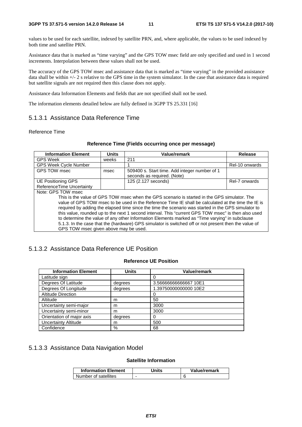values to be used for each satellite, indexed by satellite PRN, and, where applicable, the values to be used indexed by both time and satellite PRN.

Assistance data that is marked as "time varying" and the GPS TOW msec field are only specified and used in 1 second increments. Interpolation between these values shall not be used.

The accuracy of the GPS TOW msec and assistance data that is marked as "time varying" in the provided assistance data shall be within +/- 2 s relative to the GPS time in the system simulator. In the case that assistance data is required but satellite signals are not required then this clause does not apply.

Assistance data Information Elements and fields that are not specified shall not be used.

The information elements detailed below are fully defined in 3GPP TS 25.331 [16]

# 5.1.3.1 Assistance Data Reference Time

### Reference Time

| <b>Information Element</b>                                                                                                                                                                                                                                                                                                                                                                                                                                                                                                                                                                                                                                                                  | <b>Units</b> | <b>Value/remark</b>                                                          | Release        |  |  |
|---------------------------------------------------------------------------------------------------------------------------------------------------------------------------------------------------------------------------------------------------------------------------------------------------------------------------------------------------------------------------------------------------------------------------------------------------------------------------------------------------------------------------------------------------------------------------------------------------------------------------------------------------------------------------------------------|--------------|------------------------------------------------------------------------------|----------------|--|--|
| <b>GPS Week</b>                                                                                                                                                                                                                                                                                                                                                                                                                                                                                                                                                                                                                                                                             | weeks        | 211                                                                          |                |  |  |
| <b>GPS Week Cycle Number</b>                                                                                                                                                                                                                                                                                                                                                                                                                                                                                                                                                                                                                                                                |              |                                                                              | Rel-10 onwards |  |  |
| GPS TOW msec                                                                                                                                                                                                                                                                                                                                                                                                                                                                                                                                                                                                                                                                                | msec         | 509400 s. Start time. Add integer number of 1<br>seconds as required. (Note) |                |  |  |
| UE Positioning GPS<br>ReferenceTime Uncertainty                                                                                                                                                                                                                                                                                                                                                                                                                                                                                                                                                                                                                                             |              | 125 (2.127 seconds)                                                          | Rel-7 onwards  |  |  |
| Note: GPS TOW msec<br>This is the value of GPS TOW msec when the GPS scenario is started in the GPS simulator. The<br>value of GPS TOW msec to be used in the Reference Time IE shall be calculated at the time the IE is<br>required by adding the elapsed time since the time the scenario was started in the GPS simulator to<br>this value, rounded up to the next 1 second interval. This "current GPS TOW msec" is then also used<br>to determine the value of any other Information Elements marked as "Time varying" in subclause<br>5.1.3. In the case that the (hardware) GPS simulator is switched off or not present then the value of<br>GPS TOW msec given above may be used. |              |                                                                              |                |  |  |

### **Reference Time (Fields occurring once per message)**

# 5.1.3.2 Assistance Data Reference UE Position

# **Reference UE Position**

| <b>Information Element</b>  | <b>Units</b> | <b>Value/remark</b>   |
|-----------------------------|--------------|-----------------------|
| Latitude sign               |              | 0                     |
| Degrees Of Latitude         | degrees      | 3.56666666666667 10E1 |
| Degrees Of Longitude        | degrees      | 1.39750000000000 10E2 |
| <b>Altitude Direction</b>   |              | 0                     |
| Altitude                    | m            | 50                    |
| Uncertainty semi-major      | m            | 3000                  |
| Uncertainty semi-minor      | m            | 3000                  |
| Orientation of major axis   | degrees      | 0                     |
| <b>Uncertainty Altitude</b> | m            | 500                   |
| Confidence                  | %            | 68                    |

# 5.1.3.3 Assistance Data Navigation Model

### **Satellite Information**

| <b>Information Element</b> | Jnits | Value/remark |
|----------------------------|-------|--------------|
| Number of satellites       | -     |              |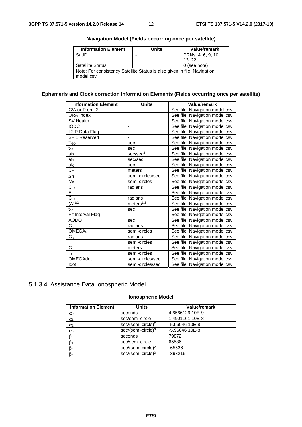| <b>Information Element</b>                                               | <b>Units</b> | Value/remark       |
|--------------------------------------------------------------------------|--------------|--------------------|
| SatID                                                                    | ٠            | PRNs: 4, 6, 9, 10, |
|                                                                          |              | 13.22.             |
| <b>Satellite Status</b>                                                  |              | 0 (see note)       |
| Note: For consistency Satellite Status is also given in file: Navigation |              |                    |
| model.csv                                                                |              |                    |

# **Navigation Model (Fields occurring once per satellite)**

# **Ephemeris and Clock correction Information Elements (Fields occurring once per satellite)**

| <b>Information Element</b> | <b>Units</b>         | <b>Value/remark</b>            |
|----------------------------|----------------------|--------------------------------|
| C/A or P on L2             |                      | See file: Navigation model.csv |
| <b>URA Index</b>           |                      | See file: Navigation model.csv |
| SV Health                  |                      | See file: Navigation model.csv |
| IODC                       | $\blacksquare$       | See file: Navigation model.csv |
| L2 P Data Flag             |                      | See file: Navigation model.csv |
| SF 1 Reserved              | $\blacksquare$       | See file: Navigation model.csv |
| $T_{GD}$                   | sec                  | See file: Navigation model.csv |
| $t_{oc}$                   | sec                  | See file: Navigation model.csv |
| af <sub>2</sub>            | sec/sec <sup>2</sup> | See file: Navigation model.csv |
| af <sub>1</sub>            | sec/sec              | See file: Navigation model.csv |
| af <sub>0</sub>            | sec                  | See file: Navigation model.csv |
| $\overline{C_{rs}}$        | meters               | See file: Navigation model.csv |
| $\Delta n$                 | semi-circles/sec     | See file: Navigation model.csv |
| M <sub>0</sub>             | semi-circles         | See file: Navigation model.csv |
| $\overline{C_{uc}}$        | radians              | See file: Navigation model.csv |
| Ē                          |                      | See file: Navigation model.csv |
| $\overline{C_{us}}$        | radians              | See file: Navigation model.csv |
| $(A)^{1/2}$                | meters $1/2$         | See file: Navigation model.csv |
| toe                        | sec                  | See file: Navigation model.csv |
| Fit Interval Flag          |                      | See file: Navigation model.csv |
| <b>AODO</b>                | sec                  | See file: Navigation model.csv |
| $\rm C_{ic}$               | radians              | See file: Navigation model.csv |
| OMEGA <sub>0</sub>         | semi-circles         | See file: Navigation model.csv |
| $C_{is}$                   | radians              | See file: Navigation model.csv |
| i0                         | semi-circles         | See file: Navigation model.csv |
| $\overline{C_{\text{rc}}}$ | meters               | See file: Navigation model.csv |
| $\omega$                   | semi-circles         | See file: Navigation model.csv |
| <b>OMEGAdot</b>            | semi-circles/sec     | See file: Navigation model.csv |
| Idot                       | semi-circles/sec     | See file: Navigation model.csv |

# 5.1.3.4 Assistance Data Ionospheric Model

# **Ionospheric Model**

| <b>Information Element</b> | <b>Units</b>                   | Value/remark    |
|----------------------------|--------------------------------|-----------------|
| $\alpha_0$                 | seconds                        | 4.6566129 10E-9 |
| $\alpha_1$                 | sec/semi-circle                | 1.4901161 10E-8 |
| $\alpha$ <sub>2</sub>      | sec/(semi-circle) <sup>2</sup> | -5.96046 10E-8  |
| $\alpha_3$                 | $sec/(semi-circle)^3$          | -5.96046 10E-8  |
| $\beta_0$                  | seconds                        | 79872           |
| $\beta_1$                  | sec/semi-circle                | 65536           |
| $\beta$ <sub>2</sub>       | sec/(semi-circle) <sup>2</sup> | $-65536$        |
| $\beta_3$                  | $sec/(semi-circle)^3$          | $-393216$       |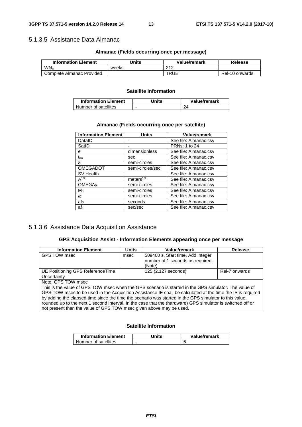# 5.1.3.5 Assistance Data Almanac

### **Almanac (Fields occurring once per message)**

| <b>Information Element</b> | Units | Value/remark | Release        |
|----------------------------|-------|--------------|----------------|
| WN <sub>a</sub>            | weeks | 212          |                |
| Complete Almanac Provided  |       | <b>TRUE</b>  | Rel-10 onwards |

# **Satellite Information**

| <b>Information Element</b> | Jnits | Value/remark |
|----------------------------|-------|--------------|
| Number of satellites       | -     |              |

### **Almanac (Fields occurring once per satellite)**

| <b>Information Element</b> | <b>Units</b>     | Value/remark          |
|----------------------------|------------------|-----------------------|
| DataID                     | -                | See file: Almanac.csv |
| SatID                      | ٠                | PRNs: 1 to 24         |
| е                          | dimensionless    | See file: Almanac.csv |
| $t_{oa}$                   | sec              | See file: Almanac.csv |
| δi                         | semi-circles     | See file: Almanac.csv |
| <b>OMEGADOT</b>            | semi-circles/sec | See file: Almanac.csv |
| SV Health                  |                  | See file: Almanac.csv |
| $A^{1/2}$                  | meters $1/2$     | See file: Almanac.csv |
| OMEGA <sub>0</sub>         | semi-circles     | See file: Almanac.csv |
| Mo                         | semi-circles     | See file: Almanac.csv |
| $\omega$                   | semi-circles     | See file: Almanac.csv |
| af∩                        | seconds          | See file: Almanac.csv |
| af <sub>1</sub>            | sec/sec          | See file: Almanac.csv |

# 5.1.3.6 Assistance Data Acquisition Assistance

### **GPS Acquisition Assist - Information Elements appearing once per message**

| <b>Information Element</b>                                                                                  | <b>Units</b> | Value/remark                                                          | <b>Release</b> |
|-------------------------------------------------------------------------------------------------------------|--------------|-----------------------------------------------------------------------|----------------|
| GPS TOW msec                                                                                                | msec         | 509400 s. Start time. Add integer<br>number of 1 seconds as required. |                |
|                                                                                                             |              | (Note)                                                                |                |
| UE Positioning GPS ReferenceTime                                                                            |              | 125 (2.127 seconds)                                                   | Rel-7 onwards  |
| Uncertainty                                                                                                 |              |                                                                       |                |
| Note: GPS TOW msec                                                                                          |              |                                                                       |                |
| This is the value of GPS TOW msec when the GPS scenario is started in the GPS simulator. The value of       |              |                                                                       |                |
| GPS TOW msec to be used in the Acquisition Assistance IE shall be calculated at the time the IE is required |              |                                                                       |                |
| by adding the elapsed time since the time the scenario was started in the GPS simulator to this value,      |              |                                                                       |                |
| rounded up to the next 1 second interval. In the case that the (hardware) GPS simulator is switched off or  |              |                                                                       |                |
| not present then the value of GPS TOW msec given above may be used.                                         |              |                                                                       |                |

# **Satellite Information**

| <b>Information Element</b> | Units | Value/remark |
|----------------------------|-------|--------------|
| Number of satellites       | -     |              |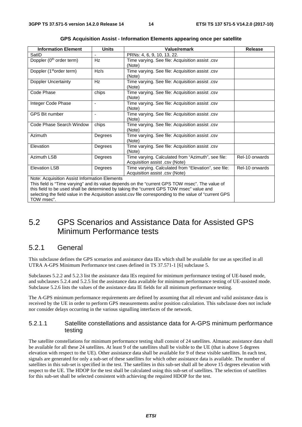| <b>Information Element</b>                    | <b>Units</b>             | Value/remark                                                                                             | <b>Release</b> |
|-----------------------------------------------|--------------------------|----------------------------------------------------------------------------------------------------------|----------------|
| SatID                                         | -                        | PRNs: 4, 6, 9, 10, 13, 22.                                                                               |                |
| Doppler (0 <sup>th</sup> order term)          | Hz                       | Time varying. See file: Acquisition assist .csv                                                          |                |
|                                               |                          | (Note)                                                                                                   |                |
| Doppler (1 <sup>st</sup> order term)          | Hz/s                     | Time varying. See file: Acquisition assist .csv                                                          |                |
|                                               |                          | (Note)                                                                                                   |                |
| Doppler Uncertainty                           | Hz                       | Time varying. See file: Acquisition assist .csv                                                          |                |
|                                               |                          | (Note)                                                                                                   |                |
| Code Phase                                    | chips                    | Time varying. See file: Acquisition assist .csv                                                          |                |
|                                               |                          | (Note)                                                                                                   |                |
| Integer Code Phase                            | $\overline{\phantom{a}}$ | Time varying. See file: Acquisition assist .csv                                                          |                |
|                                               |                          | (Note)                                                                                                   |                |
| <b>GPS Bit number</b>                         | L,                       | Time varying. See file: Acquisition assist .csv                                                          |                |
|                                               |                          | (Note)                                                                                                   |                |
| Code Phase Search Window                      | chips                    | Time varying. See file: Acquisition assist .csv                                                          |                |
|                                               |                          | (Note)                                                                                                   |                |
| Azimuth                                       | Degrees                  | Time varying. See file: Acquisition assist .csv                                                          |                |
|                                               |                          | (Note)                                                                                                   |                |
| Elevation                                     | Degrees                  | Time varying. See file: Acquisition assist .csv                                                          |                |
|                                               |                          | (Note)                                                                                                   |                |
| Azimuth LSB                                   | Degrees                  | Time varying. Calculated from "Azimuth", see file:                                                       | Rel-10 onwards |
|                                               |                          | Acquisition assist .csv (Note)                                                                           |                |
| <b>Elevation LSB</b>                          | Degrees                  | Time varying. Calculated from "Elevation", see file:                                                     | Rel-10 onwards |
|                                               |                          | Acquisition assist .csv (Note)                                                                           |                |
| Note: Acquisition Assist Information Elements |                          |                                                                                                          |                |
|                                               |                          | This field is "Time varying" and its value depends on the "current GPS TOW msec". The value of           |                |
|                                               |                          | this field to be used shall be determined by taking the "current GPS TOW msec" value and                 |                |
|                                               |                          | selecting the field value in the Acquisition assist.csv file corresponding to the value of "current GPS" |                |
| TOW msec".                                    |                          |                                                                                                          |                |

| GPS Acquisition Assist - Information Elements appearing once per satellite |  |  |  |  |
|----------------------------------------------------------------------------|--|--|--|--|
|----------------------------------------------------------------------------|--|--|--|--|

# 5.2 GPS Scenarios and Assistance Data for Assisted GPS Minimum Performance tests

# 5.2.1 General

This subclause defines the GPS scenarios and assistance data IEs which shall be available for use as specified in all UTRA A-GPS Minimum Performance test cases defined in TS 37.571-1 [6] subclause 5.

Subclauses 5.2.2 and 5.2.3 list the assistance data IEs required for minimum performance testing of UE-based mode, and subclauses 5.2.4 and 5.2.5 list the assistance data available for minimum performance testing of UE-assisted mode. Subclause 5.2.6 lists the values of the assistance data IE fields for all minimum performance testing.

The A-GPS minimum performance requirements are defined by assuming that all relevant and valid assistance data is received by the UE in order to perform GPS measurements and/or position calculation. This subclause does not include nor consider delays occurring in the various signalling interfaces of the network.

# 5.2.1.1 Satellite constellations and assistance data for A-GPS minimum performance testing

The satellite constellations for minimum performance testing shall consist of 24 satellites. Almanac assistance data shall be available for all these 24 satellites. At least 9 of the satellites shall be visible to the UE (that is above 5 degrees elevation with respect to the UE). Other assistance data shall be available for 9 of these visible satellites. In each test, signals are generated for only a sub-set of these satellites for which other assistance data is available. The number of satellites in this sub-set is specified in the test. The satellites in this sub-set shall all be above 15 degrees elevation with respect to the UE. The HDOP for the test shall be calculated using this sub-set of satellites. The selection of satellites for this sub-set shall be selected consistent with achieving the required HDOP for the test.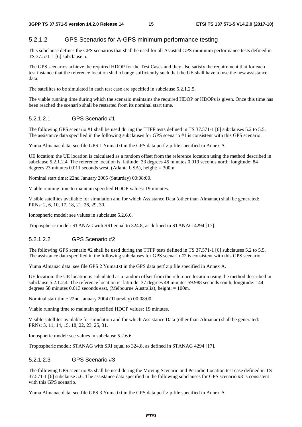# 5.2.1.2 GPS Scenarios for A-GPS minimum performance testing

This subclause defines the GPS scenarios that shall be used for all Assisted GPS minimum performance tests defined in TS 37.571-1 [6] subclause 5.

The GPS scenarios achieve the required HDOP for the Test Cases and they also satisfy the requirement that for each test instance that the reference location shall change sufficiently such that the UE shall have to use the new assistance data.

The satellites to be simulated in each test case are specified in subclause 5.2.1.2.5.

The viable running time during which the scenario maintains the required HDOP or HDOPs is given. Once this time has been reached the scenario shall be restarted from its nominal start time.

# 5.2.1.2.1 GPS Scenario #1

The following GPS scenario #1 shall be used during the TTFF tests defined in TS 37.571-1 [6] subclauses 5.2 to 5.5. The assistance data specified in the following subclauses for GPS scenario #1 is consistent with this GPS scenario.

Yuma Almanac data: see file GPS 1 Yuma.txt in the GPS data perf zip file specified in Annex A.

UE location: the UE location is calculated as a random offset from the reference location using the method described in subclause 5.2.1.2.4. The reference location is: latitude: 33 degrees 45 minutes 0.019 seconds north, longitude: 84 degrees 23 minutes 0.011 seconds west, (Atlanta USA), height: = 300m.

Nominal start time: 22nd January 2005 (Saturday) 00:08:00.

Viable running time to maintain specified HDOP values: 19 minutes.

Visible satellites available for simulation and for which Assistance Data (other than Almanac) shall be generated: PRNs: 2, 6, 10, 17, 18, 21, 26, 29, 30.

Ionospheric model: see values in subclause 5.2.6.6.

Tropospheric model: STANAG with SRI equal to 324.8, as defined in STANAG 4294 [17].

# 5.2.1.2.2 GPS Scenario #2

The following GPS scenario #2 shall be used during the TTFF tests defined in TS 37.571-1 [6] subclauses 5.2 to 5.5. The assistance data specified in the following subclauses for GPS scenario #2 is consistent with this GPS scenario.

Yuma Almanac data: see file GPS 2 Yuma.txt in the GPS data perf zip file specified in Annex A.

UE location: the UE location is calculated as a random offset from the reference location using the method described in subclause 5.2.1.2.4. The reference location is: latitude: 37 degrees 48 minutes 59.988 seconds south, longitude: 144 degrees 58 minutes 0.013 seconds east, (Melbourne Australia), height: = 100m.

Nominal start time: 22nd January 2004 (Thursday) 00:08:00.

Viable running time to maintain specified HDOP values: 19 minutes.

Visible satellites available for simulation and for which Assistance Data (other than Almanac) shall be generated: PRNs: 3, 11, 14, 15, 18, 22, 23, 25, 31.

Ionospheric model: see values in subclause 5.2.6.6.

Tropospheric model: STANAG with SRI equal to 324.8, as defined in STANAG 4294 [17].

# 5.2.1.2.3 GPS Scenario #3

The following GPS scenario #3 shall be used during the Moving Scenario and Periodic Location test case defined in TS 37.571-1 [6] subclause 5.6. The assistance data specified in the following subclauses for GPS scenario #3 is consistent with this GPS scenario.

Yuma Almanac data: see file GPS 3 Yuma.txt in the GPS data perf zip file specified in Annex A.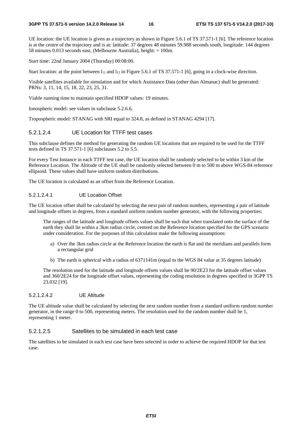UE location: the UE location is given as a trajectory as shown in Figure 5.6.1 of TS 37.571-1 [6]. The reference location is at the centre of the trajectory and is at: latitude: 37 degrees 48 minutes 59.988 seconds south, longitude: 144 degrees 58 minutes 0.013 seconds east, (Melbourne Australia), height: = 100m.

Start time: 22nd January 2004 (Thursday) 00:08:00.

Start location: at the point between  $l_{11}$  and  $l_{12}$  in Figure 5.6.1 of TS 37.571-1 [6], going in a clock-wise direction.

Visible satellites available for simulation and for which Assistance Data (other than Almanac) shall be generated: PRNs: 3, 11, 14, 15, 18, 22, 23, 25, 31.

Viable running time to maintain specified HDOP values: 19 minutes.

Ionospheric model: see values in subclause 5.2.6.6.

Tropospheric model: STANAG with SRI equal to 324.8, as defined in STANAG 4294 [17].

### 5.2.1.2.4 UE Location for TTFF test cases

This subclause defines the method for generating the random UE locations that are required to be used for the TTFF tests defined in TS 37.571-1 [6] subclauses 5.2 to 5.5.

For every Test Instance in each TTFF test case, the UE location shall be randomly selected to be within 3 km of the Reference Location. The Altitude of the UE shall be randomly selected between 0 m to 500 m above WGS-84 reference ellipsoid. These values shall have uniform random distributions.

The UE location is calculated as an offset from the Reference Location.

#### 5.2.1.2.4.1 UE Location Offset

The UE location offset shall be calculated by selecting the next pair of random numbers, representing a pair of latitude and longitude offsets in degrees, from a standard uniform random number generator, with the following properties:

 The ranges of the latitude and longitude offsets values shall be such that when translated onto the surface of the earth they shall lie within a 3km radius circle, centred on the Reference location specified for the GPS scenario under consideration. For the purposes of this calculation make the following assumptions:

- a) Over the 3km radius circle at the Reference location the earth is flat and the meridians and parallels form a rectangular grid
- b) The earth is spherical with a radius of 6371141m (equal to the WGS 84 value at 35 degrees latitude)

 The resolution used for the latitude and longitude offsets values shall be 90/2E23 for the latitude offset values and 360/2E24 for the longitude offset values, representing the coding resolution in degrees specified in 3GPP TS 23.032 [19].

#### 5.2.1.2.4.2 UE Altitude

The UE altitude value shall be calculated by selecting the next random number from a standard uniform random number generator, in the range 0 to 500, representing meters. The resolution used for the random number shall be 1, representing 1 meter.

# 5.2.1.2.5 Satellites to be simulated in each test case

The satellites to be simulated in each test case have been selected in order to achieve the required HDOP for that test case.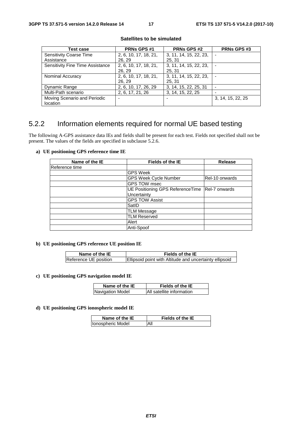| Test case                               | <b>PRNs GPS#1</b>     | <b>PRNs GPS #2</b>     | <b>PRNs GPS#3</b> |
|-----------------------------------------|-----------------------|------------------------|-------------------|
| <b>Sensitivity Coarse Time</b>          | 2, 6, 10, 17, 18, 21, | 3, 11, 14, 15, 22, 23, |                   |
| Assistance                              | 26, 29                | 25, 31                 |                   |
| <b>Sensitivity Fine Time Assistance</b> | 2, 6, 10, 17, 18, 21, | 3, 11, 14, 15, 22, 23, |                   |
|                                         | 26, 29                | 25, 31                 |                   |
| Nominal Accuracy                        | 2, 6, 10, 17, 18, 21, | 3, 11, 14, 15, 22, 23, |                   |
|                                         | 26, 29                | 25, 31                 |                   |
| Dynamic Range                           | 2, 6, 10, 17, 26, 29  | 3, 14, 15, 22, 25, 31  |                   |
| Multi-Path scenario                     | 2, 6, 17, 21, 26      | 3, 14, 15, 22, 25      |                   |
| Moving Scenario and Periodic            |                       |                        | 3, 14, 15, 22, 25 |
| location                                |                       |                        |                   |

#### **Satellites to be simulated**

# 5.2.2 Information elements required for normal UE based testing

The following A-GPS assistance data IEs and fields shall be present for each test. Fields not specified shall not be present. The values of the fields are specified in subclause 5.2.6.

#### **a) UE positioning GPS reference time IE**

| Name of the IE  | Fields of the IE                                  | Release        |
|-----------------|---------------------------------------------------|----------------|
| lReference time |                                                   |                |
|                 | <b>GPS Week</b>                                   |                |
|                 | <b>GPS Week Cycle Number</b>                      | Rel-10 onwards |
|                 | GPS TOW msec                                      |                |
|                 | UE Positioning GPS Reference Time   Rel-7 onwards |                |
|                 | Uncertainty                                       |                |
|                 | <b>GPS TOW Assist</b>                             |                |
|                 | SatID                                             |                |
|                 | <b>TLM Message</b>                                |                |
|                 | <b>TLM Reserved</b>                               |                |
|                 | Alert                                             |                |
|                 | Anti-Spoof                                        |                |

### **b) UE positioning GPS reference UE position IE**

| Name of the IE        | <b>Fields of the IE</b>                                 |
|-----------------------|---------------------------------------------------------|
| Reference UE position | Ellipsoid point with Altitude and uncertainty ellipsoid |

#### **c) UE positioning GPS navigation model IE**

| Name of the IE   | Fields of the IE          |
|------------------|---------------------------|
| Navigation Model | All satellite information |

### **d) UE positioning GPS ionospheric model IE**

| Name of the IE    | Fields of the IE |
|-------------------|------------------|
| Ionospheric Model | Αll              |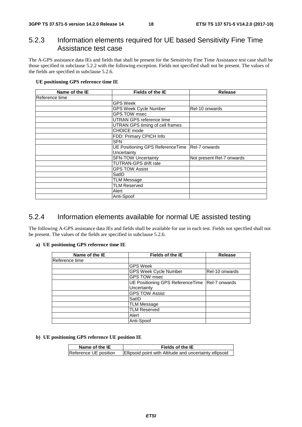# 5.2.3 Information elements required for UE based Sensitivity Fine Time Assistance test case

The A-GPS assistance data IEs and fields that shall be present for the Sensitivity Fine Time Assistance test case shall be those specified in subclause 5.2.2 with the following exception. Fields not specified shall not be present. The values of the fields are specified in subclause 5.2.6.

# **UE positioning GPS reference time IE**

| Name of the IE | <b>Fields of the IE</b>                         | Release                   |  |  |
|----------------|-------------------------------------------------|---------------------------|--|--|
| Reference time |                                                 |                           |  |  |
|                | <b>GPS Week</b>                                 |                           |  |  |
|                | <b>GPS Week Cycle Number</b>                    | Rel-10 onwards            |  |  |
|                | <b>GPS TOW msec</b>                             |                           |  |  |
|                | <b>UTRAN GPS reference time</b>                 |                           |  |  |
|                | UTRAN GPS timing of cell frames                 |                           |  |  |
|                | CHOICE mode                                     |                           |  |  |
|                | FDD: Primary CPICH Info                         |                           |  |  |
|                | <b>SFN</b>                                      |                           |  |  |
|                | UE Positioning GPS Reference Time Rel-7 onwards |                           |  |  |
|                | Uncertainty                                     |                           |  |  |
|                | <b>SFN-TOW Uncertainty</b>                      | Not present Rel-7 onwards |  |  |
|                | <b>TUTRAN-GPS drift rate</b>                    |                           |  |  |
|                | <b>GPS TOW Assist</b>                           |                           |  |  |
|                | SatID                                           |                           |  |  |
|                | <b>TLM Message</b>                              |                           |  |  |
|                | <b>TLM Reserved</b>                             |                           |  |  |
|                | Alert                                           |                           |  |  |
|                | Anti-Spoof                                      |                           |  |  |

# 5.2.4 Information elements available for normal UE assisted testing

The following A-GPS assistance data IEs and fields shall be available for use in each test. Fields not specified shall not be present. The values of the fields are specified in subclause 5.2.6.

#### **a) UE positioning GPS reference time IE**

| Name of the IE | <b>Fields of the IE</b>                           | Release        |
|----------------|---------------------------------------------------|----------------|
| Reference time |                                                   |                |
|                | <b>GPS Week</b>                                   |                |
|                | <b>GPS Week Cycle Number</b>                      | Rel-10 onwards |
|                | <b>GPS TOW msec</b>                               |                |
|                | UE Positioning GPS Reference Time   Rel-7 onwards |                |
|                | Uncertainty                                       |                |
|                | <b>GPS TOW Assist</b>                             |                |
|                | SatID                                             |                |
|                | <b>TLM Message</b>                                |                |
|                | <b>TLM Reserved</b>                               |                |
|                | Alert                                             |                |
|                | Anti-Spoof                                        |                |

### **b) UE positioning GPS reference UE position IE**

| Name of the IE        | Fields of the IE                                        |
|-----------------------|---------------------------------------------------------|
| Reference UE position | Ellipsoid point with Altitude and uncertainty ellipsoid |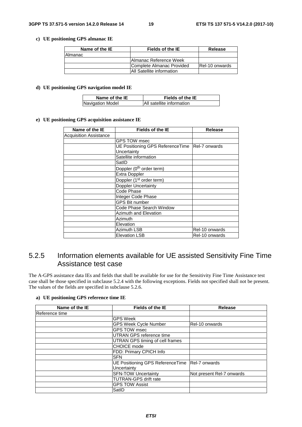### **c) UE positioning GPS almanac IE**

| Name of the IE | Fields of the IE                  | Release        |
|----------------|-----------------------------------|----------------|
| Almanac        |                                   |                |
|                | <b>IAImanac Reference Week</b>    |                |
|                | Complete Almanac Provided         | Rel-10 onwards |
|                | <b>IAII Satellite information</b> |                |

#### **d) UE positioning GPS navigation model IE**

| Name of the IE   | <b>Fields of the IE</b>   |
|------------------|---------------------------|
| Navigation Model | All satellite information |

#### **e) UE positioning GPS acquisition assistance IE**

| Name of the IE                | Fields of the IE                                  | <b>Release</b> |
|-------------------------------|---------------------------------------------------|----------------|
| <b>Acquisition Assistance</b> |                                                   |                |
|                               | <b>GPS TOW msec</b>                               |                |
|                               | UE Positioning GPS Reference Time   Rel-7 onwards |                |
|                               | Uncertainty                                       |                |
|                               | Satellite information                             |                |
|                               | SatID                                             |                |
|                               | Doppler (0 <sup>th</sup> order term)              |                |
|                               | Extra Doppler                                     |                |
|                               | Doppler (1 <sup>st</sup> order term)              |                |
|                               | <b>Doppler Uncertainty</b>                        |                |
|                               | Code Phase                                        |                |
|                               | Integer Code Phase                                |                |
|                               | <b>GPS Bit number</b>                             |                |
|                               | Code Phase Search Window                          |                |
|                               | <b>Azimuth and Elevation</b>                      |                |
|                               | Azimuth                                           |                |
|                               | Elevation                                         |                |
|                               | <b>Azimuth LSB</b>                                | Rel-10 onwards |
|                               | <b>Elevation LSB</b>                              | Rel-10 onwards |

# 5.2.5 Information elements available for UE assisted Sensitivity Fine Time Assistance test case

The A-GPS assistance data IEs and fields that shall be available for use for the Sensitivity Fine Time Assistance test case shall be those specified in subclause 5.2.4 with the following exceptions. Fields not specified shall not be present. The values of the fields are specified in subclause 5.2.6.

#### **a) UE positioning GPS reference time IE**

| Name of the IE | <b>Fields of the IE</b>          | <b>Release</b>            |
|----------------|----------------------------------|---------------------------|
| Reference time |                                  |                           |
|                | GPS Week                         |                           |
|                | <b>GPS Week Cycle Number</b>     | IRel-10 onwards           |
|                | <b>GPS TOW msec</b>              |                           |
|                | UTRAN GPS reference time         |                           |
|                | UTRAN GPS timing of cell frames  |                           |
|                | CHOICE mode                      |                           |
|                | FDD: Primary CPICH Info          |                           |
|                | <b>SFN</b>                       |                           |
|                | UE Positioning GPS ReferenceTime | <b>Rel-7 onwards</b>      |
|                | Uncertainty                      |                           |
|                | <b>SFN-TOW Uncertainty</b>       | Not present Rel-7 onwards |
|                | <b>TUTRAN-GPS drift rate</b>     |                           |
|                | <b>GPS TOW Assist</b>            |                           |
|                | SatID                            |                           |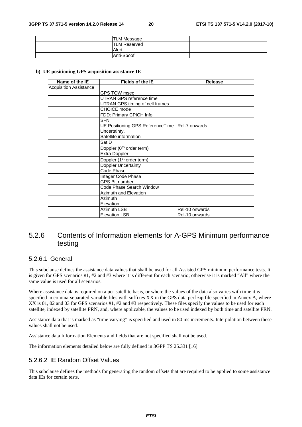| <b>TLM Message</b>  |  |
|---------------------|--|
| <b>TLM Reserved</b> |  |
| Alert               |  |
| <b>Anti-Spoof</b>   |  |

#### **b) UE positioning GPS acquisition assistance IE**

| Name of the IE                | <b>Fields of the IE</b>              | <b>Release</b> |
|-------------------------------|--------------------------------------|----------------|
| <b>Acquisition Assistance</b> |                                      |                |
|                               | GPS TOW msec                         |                |
|                               | <b>UTRAN GPS reference time</b>      |                |
|                               | UTRAN GPS timing of cell frames      |                |
|                               | <b>CHOICE</b> mode                   |                |
|                               | FDD: Primary CPICH Info              |                |
|                               | <b>SFN</b>                           |                |
|                               | UE Positioning GPS ReferenceTime     | Rel-7 onwards  |
|                               | Uncertainty.                         |                |
|                               | Satellite information                |                |
|                               | SatID                                |                |
|                               | Doppler (0 <sup>th</sup> order term) |                |
|                               | Extra Doppler                        |                |
|                               | Doppler (1 <sup>st</sup> order term) |                |
|                               | Doppler Uncertainty                  |                |
|                               | Code Phase                           |                |
|                               | Integer Code Phase                   |                |
|                               | GPS Bit number                       |                |
|                               | Code Phase Search Window             |                |
|                               | Azimuth and Elevation                |                |
|                               | Azimuth                              |                |
|                               | Elevation                            |                |
|                               | <b>Azimuth LSB</b>                   | Rel-10 onwards |
|                               | Elevation LSB                        | Rel-10 onwards |

# 5.2.6 Contents of Information elements for A-GPS Minimum performance testing

# 5.2.6.1 General

This subclause defines the assistance data values that shall be used for all Assisted GPS minimum performance tests. It is given for GPS scenarios #1, #2 and #3 where it is different for each scenario; otherwise it is marked "All" where the same value is used for all scenarios.

Where assistance data is required on a per-satellite basis, or where the values of the data also varies with time it is specified in comma-separated-variable files with suffixes XX in the GPS data perf zip file specified in Annex A, where XX is 01, 02 and 03 for GPS scenarios #1, #2 and #3 respectively. These files specify the values to be used for each satellite, indexed by satellite PRN, and, where applicable, the values to be used indexed by both time and satellite PRN.

Assistance data that is marked as "time varying" is specified and used in 80 ms increments. Interpolation between these values shall not be used.

Assistance data Information Elements and fields that are not specified shall not be used.

The information elements detailed below are fully defined in 3GPP TS 25.331 [16]

# 5.2.6.2 IE Random Offset Values

This subclause defines the methods for generating the random offsets that are required to be applied to some assistance data IEs for certain tests.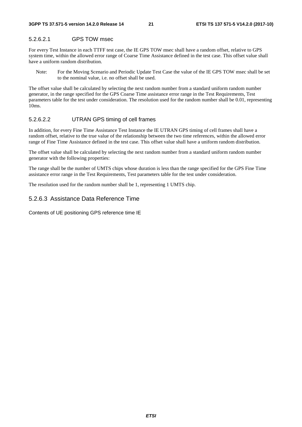# 5.2.6.2.1 GPS TOW msec

For every Test Instance in each TTFF test case, the IE GPS TOW msec shall have a random offset, relative to GPS system time, within the allowed error range of Coarse Time Assistance defined in the test case. This offset value shall have a uniform random distribution.

Note: For the Moving Scenario and Periodic Update Test Case the value of the IE GPS TOW msec shall be set to the nominal value, i.e. no offset shall be used.

The offset value shall be calculated by selecting the next random number from a standard uniform random number generator, in the range specified for the GPS Coarse Time assistance error range in the Test Requirements, Test parameters table for the test under consideration. The resolution used for the random number shall be 0.01, representing 10ms.

# 5.2.6.2.2 UTRAN GPS timing of cell frames

In addition, for every Fine Time Assistance Test Instance the IE UTRAN GPS timing of cell frames shall have a random offset, relative to the true value of the relationship between the two time references, within the allowed error range of Fine Time Assistance defined in the test case. This offset value shall have a uniform random distribution.

The offset value shall be calculated by selecting the next random number from a standard uniform random number generator with the following properties:

The range shall be the number of UMTS chips whose duration is less than the range specified for the GPS Fine Time assistance error range in the Test Requirements, Test parameters table for the test under consideration.

The resolution used for the random number shall be 1, representing 1 UMTS chip.

# 5.2.6.3 Assistance Data Reference Time

Contents of UE positioning GPS reference time IE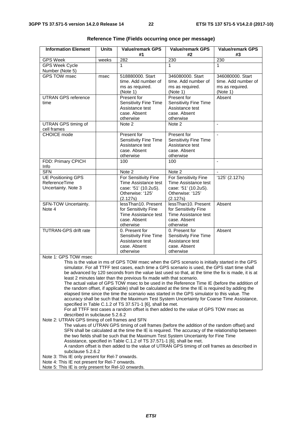| <b>Information Element</b>                                                                                                                                                                       | <b>Units</b> | <b>Value/remark GPS</b><br>#1                                                                                                                                                                      | <b>Value/remark GPS</b><br>#2   | <b>Value/remark GPS</b><br>#3 |
|--------------------------------------------------------------------------------------------------------------------------------------------------------------------------------------------------|--------------|----------------------------------------------------------------------------------------------------------------------------------------------------------------------------------------------------|---------------------------------|-------------------------------|
| <b>GPS Week</b>                                                                                                                                                                                  | weeks        | 282                                                                                                                                                                                                | 230                             | 230                           |
| <b>GPS Week Cycle</b>                                                                                                                                                                            |              | 1                                                                                                                                                                                                  | 1                               | 1.                            |
| Number (Note 5)                                                                                                                                                                                  |              |                                                                                                                                                                                                    |                                 |                               |
| GPS TOW msec                                                                                                                                                                                     | msec         | 518880000. Start                                                                                                                                                                                   | 346080000. Start                | 346080000. Start              |
|                                                                                                                                                                                                  |              | time. Add number of                                                                                                                                                                                | time. Add number of             | time. Add number of           |
|                                                                                                                                                                                                  |              | ms as required.<br>(Note 1)                                                                                                                                                                        | ms as required.<br>(Note 1)     | ms as required.<br>(Note 1)   |
| <b>UTRAN GPS reference</b>                                                                                                                                                                       |              | Present for                                                                                                                                                                                        | Present for                     | Absent                        |
| time                                                                                                                                                                                             |              | Sensitivity Fine Time                                                                                                                                                                              | Sensitivity Fine Time           |                               |
|                                                                                                                                                                                                  |              | Assistance test                                                                                                                                                                                    | Assistance test                 |                               |
|                                                                                                                                                                                                  |              | case. Absent                                                                                                                                                                                       | case. Absent                    |                               |
|                                                                                                                                                                                                  |              | otherwise                                                                                                                                                                                          | otherwise                       |                               |
| UTRAN GPS timing of<br>cell frames                                                                                                                                                               |              | Note 2                                                                                                                                                                                             | Note 2                          | $\mathbf{r}$                  |
| <b>CHOICE</b> mode                                                                                                                                                                               |              | Present for                                                                                                                                                                                        | Present for                     |                               |
|                                                                                                                                                                                                  |              | Sensitivity Fine Time                                                                                                                                                                              | Sensitivity Fine Time           |                               |
|                                                                                                                                                                                                  |              | Assistance test                                                                                                                                                                                    | Assistance test                 |                               |
|                                                                                                                                                                                                  |              | case. Absent<br>otherwise                                                                                                                                                                          | case. Absent<br>otherwise       |                               |
| FDD: Primary CPICH                                                                                                                                                                               |              | 100                                                                                                                                                                                                | 100                             |                               |
| Info                                                                                                                                                                                             |              |                                                                                                                                                                                                    |                                 |                               |
| <b>SFN</b>                                                                                                                                                                                       |              | Note 2                                                                                                                                                                                             | Note 2                          |                               |
| <b>UE Positioning GPS</b>                                                                                                                                                                        |              | For Sensitivity Fine                                                                                                                                                                               | For Sensitivity Fine            | '125' (2.127s)                |
| ReferenceTime                                                                                                                                                                                    |              | Time Assistance test                                                                                                                                                                               | Time Assistance test            |                               |
| Uncertainty. Note 3                                                                                                                                                                              |              | case: '51' (10.2uS).                                                                                                                                                                               | case: '51' (10.2uS).            |                               |
|                                                                                                                                                                                                  |              | Otherwise: '125'                                                                                                                                                                                   | Otherwise: '125'                |                               |
| SFN-TOW Uncertainty.                                                                                                                                                                             |              | (2.127s)<br>lessThan10. Present                                                                                                                                                                    | (2.127s)<br>lessThan10. Present | Absent                        |
| Note 4                                                                                                                                                                                           |              | for Sensitivity Fine                                                                                                                                                                               | for Sensitivity Fine            |                               |
|                                                                                                                                                                                                  |              | Time Assistance test                                                                                                                                                                               | Time Assistance test            |                               |
|                                                                                                                                                                                                  |              | case. Absent                                                                                                                                                                                       | case. Absent                    |                               |
|                                                                                                                                                                                                  |              | otherwise                                                                                                                                                                                          | otherwise                       |                               |
| <b>TUTRAN-GPS drift rate</b>                                                                                                                                                                     |              | 0. Present for                                                                                                                                                                                     | 0. Present for                  | Absent                        |
|                                                                                                                                                                                                  |              | Sensitivity Fine Time                                                                                                                                                                              | Sensitivity Fine Time           |                               |
|                                                                                                                                                                                                  |              | Assistance test<br>case. Absent                                                                                                                                                                    | Assistance test<br>case. Absent |                               |
|                                                                                                                                                                                                  |              | otherwise                                                                                                                                                                                          | otherwise                       |                               |
| Note 1: GPS TOW msec                                                                                                                                                                             |              |                                                                                                                                                                                                    |                                 |                               |
|                                                                                                                                                                                                  |              | This is the value in ms of GPS TOW msec when the GPS scenario is initially started in the GPS                                                                                                      |                                 |                               |
|                                                                                                                                                                                                  |              | simulator. For all TTFF test cases, each time a GPS scenario is used, the GPS start time shall                                                                                                     |                                 |                               |
|                                                                                                                                                                                                  |              | be advanced by 120 seconds from the value last used so that, at the time the fix is made, it is at                                                                                                 |                                 |                               |
|                                                                                                                                                                                                  |              | least 2 minutes later than the previous fix made with that scenario.                                                                                                                               |                                 |                               |
|                                                                                                                                                                                                  |              | The actual value of GPS TOW msec to be used in the Reference Time IE (before the addition of                                                                                                       |                                 |                               |
|                                                                                                                                                                                                  |              | the random offset, if applicable) shall be calculated at the time the IE is required by adding the<br>elapsed time since the time the scenario was started in the GPS simulator to this value. The |                                 |                               |
|                                                                                                                                                                                                  |              | accuracy shall be such that the Maximum Test System Uncertainty for Coarse Time Assistance,                                                                                                        |                                 |                               |
|                                                                                                                                                                                                  |              | specified in Table C.1.2 of TS 37.571-1 [6], shall be met.                                                                                                                                         |                                 |                               |
| For all TTFF test cases a random offset is then added to the value of GPS TOW msec as                                                                                                            |              |                                                                                                                                                                                                    |                                 |                               |
| described in subclause 5.2.6.2                                                                                                                                                                   |              |                                                                                                                                                                                                    |                                 |                               |
| Note 2: UTRAN GPS timing of cell frames and SFN                                                                                                                                                  |              |                                                                                                                                                                                                    |                                 |                               |
| The values of UTRAN GPS timing of cell frames (before the addition of the random offset) and<br>SFN shall be calculated at the time the IE is required. The accuracy of the relationship between |              |                                                                                                                                                                                                    |                                 |                               |

|  | Reference Time (Fields occurring once per message) |  |  |  |  |  |  |
|--|----------------------------------------------------|--|--|--|--|--|--|
|--|----------------------------------------------------|--|--|--|--|--|--|

SFN shall be calculated at the time the IE is required. The accuracy of the relationship between the two fields shall be such that the Maximum Test System Uncertainty for Fine Time Assistance, specified in Table C.1.2 of TS 37.571-1 [6], shall be met.

A random offset is then added to the value of UTRAN GPS timing of cell frames as described in subclause 5.2.6.2

Note 3: This IE only present for Rel-7 onwards.

Note 4: This IE not present for Rel-7 onwards.

Note 5: This IE is only present for Rel-10 onwards.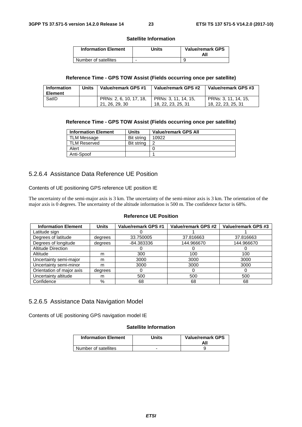#### **Satellite Information**

| <b>Information Element</b> | Units | <b>Value/remark GPS</b><br>All |
|----------------------------|-------|--------------------------------|
| Number of satellites       | -     |                                |

### **Reference Time - GPS TOW Assist (Fields occurring once per satellite)**

| <b>Information</b><br><b>Element</b> | <b>Units</b> | Value/remark GPS #1                       | Value/remark GPS #2                        | Value/remark GPS #3                        |
|--------------------------------------|--------------|-------------------------------------------|--------------------------------------------|--------------------------------------------|
| SatID                                |              | PRNs: 2, 6, 10, 17, 18,<br>21, 26, 29, 30 | PRNs: 3, 11, 14, 15,<br>18, 22, 23, 25, 31 | PRNs: 3, 11, 14, 15,<br>18, 22, 23, 25, 31 |

### **Reference Time - GPS TOW Assist (Fields occurring once per satellite)**

| <b>Information Element</b> | <b>Units</b> | <b>Value/remark GPS All</b> |
|----------------------------|--------------|-----------------------------|
| <b>TLM Message</b>         | Bit string   | 10922                       |
| TLM Reserved               | Bit string   | 2                           |
| Alert                      |              |                             |
| Anti-Spoof                 |              |                             |

# 5.2.6.4 Assistance Data Reference UE Position

Contents of UE positioning GPS reference UE position IE

The uncertainty of the semi-major axis is 3 km. The uncertainty of the semi-minor axis is 3 km. The orientation of the major axis is 0 degrees. The uncertainty of the altitude information is 500 m. The confidence factor is 68%.

### **Reference UE Position**

| <b>Information Element</b> | <b>Units</b> | Value/remark GPS #1 | Value/remark GPS #2 | Value/remark GPS #3 |
|----------------------------|--------------|---------------------|---------------------|---------------------|
| Latitude sign              |              |                     |                     |                     |
| Degrees of latitude        | degrees      | 33.750005           | 37.816663           | 37.816663           |
| Degrees of longitude       | degrees      | -84.383336          | 144.966670          | 144.966670          |
| <b>Altitude Direction</b>  |              |                     |                     |                     |
| Altitude                   | m            | 300                 | 100                 | 100                 |
| Uncertainty semi-major     | m            | 3000                | 3000                | 3000                |
| Uncertainty semi-minor     | m            | 3000                | 3000                | 3000                |
| Orientation of major axis  | degrees      | O                   | $\mathbf{0}$        | 0                   |
| Uncertainty altitude       | m            | 500                 | 500                 | 500                 |
| Confidence                 | %            | 68                  | 68                  | 68                  |

# 5.2.6.5 Assistance Data Navigation Model

Contents of UE positioning GPS navigation model IE

### **Satellite Information**

| <b>Information Element</b> | Units | <b>Value/remark GPS</b><br>All |
|----------------------------|-------|--------------------------------|
| Number of satellites       |       |                                |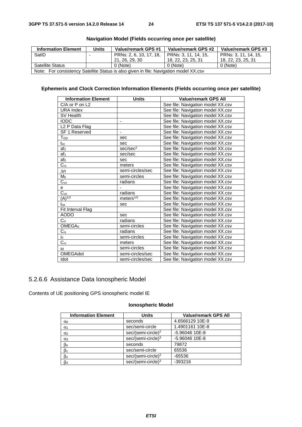| <b>Information Element</b>                                                            | <b>Units</b> | Value/remark GPS #1     | Value/remark GPS #2  | Value/remark GPS #3  |  |
|---------------------------------------------------------------------------------------|--------------|-------------------------|----------------------|----------------------|--|
| SatID                                                                                 |              | PRNs: 2, 6, 10, 17, 18, | PRNs: 3, 11, 14, 15. | PRNs: 3, 11, 14, 15, |  |
|                                                                                       |              | 21. 26. 29. 30          | 18, 22, 23, 25, 31   | 18, 22, 23, 25, 31   |  |
| <b>Satellite Status</b>                                                               |              | 0 (Note)                | $0$ (Note)           | 0 (Note)             |  |
| Note: For consistency Satellite Status is also given in file: Navigation model XX.csv |              |                         |                      |                      |  |

# **Navigation Model (Fields occurring once per satellite)**

# **Ephemeris and Clock Correction Information Elements (Fields occurring once per satellite)**

| <b>Information Element</b> | <b>Units</b>           | <b>Value/remark GPS All</b>       |
|----------------------------|------------------------|-----------------------------------|
| $C/A$ or $P$ on $L2$       |                        | See file: Navigation model XX.csv |
| <b>URA Index</b>           |                        | See file: Navigation model XX.csv |
| SV Health                  |                        | See file: Navigation model XX.csv |
| <b>IODC</b>                | -                      | See file: Navigation model XX.csv |
| L <sub>2</sub> P Data Flag |                        | See file: Navigation model XX.csv |
| <b>SF 1 Reserved</b>       | ÷,                     | See file: Navigation model XX.csv |
| TGD                        | sec                    | See file: Navigation model XX.csv |
| $t_{\rm oc}$               | sec                    | See file: Navigation model XX.csv |
| af <sub>2</sub>            | sec/sec <sup>2</sup>   | See file: Navigation model XX.csv |
| af <sub>1</sub>            | sec/sec                | See file: Navigation model XX.csv |
| af <sub>0</sub>            | sec                    | See file: Navigation model XX.csv |
| $C_{rs}$                   | meters                 | See file: Navigation model XX.csv |
| $\Delta n$                 | semi-circles/sec       | See file: Navigation model XX.csv |
| M <sub>0</sub>             | semi-circles           | See file: Navigation model XX.csv |
| $C_{uc}$                   | radians                | See file: Navigation model XX.csv |
| e                          |                        | See file: Navigation model XX.csv |
| $\overline{C_{us}}$        | radians                | See file: Navigation model XX.csv |
| $(A)^{1/2}$                | meters $\sqrt[1/2]{ }$ | See file: Navigation model XX.csv |
| $t_{oe}$                   | sec                    | See file: Navigation model XX.csv |
| Fit Interval Flag          |                        | See file: Navigation model XX.csv |
| <b>AODO</b>                | sec                    | See file: Navigation model XX.csv |
| $C_{ic}$                   | radians                | See file: Navigation model XX.csv |
| OMEGA <sub>0</sub>         | semi-circles           | See file: Navigation model XX.csv |
| $C_{is}$                   | radians                | See file: Navigation model XX.csv |
| $i_{0}$                    | semi-circles           | See file: Navigation model XX.csv |
| $C_{rc}$                   | meters                 | See file: Navigation model XX.csv |
| $\omega$                   | semi-circles           | See file: Navigation model XX.csv |
| <b>OMEGAdot</b>            | semi-circles/sec       | See file: Navigation model XX.csv |
| Idot                       | semi-circles/sec       | See file: Navigation model XX.csv |

# 5.2.6.6 Assistance Data Ionospheric Model

Contents of UE positioning GPS ionospheric model IE

# **Ionospheric Model**

| <b>Information Element</b> | <b>Units</b>                   | <b>Value/remark GPS All</b> |
|----------------------------|--------------------------------|-----------------------------|
| $\alpha$                   | seconds                        | 4.6566129 10E-9             |
| $\alpha_1$                 | sec/semi-circle                | 1.4901161 10E-8             |
| $\alpha$ <sub>2</sub>      | sec/(semi-circle) <sup>2</sup> | -5.96046 10E-8              |
| $\alpha_3$                 | $sec/(semi-circle)^3$          | -5.96046 10E-8              |
| $\beta_0$                  | seconds                        | 79872                       |
| $\beta_1$                  | sec/semi-circle                | 65536                       |
| $\beta$ <sub>2</sub>       | sec/(semi-circle) <sup>2</sup> | $-65536$                    |
| $\beta_3$                  | sec/(semi-circle) <sup>3</sup> | $-393216$                   |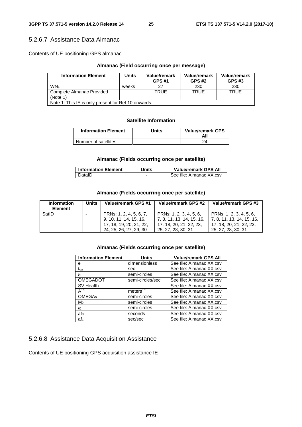# 5.2.6.7 Assistance Data Almanac

Contents of UE positioning GPS almanac

### **Almanac (Field occurring once per message)**

| <b>Information Element</b>                          | Units | Value/remark<br><b>GPS #1</b> | Value/remark<br><b>GPS #2</b> | Value/remark<br><b>GPS #3</b> |
|-----------------------------------------------------|-------|-------------------------------|-------------------------------|-------------------------------|
| <b>WN<sub>a</sub></b>                               | weeks |                               | 230                           | 230                           |
| Complete Almanac Provided                           |       | TRUF                          | TRUE                          | <b>TRUE</b>                   |
| (Note 1)                                            |       |                               |                               |                               |
| Note 1: This IE is only present for Rel-10 onwards. |       |                               |                               |                               |

### **Satellite Information**

| <b>Information Element</b> | Units | <b>Value/remark GPS</b><br>Αll |
|----------------------------|-------|--------------------------------|
| Number of satellites       | -     |                                |

### **Almanac (Fields occurring once per satellite)**

| <b>Information Element</b> | Units | <b>Value/remark GPS All</b> |
|----------------------------|-------|-----------------------------|
| DatalD                     |       | See file: Almanac XX.csv    |

# **Almanac (Fields occurring once per satellite)**

| Information<br><b>Element</b> | Units | Value/remark GPS #1                                                                                    | Value/remark GPS #2                                                                                     | Value/remark GPS #3                                                                                     |
|-------------------------------|-------|--------------------------------------------------------------------------------------------------------|---------------------------------------------------------------------------------------------------------|---------------------------------------------------------------------------------------------------------|
| SatID                         |       | PRNs: 1, 2, 4, 5, 6, 7,<br>9, 10, 11, 14, 15, 16,<br>17, 18, 19, 20, 21, 22,<br>24, 25, 26, 27, 29, 30 | PRNs: 1, 2, 3, 4, 5, 6,<br>  7, 8, 11, 13, 14, 15, 16,<br>17, 18, 20, 21, 22, 23,<br>25, 27, 28, 30, 31 | PRNs: 1, 2, 3, 4, 5, 6,<br>  7, 8, 11, 13, 14, 15, 16,<br>17, 18, 20, 21, 22, 23,<br>25, 27, 28, 30, 31 |

# **Almanac (Fields occurring once per satellite)**

| <b>Information Element</b> | Units            | <b>Value/remark GPS All</b> |
|----------------------------|------------------|-----------------------------|
| e                          | dimensionless    | See file: Almanac XX.csv    |
| t <sub>oa</sub>            | sec              | See file: Almanac XX.csv    |
| δi                         | semi-circles     | See file: Almanac XX.csv    |
| <b>OMEGADOT</b>            | semi-circles/sec | See file: Almanac XX.csv    |
| SV Health                  |                  | See file: Almanac XX.csv    |
| $\Delta^{1/2}$             | meters $1/2$     | See file: Almanac XX.csv    |
| OMEGA <sub>0</sub>         | semi-circles     | See file: Almanac XX.csv    |
| Mo                         | semi-circles     | See file: Almanac XX.csv    |
| $\omega$                   | semi-circles     | See file: Almanac XX.csv    |
| af <sub>0</sub>            | seconds          | See file: Almanac XX.csv    |
| af <sub>1</sub>            | sec/sec          | See file: Almanac XX.csv    |

# 5.2.6.8 Assistance Data Acquisition Assistance

Contents of UE positioning GPS acquisition assistance IE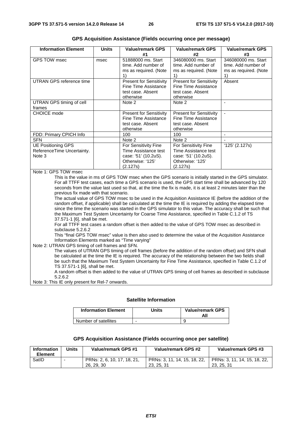| <b>Information Element</b>                                        | <b>Units</b> | <b>Value/remark GPS</b><br>#1                                                                        | <b>Value/remark GPS</b><br>#2                                                                        | <b>Value/remark GPS</b><br>#3                                             |
|-------------------------------------------------------------------|--------------|------------------------------------------------------------------------------------------------------|------------------------------------------------------------------------------------------------------|---------------------------------------------------------------------------|
| <b>GPS TOW msec</b>                                               | msec         | 51888000 ms. Start<br>time. Add number of<br>ms as required. (Note                                   | 346080000 ms. Start<br>time. Add number of<br>ms as required. (Note                                  | 346080000 ms. Start<br>time. Add number of<br>ms as required. (Note<br>1) |
| UTRAN GPS reference time                                          |              | <b>Present for Sensitivity</b><br>Fine Time Assistance<br>test case. Absent<br>otherwise             | <b>Present for Sensitivity</b><br>Fine Time Assistance<br>test case. Absent<br>otherwise             | Absent                                                                    |
| UTRAN GPS timing of cell<br>frames                                |              | Note 2                                                                                               | Note 2                                                                                               |                                                                           |
| <b>CHOICE</b> mode                                                |              | <b>Present for Sensitivity</b><br>Fine Time Assistance<br>test case. Absent<br>otherwise             | <b>Present for Sensitivity</b><br>Fine Time Assistance<br>test case. Absent<br>otherwise             |                                                                           |
| FDD: Primary CPICH Info                                           |              | 100                                                                                                  | 100                                                                                                  |                                                                           |
| <b>SFN</b>                                                        |              | Note 2                                                                                               | Note 2                                                                                               |                                                                           |
| <b>UE Positioning GPS</b><br>ReferenceTime Uncertainty.<br>Note 3 |              | For Sensitivity Fine<br>Time Assistance test<br>case: '51' (10.2uS).<br>Otherwise: '125'<br>(2.127s) | For Sensitivity Fine<br>Time Assistance test<br>case: '51' (10.2uS).<br>Otherwise: '125'<br>(2.127s) | 125' (2.127s)                                                             |
| $N$ oto 1: CDC TOM meos                                           |              |                                                                                                      |                                                                                                      |                                                                           |

**GPS Acquisition Assistance (Fields occurring once per message)** 

Note 1: GPS TOW msec

This is the value in ms of GPS TOW msec when the GPS scenario is initially started in the GPS simulator. For all TTFF test cases, each time a GPS scenario is used, the GPS start time shall be advanced by 120 seconds from the value last used so that, at the time the fix is made, it is at least 2 minutes later than the previous fix made with that scenario.

The actual value of GPS TOW msec to be used in the Acquisition Assistance IE (before the addition of the random offset, if applicable) shall be calculated at the time the IE is required by adding the elapsed time since the time the scenario was started in the GPS simulator to this value. The accuracy shall be such that the Maximum Test System Uncertainty for Coarse Time Assistance, specified in Table C.1.2 of TS 37.571-1 [6], shall be met.

For all TTFF test cases a random offset is then added to the value of GPS TOW msec as described in subclause 5.2.6.2

This "final GPS TOW msec" value is then also used to determine the value of the Acquisition Assistance Information Elements marked as "Time varying"

Note 2: UTRAN GPS timing of cell frames and SFN.

The values of UTRAN GPS timing of cell frames (before the addition of the random offset) and SFN shall be calculated at the time the IE is required. The accuracy of the relationship between the two fields shall be such that the Maximum Test System Uncertainty for Fine Time Assistance, specified in Table C.1.2 of TS 37.571-1 [6], shall be met.

A random offset is then added to the value of UTRAN GPS timing of cell frames as described in subclause 5.2.6.2

Note 3: This IE only present for Rel-7 onwards.

### **Satellite Information**

| <b>Information Element</b> | Units | <b>Value/remark GPS</b> |
|----------------------------|-------|-------------------------|
| Number of satellites       |       |                         |

### **GPS Acquisition Assistance (Fields occurring once per satellite)**

| Information<br><b>Element</b> | Units | Value/remark GPS #1                       | Value/remark GPS #2                        | Value/remark GPS #3                        |
|-------------------------------|-------|-------------------------------------------|--------------------------------------------|--------------------------------------------|
| SatID                         |       | PRNs: 2, 6, 10, 17, 18, 21,<br>26, 29, 30 | PRNs: 3, 11, 14, 15, 18, 22,<br>23, 25, 31 | PRNs: 3, 11, 14, 15, 18, 22,<br>23, 25, 31 |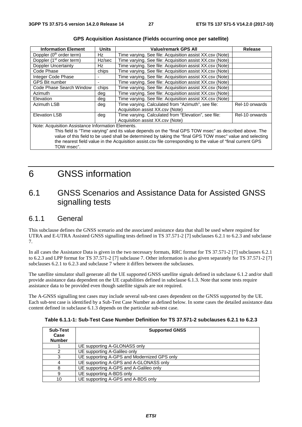| <b>Information Element</b>                                                                                   | <b>Units</b> | <b>Value/remark GPS All</b>                              | <b>Release</b> |
|--------------------------------------------------------------------------------------------------------------|--------------|----------------------------------------------------------|----------------|
| Doppler (0 <sup>th</sup> order term)                                                                         | Hz           | Time varying. See file: Acquisition assist XX.csv (Note) |                |
| Doppler (1 <sup>st</sup> order term)                                                                         | Hz/sec       | Time varying. See file: Acquisition assist XX.csv (Note) |                |
| Doppler Uncertainty                                                                                          | Hz           | Time varying. See file: Acquisition assist XX.csv (Note) |                |
| Code Phase                                                                                                   | chips        | Time varying. See file: Acquisition assist XX.csv (Note) |                |
| Integer Code Phase                                                                                           |              | Time varying. See file: Acquisition assist XX.csv (Note) |                |
| <b>GPS Bit number</b>                                                                                        |              | Time varying. See file: Acquisition assist XX.csv (Note) |                |
| Code Phase Search Window                                                                                     | chips        | Time varying. See file: Acquisition assist XX.csv (Note) |                |
| <b>Azimuth</b>                                                                                               | deg          | Time varying. See file: Acquisition assist XX.csv (Note) |                |
| Elevation                                                                                                    | deg          | Time varying. See file: Acquisition assist XX.csv (Note) |                |
| <b>Azimuth LSB</b>                                                                                           | deg          | Time varying. Calculated from "Azimuth", see file:       | Rel-10 onwards |
|                                                                                                              |              | Acquisition assist XX.csv (Note)                         |                |
| <b>Elevation LSB</b>                                                                                         | deg          | Time varying. Calculated from "Elevation", see file:     | Rel-10 onwards |
|                                                                                                              |              | Acquisition assist XX.csv (Note)                         |                |
| Note: Acquisition Assistance Information Elements.                                                           |              |                                                          |                |
| This field is "Time varying" and its value depends on the "final GPS TOW msec" as described above. The       |              |                                                          |                |
| value of this field to be used shall be determined by taking the "final GPS TOW msec" value and selecting    |              |                                                          |                |
| the nearest field value in the Acquisition assist.csy file corresponding to the value of "final current GPS" |              |                                                          |                |

| <b>GPS Acquisition Assistance (Fields occurring once per satellite)</b> |  |  |
|-------------------------------------------------------------------------|--|--|
|-------------------------------------------------------------------------|--|--|

6 GNSS information

TOW msec".

# 6.1 GNSS Scenarios and Assistance Data for Assisted GNSS signalling tests

# 6.1.1 General

This subclause defines the GNSS scenario and the associated assistance data that shall be used where required for UTRA and E-UTRA Assisted GNSS signalling tests defined in TS 37.571-2 [7] subclauses 6.2.1 to 6.2.3 and subclause 7.

In all cases the Assistance Data is given in the two necessary formats, RRC format for TS 37.571-2 [7] subclauses 6.2.1 to 6.2.3 and LPP format for TS 37.571-2 [7] subclause 7. Other information is also given separately for TS 37.571-2 [7] subclauses 6.2.1 to 6.2.3 and subclause 7 where it differs between the subclauses.

The satellite simulator shall generate all the UE supported GNSS satellite signals defined in subclause 6.1.2 and/or shall provide assistance data dependent on the UE capabilities defined in subclause 6.1.3. Note that some tests require assistance data to be provided even though satellite signals are not required.

The A-GNSS signalling test cases may include several sub-test cases dependent on the GNSS supported by the UE. Each sub-test case is identified by a Sub-Test Case Number as defined below. In some cases the detailed assistance data content defined in subclause 6.1.3 depends on the particular sub-test case.

| Sub-Test<br>Case<br><b>Number</b> | <b>Supported GNSS</b>                       |
|-----------------------------------|---------------------------------------------|
|                                   | UE supporting A-GLONASS only                |
|                                   | UE supporting A-Galileo only                |
| з                                 | UE supporting A-GPS and Modernized GPS only |
|                                   | UE supporting A-GPS and A-GLONASS only      |
| 8                                 | UE supporting A-GPS and A-Galileo only      |
| 9                                 | UE supporting A-BDS only                    |
| 10                                | UE supporting A-GPS and A-BDS only          |

**Table 6.1.1-1: Sub-Test Case Number Definition for TS 37.571-2 subclauses 6.2.1 to 6.2.3**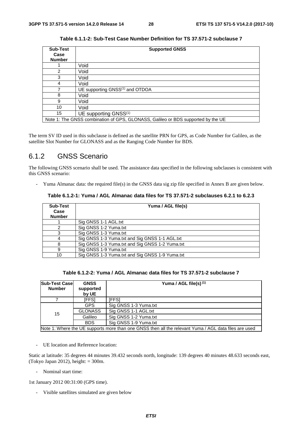| <b>Sub-Test</b> | <b>Supported GNSS</b>                                                            |  |
|-----------------|----------------------------------------------------------------------------------|--|
| Case            |                                                                                  |  |
| <b>Number</b>   |                                                                                  |  |
|                 | Void                                                                             |  |
| 2               | Void                                                                             |  |
| 3               | Void                                                                             |  |
| 4               | Void                                                                             |  |
|                 | UE supporting GNSS <sup>(1)</sup> and OTDOA                                      |  |
| 8               | Void                                                                             |  |
| 9               | Void                                                                             |  |
| 10              | Void                                                                             |  |
| 15              | UE supporting GNSS <sup>(1)</sup>                                                |  |
|                 | Note 1: The GNSS combination of GPS, GLONASS, Galileo or BDS supported by the UE |  |

**Table 6.1.1-2: Sub-Test Case Number Definition for TS 37.571-2 subclause 7** 

The term SV ID used in this subclause is defined as the satellite PRN for GPS, as Code Number for Galileo, as the satellite Slot Number for GLONASS and as the Ranging Code Number for BDS.

# 6.1.2 GNSS Scenario

The following GNSS scenario shall be used. The assistance data specified in the following subclauses is consistent with this GNSS scenario:

- Yuma Almanac data: the required file(s) in the GNSS data sig zip file specified in Annex B are given below.

**Table 6.1.2-1: Yuma / AGL Almanac data files for TS 37.571-2 subclauses 6.2.1 to 6.2.3** 

| <b>Sub-Test</b><br>Case<br><b>Number</b> | Yuma / AGL file(s)                              |
|------------------------------------------|-------------------------------------------------|
|                                          | Sig GNSS 1-1 AGL.txt                            |
|                                          | Sig GNSS 1-2 Yuma.txt                           |
|                                          | Sig GNSS 1-3 Yuma.txt                           |
|                                          | Sig GNSS 1-3 Yuma.txt and Sig GNSS 1-1 AGL.txt  |
|                                          | Sig GNSS 1-3 Yuma.txt and Sig GNSS 1-2 Yuma.txt |
| 9                                        | Sig GNSS 1-9 Yuma.txt                           |
| 10                                       | Sig GNSS 1-3 Yuma.txt and Sig GNSS 1-9 Yuma.txt |

# **Table 6.1.2-2: Yuma / AGL Almanac data files for TS 37.571-2 subclause 7**

| <b>Sub-Test Case</b><br><b>Number</b>                                                                 | <b>GNSS</b><br>supported<br>by UE | Yuma / AGL file(s) $(1)$ |
|-------------------------------------------------------------------------------------------------------|-----------------------------------|--------------------------|
|                                                                                                       | [FFS]                             | [FFS]                    |
|                                                                                                       | <b>GPS</b>                        | Sig GNSS 1-3 Yuma.txt    |
| 15                                                                                                    | <b>GLONASS</b>                    | Sig GNSS 1-1 AGL.txt     |
|                                                                                                       | Galileo                           | Sig GNSS 1-2 Yuma.txt    |
|                                                                                                       | <b>BDS</b>                        | Sig GNSS 1-9 Yuma.txt    |
| Note 1: Where the UE supports more than one GNSS then all the relevant Yuma / AGL data files are used |                                   |                          |

- UE location and Reference location:

Static at latitude: 35 degrees 44 minutes 39.432 seconds north, longitude: 139 degrees 40 minutes 48.633 seconds east, (Tokyo Japan 2012), height:  $= 300$ m.

- Nominal start time:

1st January 2012 00:31:00 (GPS time).

- Visible satellites simulated are given below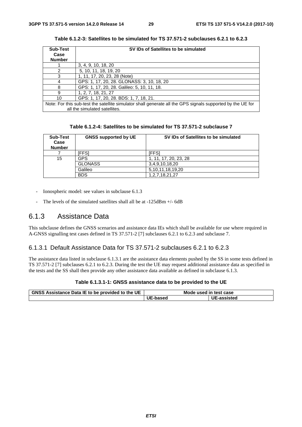| <b>Sub-Test</b> | SV IDs of Satellites to be simulated                                                                       |
|-----------------|------------------------------------------------------------------------------------------------------------|
| Case            |                                                                                                            |
| <b>Number</b>   |                                                                                                            |
|                 | 3, 4, 9, 10, 18, 20                                                                                        |
|                 | 5, 10, 11, 18, 19, 20                                                                                      |
| 3               | 1, 11, 17, 20, 23, 28 (Note)                                                                               |
| 4               | GPS: 1, 17, 20, 28. GLONASS: 3, 10, 18, 20                                                                 |
| 8               | GPS: 1, 17, 20, 28. Galileo: 5, 10, 11, 18.                                                                |
| я               | 1, 2, 7, 18, 21, 27                                                                                        |
| 10              | GPS: 1, 17, 20, 28. BDS: 1, 7, 18, 21.                                                                     |
|                 | Note: For this sub-test the satellite simulator shall generate all the GPS signals supported by the UE for |
|                 | all the simulated satellites.                                                                              |

**Table 6.1.2-3: Satellites to be simulated for TS 37.571-2 subclauses 6.2.1 to 6.2.3** 

**Table 6.1.2-4: Satellites to be simulated for TS 37.571-2 subclause 7** 

| <b>Sub-Test</b><br>Case<br><b>Number</b> | <b>GNSS supported by UE</b> | SV IDs of Satellites to be simulated |
|------------------------------------------|-----------------------------|--------------------------------------|
|                                          | 'FFS1                       | [FFS]                                |
| 15                                       | GPS                         | 1, 11, 17, 20, 23, 28                |
|                                          | <b>GLONASS</b>              | 3,4,9,10,18,20                       |
|                                          | Galileo                     | 5, 10, 11, 18, 19, 20                |
|                                          | <b>BDS</b>                  | 1, 2, 7, 18, 21, 27                  |

- Ionospheric model: see values in subclause 6.1.3
- The levels of the simulated satellites shall all be at -125dBm +/- 6dB

# 6.1.3 Assistance Data

This subclause defines the GNSS scenarios and assistance data IEs which shall be available for use where required in A-GNSS signalling test cases defined in TS 37.571-2 [7] subclauses 6.2.1 to 6.2.3 and subclause 7.

# 6.1.3.1 Default Assistance Data for TS 37.571-2 subclauses 6.2.1 to 6.2.3

The assistance data listed in subclause 6.1.3.1 are the assistance data elements pushed by the SS in some tests defined in TS 37.571-2 [7] subclauses 6.2.1 to 6.2.3. During the test the UE may request additional assistance data as specified in the tests and the SS shall then provide any other assistance data available as defined in subclause 6.1.3.

### **Table 6.1.3.1-1: GNSS assistance data to be provided to the UE**

| <b>GNSS Assistance Data IE to be provided to the UE</b> |                 | Mode used in test case |
|---------------------------------------------------------|-----------------|------------------------|
|                                                         | <b>UE-based</b> | UE-assisted            |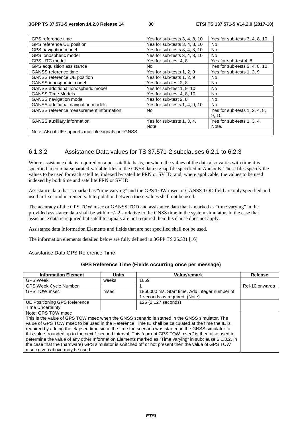| GPS reference time                                  | Yes for sub-tests 3, 4, 8, 10 | Yes for sub-tests 3, 4, 8, 10 |
|-----------------------------------------------------|-------------------------------|-------------------------------|
| GPS reference UE position                           | Yes for sub-tests 3, 4, 8, 10 | No                            |
| GPS navigation model                                | Yes for sub-tests 3, 4, 8, 10 | <b>No</b>                     |
| GPS ionospheric model                               | Yes for sub-tests 3, 4, 8, 10 | No.                           |
| <b>GPS UTC model</b>                                | Yes for sub-test 4, 8         | Yes for sub-test 4, 8         |
| GPS acquisition assistance                          | N <sub>o</sub>                | Yes for sub-tests 3, 4, 8, 10 |
| <b>GANSS</b> reference time                         | Yes for sub-tests 1, 2, 9     | Yes for sub-tests 1, 2, 9     |
| <b>GANSS reference UE position</b>                  | Yes for sub-tests 1, 2, 9     | No.                           |
| GANSS ionospheric model                             | Yes for sub-test 2, 8         | No                            |
| GANSS additional ionospheric model                  | Yes for sub-test 1, 9, 10     | No                            |
| <b>GANSS Time Models</b>                            | Yes for sub-test 4, 8, 10     | No.                           |
| GANSS navigation model                              | Yes for sub-test 2, 8         | No                            |
| GANSS additional navigation models                  | Yes for sub-tests 1, 4, 9, 10 | <b>No</b>                     |
| <b>GANSS</b> reference measurement information      | N <sub>o</sub>                | Yes for sub-tests 1, 2, 4, 8, |
|                                                     |                               | 9.10                          |
| <b>GANSS</b> auxiliary information                  | Yes for sub-tests 1, 3, 4.    | Yes for sub-tests 1, 3, 4.    |
|                                                     | Note.                         | Note.                         |
| Note: Also if UE supports multiple signals per GNSS |                               |                               |

# 6.1.3.2 Assistance Data values for TS 37.571-2 subclauses 6.2.1 to 6.2.3

Where assistance data is required on a per-satellite basis, or where the values of the data also varies with time it is specified in comma-separated-variable files in the GNSS data sig zip file specified in Annex B. These files specify the values to be used for each satellite, indexed by satellite PRN or SV ID, and, where applicable, the values to be used indexed by both time and satellite PRN or SV ID.

Assistance data that is marked as "time varying" and the GPS TOW msec or GANSS TOD field are only specified and used in 1 second increments. Interpolation between these values shall not be used.

The accuracy of the GPS TOW msec or GANSS TOD and assistance data that is marked as "time varying" in the provided assistance data shall be within +/- 2 s relative to the GNSS time in the system simulator. In the case that assistance data is required but satellite signals are not required then this clause does not apply.

Assistance data Information Elements and fields that are not specified shall not be used.

The information elements detailed below are fully defined in 3GPP TS 25.331 [16]

Assistance Data GPS Reference Time

### **GPS Reference Time (Fields occurring once per message)**

| <b>Information Element</b>                                                                              | <b>Units</b> | Value/remark                                  | Release        |  |
|---------------------------------------------------------------------------------------------------------|--------------|-----------------------------------------------|----------------|--|
| <b>GPS Week</b>                                                                                         | weeks        | 1669                                          |                |  |
| <b>GPS Week Cycle Number</b>                                                                            |              |                                               | Rel-10 onwards |  |
| GPS TOW msec                                                                                            | msec         | 1860000 ms. Start time. Add integer number of |                |  |
|                                                                                                         |              | 1 seconds as required. (Note)                 |                |  |
| UE Positioning GPS Reference                                                                            |              | 125 (2.127 seconds)                           |                |  |
| Time Uncertainty                                                                                        |              |                                               |                |  |
| Note: GPS TOW msec                                                                                      |              |                                               |                |  |
| This is the value of GPS TOW msec when the GNSS scenario is started in the GNSS simulator. The          |              |                                               |                |  |
| value of GPS TOW msec to be used in the Reference Time IE shall be calculated at the time the IE is     |              |                                               |                |  |
| required by adding the elapsed time since the time the scenario was started in the GNSS simulator to    |              |                                               |                |  |
| this value, rounded up to the next 1 second interval. This "current GPS TOW msec" is then also used to  |              |                                               |                |  |
| determine the value of any other Information Elements marked as "Time varying" in subclause 6.1.3.2. In |              |                                               |                |  |
| the case that the (hardware) GPS simulator is switched off or not present then the value of GPS TOW     |              |                                               |                |  |
| msec given above may be used.                                                                           |              |                                               |                |  |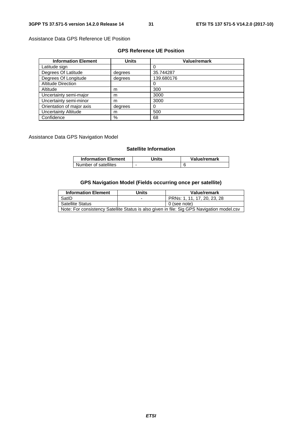Assistance Data GPS Reference UE Position

# **GPS Reference UE Position**

| <b>Information Element</b>  | <b>Units</b> | <b>Value/remark</b> |
|-----------------------------|--------------|---------------------|
| Latitude sign               |              | 0                   |
| Degrees Of Latitude         | degrees      | 35.744287           |
| Degrees Of Longitude        | degrees      | 139.680176          |
| <b>Altitude Direction</b>   |              | 0                   |
| Altitude                    | m            | 300                 |
| Uncertainty semi-major      | m            | 3000                |
| Uncertainty semi-minor      | m            | 3000                |
| Orientation of major axis   | degrees      | 0                   |
| <b>Uncertainty Altitude</b> | m            | 500                 |
| Confidence                  | %            | 68                  |

Assistance Data GPS Navigation Model

# **Satellite Information**

| <b>Information Element</b> | Jnits | Value/remark |
|----------------------------|-------|--------------|
| Number of satellites       |       |              |

# **GPS Navigation Model (Fields occurring once per satellite)**

| <b>Information Element</b>                                                                 | <b>Units</b> | Value/remark                |
|--------------------------------------------------------------------------------------------|--------------|-----------------------------|
| SatID                                                                                      |              | PRNs: 1, 11, 17, 20, 23, 28 |
| <b>Satellite Status</b>                                                                    |              | 0 (see note)                |
| Note: For consistency Satellite Status is also given in file: Sig GPS Navigation model.csv |              |                             |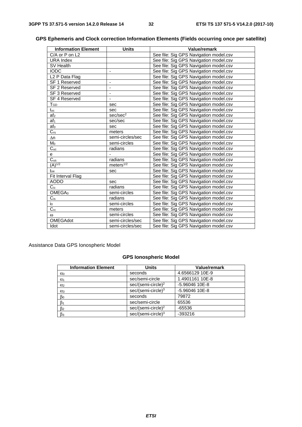# **Information Element Units Value/remark**<br>
C/A or P on L2 See file: Sig GPS Navigation mc C/A or P on L2 See file: Sig GPS Navigation model.csv<br>URA Index See file: Sig GPS Navigation model.csv URA Index See file: Sig GPS Navigation model.csv<br>SV Health See file: Sig GPS Navigation model.csv See file: Sig GPS Navigation model.csv IODC<br>
L2 P Data Flag<br>
L2 P Data Flag<br>
See file: Sig GPS Navigation model.csv L2 P Data Flag See file: Sig GPS Navigation model.csv<br>
SF 1 Reserved - See file: Sig GPS Navigation model.csv<br>
SF 2 Reserved - See file: Sig GPS Navigation model.csv SF 1 Reserved **- See file:** Sig GPS Navigation model.csv SF 2 Reserved **- See file:** Sig GPS Navigation model.csv

### **GPS Ephemeris and Clock correction Information Elements (Fields occurring once per satellite)**

| SF 3 Reserved      |                      | See file: Sig GPS Navigation model.csv |
|--------------------|----------------------|----------------------------------------|
| SF 4 Reserved      |                      | See file: Sig GPS Navigation model.csv |
| TGD                | sec                  | See file: Sig GPS Navigation model.csv |
| $t_{\rm oc}$       | sec                  | See file: Sig GPS Navigation model.csv |
| af <sub>2</sub>    | sec/sec <sup>2</sup> | See file: Sig GPS Navigation model.csv |
| af <sub>1</sub>    | sec/sec              | See file: Sig GPS Navigation model.csv |
| afo                | sec                  | See file: Sig GPS Navigation model.csv |
| $C_{rs}$           | meters               | See file: Sig GPS Navigation model.csv |
| $\Delta n$         | semi-circles/sec     | See file: Sig GPS Navigation model.csv |
| M <sub>0</sub>     | semi-circles         | See file: Sig GPS Navigation model.csv |
| $C_{\text{uc}}$    | radians              | See file: Sig GPS Navigation model.csv |
| е                  |                      | See file: Sig GPS Navigation model.csv |
| $C_{us}$           | radians              | See file: Sig GPS Navigation model.csv |
| $(A)^{1/2}$        | meters $\sqrt{1/2}$  | See file: Sig GPS Navigation model.csv |
| $t_{oe}$           | sec                  | See file: Sig GPS Navigation model.csv |
| Fit Interval Flag  |                      | See file: Sig GPS Navigation model.csv |
| <b>AODO</b>        | sec                  | See file: Sig GPS Navigation model.csv |
| $C_{ic}$           | radians              | See file: Sig GPS Navigation model.csv |
| OMEGA <sub>0</sub> | semi-circles         | See file: Sig GPS Navigation model.csv |
| $C_{is}$           | radians              | See file: Sig GPS Navigation model.csv |
| $i_{0}$            | semi-circles         | See file: Sig GPS Navigation model.csv |
| $C_{rc}$           | meters               | See file: Sig GPS Navigation model.csv |
| $\omega$           | semi-circles         | See file: Sig GPS Navigation model.csv |
| <b>OMEGAdot</b>    | semi-circles/sec     | See file: Sig GPS Navigation model.csv |
| Idot               | semi-circles/sec     | See file: Sig GPS Navigation model.csv |

Assistance Data GPS Ionospheric Model

### **GPS Ionospheric Model**

| <b>Information Element</b> | <b>Units</b>                   | Value/remark    |
|----------------------------|--------------------------------|-----------------|
| $\alpha_0$                 | seconds                        | 4.6566129 10E-9 |
| $\alpha_1$                 | sec/semi-circle                | 1.4901161 10E-8 |
| $\alpha$ <sub>2</sub>      | sec/(semi-circle) <sup>2</sup> | -5.96046 10E-8  |
| $\alpha_3$                 | $sec/(semi-circle)^3$          | -5.96046 10E-8  |
| $\beta_0$                  | seconds                        | 79872           |
| $\beta_1$                  | sec/semi-circle                | 65536           |
| $\beta$ <sub>2</sub>       | sec/(semi-circle) <sup>2</sup> | $-65536$        |
| $\beta_3$                  | sec/(semi-circle) <sup>3</sup> | $-393216$       |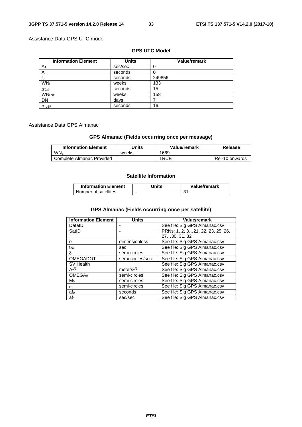# Assistance Data GPS UTC model

# **GPS UTC Model**

| <b>Information Element</b> | <b>Units</b> | Value/remark |
|----------------------------|--------------|--------------|
| A <sub>1</sub>             | sec/sec      | 0            |
| Ao                         | seconds      |              |
| t <sub>ot</sub>            | seconds      | 249856       |
| WN <sub>t</sub>            | weeks        | 133          |
| $\Delta t$ LS              | seconds      | 15           |
| <b>WNLSF</b>               | weeks        | 158          |
| DN                         | days         |              |
| $\Delta t_{LSF}$           | seconds      | 16           |

# Assistance Data GPS Almanac

# **GPS Almanac (Fields occurring once per message)**

| <b>Information Element</b> | Units | Value/remark | Release        |
|----------------------------|-------|--------------|----------------|
| WN <sub>a</sub>            | weeks | 1669         |                |
| Complete Almanac Provided  |       | TRUE         | Rel-10 onwards |

# **Satellite Information**

| <b>Information Element</b> | Jnits | Value/remark |
|----------------------------|-------|--------------|
| Number of satellites       |       | 31           |

# **GPS Almanac (Fields occurring once per satellite)**

| <b>Information Element</b> | <b>Units</b>     | <b>Value/remark</b>              |
|----------------------------|------------------|----------------------------------|
| DataID                     |                  | See file: Sig GPS Almanac.csv    |
| SatID                      |                  | PRNs: 1, 2, 321, 22, 23, 25, 26, |
|                            |                  | 2730, 31, 32                     |
| е                          | dimensionless    | See file: Sig GPS Almanac.csv    |
| toa                        | sec              | See file: Sig GPS Almanac.csv    |
| δi                         | semi-circles     | See file: Sig GPS Almanac.csv    |
| OMEGADOT                   | semi-circles/sec | See file: Sig GPS Almanac.csv    |
| <b>SV Health</b>           |                  | See file: Sig GPS Almanac.csv    |
| $A^{1/2}$                  | meters $1/2$     | See file: Sig GPS Almanac.csv    |
| OMEGA <sub>0</sub>         | semi-circles     | See file: Sig GPS Almanac.csv    |
| $M_0$                      | semi-circles     | See file: Sig GPS Almanac.csv    |
| $\omega$                   | semi-circles     | See file: Sig GPS Almanac.csv    |
| af <sub>0</sub>            | seconds          | See file: Sig GPS Almanac.csv    |
| af <sub>1</sub>            | sec/sec          | See file: Sig GPS Almanac.csv    |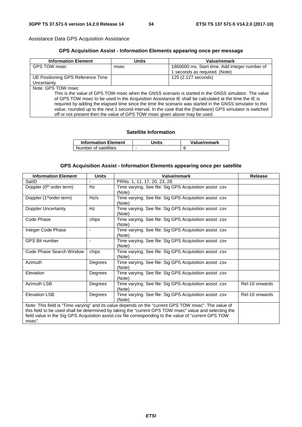Assistance Data GPS Acquisition Assistance

# **GPS Acquisition Assist - Information Elements appearing once per message**

| <b>Information Element</b>                                                                                 | Units | Value/remark                                  |  |
|------------------------------------------------------------------------------------------------------------|-------|-----------------------------------------------|--|
| GPS TOW msec                                                                                               | msec  | 1860000 ms. Start time. Add integer number of |  |
|                                                                                                            |       | seconds as required. (Note)                   |  |
| UE Positioning GPS Reference Time                                                                          |       | 125 (2.127 seconds)                           |  |
| Uncertainty                                                                                                |       |                                               |  |
| Note: GPS TOW msec                                                                                         |       |                                               |  |
| This is the value of GPS TOW msec when the GNSS scenario is started in the GNSS simulator. The value       |       |                                               |  |
| of GPS TOW msec to be used in the Acquisition Assistance IE shall be calculated at the time the IE is      |       |                                               |  |
| required by adding the elapsed time since the time the scenario was started in the GNSS simulator to this  |       |                                               |  |
| value, rounded up to the next 1 second interval. In the case that the (hardware) GPS simulator is switched |       |                                               |  |
| off or not present then the value of GPS TOW msec given above may be used.                                 |       |                                               |  |

# **Satellite Information**

| <b>Information Element</b> | Jnits | Value/remark |
|----------------------------|-------|--------------|
| Number of satellites       |       |              |

# **GPS Acquisition Assist - Information Elements appearing once per satellite**

| <b>Information Element</b>                                                                                                                                                                                                                                                                                                        | <b>Units</b>   | Value/remark                                                      | <b>Release</b> |
|-----------------------------------------------------------------------------------------------------------------------------------------------------------------------------------------------------------------------------------------------------------------------------------------------------------------------------------|----------------|-------------------------------------------------------------------|----------------|
| SatID                                                                                                                                                                                                                                                                                                                             |                | PRNs: 1, 11, 17, 20, 23, 28.                                      |                |
| Doppler (0 <sup>th</sup> order term)                                                                                                                                                                                                                                                                                              | Hz             | Time varying. See file: Sig GPS Acquisition assist .csv<br>(Note) |                |
| Doppler (1 <sup>st</sup> order term)                                                                                                                                                                                                                                                                                              | Hz/s           | Time varying. See file: Sig GPS Acquisition assist .csv<br>(Note) |                |
| Doppler Uncertainty                                                                                                                                                                                                                                                                                                               | Hz             | Time varying. See file: Sig GPS Acquisition assist .csv<br>(Note) |                |
| Code Phase                                                                                                                                                                                                                                                                                                                        | chips          | Time varying. See file: Sig GPS Acquisition assist .csv<br>(Note) |                |
| Integer Code Phase                                                                                                                                                                                                                                                                                                                | $\blacksquare$ | Time varying. See file: Sig GPS Acquisition assist .csv<br>(Note) |                |
| <b>GPS Bit number</b>                                                                                                                                                                                                                                                                                                             |                | Time varying. See file: Sig GPS Acquisition assist .csv<br>(Note) |                |
| Code Phase Search Window                                                                                                                                                                                                                                                                                                          | chips          | Time varying. See file: Sig GPS Acquisition assist .csv<br>(Note) |                |
| Azimuth                                                                                                                                                                                                                                                                                                                           | Degrees        | Time varying. See file: Sig GPS Acquisition assist .csv<br>(Note) |                |
| Elevation                                                                                                                                                                                                                                                                                                                         | Degrees        | Time varying. See file: Sig GPS Acquisition assist .csv<br>(Note) |                |
| Azimuth LSB                                                                                                                                                                                                                                                                                                                       | Degrees        | Time varying. See file: Sig GPS Acquisition assist .csv<br>(Note) | Rel-10 onwards |
| <b>Elevation LSB</b>                                                                                                                                                                                                                                                                                                              | Degrees        | Time varying. See file: Sig GPS Acquisition assist .csv<br>(Note) | Rel-10 onwards |
| Note: This field is "Time varying" and its value depends on the "current GPS TOW msec". The value of<br>this field to be used shall be determined by taking the "current GPS TOW msec" value and selecting the<br>field value in the Sig GPS Acquisition assist.csv file corresponding to the value of "current GPS TOW<br>msec". |                |                                                                   |                |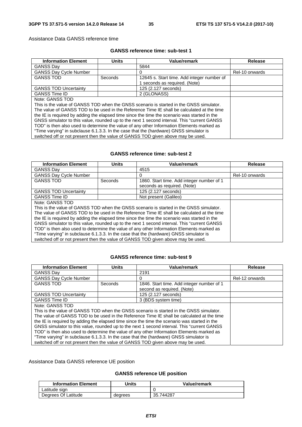Assistance Data GANSS reference time

# **GANSS reference time: sub-test 1**

| <b>Information Element</b>                                                                   | <b>Units</b> | Value/remark                                                                               | Release        |
|----------------------------------------------------------------------------------------------|--------------|--------------------------------------------------------------------------------------------|----------------|
| <b>GANSS Dav</b>                                                                             |              | 5844                                                                                       |                |
| <b>GANSS Day Cycle Number</b>                                                                |              | 0                                                                                          | Rel-10 onwards |
| <b>GANSS TOD</b>                                                                             | Seconds      | 12645 s. Start time. Add integer number of<br>1 seconds as required. (Note)                |                |
| <b>GANSS TOD Uncertainty</b>                                                                 |              | 125 (2.127 seconds)                                                                        |                |
| <b>GANSS Time ID</b>                                                                         |              | 2 (GLONASS)                                                                                |                |
| Note: GANSS TOD                                                                              |              |                                                                                            |                |
|                                                                                              |              | This is the value of GANSS TOD when the GNSS scenario is started in the GNSS simulator.    |                |
|                                                                                              |              | The value of GANSS TOD to be used in the Reference Time IE shall be calculated at the time |                |
| the IE is required by adding the elapsed time since the time the scenario was started in the |              |                                                                                            |                |
| GNSS simulator to this value, rounded up to the next 1 second interval. This "current GANSS" |              |                                                                                            |                |
| TOD" is then also used to determine the value of any other Information Elements marked as    |              |                                                                                            |                |
| "Time varying" in subclause 6.1.3.3. In the case that the (hardware) GNSS simulator is       |              |                                                                                            |                |
| switched off or not present then the value of GANSS TOD given above may be used.             |              |                                                                                            |                |

# **GANSS reference time: sub-test 2**

| <b>Information Element</b>                                                                   | <b>Units</b> | <b>Value/remark</b>                       | Release        |
|----------------------------------------------------------------------------------------------|--------------|-------------------------------------------|----------------|
| <b>GANSS Dav</b>                                                                             |              | 4515                                      |                |
| <b>GANSS Day Cycle Number</b>                                                                |              | 0                                         | Rel-10 onwards |
| <b>GANSS TOD</b>                                                                             | Seconds      | 1860. Start time. Add integer number of 1 |                |
|                                                                                              |              | seconds as required. (Note)               |                |
| <b>GANSS TOD Uncertainty</b>                                                                 |              | 125 (2.127 seconds)                       |                |
| <b>GANSS Time ID</b>                                                                         |              | Not present (Galileo)                     |                |
| Note: GANSS TOD                                                                              |              |                                           |                |
| This is the value of GANSS TOD when the GNSS scenario is started in the GNSS simulator.      |              |                                           |                |
| The value of GANSS TOD to be used in the Reference Time IE shall be calculated at the time   |              |                                           |                |
| the IE is required by adding the elapsed time since the time the scenario was started in the |              |                                           |                |
| GNSS simulator to this value, rounded up to the next 1 second interval. This "current GANSS  |              |                                           |                |
| TOD" is then also used to determine the value of any other Information Elements marked as    |              |                                           |                |
| "Time varying" in subclause 6.1.3.3. In the case that the (hardware) GNSS simulator is       |              |                                           |                |
| switched off or not present then the value of GANSS TOD given above may be used.             |              |                                           |                |

# **GANSS reference time: sub-test 9**

| <b>Information Element</b>                                                                   | <b>Units</b> | Value/remark                              | Release        |
|----------------------------------------------------------------------------------------------|--------------|-------------------------------------------|----------------|
| <b>GANSS Day</b>                                                                             |              | 2191                                      |                |
| <b>GANSS Day Cycle Number</b>                                                                |              | $\Omega$                                  | Rel-12 onwards |
| <b>GANSS TOD</b>                                                                             | Seconds      | 1846. Start time. Add integer number of 1 |                |
|                                                                                              |              | second as required. (Note)                |                |
| <b>GANSS TOD Uncertainty</b>                                                                 |              | 125 (2.127 seconds)                       |                |
| <b>GANSS Time ID</b>                                                                         |              | 3 (BDS system time)                       |                |
| Note: GANSS TOD                                                                              |              |                                           |                |
| This is the value of GANSS TOD when the GNSS scenario is started in the GNSS simulator.      |              |                                           |                |
| The value of GANSS TOD to be used in the Reference Time IE shall be calculated at the time   |              |                                           |                |
| the IE is required by adding the elapsed time since the time the scenario was started in the |              |                                           |                |
| GNSS simulator to this value, rounded up to the next 1 second interval. This "current GANSS  |              |                                           |                |
| TOD" is then also used to determine the value of any other Information Elements marked as    |              |                                           |                |
| "Time varying" in subclause 6.1.3.3. In the case that the (hardware) GNSS simulator is       |              |                                           |                |
| switched off or not present then the value of GANSS TOD given above may be used.             |              |                                           |                |

# Assistance Data GANSS reference UE position

### **GANSS reference UE position**

| <b>Information Element</b> | 'Jnits  | Value/remark |
|----------------------------|---------|--------------|
| ∟atitude sign              |         |              |
| Degrees Of Latitude        | degrees | 35.744287    |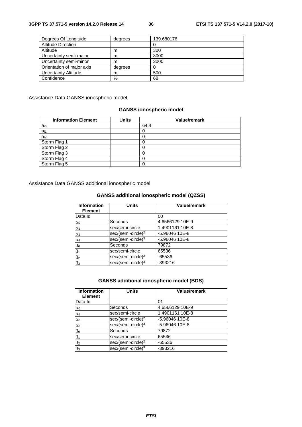| Degrees Of Longitude      | degrees | 139.680176 |
|---------------------------|---------|------------|
| <b>Altitude Direction</b> |         |            |
| Altitude                  | m       | 300        |
| Uncertainty semi-major    | m       | 3000       |
| Uncertainty semi-minor    | m       | 3000       |
| Orientation of major axis | degrees |            |
| Uncertainty Altitude      | m       | 500        |
| Confidence                | %       | 68         |

Assistance Data GANSS ionospheric model

## **GANSS ionospheric model**

| <b>Information Element</b> | <b>Units</b> | <b>Value/remark</b> |
|----------------------------|--------------|---------------------|
| a <sub>i0</sub>            |              | 64.4                |
| $a_{i1}$                   |              |                     |
| $a_{i2}$                   |              |                     |
| Storm Flag 1               |              |                     |
| Storm Flag 2               |              |                     |
| Storm Flag 3               |              |                     |
| Storm Flag 4               |              |                     |
| Storm Flag 5               |              |                     |

Assistance Data GANSS additional ionospheric model

# **GANSS additional ionospheric model (QZSS)**

| <b>Information</b><br><b>Element</b> | <b>Units</b>                   | Value/remark    |
|--------------------------------------|--------------------------------|-----------------|
| Data Id                              |                                | 00              |
| $\alpha$                             | Seconds                        | 4.6566129 10E-9 |
| $\alpha_1$                           | sec/semi-circle                | 1.4901161 10E-8 |
| $\alpha$ <sub>2</sub>                | sec/(semi-circle) <sup>2</sup> | -5.96046 10E-8  |
| $\alpha_3$                           | sec/(semi-circle) <sup>3</sup> | -5.96046 10E-8  |
| $\beta$ o                            | Seconds                        | 79872           |
| $\beta_1$                            | sec/semi-circle                | 65536           |
| $\beta_2$                            | sec/(semi-circle) <sup>2</sup> | $-65536$        |
| $\beta$ <sub>3</sub>                 | sec/(semi-circle) <sup>3</sup> | -393216         |

# **GANSS additional ionospheric model (BDS)**

| <b>Information</b><br><b>Element</b> | <b>Units</b>                   | Value/remark    |
|--------------------------------------|--------------------------------|-----------------|
| Data Id                              |                                | 01              |
| $\alpha$                             | Seconds                        | 4.6566129 10E-9 |
| $\alpha_1$                           | sec/semi-circle                | 1.4901161 10E-8 |
| $\alpha$ <sub>2</sub>                | sec/(semi-circle) <sup>2</sup> | -5.96046 10E-8  |
| $\alpha_3$                           | sec/(semi-circle) <sup>3</sup> | -5.96046 10E-8  |
|                                      | Seconds                        | 79872           |
| $\frac{\beta_0}{\beta_1}$            | sec/semi-circle                | 65536           |
| $\beta$ <sub>2</sub>                 | sec/(semi-circle) <sup>2</sup> | $-65536$        |
| $\overline{\beta_3}$                 | sec/(semi-circle) <sup>3</sup> | $-393216$       |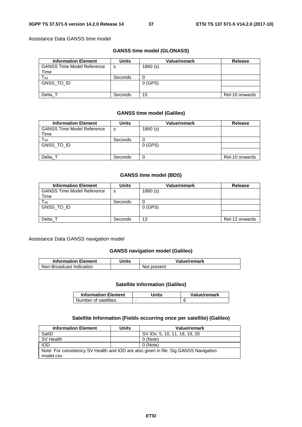Assistance Data GANSS time model

# **GANSS time model (GLONASS)**

| <b>Information Element</b>        | Units   | Value/remark | <b>Release</b> |
|-----------------------------------|---------|--------------|----------------|
| <b>GANSS Time Model Reference</b> | s       | 1860(s)      |                |
| Time                              |         |              |                |
| $T_{\sf A0}$                      | Seconds |              |                |
| GNSS TO ID                        |         | $0$ (GPS)    |                |
|                                   |         |              |                |
| Delta                             | Seconds | 15           | Rel-10 onwards |

#### **GANSS time model (Galileo)**

| <b>Information Element</b>        | <b>Units</b> | <b>Value/remark</b> | <b>Release</b> |
|-----------------------------------|--------------|---------------------|----------------|
| <b>GANSS Time Model Reference</b> | -S           | 1860(s)             |                |
| Time                              |              |                     |                |
| T <sub>A0</sub>                   | Seconds      |                     |                |
| GNSS TO ID                        |              | $0$ (GPS)           |                |
|                                   |              |                     |                |
| Delta T                           | Seconds      |                     | Rel-10 onwards |

#### **GANSS time model (BDS)**

| <b>Information Element</b>                | <b>Units</b> | Value/remark | <b>Release</b> |
|-------------------------------------------|--------------|--------------|----------------|
| <b>GANSS Time Model Reference</b><br>Time | s            | 1860(s)      |                |
| T <sub>A0</sub>                           | Seconds      |              |                |
| GNSS_TO_ID                                |              | $0$ (GPS)    |                |
|                                           |              |              |                |
| Delta T                                   | Seconds      | 13           | Rel-12 onwards |

#### Assistance Data GANSS navigation model

#### **GANSS navigation model (Galileo)**

| <b>Information Element</b> | Units | Value/remark |
|----------------------------|-------|--------------|
| Non-Broadcast Indication   |       | Not present  |

#### **Satellite Information (Galileo)**

| <b>Information Element</b> | Units                    | Value/remark |
|----------------------------|--------------------------|--------------|
| Number of satellites       | $\overline{\phantom{0}}$ |              |

#### **Satellite Information (Fields occurring once per satellite) (Galileo)**

| <b>Information Element</b>                                                                        | <b>Units</b> | Value/remark                  |
|---------------------------------------------------------------------------------------------------|--------------|-------------------------------|
| SatID                                                                                             |              | SV IDs: 5, 10, 11, 18, 19, 20 |
| SV Health                                                                                         |              | 0 (Note)                      |
| <b>IOD</b>                                                                                        |              | 0 (Note)                      |
| Note: For consistency SV Health and IOD are also given in file: Sig GANSS Navigation<br>model.csv |              |                               |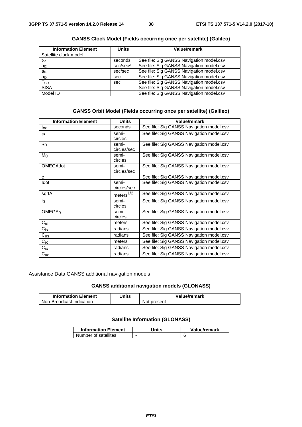| <b>Information Element</b> | <b>Units</b>         | Value/remark                             |
|----------------------------|----------------------|------------------------------------------|
| Satellite clock model      |                      |                                          |
| $\mathfrak{t}_{\text{oc}}$ | seconds              | See file: Sig GANSS Navigation model.csv |
| $a_{f2}$                   | sec/sec <sup>2</sup> | See file: Sig GANSS Navigation model.csv |
| a <sub>f1</sub>            | sec/sec              | See file: Sig GANSS Navigation model.csv |
| a <sub>f0</sub>            | sec                  | See file: Sig GANSS Navigation model.csv |
| TGD                        | sec                  | See file: Sig GANSS Navigation model.csv |
| <b>SISA</b>                |                      | See file: Sig GANSS Navigation model.csv |
| Model ID                   |                      | See file: Sig GANSS Navigation model.csv |

**GANSS Clock Model (Fields occurring once per satellite) (Galileo)** 

#### **GANSS Orbit Model (Fields occurring once per satellite) (Galileo)**

| <b>Information Element</b> | <b>Units</b>          | <b>Value/remark</b>                      |
|----------------------------|-----------------------|------------------------------------------|
| $t_{\rm oe}$               | seconds               | See file: Sig GANSS Navigation model.csv |
| $\omega$                   | semi-                 | See file: Sig GANSS Navigation model.csv |
|                            | circles               |                                          |
| $\Delta n$                 | semi-                 | See file: Sig GANSS Navigation model.csv |
|                            | circles/sec           |                                          |
| M <sub>0</sub>             | semi-                 | See file: Sig GANSS Navigation model.csv |
|                            | circles               |                                          |
| <b>OMEGAdot</b>            | semi-                 | See file: Sig GANSS Navigation model.csv |
|                            | circles/sec           |                                          |
| е                          |                       | See file: Sig GANSS Navigation model.csv |
| Idot                       | semi-                 | See file: Sig GANSS Navigation model.csv |
|                            | circles/sec           |                                          |
| sqrtA                      | meters <sup>1/2</sup> | See file: Sig GANSS Navigation model.csv |
| $i_0$                      | semi-                 | See file: Sig GANSS Navigation model.csv |
|                            | circles               |                                          |
| OMEGA <sub>0</sub>         | semi-                 | See file: Sig GANSS Navigation model.csv |
|                            | circles               |                                          |
| $C_{rs}$                   | meters                | See file: Sig GANSS Navigation model.csv |
| $C_{iS}$                   | radians               | See file: Sig GANSS Navigation model.csv |
| $C_{US}$                   | radians               | See file: Sig GANSS Navigation model.csv |
| $C_{\text{rc}}$            | meters                | See file: Sig GANSS Navigation model.csv |
| $C_{\sf i \sf c}$          | radians               | See file: Sig GANSS Navigation model.csv |
| $C_{\text{UC}}$            | radians               | See file: Sig GANSS Navigation model.csv |

Assistance Data GANSS additional navigation models

# **GANSS additional navigation models (GLONASS)**

| <b>Information Element</b> | Units | Value/remark |
|----------------------------|-------|--------------|
| Non-Broadcast Indication   |       | Not present  |

## **Satellite Information (GLONASS)**

| <b>Information Element</b> | Jnits | Value/remark |
|----------------------------|-------|--------------|
| Number of satellites       | -     |              |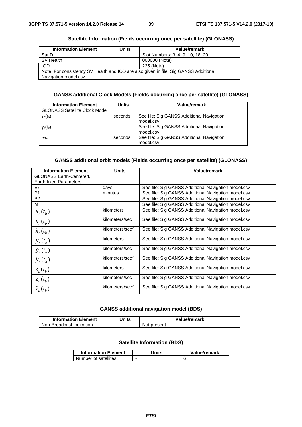#### **Satellite Information (Fields occurring once per satellite) (GLONASS)**

| <b>Information Element</b>                                                                                   | <b>Units</b> | Value/remark                      |  |
|--------------------------------------------------------------------------------------------------------------|--------------|-----------------------------------|--|
| SatID                                                                                                        |              | Slot Numbers: 3, 4, 9, 10, 18, 20 |  |
| SV Health                                                                                                    |              | 000000 (Note)                     |  |
| <b>IOD</b>                                                                                                   |              | 225 (Note)                        |  |
| Note: For consistency SV Health and IOD are also given in file: Sig GANSS Additional<br>Navigation model.csv |              |                                   |  |
|                                                                                                              |              |                                   |  |

# **GANSS additional Clock Models (Fields occurring once per satellite) (GLONASS)**

| <b>Information Element</b>           | Units   | Value/remark                                           |
|--------------------------------------|---------|--------------------------------------------------------|
| <b>GLONASS Satellite Clock Model</b> |         |                                                        |
| $\tau_n(t_b)$                        | seconds | See file: Sig GANSS Additional Navigation<br>model.csv |
| $\gamma_n(t_b)$                      |         | See file: Sig GANSS Additional Navigation<br>model.csv |
| $\Delta\tau_{\rm n}$                 | seconds | See file: Sig GANSS Additional Navigation<br>model.csv |

# **GANSS additional orbit models (Fields occurring once per satellite) (GLONASS)**

| <b>Information Element</b>     | <b>Units</b>                | Value/remark                                        |
|--------------------------------|-----------------------------|-----------------------------------------------------|
| <b>GLONASS Earth-Centered,</b> |                             |                                                     |
| <b>Earth-fixed Parameters</b>  |                             |                                                     |
| $E_n$                          | days                        | See file: Sig GANSS Additional Navigation model.csv |
| P <sub>1</sub>                 | minutes                     | See file: Sig GANSS Additional Navigation model.csv |
| P <sub>2</sub>                 |                             | See file: Sig GANSS Additional Navigation model.csv |
| м                              |                             | See file: Sig GANSS Additional Navigation model.csv |
| $x_n(t_h)$                     | kilometers                  | See file: Sig GANSS Additional Navigation model.csv |
| $\dot{x}_n(t_h)$               | kilometers/sec              | See file: Sig GANSS Additional Navigation model.csv |
| $\ddot{x}_n(t_h)$              | kilometers/sec <sup>2</sup> | See file: Sig GANSS Additional Navigation model.csv |
| $y_n(t_b)$                     | kilometers                  | See file: Sig GANSS Additional Navigation model.csv |
| $\dot{y}_n(t_h)$               | kilometers/sec              | See file: Sig GANSS Additional Navigation model.csv |
| $\ddot{y}_n(t_h)$              | kilometers/sec <sup>2</sup> | See file: Sig GANSS Additional Navigation model.csv |
| $z_n(t_h)$                     | kilometers                  | See file: Sig GANSS Additional Navigation model.csv |
| $\dot{z}_n(t_h)$               | kilometers/sec              | See file: Sig GANSS Additional Navigation model.csv |
| $\ddot{z}_n(t_h)$              | kilometers/sec <sup>2</sup> | See file: Sig GANSS Additional Navigation model.csv |

# **GANSS additional navigation model (BDS)**

| <b>Information Element</b> | Units | Value/remark |
|----------------------------|-------|--------------|
| Non-Broadcast Indication   |       | Not present  |

# **Satellite Information (BDS)**

| <b>Information Element</b> | Units | Value/remark |
|----------------------------|-------|--------------|
| Number of satellites       |       |              |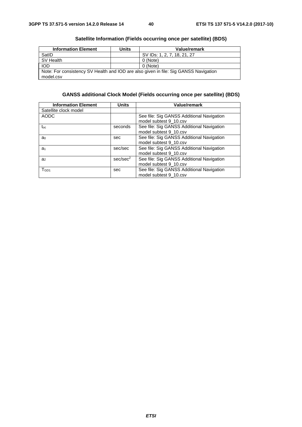| <b>Information Element</b>                                                                        | <b>Units</b> | Value/remark                |  |
|---------------------------------------------------------------------------------------------------|--------------|-----------------------------|--|
| SatID                                                                                             |              | SV IDs: 1, 2, 7, 18, 21, 27 |  |
| SV Health                                                                                         |              | 0 (Note)                    |  |
| <b>IOD</b>                                                                                        |              | 0 (Note)                    |  |
| Note: For consistency SV Health and IOD are also given in file: Sig GANSS Navigation<br>model.csv |              |                             |  |

# **Satellite Information (Fields occurring once per satellite) (BDS)**

# **GANSS additional Clock Model (Fields occurring once per satellite) (BDS)**

| <b>Information Element</b> | <b>Units</b>         | <b>Value/remark</b>                                                 |
|----------------------------|----------------------|---------------------------------------------------------------------|
| Satellite clock model      |                      |                                                                     |
| <b>AODC</b>                |                      | See file: Sig GANSS Additional Navigation<br>model subtest 9 10.csv |
| toc                        | seconds              | See file: Sig GANSS Additional Navigation<br>model subtest 9 10.csv |
| a <sub>0</sub>             | sec                  | See file: Sig GANSS Additional Navigation<br>model subtest 9_10.csv |
| a <sub>1</sub>             | sec/sec              | See file: Sig GANSS Additional Navigation<br>model subtest 9_10.csv |
| a <sub>2</sub>             | sec/sec <sup>2</sup> | See file: Sig GANSS Additional Navigation<br>model subtest 9_10.csv |
| TGD1                       | sec                  | See file: Sig GANSS Additional Navigation<br>model subtest 9 10.csv |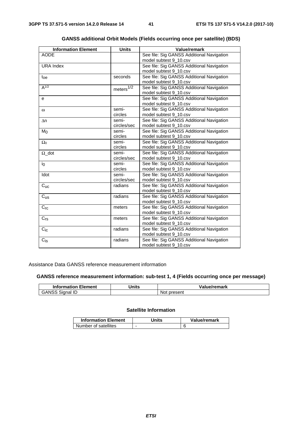| <b>Information Element</b> | <b>Units</b>           | Value/remark                              |
|----------------------------|------------------------|-------------------------------------------|
| <b>AODE</b>                |                        | See file: Sig GANSS Additional Navigation |
|                            |                        | model subtest 9_10.csv                    |
| <b>URA Index</b>           |                        | See file: Sig GANSS Additional Navigation |
|                            |                        | model subtest 9_10.csv                    |
| $t_{oe}$                   | seconds                | See file: Sig GANSS Additional Navigation |
|                            |                        | model subtest 9_10.csv                    |
| $A^{1/2}$                  | meters $\sqrt[1/2]{2}$ | See file: Sig GANSS Additional Navigation |
|                            |                        | model subtest 9_10.csv                    |
| е                          |                        | See file: Sig GANSS Additional Navigation |
|                            |                        | model subtest 9_10.csv                    |
| $\omega$                   | semi-                  | See file: Sig GANSS Additional Navigation |
|                            | circles                | model subtest 9_10.csv                    |
| Δn                         | semi-                  | See file: Sig GANSS Additional Navigation |
|                            | circles/sec            | model subtest 9_10.csv                    |
| M <sub>0</sub>             | semi-                  | See file: Sig GANSS Additional Navigation |
|                            | circles                | model subtest 9_10.csv                    |
| $\Omega_0$                 | semi-                  | See file: Sig GANSS Additional Navigation |
|                            | circles                | model subtest 9_10.csv                    |
| $\Omega$ dot               | semi-                  | See file: Sig GANSS Additional Navigation |
|                            | circles/sec            | model subtest 9_10.csv                    |
| $i_0$                      | semi-                  | See file: Sig GANSS Additional Navigation |
|                            | circles                | model subtest 9_10.csv                    |
| Idot                       | semi-                  | See file: Sig GANSS Additional Navigation |
|                            | circles/sec            | model subtest 9_10.csv                    |
| $C_{\text{UC}}$            | radians                | See file: Sig GANSS Additional Navigation |
|                            |                        | model subtest 9_10.csv                    |
| $C_{US}$                   | radians                | See file: Sig GANSS Additional Navigation |
|                            |                        | model subtest 9_10.csv                    |
| $C_{rc}$                   | meters                 | See file: Sig GANSS Additional Navigation |
|                            |                        | model subtest 9_10.csv                    |
| $C_{rs}$                   | meters                 | See file: Sig GANSS Additional Navigation |
|                            |                        | model subtest 9_10.csv                    |
| $C_{iC}$                   | radians                | See file: Sig GANSS Additional Navigation |
|                            |                        | model subtest 9_10.csv                    |
| $C_{\text{is}}$            | radians                | See file: Sig GANSS Additional Navigation |
|                            |                        | model subtest 9_10.csv                    |

# **GANSS additional Orbit Models (Fields occurring once per satellite) (BDS)**

# Assistance Data GANSS reference measurement information

# **GANSS reference measurement information: sub-test 1, 4 (Fields occurring once per message)**

| <b>Information Element</b> | <b>Inits</b> | Value/remark     |
|----------------------------|--------------|------------------|
| GANSS<br>Signal ID         |              | ∶present<br>'NOt |

# **Satellite Information**

| <b>Information Element</b> | Units | Value/remark |
|----------------------------|-------|--------------|
| Number of satellites       | -     |              |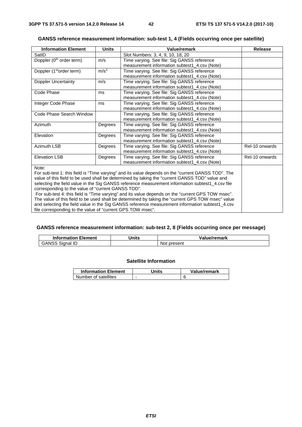# **GANSS reference measurement information: sub-test 1, 4 (Fields occurring once per satellite)**

| <b>Information Element</b>                                                                        | <b>Units</b>     | <b>Value/remark</b>                                                                                | <b>Release</b> |  |  |
|---------------------------------------------------------------------------------------------------|------------------|----------------------------------------------------------------------------------------------------|----------------|--|--|
| SatID                                                                                             |                  | Slot Numbers: 3, 4, 9, 10, 18, 20                                                                  |                |  |  |
| Doppler (0 <sup>th</sup> order term)                                                              | m/s              | Time varying. See file: Sig GANSS reference                                                        |                |  |  |
|                                                                                                   |                  | measurement information subtest1_4.csv (Note)                                                      |                |  |  |
| Doppler (1 <sup>st</sup> order term)                                                              | m/s <sup>2</sup> | Time varying. See file: Sig GANSS reference                                                        |                |  |  |
|                                                                                                   |                  | measurement information subtest1 4.csv (Note)                                                      |                |  |  |
| Doppler Uncertainty                                                                               | m/s              | Time varying. See file: Sig GANSS reference                                                        |                |  |  |
|                                                                                                   |                  | measurement information subtest1 4.csv (Note)                                                      |                |  |  |
| Code Phase                                                                                        | ms               | Time varying. See file: Sig GANSS reference                                                        |                |  |  |
|                                                                                                   |                  | measurement information subtest1_4.csv (Note)                                                      |                |  |  |
| Integer Code Phase                                                                                | ms               | Time varying. See file: Sig GANSS reference                                                        |                |  |  |
|                                                                                                   |                  | measurement information subtest1 4.csv (Note)                                                      |                |  |  |
| Code Phase Search Window                                                                          |                  | Time varying. See file: Sig GANSS reference                                                        |                |  |  |
|                                                                                                   |                  | measurement information subtest1_4.csv (Note)                                                      |                |  |  |
| Azimuth                                                                                           | Degrees          | Time varying. See file: Sig GANSS reference                                                        |                |  |  |
|                                                                                                   |                  | measurement information subtest1 4.csv (Note)                                                      |                |  |  |
| Elevation                                                                                         | Degrees          | Time varying. See file: Sig GANSS reference                                                        |                |  |  |
|                                                                                                   |                  | measurement information subtest1_4.csv (Note)                                                      |                |  |  |
| <b>Azimuth LSB</b>                                                                                | Degrees          | Time varying. See file: Sig GANSS reference                                                        | Rel-10 onwards |  |  |
|                                                                                                   |                  | measurement information subtest1 4.csv (Note)                                                      |                |  |  |
| <b>Elevation LSB</b>                                                                              | Degrees          | Time varying. See file: Sig GANSS reference                                                        | Rel-10 onwards |  |  |
|                                                                                                   |                  | measurement information subtest1_4.csv (Note)                                                      |                |  |  |
| Note:                                                                                             |                  |                                                                                                    |                |  |  |
|                                                                                                   |                  | For sub-test 1: this field is "Time varying" and its value depends on the "current GANSS TOD". The |                |  |  |
| value of this field to be used shall be determined by taking the "current GANSS TOD" value and    |                  |                                                                                                    |                |  |  |
| selecting the field value in the Sig GANSS reference measurement information subtest1_4.csv file  |                  |                                                                                                    |                |  |  |
| corresponding to the value of "current GANSS TOD".                                                |                  |                                                                                                    |                |  |  |
| For sub-test 4: this field is "Time varying" and its value depends on the "current GPS TOW msec". |                  |                                                                                                    |                |  |  |
| The value of this field to be used shall be determined by taking the "current GPS TOW msec" value |                  |                                                                                                    |                |  |  |
| and selecting the field value in the Sig GANSS reference measurement information subtest1_4.csv   |                  |                                                                                                    |                |  |  |
| file corresponding to the value of "current GPS TOW msec".                                        |                  |                                                                                                    |                |  |  |

# **GANSS reference measurement information: sub-test 2, 8 (Fields occurring once per message)**

| <b>Information Element</b> | `Jnits | Value/remark    |
|----------------------------|--------|-----------------|
| GANSS<br>Signal            |        | Not<br>∶present |

# **Satellite Information**

| <b>Information Element</b> | Jnits | Value/remark |
|----------------------------|-------|--------------|
| Number of satellites       |       |              |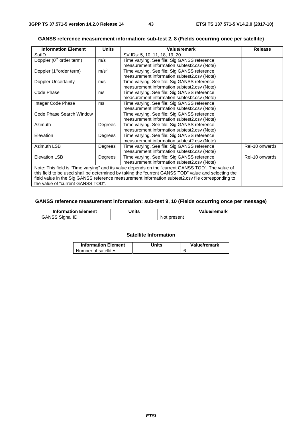| <b>Information Element</b>                                                                          | <b>Units</b>     | Value/remark                                | Release        |
|-----------------------------------------------------------------------------------------------------|------------------|---------------------------------------------|----------------|
| SatID                                                                                               |                  | SV IDs: 5, 10, 11, 18, 19, 20.              |                |
| Doppler (0 <sup>th</sup> order term)                                                                | m/s              | Time varying. See file: Sig GANSS reference |                |
|                                                                                                     |                  | measurement information subtest2.csv (Note) |                |
| Doppler (1 <sup>st</sup> order term)                                                                | m/s <sup>2</sup> | Time varying. See file: Sig GANSS reference |                |
|                                                                                                     |                  | measurement information subtest2.csv (Note) |                |
| <b>Doppler Uncertainty</b>                                                                          | m/s              | Time varying. See file: Sig GANSS reference |                |
|                                                                                                     |                  | measurement information subtest2.csv (Note) |                |
| Code Phase                                                                                          | ms               | Time varying. See file: Sig GANSS reference |                |
|                                                                                                     |                  | measurement information subtest2.csv (Note) |                |
| Integer Code Phase                                                                                  | ms               | Time varying. See file: Sig GANSS reference |                |
|                                                                                                     |                  | measurement information subtest2.csv (Note) |                |
| Code Phase Search Window                                                                            |                  | Time varying. See file: Sig GANSS reference |                |
|                                                                                                     |                  | measurement information subtest2.csv (Note) |                |
| Azimuth                                                                                             | Degrees          | Time varying. See file: Sig GANSS reference |                |
|                                                                                                     |                  | measurement information subtest2.csv (Note) |                |
| Elevation                                                                                           | Degrees          | Time varying. See file: Sig GANSS reference |                |
|                                                                                                     |                  | measurement information subtest2.csv (Note) |                |
| Azimuth LSB                                                                                         | Degrees          | Time varying. See file: Sig GANSS reference | Rel-10 onwards |
|                                                                                                     |                  | measurement information subtest2.csv (Note) |                |
| <b>Elevation LSB</b>                                                                                | Degrees          | Time varying. See file: Sig GANSS reference | Rel-10 onwards |
|                                                                                                     |                  | measurement information subtest2.csv (Note) |                |
| Note: This field is "Time varying" and its value depends on the "current GANSS TOD". The value of   |                  |                                             |                |
| this field to be used shall be determined by taking the "current GANSS TOD" value and selecting the |                  |                                             |                |
| field value in the Sig GANSS reference measurement information subtest2.csv file corresponding to   |                  |                                             |                |
| the value of "current GANSS TOD".                                                                   |                  |                                             |                |

# **GANSS reference measurement information: sub-test 2, 8 (Fields occurring once per satellite)**

# **GANSS reference measurement information: sub-test 9, 10 (Fields occurring once per message)**

| <b>Information Element</b> | Units | Value/remark    |
|----------------------------|-------|-----------------|
| GANSS<br>Signal            |       | ∵present<br>Not |

#### **Satellite Information**

| <b>Information Element</b> | Units | Value/remark |
|----------------------------|-------|--------------|
| Number of satellites       | -     |              |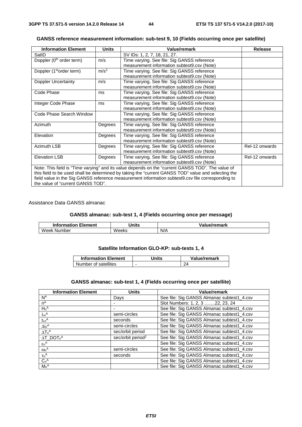| <b>Information Element</b>                                                                          | <b>Units</b>     | <b>Value/remark</b>                         | <b>Release</b> |  |
|-----------------------------------------------------------------------------------------------------|------------------|---------------------------------------------|----------------|--|
| SatID                                                                                               |                  | SV IDs: 1, 2, 7, 18, 21, 27.                |                |  |
| Doppler (0 <sup>th</sup> order term)                                                                | m/s              | Time varying. See file: Sig GANSS reference |                |  |
|                                                                                                     |                  | measurement information subtest9.csv (Note) |                |  |
| Doppler (1 <sup>st</sup> order term)                                                                | m/s <sup>2</sup> | Time varying. See file: Sig GANSS reference |                |  |
|                                                                                                     |                  | measurement information subtest9.csv (Note) |                |  |
| Doppler Uncertainty                                                                                 | m/s              | Time varying. See file: Sig GANSS reference |                |  |
|                                                                                                     |                  | measurement information subtest9.csv (Note) |                |  |
| Code Phase                                                                                          | ms               | Time varying. See file: Sig GANSS reference |                |  |
|                                                                                                     |                  | measurement information subtest9.csv (Note) |                |  |
| Integer Code Phase                                                                                  | ms               | Time varying. See file: Sig GANSS reference |                |  |
|                                                                                                     |                  | measurement information subtest9.csv (Note) |                |  |
| Code Phase Search Window                                                                            |                  | Time varying. See file: Sig GANSS reference |                |  |
|                                                                                                     |                  | measurement information subtest9.csv (Note) |                |  |
| Azimuth                                                                                             | Degrees          | Time varying. See file: Sig GANSS reference |                |  |
|                                                                                                     |                  | measurement information subtest9.csv (Note) |                |  |
| Elevation                                                                                           | Degrees          | Time varying. See file: Sig GANSS reference |                |  |
|                                                                                                     |                  | measurement information subtest9.csv (Note) |                |  |
| Azimuth LSB                                                                                         | Degrees          | Time varying. See file: Sig GANSS reference | Rel-12 onwards |  |
|                                                                                                     |                  | measurement information subtest9.csv (Note) |                |  |
| <b>Elevation LSB</b>                                                                                | Degrees          | Time varying. See file: Sig GANSS reference | Rel-12 onwards |  |
|                                                                                                     |                  | measurement information subtest9.csv (Note) |                |  |
| Note: This field is "Time varying" and its value depends on the "current GANSS TOD". The value of   |                  |                                             |                |  |
| this field to be used shall be determined by taking the "current GANSS TOD" value and selecting the |                  |                                             |                |  |
| field value in the Sig GANSS reference measurement information subtest9.csv file corresponding to   |                  |                                             |                |  |
| the value of "current GANSS TOD".                                                                   |                  |                                             |                |  |

**GANSS reference measurement information: sub-test 9, 10 (Fields occurring once per satellite)** 

# Assistance Data GANSS almanac

#### **GANSS almanac: sub-test 1, 4 (Fields occurring once per message)**

| Element<br>Information | Units | Value/remark |
|------------------------|-------|--------------|
| Week<br>Number         | Weeks | N/A          |

# **Satellite Information GLO-KP: sub-tests 1, 4**

| <b>Information Element</b> | Units                    | Value/remark |
|----------------------------|--------------------------|--------------|
| Number of satellites       | $\overline{\phantom{0}}$ |              |

# **GANSS almanac: sub-test 1, 4 (Fields occurring once per satellite)**

| <b>Information Element</b>     | <b>Units</b>                  | Value/remark                               |
|--------------------------------|-------------------------------|--------------------------------------------|
| N <sup>A</sup>                 | Days                          | See file: Sig GANSS Almanac subtest1_4.csv |
| $n^A$                          |                               | Slot Numbers: 1, 2, 3 22, 23, 24           |
| $H_n^A$                        |                               | See file: Sig GANSS Almanac subtest1_4.csv |
| $\lambda_n$ A                  | semi-circles                  | See file: Sig GANSS Almanac subtest1_4.csv |
| $t_{\lambda n}{}^A$            | seconds                       | See file: Sig GANSS Almanac subtest1_4.csv |
| $\Delta i n^A$                 | semi-circles                  | See file: Sig GANSS Almanac subtest1_4.csv |
| $\Delta T_n^A$                 | sec/orbit period              | See file: Sig GANSS Almanac subtest1_4.csv |
| $\Delta T$ _DOT <sub>n</sub> A | sec/orbit period <sup>2</sup> | See file: Sig GANSS Almanac subtest1_4.csv |
| $\epsilon_n$ <sup>A</sup>      |                               | See file: Sig GANSS Almanac subtest1_4.csv |
| $\omega_n^A$                   | semi-circles                  | See file: Sig GANSS Almanac subtest1_4.csv |
| $\tau_n$ <sup>A</sup>          | seconds                       | See file: Sig GANSS Almanac subtest1_4.csv |
| $C_n^A$                        |                               | See file: Sig GANSS Almanac subtest1_4.csv |
| $Mn^A$                         |                               | See file: Sig GANSS Almanac subtest1_4.csv |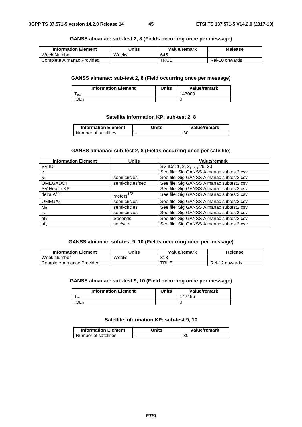#### **GANSS almanac: sub-test 2, 8 (Fields occurring once per message)**

| <b>Information Element</b> | Units | Value/remark | Release        |
|----------------------------|-------|--------------|----------------|
| Week Number                | Weeks | 645          |                |
| Complete Almanac Provided  |       | TRUE         | Rel-10 onwards |

#### **GANSS almanac: sub-test 2, 8 (Field occurring once per message)**

| <b>Information Element</b> | Units | Value/remark |
|----------------------------|-------|--------------|
| oa                         |       | 147000       |
| IOD <sub>a</sub>           |       |              |

#### **Satellite Information KP: sub-test 2, 8**

| <b>Information Element</b> | Jnits | Value/remark |
|----------------------------|-------|--------------|
| Number of satellites       |       | 30           |

# **GANSS almanac: sub-test 2, 8 (Fields occurring once per satellite)**

| <b>Information Element</b> | <b>Units</b>     | <b>Value/remark</b>                      |
|----------------------------|------------------|------------------------------------------|
| SV ID                      |                  | SV IDs: 1, 2, 3, , 29, 30                |
| е                          |                  | See file: Sig GANSS Almanac subtest2.csv |
| δi                         | semi-circles     | See file: Sig GANSS Almanac subtest2.csv |
| OMEGADOT                   | semi-circles/sec | See file: Sig GANSS Almanac subtest2.csv |
| SV Health KP               |                  | See file: Sig GANSS Almanac subtest2.csv |
| delta $A^{1/2}$            | meters $1/2$     | See file: Sig GANSS Almanac subtest2.csv |
| OMEGA <sub>0</sub>         | semi-circles     | See file: Sig GANSS Almanac subtest2.csv |
| Mo                         | semi-circles     | See file: Sig GANSS Almanac subtest2.csv |
| $\omega$                   | semi-circles     | See file: Sig GANSS Almanac subtest2.csv |
| $a f_0$                    | Seconds          | See file: Sig GANSS Almanac subtest2.csv |
| af <sub>1</sub>            | sec/sec          | See file: Sig GANSS Almanac subtest2.csv |

# **GANSS almanac: sub-test 9, 10 (Fields occurring once per message)**

| <b>Information Element</b> | Units | Value/remark | Release        |
|----------------------------|-------|--------------|----------------|
| Week Number                | Weeks | 313          |                |
| Complete Almanac Provided  |       | TRUE         | Rel-12 onwards |

# **GANSS almanac: sub-test 9, 10 (Field occurring once per message)**

| <b>Information Element</b> | Units | Value/remark |
|----------------------------|-------|--------------|
| oa                         |       | 147456       |
| IOD <sub>a</sub>           |       |              |

#### **Satellite Information KP: sub-test 9, 10**

| <b>Information Element</b> | Jnits | Value/remark |
|----------------------------|-------|--------------|
| Number of satellites       | -     | 30           |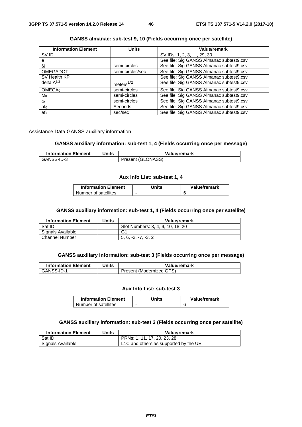| <b>Information Element</b> | <b>Units</b>     | <b>Value/remark</b>                      |
|----------------------------|------------------|------------------------------------------|
| SV ID                      |                  | SV IDs: 1, 2, 3, , 29, 30                |
| е                          |                  | See file: Sig GANSS Almanac subtest9.csv |
| δi                         | semi-circles     | See file: Sig GANSS Almanac subtest9.csv |
| <b>OMEGADOT</b>            | semi-circles/sec | See file: Sig GANSS Almanac subtest9.csv |
| SV Health KP               |                  | See file: Sig GANSS Almanac subtest9.csv |
| delta $A^{1/2}$            | meters $1/2$     | See file: Sig GANSS Almanac subtest9.csv |
| OMEGA <sub>0</sub>         | semi-circles     | See file: Sig GANSS Almanac subtest9.csv |
| M <sub>0</sub>             | semi-circles     | See file: Sig GANSS Almanac subtest9.csv |
| $\omega$                   | semi-circles     | See file: Sig GANSS Almanac subtest9.csv |
| afo                        | Seconds          | See file: Sig GANSS Almanac subtest9.csv |
| af <sub>1</sub>            | sec/sec          | See file: Sig GANSS Almanac subtest9.csv |

# **GANSS almanac: sub-test 9, 10 (Fields occurring once per satellite)**

#### Assistance Data GANSS auxiliary information

## **GANSS auxiliary information: sub-test 1, 4 (Fields occurring once per message)**

| <b>Information Element</b> | Units | Value/remark      |
|----------------------------|-------|-------------------|
| GANSS-ID-3                 |       | Present (GLONASS) |

#### **Aux Info List: sub-test 1, 4**

| <b>Information Element</b> | Units | Value/remark |
|----------------------------|-------|--------------|
| Number of satellites       | -     |              |

#### **GANSS auxiliary information: sub-test 1, 4 (Fields occurring once per satellite)**

| <b>Information Element</b> | Units | Value/remark                      |
|----------------------------|-------|-----------------------------------|
| Sat ID                     |       | Slot Numbers: 3, 4, 9, 10, 18, 20 |
| Signals Available          |       | G1                                |
| <b>Channel Number</b>      |       | $5.6. -2. -7. -3.2$               |

#### **GANSS auxiliary information: sub-test 3 (Fields occurring once per message)**

| <b>Information Element</b> | Units | Value/remark             |
|----------------------------|-------|--------------------------|
| GANSS-ID-1                 |       | Present (Modernized GPS) |

#### **Aux Info List: sub-test 3**

| <b>Information Element</b> | Units | Value/remark |
|----------------------------|-------|--------------|
| Number of satellites       | -     |              |

# **GANSS auxiliary information: sub-test 3 (Fields occurring once per satellite)**

| <b>Information Element</b> | Units | Value/remark                          |
|----------------------------|-------|---------------------------------------|
| Sat ID                     |       | PRNs: 1, 11, 17, 20, 23, 28           |
| Signals Available          |       | L1C and others as supported by the UE |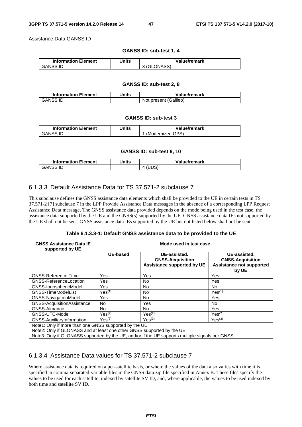Assistance Data GANSS ID

#### **GANSS ID: sub-test 1, 4**

| <b>Information Element</b> | Units | Value/remark |
|----------------------------|-------|--------------|
| <b>GANSS ID</b>            |       | 3 (GLONASS)  |

#### **GANSS ID: sub-test 2, 8**

| <b>Information Element</b> | Units | Value/remark          |
|----------------------------|-------|-----------------------|
| GANSS ID                   |       | Not present (Galileo) |

#### **GANSS ID: sub-test 3**

| <b>Information Element</b> | Units | Value/remark     |
|----------------------------|-------|------------------|
| GANSS ID                   |       | (Modernized GPS) |

#### **GANSS ID: sub-test 9, 10**

| <b>Information Element</b> | Units | Value/remark |
|----------------------------|-------|--------------|
| <b>GANSS ID</b>            |       | ◡◡           |

# 6.1.3.3 Default Assistance Data for TS 37.571-2 subclause 7

This subclause defines the GNSS assistance data elements which shall be provided to the UE in certain tests in TS 37.571-2 [7] subclause 7 in the LPP Provide Assistance Data messages in the absence of a corresponding LPP Request Assistance Data message. The GNSS assistance data provided depends on the mode being used in the test case, the assistance data supported by the UE and the GNSS(s) supported by the UE. GNSS assistance data IEs not supported by the UE shall not be sent. GNSS assistance data IEs supported by the UE but not listed below shall not be sent.

| Table 6.1.3.3-1: Default GNSS assistance data to be provided to the UE |  |
|------------------------------------------------------------------------|--|
|------------------------------------------------------------------------|--|

| <b>GNSS Assistance Data IE</b><br>supported by UE                                                                               | Mode used in test case |                                                                       |                                                                                     |  |  |
|---------------------------------------------------------------------------------------------------------------------------------|------------------------|-----------------------------------------------------------------------|-------------------------------------------------------------------------------------|--|--|
|                                                                                                                                 | <b>UE-based</b>        | UE-assisted.<br><b>GNSS-Acquisition</b><br>Assistance supported by UE | UE-assisted.<br><b>GNSS-Acquisition</b><br><b>Assistance not supported</b><br>by UE |  |  |
| <b>GNSS-Reference Time</b>                                                                                                      | Yes                    | Yes                                                                   | Yes                                                                                 |  |  |
| <b>GNSS-ReferenceLocation</b>                                                                                                   | <b>Yes</b>             | No.                                                                   | Yes                                                                                 |  |  |
| GNSS-IonosphericModel                                                                                                           | <b>Yes</b>             | No.                                                                   | <b>No</b>                                                                           |  |  |
| <b>GNSS-TimeModelList</b>                                                                                                       | $Yes^{(1)}$            | No.                                                                   | Yes <sup>(1)</sup>                                                                  |  |  |
| <b>GNSS-NavigationModel</b>                                                                                                     | Yes                    | No.                                                                   | Yes                                                                                 |  |  |
| GNSS-AcquisitionAssistance                                                                                                      | No.                    | Yes                                                                   | No.                                                                                 |  |  |
| GNSS-Almanac                                                                                                                    | No.                    | No.                                                                   | Yes                                                                                 |  |  |
| GNSS-UTC-Model                                                                                                                  | Yes <sup>(2)</sup>     | Yes <sup>(2)</sup>                                                    | $Yes^{(2)}$                                                                         |  |  |
| GNSS-AuxiliaryInformation                                                                                                       | Yes <sup>(3)</sup>     | Yes <sup>(3)</sup>                                                    | Yes <sup>(3)</sup>                                                                  |  |  |
| Note1: Only if more than one GNSS supported by the UE<br>Note2: Only if CLONACC and at logat and other CNCC quanated by the LIE |                        |                                                                       |                                                                                     |  |  |

Note2: Only if GLONASS and at least one other GNSS supported by the UE.

Note3: Only if GLONASS supported by the UE, and/or if the UE supports multiple signals per GNSS.

## 6.1.3.4 Assistance Data values for TS 37.571-2 subclause 7

Where assistance data is required on a per-satellite basis, or where the values of the data also varies with time it is specified in comma-separated-variable files in the GNSS data zip file specified in Annex B. These files specify the values to be used for each satellite, indexed by satellite SV ID, and, where applicable, the values to be used indexed by both time and satellite SV ID.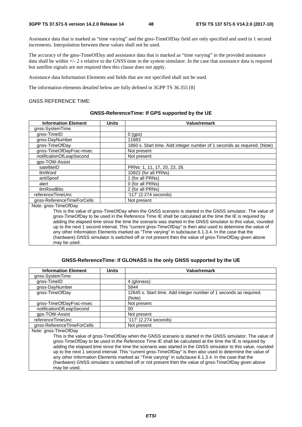Assistance data that is marked as "time varying" and the gnss-TimeOfDay field are only specified and used in 1 second increments. Interpolation between these values shall not be used.

The accuracy of the gnss-TimeOfDay and assistance data that is marked as "time varying" in the provided assistance data shall be within +/- 2 s relative to the GNSS time in the system simulator. In the case that assistance data is required but satellite signals are not required then this clause does not apply.

Assistance data Information Elements and fields that are not specified shall not be used.

The information elements detailed below are fully defined in 3GPP TS 36.355 [8]

#### GNSS REFERENCE TIME:

#### **GNSS-ReferenceTime: If GPS supported by the UE**

| <b>Information Element</b>                                                                                   | <b>Units</b> | Value/remark                                                                                          |  |
|--------------------------------------------------------------------------------------------------------------|--------------|-------------------------------------------------------------------------------------------------------|--|
| gnss-SystemTime                                                                                              |              |                                                                                                       |  |
| gnss-TimeID                                                                                                  |              | $0$ (gps)                                                                                             |  |
| gnss-DayNumber                                                                                               |              | 11683                                                                                                 |  |
| gnss-TimeOfDay                                                                                               |              | 1860 s. Start time. Add integer number of 1 seconds as required. (Note)                               |  |
| gnss-TimeOfDayFrac-msec                                                                                      |              | Not present                                                                                           |  |
| notificationOfLeapSecond                                                                                     |              | Not present                                                                                           |  |
| gps-TOW-Assist                                                                                               |              |                                                                                                       |  |
| satelliteID                                                                                                  |              | PRNs: 1, 11, 17, 20, 23, 28.                                                                          |  |
| tlmWord                                                                                                      |              | 10922 (for all PRNs)                                                                                  |  |
| antiSpoof                                                                                                    |              | 1 (for all PRNs)                                                                                      |  |
| alert                                                                                                        |              | 0 (for all PRNs)                                                                                      |  |
| tlmRsvdBits                                                                                                  |              | 2 (for all PRNs)                                                                                      |  |
| referenceTimeUnc                                                                                             |              | $'117'$ (2.274 seconds)                                                                               |  |
| gnss-ReferenceTimeForCells                                                                                   |              | Not present                                                                                           |  |
| Note: gnss-TimeOfDay                                                                                         |              |                                                                                                       |  |
| This is the value of gnss-TimeOfDay when the GNSS scenario is started in the GNSS simulator. The value of    |              |                                                                                                       |  |
| gnss-TimeOfDay to be used in the Reference Time IE shall be calculated at the time the IE is required by     |              |                                                                                                       |  |
| adding the elapsed time since the time the scenario was started in the GNSS simulator to this value, rounded |              |                                                                                                       |  |
| up to the next 1 second interval. This "current gnss-TimeOfDay" is then also used to determine the value of  |              |                                                                                                       |  |
| any other Information Elements marked as "Time varying" in subclause 6.1.3.4. In the case that the           |              |                                                                                                       |  |
|                                                                                                              |              | (hardware) GNSS simulator is switched off or not present then the value of gnss-TimeOfDay given above |  |
| may be used.                                                                                                 |              |                                                                                                       |  |

#### **GNSS-ReferenceTime: If GLONASS is the only GNSS supported by the UE**

| <b>Information Element</b> | <b>Units</b> | Value/remark                                                                                                                                                                                                                                                                                                                                                                                                                                         |
|----------------------------|--------------|------------------------------------------------------------------------------------------------------------------------------------------------------------------------------------------------------------------------------------------------------------------------------------------------------------------------------------------------------------------------------------------------------------------------------------------------------|
| gnss-SystemTime            |              |                                                                                                                                                                                                                                                                                                                                                                                                                                                      |
| gnss-TimeID                |              | 4 (glonass)                                                                                                                                                                                                                                                                                                                                                                                                                                          |
| gnss-DayNumber             |              | 5844                                                                                                                                                                                                                                                                                                                                                                                                                                                 |
| gnss-TimeOfDay             |              | 12645 s. Start time. Add integer number of 1 seconds as required.<br>(Note)                                                                                                                                                                                                                                                                                                                                                                          |
| gnss-TimeOfDayFrac-msec    |              | Not present                                                                                                                                                                                                                                                                                                                                                                                                                                          |
| notificationOfLeapSecond   |              | 00                                                                                                                                                                                                                                                                                                                                                                                                                                                   |
| gps-TOW-Assist             |              | Not present                                                                                                                                                                                                                                                                                                                                                                                                                                          |
| referenceTimeUnc           |              | '117' (2.274 seconds)                                                                                                                                                                                                                                                                                                                                                                                                                                |
| gnss-ReferenceTimeForCells |              | Not present                                                                                                                                                                                                                                                                                                                                                                                                                                          |
| Note: gnss-TimeOfDay       |              |                                                                                                                                                                                                                                                                                                                                                                                                                                                      |
|                            |              | This is the value of gnss-TimeOfDay when the GNSS scenario is started in the GNSS simulator. The value of<br>gnss-TimeOfDay to be used in the Reference Time IE shall be calculated at the time the IE is required by<br>adding the elapsed time since the time the scenario was started in the GNSS simulator to this value, rounded<br>up to the next 1 second interval. This "current gnss-TimeOfDay" is then also used to determine the value of |

any other Information Elements marked as "Time varying" in subclause 6.1.3.4. In the case that the (hardware) GNSS simulator is switched off or not present then the value of gnss-TimeOfDay given above may be used.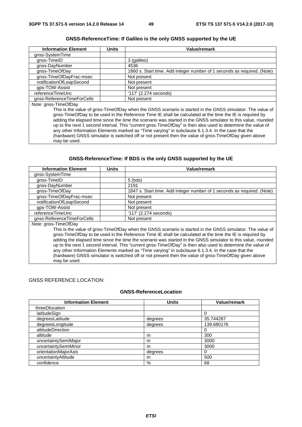# **GNSS-ReferenceTime: If Galileo is the only GNSS supported by the UE**

| <b>Information Element</b> | Units | Value/remark                                                                                                                                                                                                                                                                                                                          |
|----------------------------|-------|---------------------------------------------------------------------------------------------------------------------------------------------------------------------------------------------------------------------------------------------------------------------------------------------------------------------------------------|
| gnss-SystemTime            |       |                                                                                                                                                                                                                                                                                                                                       |
| gnss-TimeID                |       | 3 (galileo)                                                                                                                                                                                                                                                                                                                           |
| gnss-DayNumber             |       | 4536                                                                                                                                                                                                                                                                                                                                  |
| gnss-TimeOfDay             |       | 1860 s. Start time. Add integer number of 1 seconds as required. (Note)                                                                                                                                                                                                                                                               |
| gnss-TimeOfDayFrac-msec    |       | Not present                                                                                                                                                                                                                                                                                                                           |
| notificationOfLeapSecond   |       | Not present                                                                                                                                                                                                                                                                                                                           |
| qps-TOW-Assist             |       | Not present                                                                                                                                                                                                                                                                                                                           |
| referenceTimeUnc           |       | '117' (2.274 seconds)                                                                                                                                                                                                                                                                                                                 |
| gnss-ReferenceTimeForCells |       | Not present                                                                                                                                                                                                                                                                                                                           |
| Note: gnss-TimeOfDay       |       |                                                                                                                                                                                                                                                                                                                                       |
|                            |       | This is the value of gnss-TimeOfDay when the GNSS scenario is started in the GNSS simulator. The value of<br>gnss-TimeOfDay to be used in the Reference Time IE shall be calculated at the time the IE is required by<br>adding the elapsed time since the time the scenario was started in the GNSS simulator to this value, rounded |

up to the next 1 second interval. This "current gnss-TimeOfDay" is then also used to determine the value of any other Information Elements marked as "Time varying" in subclause 6.1.3.4. In the case that the (hardware) GNSS simulator is switched off or not present then the value of gnss-TimeOfDay given above may be used.

#### **GNSS-ReferenceTime: If BDS is the only GNSS supported by the UE**

| <b>Information Element</b> | <b>Units</b> | Value/remark                                                                                              |
|----------------------------|--------------|-----------------------------------------------------------------------------------------------------------|
| gnss-SystemTime            |              |                                                                                                           |
| gnss-TimeID                |              | $5$ (bds)                                                                                                 |
| gnss-DayNumber             |              | 2191                                                                                                      |
| gnss-TimeOfDay             |              | 1847 s. Start time. Add integer number of 1 seconds as required. (Note)                                   |
| gnss-TimeOfDayFrac-msec    |              | Not present                                                                                               |
| notificationOfLeapSecond   |              | Not present                                                                                               |
| qps-TOW-Assist             |              | Not present                                                                                               |
| referenceTimeUnc           |              | '117' (2.274 seconds)                                                                                     |
| gnss-ReferenceTimeForCells |              | Not present                                                                                               |
| Note: gnss-TimeOfDay       |              |                                                                                                           |
|                            |              | This is the value of gnss-TimeOfDay when the GNSS scenario is started in the GNSS simulator. The value of |

gnss-TimeOfDay to be used in the Reference Time IE shall be calculated at the time the IE is required by adding the elapsed time since the time the scenario was started in the GNSS simulator to this value, rounded up to the next 1 second interval. This "current gnss-TimeOfDay" is then also used to determine the value of any other Information Elements marked as "Time varying" in subclause 6.1.3.4. In the case that the (hardware) GNSS simulator is switched off or not present then the value of gnss-TimeOfDay given above may be used.

## GNSS REFERENCE LOCATION:

#### **GNSS-ReferenceLocation**

| <b>Information Element</b> | <b>Units</b> | Value/remark |
|----------------------------|--------------|--------------|
| threeDlocation             |              |              |
| latitudeSign               |              |              |
| degreesLatitude            | degrees      | 35.744287    |
| degreesLongitude           | degrees      | 139.680176   |
| altitudeDirection          |              | 0            |
| altitude                   | m            | 300          |
| uncertaintySemiMajor       | m            | 3000         |
| uncertaintySemiMinor       | m            | 3000         |
| orientationMajorAxis       | degrees      | O            |
| uncertaintyAltitude        | m            | 500          |
| confidence                 | %            | 68           |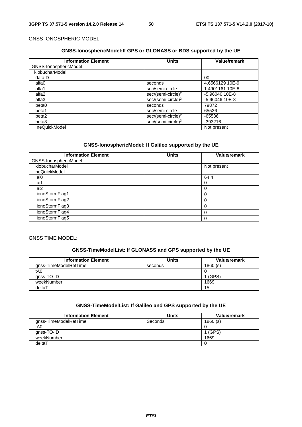# GNSS IONOSPHERIC MODEL:

# **GNSS-IonosphericModel:If GPS or GLONASS or BDS supported by the UE**

| <b>Information Element</b> | <b>Units</b>                   | Value/remark    |
|----------------------------|--------------------------------|-----------------|
| GNSS-IonosphericModel      |                                |                 |
| klobucharModel             |                                |                 |
| datalD                     |                                | 00              |
| alfa0                      | seconds                        | 4.6566129 10E-9 |
| alfa1                      | sec/semi-circle                | 1.4901161 10E-8 |
| alfa2                      | sec/(semi-circle) <sup>2</sup> | -5.96046 10E-8  |
| alfa3                      | sec/(semi-circle) <sup>3</sup> | -5.96046 10E-8  |
| beta0                      | seconds                        | 79872           |
| beta1                      | sec/semi-circle                | 65536           |
| beta2                      | sec/(semi-circle) <sup>2</sup> | $-65536$        |
| beta3                      | sec/(semi-circle) <sup>3</sup> | $-393216$       |
| neQuickModel               |                                | Not present     |

# **GNSS-IonosphericModel: If Galileo supported by the UE**

| <b>Information Element</b> | <b>Units</b> | Value/remark |
|----------------------------|--------------|--------------|
| GNSS-IonosphericModel      |              |              |
| klobucharModel             |              | Not present  |
| neQuickModel               |              |              |
| ai0                        |              | 64.4         |
| ai1                        |              |              |
| ai2                        |              |              |
| ionoStormFlag1             |              |              |
| ionoStormFlag2             |              | $\Omega$     |
| ionoStormFlag3             |              |              |
| ionoStormFlag4             |              |              |
| ionoStormFlag5             |              |              |

# GNSS TIME MODEL:

# **GNSS-TimeModelList: If GLONASS and GPS supported by the UE**

| <b>Information Element</b> | Units   | Value/remark |
|----------------------------|---------|--------------|
| gnss-TimeModelRefTime      | seconds | 1860(s)      |
| tA0                        |         |              |
| gnss-TO-ID                 |         | (GPS)        |
| weekNumber                 |         | 1669         |
| deltaT                     |         | 15           |

# **GNSS-TimeModelList: If Galileo and GPS supported by the UE**

| <b>Information Element</b> | Units   | Value/remark |
|----------------------------|---------|--------------|
| gnss-TimeModelRefTime      | Seconds | 1860(s)      |
| tA0                        |         |              |
| gnss-TO-ID                 |         | (GPS)        |
| weekNumber                 |         | 1669         |
| deltaT                     |         |              |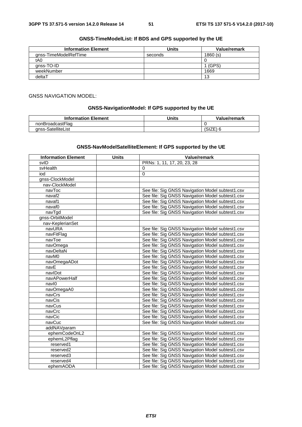# **GNSS-TimeModelList: If BDS and GPS supported by the UE**

| <b>Information Element</b> | <b>Units</b> | Value/remark |
|----------------------------|--------------|--------------|
| anss-TimeModelRefTime      | seconds      | 1860(s)      |
| tA0                        |              |              |
| gnss-TO-ID                 |              | (GPS)        |
| weekNumber                 |              | 1669         |
| deltaT                     |              | 13           |

#### GNSS NAVIGATION MODEL:

#### **GNSS-NavigationModel: If GPS supported by the UE**

| <b>Information Element</b> | Units | Value/remark |
|----------------------------|-------|--------------|
| nonBroadcastFlag           |       |              |
| anss-SatelliteList         |       | SIZE         |

#### **GNSS-NavModelSatelliteElement: If GPS supported by the UE**

| <b>Information Element</b> | <b>Units</b> | Value/remark                                     |
|----------------------------|--------------|--------------------------------------------------|
| svID                       |              | PRNs: 1, 11, 17, 20, 23, 28                      |
| svHealth                   |              | $\Omega$                                         |
| iod                        |              | 0                                                |
| gnss-ClockModel            |              |                                                  |
| nav-ClockModel             |              |                                                  |
| navToc                     |              | See file: Sig GNSS Navigation Model subtest1.csv |
| navaf <sub>2</sub>         |              | See file: Sig GNSS Navigation Model subtest1.csv |
| navaf1                     |              | See file: Sig GNSS Navigation Model subtest1.csv |
| navaf0                     |              | See file: Sig GNSS Navigation Model subtest1.csv |
| navTgd                     |              | See file: Sig GNSS Navigation Model subtest1.csv |
| gnss-OrbitModel            |              |                                                  |
| nav-KeplerianSet           |              |                                                  |
| navURA                     |              | See file: Sig GNSS Navigation Model subtest1.csv |
| navFitFlag                 |              | See file: Sig GNSS Navigation Model subtest1.csv |
| navToe                     |              | See file: Sig GNSS Navigation Model subtest1.csv |
| navOmega                   |              | See file: Sig GNSS Navigation Model subtest1.csv |
| navDeltaN                  |              | See file: Sig GNSS Navigation Model subtest1.csv |
| navM0                      |              | See file: Sig GNSS Navigation Model subtest1.csv |
| navOmegaADot               |              | See file: Sig GNSS Navigation Model subtest1.csv |
| navE                       |              | See file: Sig GNSS Navigation Model subtest1.csv |
| navIDot                    |              | See file: Sig GNSS Navigation Model subtest1.csv |
| navAPowerHalf              |              | See file: Sig GNSS Navigation Model subtest1.csv |
| navl0                      |              | See file: Sig GNSS Navigation Model subtest1.csv |
| navOmegaA0                 |              | See file: Sig GNSS Navigation Model subtest1.csv |
| navCrs                     |              | See file: Sig GNSS Navigation Model subtest1.csv |
| navCis                     |              | See file: Sig GNSS Navigation Model subtest1.csv |
| navCus                     |              | See file: Sig GNSS Navigation Model subtest1.csv |
| navCrc                     |              | See file: Sig GNSS Navigation Model subtest1.csv |
| navCic                     |              | See file: Sig GNSS Navigation Model subtest1.csv |
| navCuc                     |              | See file: Sig GNSS Navigation Model subtest1.csv |
| addNAVparam                |              |                                                  |
| ephemCodeOnL2              |              | See file: Sig GNSS Navigation Model subtest1.csv |
| ephemL2Pflag               |              | See file: Sig GNSS Navigation Model subtest1.csv |
| reserved1                  |              | See file: Sig GNSS Navigation Model subtest1.csv |
| reserved <sub>2</sub>      |              | See file: Sig GNSS Navigation Model subtest1.csv |
| reserved3                  |              | See file: Sig GNSS Navigation Model subtest1.csv |
| reserved4                  |              | See file: Sig GNSS Navigation Model subtest1.csv |
| ephemAODA                  |              | See file: Sig GNSS Navigation Model subtest1.csv |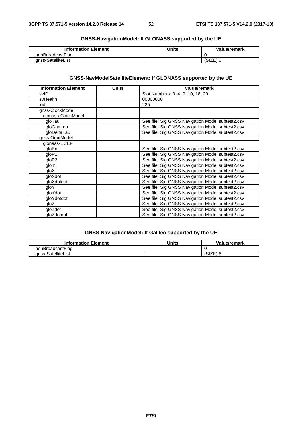| <b>GNSS-NavigationModel: If GLONASS supported by the UE</b> |  |
|-------------------------------------------------------------|--|
|-------------------------------------------------------------|--|

| <b>Information Element</b> | Units | Value/remark |
|----------------------------|-------|--------------|
| nonBroadcastFlag           |       |              |
| anss-SatelliteList         |       | ا ∟ا ان      |

# **GNSS-NavModelSatelliteElement: If GLONASS supported by the UE**

| <b>Information Element</b> | <b>Units</b> | Value/remark                                     |
|----------------------------|--------------|--------------------------------------------------|
| svID                       |              | Slot Numbers: 3, 4, 9, 10, 18, 20                |
| svHealth                   |              | 00000000                                         |
| iod                        |              | 225                                              |
| gnss-ClockModel            |              |                                                  |
| glonass-ClockModel         |              |                                                  |
| gloTau                     |              | See file: Sig GNSS Navigation Model subtest2.csv |
| gloGamma                   |              | See file: Sig GNSS Navigation Model subtest2.csv |
| gloDeltaTau                |              | See file: Sig GNSS Navigation Model subtest2.csv |
| gnss-OrbitModel            |              |                                                  |
| glonass-ECEF               |              |                                                  |
| gloEn                      |              | See file: Sig GNSS Navigation Model subtest2.csv |
| gloP1                      |              | See file: Sig GNSS Navigation Model subtest2.csv |
| gloP2                      |              | See file: Sig GNSS Navigation Model subtest2.csv |
| glom                       |              | See file: Sig GNSS Navigation Model subtest2.csv |
| gloX                       |              | See file: Sig GNSS Navigation Model subtest2.csv |
| gloXdot                    |              | See file: Sig GNSS Navigation Model subtest2.csv |
| gloXdotdot                 |              | See file: Sig GNSS Navigation Model subtest2.csv |
| qloY                       |              | See file: Sig GNSS Navigation Model subtest2.csv |
| gloYdot                    |              | See file: Sig GNSS Navigation Model subtest2.csv |
| gloYdotdot                 |              | See file: Sig GNSS Navigation Model subtest2.csv |
| gloZ                       |              | See file: Sig GNSS Navigation Model subtest2.csv |
| gloZdot                    |              | See file: Sig GNSS Navigation Model subtest2.csv |
| gloZdotdot                 |              | See file: Sig GNSS Navigation Model subtest2.csv |

# **GNSS-NavigationModel: If Galileo supported by the UE**

| <b>Information Element</b> | <b>Units</b> | Value/remark |
|----------------------------|--------------|--------------|
| nonBroadcastFlag           |              |              |
| anss-SatelliteList         |              | ا ∟∟اب       |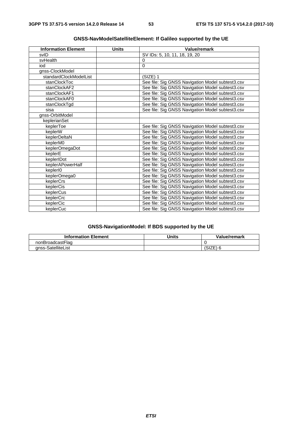| <b>Information Element</b> | <b>Units</b> | <b>Value/remark</b>                              |
|----------------------------|--------------|--------------------------------------------------|
| svID                       |              | SV IDs: 5, 10, 11, 18, 19, 20                    |
| svHealth                   |              | 0                                                |
| iod                        |              | $\Omega$                                         |
| gnss-ClockModel            |              |                                                  |
| standardClockModelList     |              | (SIZE) 1                                         |
| stanClockToc               |              | See file: Sig GNSS Navigation Model subtest3.csv |
| stanClockAF2               |              | See file: Sig GNSS Navigation Model subtest3.csv |
| stanClockAF1               |              | See file: Sig GNSS Navigation Model subtest3.csv |
| stanClockAF0               |              | See file: Sig GNSS Navigation Model subtest3.csv |
| stanClockTgd               |              | See file: Sig GNSS Navigation Model subtest3.csv |
| sisa                       |              | See file: Sig GNSS Navigation Model subtest3.csv |
| gnss-OrbitModel            |              |                                                  |
| keplerianSet               |              |                                                  |
| keplerToe                  |              | See file: Sig GNSS Navigation Model subtest3.csv |
| keplerW                    |              | See file: Sig GNSS Navigation Model subtest3.csv |
| keplerDeltaN               |              | See file: Sig GNSS Navigation Model subtest3.csv |
| keplerM0                   |              | See file: Sig GNSS Navigation Model subtest3.csv |
| keplerOmegaDot             |              | See file: Sig GNSS Navigation Model subtest3.csv |
| keplerE                    |              | See file: Sig GNSS Navigation Model subtest3.csv |
| keplerIDot                 |              | See file: Sig GNSS Navigation Model subtest3.csv |
| keplerAPowerHalf           |              | See file: Sig GNSS Navigation Model subtest3.csv |
| keplerI0                   |              | See file: Sig GNSS Navigation Model subtest3.csv |
| keplerOmega0               |              | See file: Sig GNSS Navigation Model subtest3.csv |
| keplerCrs                  |              | See file: Sig GNSS Navigation Model subtest3.csv |
| keplerCis                  |              | See file: Sig GNSS Navigation Model subtest3.csv |
| keplerCus                  |              | See file: Sig GNSS Navigation Model subtest3.csv |
| keplerCrc                  |              | See file: Sig GNSS Navigation Model subtest3.csv |
| keplerCic                  |              | See file: Sig GNSS Navigation Model subtest3.csv |
| keplerCuc                  |              | See file: Sig GNSS Navigation Model subtest3.csv |

# **GNSS-NavModelSatelliteElement: If Galileo supported by the UE**

# **GNSS-NavigationModel: If BDS supported by the UE**

| <b>Information Element</b> | Units | Value/remark |
|----------------------------|-------|--------------|
| nonBroadcastFlag           |       |              |
| anss-SatelliteList         |       | OIZEI        |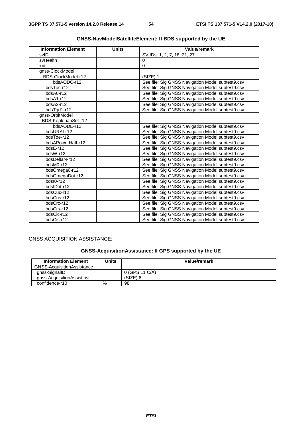| <b>Information Element</b> | <b>Units</b> | Value/remark                                     |
|----------------------------|--------------|--------------------------------------------------|
| svID                       |              | SV IDs: 1, 2, 7, 18, 21, 27                      |
| svHealth                   |              | $\Omega$                                         |
| iod                        |              | 0                                                |
| gnss-ClockModel            |              |                                                  |
| BDS-ClockModel-r12         |              | $(SIZE)$ 1                                       |
| bdsAODC-r12                |              | See file: Sig GNSS Navigation Model subtest9.csv |
| bdsToc-r12                 |              | See file: Sig GNSS Navigation Model subtest9.csv |
| bdsA0-r12                  |              | See file: Sig GNSS Navigation Model subtest9.csv |
| bdsA1-r12                  |              | See file: Sig GNSS Navigation Model subtest9.csv |
| bdsA2-r12                  |              | See file: Sig GNSS Navigation Model subtest9.csv |
| bdsTgd1-r12                |              | See file: Sig GNSS Navigation Model subtest9.csv |
| gnss-OrbitModel            |              |                                                  |
| BDS-KeplerianSet-r12       |              |                                                  |
| bdsAODE-r12                |              | See file: Sig GNSS Navigation Model subtest9.csv |
| bdsURAI-r12                |              | See file: Sig GNSS Navigation Model subtest9.csv |
| bdsToe-r12                 |              | See file: Sig GNSS Navigation Model subtest9.csv |
| bdsAPowerHalf-r12          |              | See file: Sig GNSS Navigation Model subtest9.csv |
| bdsE-r12                   |              | See file: Sig GNSS Navigation Model subtest9.csv |
| bdsW-r12                   |              | See file: Sig GNSS Navigation Model subtest9.csv |
| bdsDeltaN-r12              |              | See file: Sig GNSS Navigation Model subtest9.csv |
| bdsM0-r12                  |              | See file: Sig GNSS Navigation Model subtest9.csv |
| bdsOmega0-r12              |              | See file: Sig GNSS Navigation Model subtest9.csv |
| bdsOmegaDot-r12            |              | See file: Sig GNSS Navigation Model subtest9.csv |
| bdsI0-r12                  |              | See file: Sig GNSS Navigation Model subtest9.csv |
| bdsIDot-r12                |              | See file: Sig GNSS Navigation Model subtest9.csv |
| bdsCuc-r12                 |              | See file: Sig GNSS Navigation Model subtest9.csv |
| bdsCus-r12                 |              | See file: Sig GNSS Navigation Model subtest9.csv |
| bdsCrc-r12                 |              | See file: Sig GNSS Navigation Model subtest9.csv |
| bdsCrs-r12                 |              | See file: Sig GNSS Navigation Model subtest9.csv |
| bdsCic-r12                 |              | See file: Sig GNSS Navigation Model subtest9.csv |
| bdsCis-r12                 |              | See file: Sig GNSS Navigation Model subtest9.csv |

# **GNSS-NavModelSatelliteElement: If BDS supported by the UE**

# GNSS ACQUISITION ASSISTANCE:

# **GNSS-AcquisitionAssistance: If GPS supported by the UE**

| <b>Information Element</b>        | Units | Value/remark     |
|-----------------------------------|-------|------------------|
| <b>GNSS-AcquisitionAssistance</b> |       |                  |
| gnss-SignalID                     |       | $0$ (GPS L1 C/A) |
| anss-AcquisitionAssistList        |       | (SIZE) 6         |
| confidence-r10                    | %     | 98               |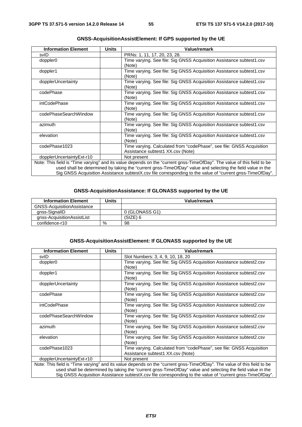| <b>Information Element</b> | <b>Units</b> | <b>Value/remark</b>                                                                                                     |
|----------------------------|--------------|-------------------------------------------------------------------------------------------------------------------------|
| svID                       |              | PRNs: 1, 11, 17, 20, 23, 28.                                                                                            |
| doppler0                   |              | Time varying. See file: Sig GNSS Acquisition Assistance subtest1.csv                                                    |
|                            |              | (Note)                                                                                                                  |
| doppler1                   |              | Time varying. See file: Sig GNSS Acquisition Assistance subtest1.csv                                                    |
|                            |              | (Note)                                                                                                                  |
| dopplerUncertainty         |              | Time varying. See file: Sig GNSS Acquisition Assistance subtest1.csv                                                    |
|                            |              | (Note)                                                                                                                  |
| codePhase                  |              | Time varying. See file: Sig GNSS Acquisition Assistance subtest1.csv                                                    |
|                            |              | (Note)                                                                                                                  |
| <i>intCodePhase</i>        |              | Time varying. See file: Sig GNSS Acquisition Assistance subtest1.csv                                                    |
|                            |              | (Note)                                                                                                                  |
| codePhaseSearchWindow      |              | Time varying. See file: Sig GNSS Acquisition Assistance subtest1.csv                                                    |
|                            |              | (Note)                                                                                                                  |
| azimuth                    |              | Time varying. See file: Sig GNSS Acquisition Assistance subtest1.csv                                                    |
|                            |              | (Note)                                                                                                                  |
| elevation                  |              | Time varying. See file: Sig GNSS Acquisition Assistance subtest1.csv                                                    |
|                            |              | (Note)                                                                                                                  |
| codePhase1023              |              | Time varying. Calculated from "codePhase", see file: GNSS Acquisition                                                   |
|                            |              | Assistance subtest1 XX.csv (Note)                                                                                       |
| dopplerUncertaintyExt-r10  |              | Not present                                                                                                             |
|                            |              | Note: This field is "Time varying" and its value depends on the "current gnss-TimeOfDay". The value of this field to be |
|                            |              | used shall be determined by taking the "current gnss-TimeOfDay" value and selecting the field value in the              |
|                            |              | Sig GNSS Acquisition Assistance subtestX.csv file corresponding to the value of "current gnss-TimeOfDay".               |

# **GNSS-AcquisitionAssistElement: If GPS supported by the UE**

# **GNSS-AcquisitionAssistance: If GLONASS supported by the UE**

| <b>Information Element</b> | Units | Value/remark   |
|----------------------------|-------|----------------|
| GNSS-AcquisitionAssistance |       |                |
| gnss-SignallD              |       | 0 (GLONASS G1) |
| gnss-AcquisitionAssistList |       | $(SIZE)$ 6     |
| confidence-r10             | %     | 98             |

#### **GNSS-AcquisitionAssistElement: If GLONASS supported by the UE**

| <b>Information Element</b> | Units | Value/remark                                                                                                            |
|----------------------------|-------|-------------------------------------------------------------------------------------------------------------------------|
| svID                       |       | Slot Numbers: 3, 4, 9, 10, 18, 20                                                                                       |
| doppler <sub>0</sub>       |       | Time varying. See file: Sig GNSS Acquisition Assistance subtest2.csv                                                    |
|                            |       | (Note)                                                                                                                  |
| doppler1                   |       | Time varying. See file: Sig GNSS Acquisition Assistance subtest2.csv                                                    |
|                            |       | (Note)                                                                                                                  |
| dopplerUncertainty         |       | Time varying. See file: Sig GNSS Acquisition Assistance subtest2.csv                                                    |
|                            |       | (Note)                                                                                                                  |
| codePhase                  |       | Time varying. See file: Sig GNSS Acquisition Assistance subtest2.csv                                                    |
|                            |       | (Note)                                                                                                                  |
| intCodePhase               |       | Time varying. See file: Sig GNSS Acquisition Assistance subtest2.csv                                                    |
|                            |       | (Note)                                                                                                                  |
| codePhaseSearchWindow      |       | Time varying. See file: Sig GNSS Acquisition Assistance subtest2.csv                                                    |
|                            |       | (Note)                                                                                                                  |
| azimuth                    |       | Time varying. See file: Sig GNSS Acquisition Assistance subtest2.csv                                                    |
|                            |       | (Note)                                                                                                                  |
| elevation                  |       | Time varying. See file: Sig GNSS Acquisition Assistance subtest2.csv                                                    |
|                            |       | (Note)                                                                                                                  |
| codePhase1023              |       | Time varying. Calculated from "codePhase", see file: GNSS Acquisition                                                   |
|                            |       | Assistance subtest1 XX.csv (Note)                                                                                       |
| dopplerUncertaintyExt-r10  |       | Not present                                                                                                             |
|                            |       | Note: This field is "Time varying" and its value depends on the "current gnss-TimeOfDay". The value of this field to be |
|                            |       | used shall be determined by taking the "current gnss-TimeOfDay" value and selecting the field value in the              |
|                            |       | Sig GNSS Acquisition Assistance subtestX.csv file corresponding to the value of "current gnss-TimeOfDay".               |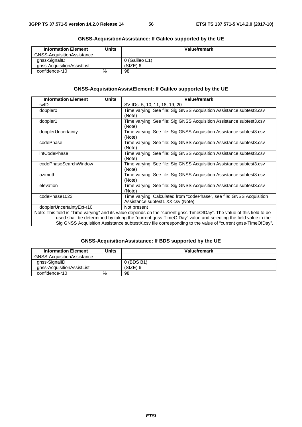| <b>Information Element</b>        | Units | Value/remark   |
|-----------------------------------|-------|----------------|
| <b>GNSS-AcquisitionAssistance</b> |       |                |
| anss-SignallD                     |       | 0 (Galileo E1) |
| gnss-AcquisitionAssistList        |       | (SIZE) 6       |
| confidence-r10                    | %     | 98             |

# **GNSS-AcquisitionAssistance: If Galileo supported by the UE**

# **GNSS-AcquisitionAssistElement: If Galileo supported by the UE**

| <b>Information Element</b> | <b>Units</b> | Value/remark                                                                                                            |
|----------------------------|--------------|-------------------------------------------------------------------------------------------------------------------------|
| svID                       |              | SV IDs: 5, 10, 11, 18, 19, 20                                                                                           |
| doppler0                   |              | Time varying. See file: Sig GNSS Acquisition Assistance subtest3.csv                                                    |
|                            |              | (Note)                                                                                                                  |
| doppler1                   |              | Time varying. See file: Sig GNSS Acquisition Assistance subtest3.csv                                                    |
|                            |              | (Note)                                                                                                                  |
| dopplerUncertainty         |              | Time varying. See file: Sig GNSS Acquisition Assistance subtest3.csv                                                    |
|                            |              | (Note)                                                                                                                  |
| codePhase                  |              | Time varying. See file: Sig GNSS Acquisition Assistance subtest3.csv                                                    |
|                            |              | (Note)                                                                                                                  |
| intCodePhase               |              | Time varying. See file: Sig GNSS Acquisition Assistance subtest3.csv                                                    |
|                            |              | (Note)                                                                                                                  |
| codePhaseSearchWindow      |              | Time varying. See file: Sig GNSS Acquisition Assistance subtest3.csv                                                    |
|                            |              | (Note)                                                                                                                  |
| azimuth                    |              | Time varying. See file: Sig GNSS Acquisition Assistance subtest3.csv                                                    |
|                            |              | (Note)                                                                                                                  |
| elevation                  |              | Time varying. See file: Sig GNSS Acquisition Assistance subtest3.csv                                                    |
|                            |              | (Note)                                                                                                                  |
| codePhase1023              |              | Time varying. Calculated from "codePhase", see file: GNSS Acquisition                                                   |
|                            |              | Assistance subtest1 XX.csv (Note)                                                                                       |
| dopplerUncertaintyExt-r10  |              | Not present                                                                                                             |
|                            |              | Note: This field is "Time varying" and its value depends on the "current gnss-TimeOfDay". The value of this field to be |
|                            |              | used shall be determined by taking the "current gnss-TimeOfDay" value and selecting the field value in the              |
|                            |              | Sig GNSS Acquisition Assistance subtestX.csv file corresponding to the value of "current gnss-TimeOfDay".               |

#### **GNSS-AcquisitionAssistance: If BDS supported by the UE**

| <b>Information Element</b> | Units | Value/remark |
|----------------------------|-------|--------------|
| GNSS-AcquisitionAssistance |       |              |
| gnss-SignallD              |       | 0 (BDS B1)   |
| anss-AcquisitionAssistList |       | (SIZE) 6     |
| confidence-r10             | %     | 98           |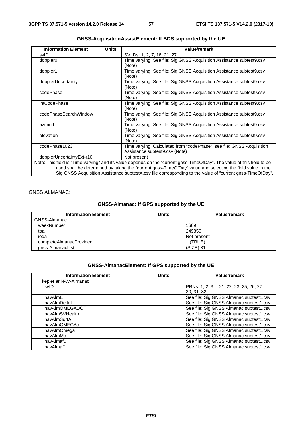| <b>Information Element</b> | <b>Units</b> | Value/remark                                                                                                            |
|----------------------------|--------------|-------------------------------------------------------------------------------------------------------------------------|
| svID                       |              | SV IDs: 1, 2, 7, 18, 21, 27                                                                                             |
| doppler0                   |              | Time varying. See file: Sig GNSS Acquisition Assistance subtest9.csv                                                    |
|                            |              | (Note)                                                                                                                  |
| doppler1                   |              | Time varying. See file: Sig GNSS Acquisition Assistance subtest9.csv                                                    |
|                            |              | (Note)                                                                                                                  |
| dopplerUncertainty         |              | Time varying. See file: Sig GNSS Acquisition Assistance subtest9.csv                                                    |
|                            |              | (Note)                                                                                                                  |
| codePhase                  |              | Time varying. See file: Sig GNSS Acquisition Assistance subtest9.csv                                                    |
|                            |              | (Note)                                                                                                                  |
| <i>intCodePhase</i>        |              | Time varying. See file: Sig GNSS Acquisition Assistance subtest9.csv                                                    |
|                            |              | (Note)                                                                                                                  |
| codePhaseSearchWindow      |              | Time varying. See file: Sig GNSS Acquisition Assistance subtest9.csv                                                    |
|                            |              | (Note)                                                                                                                  |
| azimuth                    |              | Time varying. See file: Sig GNSS Acquisition Assistance subtest9.csv                                                    |
|                            |              | (Note)                                                                                                                  |
| elevation                  |              | Time varying. See file: Sig GNSS Acquisition Assistance subtest9.csv                                                    |
|                            |              | (Note)                                                                                                                  |
| codePhase1023              |              | Time varying. Calculated from "codePhase", see file: GNSS Acquisition                                                   |
|                            |              | Assistance subtest9.csv (Note)                                                                                          |
| dopplerUncertaintyExt-r10  |              | Not present                                                                                                             |
|                            |              | Note: This field is "Time varying" and its value depends on the "current gnss-TimeOfDay". The value of this field to be |
|                            |              | used shall be determined by taking the "current gnss-TimeOfDay" value and selecting the field value in the              |
|                            |              | Sig GNSS Acquisition Assistance subtestX.csv file corresponding to the value of "current gnss-TimeOfDay".               |

# **GNSS-AcquisitionAssistElement: If BDS supported by the UE**

# GNSS ALMANAC:

# **GNSS-Almanac: If GPS supported by the UE**

| <b>Information Element</b> | Units | <b>Value/remark</b> |
|----------------------------|-------|---------------------|
| GNSS-Almanac               |       |                     |
| weekNumber                 |       | 1669                |
| toa                        |       | 249856              |
| ioda                       |       | Not present         |
| completeAlmanacProvided    |       | 1 (TRUE)            |
| gnss-AlmanacList           |       | (SIZE) 31           |

# **GNSS-AlmanacElement: If GPS supported by the UE**

| <b>Information Element</b> | <b>Units</b> | <b>Value/remark</b>                     |
|----------------------------|--------------|-----------------------------------------|
| keplerianNAV-Almanac       |              |                                         |
| svID                       |              | PRNs: 1, 2, 3 21, 22, 23, 25, 26, 27    |
|                            |              | 30, 31, 32                              |
| navAlmE                    |              | See file: Sig GNSS Almanac subtest1.csv |
| navAlmDeltal               |              | See file: Sig GNSS Almanac subtest1.csv |
| navAlmOMEGADOT             |              | See file: Sig GNSS Almanac subtest1.csv |
| navAlmSVHealth             |              | See file: Sig GNSS Almanac subtest1.csv |
| navAlmSgrtA                |              | See file: Sig GNSS Almanac subtest1.csv |
| navAlmOMEGAo               |              | See file: Sig GNSS Almanac subtest1.csv |
| navAlmOmega                |              | See file: Sig GNSS Almanac subtest1.csv |
| navAlmMo                   |              | See file: Sig GNSS Almanac subtest1.csv |
| navAlmaf0                  |              | See file: Sig GNSS Almanac subtest1.csv |
| navAlmaf1                  |              | See file: Sig GNSS Almanac subtest1.csv |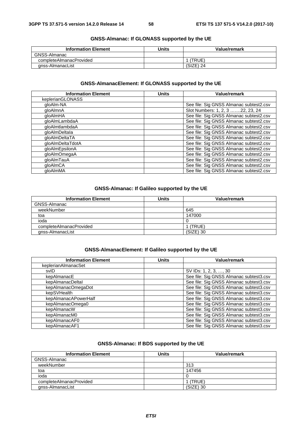| <b>Information Element</b> | Units | Value/remark |
|----------------------------|-------|--------------|
| GNSS-Almanac               |       |              |
| completeAlmanacProvided    |       | (TRUE)       |
| anss-AlmanacList           |       | (SIZE) 24    |

# **GNSS-Almanac: If GLONASS supported by the UE**

# **GNSS-AlmanacElement: If GLONASS supported by the UE**

| <b>Information Element</b> | <b>Units</b> | <b>Value/remark</b>                     |
|----------------------------|--------------|-----------------------------------------|
| keplerianGLONASS           |              |                                         |
| gloAlm-NA                  |              | See file: Sig GNSS Almanac subtest2.csv |
| gloAlmnA                   |              | Slot Numbers: 1, 2, 3 22, 23, 24        |
| gloAlmHA                   |              | See file: Sig GNSS Almanac subtest2.csv |
| dloAlmLambdaA              |              | See file: Sig GNSS Almanac subtest2.csv |
| dloAlmtlambdaA             |              | See file: Sig GNSS Almanac subtest2.csv |
| aloAlmDeltala              |              | See file: Sig GNSS Almanac subtest2.csv |
| gloAlmDeltaTA              |              | See file: Sig GNSS Almanac subtest2.csv |
| gloAlmDeltaTdotA           |              | See file: Sig GNSS Almanac subtest2.csv |
| gloAlmEpsilonA             |              | See file: Sig GNSS Almanac subtest2.csv |
| gloAlmOmegaA               |              | See file: Sig GNSS Almanac subtest2.csv |
| gloAlmTauA                 |              | See file: Sig GNSS Almanac subtest2.csv |
| qloAlmCA                   |              | See file: Sig GNSS Almanac subtest2.csv |
| aloAlmMA                   |              | See file: Sig GNSS Almanac subtest2.csv |

# **GNSS-Almanac: If Galileo supported by the UE**

| <b>Information Element</b> | Units | <b>Value/remark</b> |
|----------------------------|-------|---------------------|
| GNSS-Almanac               |       |                     |
| weekNumber                 |       | 645                 |
| toa                        |       | 147000              |
| ioda                       |       |                     |
| completeAlmanacProvided    |       | I (TRUE)            |
| anss-AlmanacList           |       | $(SIZE)$ 30         |

#### **GNSS-AlmanacElement: If Galileo supported by the UE**

| <b>Information Element</b> | <b>Units</b> | <b>Value/remark</b>                     |
|----------------------------|--------------|-----------------------------------------|
| keplerianAlmanacSet        |              |                                         |
| svID                       |              | SV IDs: 1, 2, 3, , 30                   |
| kepAlmanacE                |              | See file: Sig GNSS Almanac subtest3.csv |
| kepAlmanacDeltal           |              | See file: Sig GNSS Almanac subtest3.csv |
| kepAlmanacOmegaDot         |              | See file: Sig GNSS Almanac subtest3.csv |
| kepSVHealth                |              | See file: Sig GNSS Almanac subtest3.csv |
| kepAlmanacAPowerHalf       |              | See file: Sig GNSS Almanac subtest3.csv |
| kepAlmanacOmega0           |              | See file: Sig GNSS Almanac subtest3.csv |
| kepAlmanacW                |              | See file: Sig GNSS Almanac subtest3.csv |
| kepAlmanacM0               |              | See file: Sig GNSS Almanac subtest3.csv |
| kepAlmanacAF0              |              | See file: Sig GNSS Almanac subtest3.csv |
| kepAlmanacAF1              |              | See file: Sig GNSS Almanac subtest3.csv |

# **GNSS-Almanac: If BDS supported by the UE**

| <b>Information Element</b> | <b>Units</b> | <b>Value/remark</b> |
|----------------------------|--------------|---------------------|
| GNSS-Almanac               |              |                     |
| weekNumber                 |              | 313                 |
| toa                        |              | 147456              |
| ioda                       |              |                     |
| completeAlmanacProvided    |              | (TRUE)              |
| gnss-AlmanacList           |              | $(SIZE)$ 30         |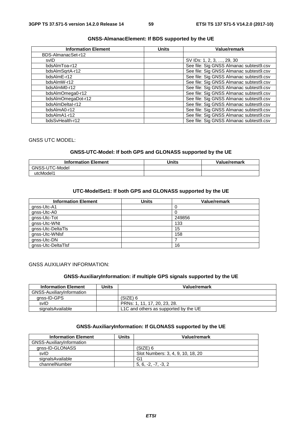#### **GNSS-AlmanacElement: If BDS supported by the UE**

| <b>Information Element</b> | <b>Units</b> | Value/remark                            |
|----------------------------|--------------|-----------------------------------------|
| BDS-AlmanacSet-r12         |              |                                         |
| svID                       |              | SV IDs: 1, 2, 3, , 29, 30               |
| bdsAlmToa-r12              |              | See file: Sig GNSS Almanac subtest9.csv |
| bdsAlmSqrtA-r12            |              | See file: Sig GNSS Almanac subtest9.csv |
| bdsAlmE-r12                |              | See file: Sig GNSS Almanac subtest9.csv |
| bdsAlmW-r12                |              | See file: Sig GNSS Almanac subtest9.csv |
| bdsAlmM0-r12               |              | See file: Sig GNSS Almanac subtest9.csv |
| bdsAlmOmega0-r12           |              | See file: Sig GNSS Almanac subtest9.csv |
| bdsAlmOmegaDot-r12         |              | See file: Sig GNSS Almanac subtest9.csv |
| bdsAlmDeltal-r12           |              | See file: Sig GNSS Almanac subtest9.csv |
| bdsAlmA0-r12               |              | See file: Sig GNSS Almanac subtest9.csv |
| bdsAlmA1-r12               |              | See file: Sig GNSS Almanac subtest9.csv |
| bdsSvHealth-r12            |              | See file: Sig GNSS Almanac subtest9.csv |

#### GNSS UTC MODEL:

## **GNSS-UTC-Model: If both GPS and GLONASS supported by the UE**

| <b>Information Element</b> | <b>Units</b> | Value/remark |
|----------------------------|--------------|--------------|
| GNSS-U<br>ГC-Model         |              |              |
| utcModel1                  |              |              |

#### **UTC-ModelSet1: If both GPS and GLONASS supported by the UE**

| <b>Information Element</b> | <b>Units</b> | <b>Value/remark</b> |
|----------------------------|--------------|---------------------|
| gnss-Utc-A1                |              |                     |
| gnss-Utc-A0                |              |                     |
| gnss-Utc-Tot               |              | 249856              |
| gnss-Utc-WNt               |              | 133                 |
| gnss-Utc-DeltaTls          |              | 15                  |
| gnss-Utc-WNIsf             |              | 158                 |
| gnss-Utc-DN                |              |                     |
| gnss-Utc-DeltaTlsf         |              | 16                  |

GNSS AUXILIARY INFORMATION:

#### **GNSS-AuxiliaryInformation: if multiple GPS signals supported by the UE**

| <b>Information Element</b> | Units | Value/remark                          |
|----------------------------|-------|---------------------------------------|
| GNSS-AuxiliaryInformation  |       |                                       |
| anss-ID-GPS                |       | (SIZE) 6                              |
| svID                       |       | PRNs: 1, 11, 17, 20, 23, 28.          |
| signalsAvailable           |       | L1C and others as supported by the UE |

# **GNSS-AuxiliaryInformation: If GLONASS supported by the UE**

| <b>Information Element</b>       | Units | Value/remark                      |
|----------------------------------|-------|-----------------------------------|
| <b>GNSS-AuxiliaryInformation</b> |       |                                   |
| anss-ID-GLONASS                  |       | (SIZE) 6                          |
| svID                             |       | Slot Numbers: 3, 4, 9, 10, 18, 20 |
| signalsAvailable                 |       | G1                                |
| channelNumber                    |       | $5, 6, -2, -7, -3, 2$             |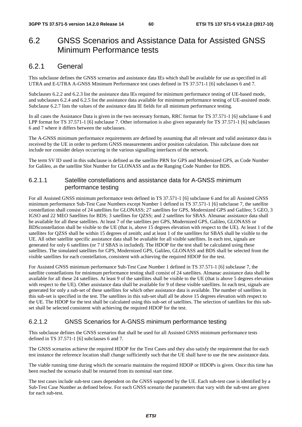# 6.2 GNSS Scenarios and Assistance Data for Assisted GNSS Minimum Performance tests

# 6.2.1 General

This subclause defines the GNSS scenarios and assistance data IEs which shall be available for use as specified in all UTRA and E-UTRA A-GNSS Minimum Performance test cases defined in TS 37.571-1 [6] subclauses 6 and 7.

Subclauses 6.2.2 and 6.2.3 list the assistance data IEs required for minimum performance testing of UE-based mode, and subclauses 6.2.4 and 6.2.5 list the assistance data available for minimum performance testing of UE-assisted mode. Subclause 6.2.7 lists the values of the assistance data IE fields for all minimum performance testing.

In all cases the Assistance Data is given in the two necessary formats, RRC format for TS 37.571-1 [6] subclause 6 and LPP format for TS 37.571-1 [6] subclause 7. Other information is also given separately for TS 37.571-1 [6] subclauses 6 and 7 where it differs between the subclauses.

The A-GNSS minimum performance requirements are defined by assuming that all relevant and valid assistance data is received by the UE in order to perform GNSS measurements and/or position calculation. This subclause does not include nor consider delays occurring in the various signalling interfaces of the network.

The term SV ID used in this subclause is defined as the satellite PRN for GPS and Modernized GPS, as Code Number for Galileo, as the satellite Slot Number for GLONASS and as the Ranging Code Number for BDS.

# 6.2.1.1 Satellite constellations and assistance data for A-GNSS minimum performance testing

For all Assisted GNSS minimum performance tests defined in TS 37.571-1 [6] subclause 6 and for all Assisted GNSS minimum performance Sub-Test Case Numbers except Number 1 defined in TS 37.571-1 [6] subclause 7, the satellite constellation shall consist of 24 satellites for GLONASS; 27 satellites for GPS, Modernized GPS and Galileo; 5 GEO, 3 IGSO and 22 MEO Satellites for BDS; 3 satellites for QZSS; and 2 satellites for SBAS. Almanac assistance data shall be available for all these satellites. At least 7 of the satellites per GPS, Modernized GPS, Galileo, GLONASS or BDSconstellation shall be visible to the UE (that is, above 15 degrees elevation with respect to the UE). At least 1 of the satellites for QZSS shall be within 15 degrees of zenith; and at least 1 of the satellites for SBAS shall be visible to the UE. All other satellite specific assistance data shall be available for all visible satellites. In each test, signals are generated for only 6 satellites (or 7 if SBAS is included). The HDOP for the test shall be calculated using these satellites. The simulated satellites for GPS, Modernized GPS, Galileo, GLONASS and BDS shall be selected from the visible satellites for each constellation, consistent with achieving the required HDOP for the test.

For Assisted GNSS minimum performance Sub-Test Case Number 1 defined in TS 37.571-1 [6] subclause 7, the satellite constellations for minimum performance testing shall consist of 24 satellites. Almanac assistance data shall be available for all these 24 satellites. At least 9 of the satellites shall be visible to the UE (that is above 5 degrees elevation with respect to the UE). Other assistance data shall be available for 9 of these visible satellites. In each test, signals are generated for only a sub-set of these satellites for which other assistance data is available. The number of satellites in this sub-set is specified in the test. The satellites in this sub-set shall all be above 15 degrees elevation with respect to the UE. The HDOP for the test shall be calculated using this sub-set of satellites. The selection of satellites for this subset shall be selected consistent with achieving the required HDOP for the test.

# 6.2.1.2 GNSS Scenarios for A-GNSS minimum performance testing

This subclause defines the GNSS scenarios that shall be used for all Assisted GNSS minimum performance tests defined in TS 37.571-1 [6] subclauses 6 and 7.

The GNSS scenarios achieve the required HDOP for the Test Cases and they also satisfy the requirement that for each test instance the reference location shall change sufficiently such that the UE shall have to use the new assistance data.

The viable running time during which the scenario maintains the required HDOP or HDOPs is given. Once this time has been reached the scenario shall be restarted from its nominal start time.

The test cases include sub-test cases dependent on the GNSS supported by the UE. Each sub-test case is identified by a Sub-Test Case Number as defined below. For each GNSS scenario the parameters that vary with the sub-test are given for each sub-test.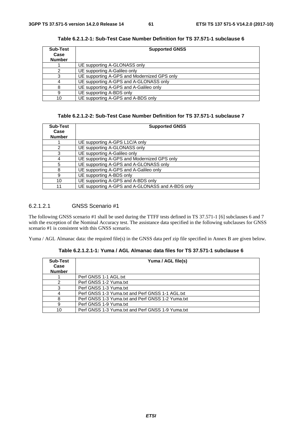| <b>Sub-Test</b> | <b>Supported GNSS</b>                       |  |
|-----------------|---------------------------------------------|--|
| Case            |                                             |  |
| <b>Number</b>   |                                             |  |
|                 | UE supporting A-GLONASS only                |  |
|                 | UE supporting A-Galileo only                |  |
|                 | UE supporting A-GPS and Modernized GPS only |  |
|                 | UE supporting A-GPS and A-GLONASS only      |  |
|                 | UE supporting A-GPS and A-Galileo only      |  |
| 9               | UE supporting A-BDS only                    |  |
| 10              | UE supporting A-GPS and A-BDS only          |  |

**Table 6.2.1.2-1: Sub-Test Case Number Definition for TS 37.571-1 subclause 6** 

# **Table 6.2.1.2-2: Sub-Test Case Number Definition for TS 37.571-1 subclause 7**

| <b>Sub-Test</b><br>Case<br><b>Number</b> | <b>Supported GNSS</b>                            |
|------------------------------------------|--------------------------------------------------|
|                                          | UE supporting A-GPS L1C/A only                   |
| 2                                        | UE supporting A-GLONASS only                     |
| 3                                        | UE supporting A-Galileo only                     |
| 4                                        | UE supporting A-GPS and Modernized GPS only      |
| 5                                        | UE supporting A-GPS and A-GLONASS only           |
| 8                                        | UE supporting A-GPS and A-Galileo only           |
| 9                                        | UE supporting A-BDS only                         |
| 10                                       | UE supporting A-GPS and A-BDS only               |
| 11                                       | UE supporting A-GPS and A-GLONASS and A-BDS only |

# 6.2.1.2.1 GNSS Scenario #1

The following GNSS scenario #1 shall be used during the TTFF tests defined in TS 37.571-1 [6] subclauses 6 and 7 with the exception of the Nominal Accuracy test. The assistance data specified in the following subclauses for GNSS scenario #1 is consistent with this GNSS scenario.

Yuma / AGL Almanac data: the required file(s) in the GNSS data perf zip file specified in Annex B are given below.

| Sub-Test<br>Case<br><b>Number</b> | Yuma / AGL file(s)                                |
|-----------------------------------|---------------------------------------------------|
|                                   | Perf GNSS 1-1 AGL.txt                             |
|                                   | Perf GNSS 1-2 Yuma.txt                            |
|                                   | Perf GNSS 1-3 Yuma.txt                            |
|                                   | Perf GNSS 1-3 Yuma.txt and Perf GNSS 1-1 AGL.txt  |
|                                   | Perf GNSS 1-3 Yuma.txt and Perf GNSS 1-2 Yuma.txt |
| 9                                 | Perf GNSS 1-9 Yuma.txt                            |
| 10                                | Perf GNSS 1-3 Yuma.txt and Perf GNSS 1-9 Yuma.txt |

**Table 6.2.1.2.1-1: Yuma / AGL Almanac data files for TS 37.571-1 subclause 6**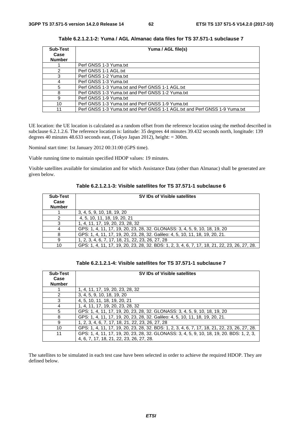| <b>Sub-Test</b> | Yuma / AGL file(s)                                                          |  |
|-----------------|-----------------------------------------------------------------------------|--|
| Case            |                                                                             |  |
| <b>Number</b>   |                                                                             |  |
|                 | Perf GNSS 1-3 Yuma.txt                                                      |  |
|                 | Perf GNSS 1-1 AGL.txt                                                       |  |
| 3               | Perf GNSS 1-2 Yuma.txt                                                      |  |
| 4               | Perf GNSS 1-3 Yuma.txt                                                      |  |
| 5               | Perf GNSS 1-3 Yuma.txt and Perf GNSS 1-1 AGL.txt                            |  |
| 8               | Perf GNSS 1-3 Yuma.txt and Perf GNSS 1-2 Yuma.txt                           |  |
| 9               | Perf GNSS 1-9 Yuma.txt                                                      |  |
| 10              | Perf GNSS 1-3 Yuma.txt and Perf GNSS 1-9 Yuma.txt                           |  |
| 11              | Perf GNSS 1-3 Yuma.txt and Perf GNSS 1-1 AGL.txt and Perf GNSS 1-9 Yuma.txt |  |

**Table 6.2.1.2.1-2: Yuma / AGL Almanac data files for TS 37.571-1 subclause 7** 

UE location: the UE location is calculated as a random offset from the reference location using the method described in subclause 6.2.1.2.6. The reference location is: latitude: 35 degrees 44 minutes 39.432 seconds north, longitude: 139 degrees 40 minutes 48.633 seconds east, (Tokyo Japan 2012), height: = 300m.

Nominal start time: 1st January 2012 00:31:00 (GPS time).

Viable running time to maintain specified HDOP values: 19 minutes.

Visible satellites available for simulation and for which Assistance Data (other than Almanac) shall be generated are given below.

| <b>Sub-Test</b><br>Case<br><b>Number</b> | SV IDs of Visible satellites                                                                  |
|------------------------------------------|-----------------------------------------------------------------------------------------------|
|                                          | 3, 4, 5, 9, 10, 18, 19, 20                                                                    |
|                                          | 4, 5, 10, 11, 18, 19, 20, 21                                                                  |
|                                          | 1, 4, 11, 17, 19, 20, 23, 28, 32                                                              |
|                                          | GPS: 1, 4, 11, 17, 19, 20, 23, 28, 32. GLONASS: 3, 4, 5, 9, 10, 18, 19, 20                    |
|                                          | GPS: 1, 4, 11, 17, 19, 20, 23, 28, 32. Galileo: 4, 5, 10, 11, 18, 19, 20, 21.                 |
| 9                                        | 1, 2, 3, 4, 6, 7, 17, 18, 21, 22, 23, 26, 27, 28                                              |
| 10                                       | GPS: 1, 4, 11, 17, 19, 20, 23, 28, 32. BDS: 1, 2, 3, 4, 6, 7, 17, 18, 21, 22, 23, 26, 27, 28. |

| Table 6.2.1.2.1-4: Visible satellites for TS 37.571-1 subclause 7 |  |
|-------------------------------------------------------------------|--|
|-------------------------------------------------------------------|--|

| <b>Sub-Test</b><br>Case<br><b>Number</b> | <b>SV IDs of Visible satellites</b>                                                                                                   |
|------------------------------------------|---------------------------------------------------------------------------------------------------------------------------------------|
|                                          | 1, 4, 11, 17, 19, 20, 23, 28, 32                                                                                                      |
| $\mathcal{P}$                            | 3, 4, 5, 9, 10, 18, 19, 20                                                                                                            |
| 3                                        | 4, 5, 10, 11, 18, 19, 20, 21                                                                                                          |
| 4                                        | 1, 4, 11, 17, 19, 20, 23, 28, 32                                                                                                      |
| 5                                        | GPS: 1, 4, 11, 17, 19, 20, 23, 28, 32. GLONASS: 3, 4, 5, 9, 10, 18, 19, 20                                                            |
| 8                                        | GPS: 1, 4, 11, 17, 19, 20, 23, 28, 32. Galileo: 4, 5, 10, 11, 18, 19, 20, 21.                                                         |
| 9                                        | 1, 2, 3, 4, 6, 7, 17, 18, 21, 22, 23, 26, 27, 28                                                                                      |
| 10                                       | GPS: 1, 4, 11, 17, 19, 20, 23, 28, 32. BDS: 1, 2, 3, 4, 6, 7, 17, 18, 21, 22, 23, 26, 27, 28.                                         |
| 11                                       | GPS: 1, 4, 11, 17, 19, 20, 23, 28, 32. GLONASS: 3, 4, 5, 9, 10, 18, 19, 20. BDS: 1, 2, 3,<br>4, 6, 7, 17, 18, 21, 22, 23, 26, 27, 28. |

The satellites to be simulated in each test case have been selected in order to achieve the required HDOP. They are defined below.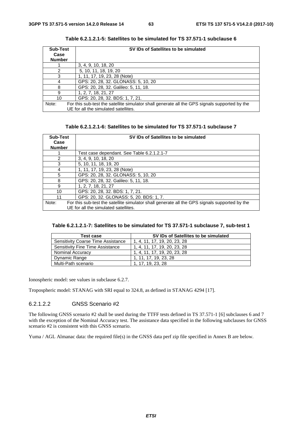| <b>Sub-Test</b> | SV IDs of Satellites to be simulated                                                          |
|-----------------|-----------------------------------------------------------------------------------------------|
| Case            |                                                                                               |
| <b>Number</b>   |                                                                                               |
|                 | 3, 4, 9, 10, 18, 20                                                                           |
|                 | 5, 10, 11, 18, 19, 20                                                                         |
| 3               | 1, 11, 17, 19, 23, 28 (Note)                                                                  |
| 4               | GPS: 20, 28, 32. GLONASS: 5, 10, 20                                                           |
| 8               | GPS: 20, 28, 32. Galileo: 5, 11, 18.                                                          |
| 9               | 1, 2, 7, 18, 21, 27                                                                           |
| 10              | GPS: 20, 28, 32. BDS: 1, 7, 21.                                                               |
| Note:           | For this sub-test the satellite simulator shall generate all the GPS signals supported by the |
|                 | UE for all the simulated satellites.                                                          |

| Table 6.2.1.2.1-5: Satellites to be simulated for TS 37.571-1 subclause 6 |  |
|---------------------------------------------------------------------------|--|
|---------------------------------------------------------------------------|--|

| Table 6.2.1.2.1-6: Satellites to be simulated for TS 37.571-1 subclause 7 |  |  |
|---------------------------------------------------------------------------|--|--|
|---------------------------------------------------------------------------|--|--|

| <b>Sub-Test</b> | SV IDs of Satellites to be simulated                                                          |
|-----------------|-----------------------------------------------------------------------------------------------|
| Case            |                                                                                               |
| <b>Number</b>   |                                                                                               |
|                 | Test case dependant. See Table 6.2.1.2.1-7                                                    |
| $\mathcal{P}$   | 3, 4, 9, 10, 18, 20                                                                           |
| 3               | 5, 10, 11, 18, 19, 20                                                                         |
| 4               | 1, 11, 17, 19, 23, 28 (Note)                                                                  |
| 5               | GPS: 20, 28, 32. GLONASS: 5, 10, 20                                                           |
| 8               | GPS: 20, 28, 32. Galileo: 5, 11, 18.                                                          |
| 9               | 1, 2, 7, 18, 21, 27                                                                           |
| 10              | GPS: 20, 28, 32. BDS: 1, 7, 21.                                                               |
| 11              | GPS: 20, 32. GLONASS: 5, 20. BDS: 1, 7.                                                       |
| Note:           | For this sub-test the satellite simulator shall generate all the GPS signals supported by the |
|                 | UE for all the simulated satellites.                                                          |

| Table 6.2.1.2.1-7: Satellites to be simulated for TS 37.571-1 subclause 7, sub-test 1 |  |
|---------------------------------------------------------------------------------------|--|
|---------------------------------------------------------------------------------------|--|

| Test case                          | SV IDs of Satellites to be simulated |
|------------------------------------|--------------------------------------|
| Sensitivity Coarse Time Assistance | 1, 4, 11, 17, 19, 20, 23, 28         |
| Sensitivity Fine Time Assistance   | 1, 4, 11, 17, 19, 20, 23, 28         |
| Nominal Accuracy                   | 1, 4, 11, 17, 19, 20, 23, 28         |
| Dynamic Range                      | 1, 11, 17, 19, 23, 28                |
| Multi-Path scenario                | 1, 17, 19, 23, 28                    |

Ionospheric model: see values in subclause 6.2.7.

Tropospheric model: STANAG with SRI equal to 324.8, as defined in STANAG 4294 [17].

# 6.2.1.2.2 GNSS Scenario #2

The following GNSS scenario #2 shall be used during the TTFF tests defined in TS 37.571-1 [6] subclauses 6 and 7 with the exception of the Nominal Accuracy test. The assistance data specified in the following subclauses for GNSS scenario #2 is consistent with this GNSS scenario.

Yuma / AGL Almanac data: the required file(s) in the GNSS data perf zip file specified in Annex B are below.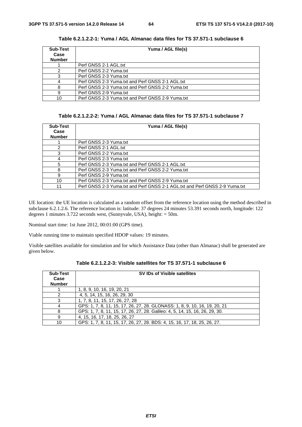| Sub-Test      | Yuma / AGL file(s)                                |
|---------------|---------------------------------------------------|
| Case          |                                                   |
| <b>Number</b> |                                                   |
|               | Perf GNSS 2-1 AGL.txt                             |
|               | Perf GNSS 2-2 Yuma.txt                            |
|               | Perf GNSS 2-3 Yuma.txt                            |
|               | Perf GNSS 2-3 Yuma.txt and Perf GNSS 2-1 AGL.txt  |
|               | Perf GNSS 2-3 Yuma.txt and Perf GNSS 2-2 Yuma.txt |
| я             | Perf GNSS 2-9 Yuma.txt                            |
| 10            | Perf GNSS 2-3 Yuma.txt and Perf GNSS 2-9 Yuma.txt |

**Table 6.2.1.2.2-1: Yuma / AGL Almanac data files for TS 37.571-1 subclause 6** 

# **Table 6.2.1.2.2-2: Yuma / AGL Almanac data files for TS 37.571-1 subclause 7**

| <b>Sub-Test</b><br>Case<br><b>Number</b> | Yuma / AGL file(s)                                                          |
|------------------------------------------|-----------------------------------------------------------------------------|
|                                          | Perf GNSS 2-3 Yuma.txt                                                      |
| 2                                        | Perf GNSS 2-1 AGL.txt                                                       |
| 3                                        | Perf GNSS 2-2 Yuma.txt                                                      |
|                                          | Perf GNSS 2-3 Yuma.txt                                                      |
| 5                                        | Perf GNSS 2-3 Yuma.txt and Perf GNSS 2-1 AGL.txt                            |
| 8                                        | Perf GNSS 2-3 Yuma.txt and Perf GNSS 2-2 Yuma.txt                           |
| я                                        | Perf GNSS 2-9 Yuma.txt                                                      |
| 10                                       | Perf GNSS 2-3 Yuma.txt and Perf GNSS 2-9 Yuma.txt                           |
| 11                                       | Perf GNSS 2-3 Yuma.txt and Perf GNSS 2-1 AGL.txt and Perf GNSS 2-9 Yuma.txt |

UE location: the UE location is calculated as a random offset from the reference location using the method described in subclause 6.2.1.2.6. The reference location is: latitude: 37 degrees 24 minutes 53.391 seconds north, longitude: 122 degrees 1 minutes 3.722 seconds west, (Sunnyvale, USA), height: = 50m.

Nominal start time: 1st June 2012, 00:01:00 (GPS time).

Viable running time to maintain specified HDOP values: 19 minutes.

Visible satellites available for simulation and for which Assistance Data (other than Almanac) shall be generated are given below.

| <b>Sub-Test</b><br>Case<br><b>Number</b> | SV IDs of Visible satellites                                                 |
|------------------------------------------|------------------------------------------------------------------------------|
|                                          | 1, 8, 9, 10, 16, 19, 20, 21                                                  |
|                                          | 4, 5, 14, 15, 16, 26, 29, 30                                                 |
|                                          | 1, 7, 8, 11, 15, 17, 26, 27, 28                                              |
|                                          | GPS: 1, 7, 8, 11, 15, 17, 26, 27, 28. GLONASS: 1, 8, 9, 10, 16, 19, 20, 21   |
|                                          | GPS: 1, 7, 8, 11, 15, 17, 26, 27, 28. Galileo: 4, 5, 14, 15, 16, 26, 29, 30. |
|                                          | 4, 15, 16, 17, 18, 25, 26, 27                                                |
| 10                                       | GPS: 1, 7, 8, 11, 15, 17, 26, 27, 28. BDS: 4, 15, 16, 17, 18, 25, 26, 27.    |

**Table 6.2.1.2.2-3: Visible satellites for TS 37.571-1 subclause 6**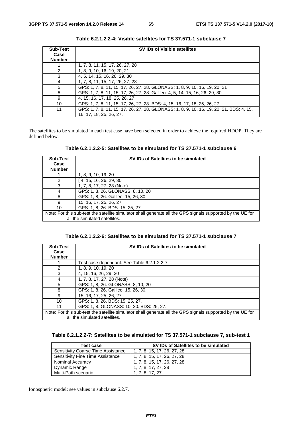| <b>Sub-Test</b> | <b>SV IDs of Visible satellites</b>                                                     |  |
|-----------------|-----------------------------------------------------------------------------------------|--|
| Case            |                                                                                         |  |
| <b>Number</b>   |                                                                                         |  |
|                 | 1, 7, 8, 11, 15, 17, 26, 27, 28                                                         |  |
| 2               | 1, 8, 9, 10, 16, 19, 20, 21                                                             |  |
| 3               | 4, 5, 14, 15, 16, 26, 29, 30                                                            |  |
| 4               | 1, 7, 8, 11, 15, 17, 26, 27, 28                                                         |  |
| 5               | GPS: 1, 7, 8, 11, 15, 17, 26, 27, 28. GLONASS: 1, 8, 9, 10, 16, 19, 20, 21              |  |
| 8               | GPS: 1, 7, 8, 11, 15, 17, 26, 27, 28. Galileo: 4, 5, 14, 15, 16, 26, 29, 30.            |  |
| 9               | 4, 15, 16, 17, 18, 25, 26, 27                                                           |  |
| 10              | GPS: 1, 7, 8, 11, 15, 17, 26, 27, 28. BDS: 4, 15, 16, 17, 18, 25, 26, 27.               |  |
| 11              | GPS: 1, 7, 8, 11, 15, 17, 26, 27, 28. GLONASS: 1, 8, 9, 10, 16, 19, 20, 21. BDS: 4, 15, |  |
|                 | 16, 17, 18, 25, 26, 27.                                                                 |  |

**Table 6.2.1.2.2-4: Visible satellites for TS 37.571-1 subclause 7** 

The satellites to be simulated in each test case have been selected in order to achieve the required HDOP. They are defined below.

**Table 6.2.1.2.2-5: Satellites to be simulated for TS 37.571-1 subclause 6** 

| <b>Sub-Test</b>                                                                                            | SV IDs of Satellites to be simulated |
|------------------------------------------------------------------------------------------------------------|--------------------------------------|
| Case                                                                                                       |                                      |
| <b>Number</b>                                                                                              |                                      |
|                                                                                                            | 1, 8, 9, 10, 19, 20                  |
|                                                                                                            | 4, 15, 16, 26, 29, 30                |
| 3                                                                                                          | 1, 7, 8, 17, 27, 28 (Note)           |
|                                                                                                            | GPS: 1, 8, 26. GLONASS: 8, 10, 20    |
| 8                                                                                                          | GPS: 1, 8, 26. Galileo: 15, 26, 30.  |
| 9                                                                                                          | 15, 16, 17, 25, 26, 27               |
| 10                                                                                                         | GPS: 1, 8, 26. BDS: 15, 25, 27.      |
| Note: For this sub-test the satellite simulator shall generate all the GPS signals supported by the UE for |                                      |
|                                                                                                            | all the simulated satellites.        |

**Table 6.2.1.2.2-6: Satellites to be simulated for TS 37.571-1 subclause 7** 

| <b>Sub-Test</b>                                                                                            | SV IDs of Satellites to be simulated       |  |
|------------------------------------------------------------------------------------------------------------|--------------------------------------------|--|
| Case                                                                                                       |                                            |  |
| <b>Number</b>                                                                                              |                                            |  |
|                                                                                                            | Test case dependant. See Table 6.2.1.2.2-7 |  |
| 2                                                                                                          | 1, 8, 9, 10, 19, 20                        |  |
| 3                                                                                                          | 4, 15, 16, 26, 29, 30                      |  |
| 4                                                                                                          | 1, 7, 8, 17, 27, 28 (Note)                 |  |
| 5                                                                                                          | GPS: 1, 8, 26. GLONASS: 8, 10, 20          |  |
| 8                                                                                                          | GPS: 1, 8, 26. Galileo: 15, 26, 30.        |  |
| 9                                                                                                          | 15, 16, 17, 25, 26, 27                     |  |
| 10                                                                                                         | GPS: 1, 8, 26. BDS: 15, 25, 27.            |  |
| 11                                                                                                         | GPS: 1, 8. GLONASS: 10, 20. BDS: 25, 27.   |  |
| Note: For this sub-test the satellite simulator shall generate all the GPS signals supported by the UE for |                                            |  |
|                                                                                                            | all the simulated satellites.              |  |

**Table 6.2.1.2.2-7: Satellites to be simulated for TS 37.571-1 subclause 7, sub-test 1** 

| Test case                          | SV IDs of Satellites to be simulated |
|------------------------------------|--------------------------------------|
| Sensitivity Coarse Time Assistance | 1, 7, 8, 15, 17, 26, 27, 28          |
| Sensitivity Fine Time Assistance   | 1, 7, 8, 15, 17, 26, 27, 28          |
| <b>Nominal Accuracy</b>            | 1, 7, 8, 15, 17, 26, 27, 28          |
| Dynamic Range                      | 1. 7. 8. 17. 27. 28                  |
| Multi-Path scenario                | 1, 7, 8, 17, 27                      |

Ionospheric model: see values in subclause 6.2.7.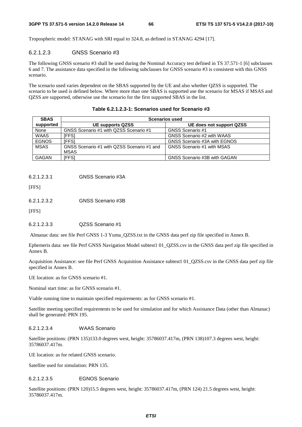Tropospheric model: STANAG with SRI equal to 324.8, as defined in STANAG 4294 [17].

# 6.2.1.2.3 GNSS Scenario #3

The following GNSS scenario #3 shall be used during the Nominal Accuracy test defined in TS 37.571-1 [6] subclauses 6 and 7. The assistance data specified in the following subclauses for GNSS scenario #3 is consistent with this GNSS scenario.

The scenario used varies dependent on the SBAS supported by the UE and also whether QZSS is supported. The scenario to be used is defined below. Where more than one SBAS is supported use the scenario for MSAS if MSAS and QZSS are supported, otherwise use the scenario for the first supported SBAS in the list.

| <b>SBAS</b>  | <b>Scenarios used</b>                      |                              |
|--------------|--------------------------------------------|------------------------------|
| supported    | <b>UE supports QZSS</b>                    | UE does not support QZSS     |
| None         | GNSS Scenario #1 with QZSS Scenario #1     | GNSS Scenario #1             |
| <b>WAAS</b>  | IFFSI                                      | GNSS Scenario #2 with WAAS   |
| <b>EGNOS</b> | <b>IFFS1</b>                               | GNSS Scenario #3A with EGNOS |
| <b>MSAS</b>  | GNSS Scenario #1 with QZSS Scenario #1 and | GNSS Scenario #1 with MSAS   |
|              | MSAS                                       |                              |
| <b>GAGAN</b> | [FFS]                                      | GNSS Scenario #3B with GAGAN |

**Table 6.2.1.2.3-1: Scenarios used for Scenario #3** 

6.2.1.2.3.1 GNSS Scenario #3A

[FFS]

6.2.1.2.3.2 GNSS Scenario #3B

[FFS]

6.2.1.2.3.3 QZSS Scenario #1

Almanac data: see file Perf GNSS 1-3 Yuma\_QZSS.txt in the GNSS data perf zip file specified in Annex B.

Ephemeris data: see file Perf GNSS Navigation Model subtest1 01\_QZSS.csv in the GNSS data perf zip file specified in Annex B.

Acquisition Assistance: see file Perf GNSS Acquisition Assistance subtest1 01\_QZSS.csv in the GNSS data perf zip file specified in Annex B.

UE location: as for GNSS scenario #1.

Nominal start time: as for GNSS scenario #1.

Viable running time to maintain specified requirements: as for GNSS scenario #1.

Satellite meeting specified requirements to be used for simulation and for which Assistance Data (other than Almanac) shall be generated: PRN 195.

#### 6.2.1.2.3.4 WAAS Scenario

Satellite positions: (PRN 135)133.0 degrees west, height: 35786037.417m, (PRN 138)107.3 degrees west, height: 35786037.417m.

UE location: as for related GNSS scenario.

Satellite used for simulation: PRN 135.

#### 6.2.1.2.3.5 EGNOS Scenario

Satellite positions: (PRN 120)15.5 degrees west, height: 35786037.417m, (PRN 124) 21.5 degrees west, height: 35786037.417m.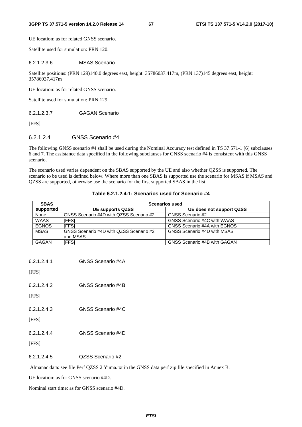UE location: as for related GNSS scenario.

Satellite used for simulation: PRN 120.

#### 6.2.1.2.3.6 MSAS Scenario

Satellite positions: (PRN 129)140.0 degrees east, height: 35786037.417m, (PRN 137)145 degrees east, height: 35786037.417m

UE location: as for related GNSS scenario.

Satellite used for simulation: PRN 129.

6.2.1.2.3.7 GAGAN Scenario

[FFS]

# 6.2.1.2.4 GNSS Scenario #4

The following GNSS scenario #4 shall be used during the Nominal Accuracy test defined in TS 37.571-1 [6] subclauses 6 and 7. The assistance data specified in the following subclauses for GNSS scenario #4 is consistent with this GNSS scenario.

The scenario used varies dependent on the SBAS supported by the UE and also whether QZSS is supported. The scenario to be used is defined below. Where more than one SBAS is supported use the scenario for MSAS if MSAS and QZSS are supported, otherwise use the scenario for the first supported SBAS in the list.

| <b>SBAS</b>  | <b>Scenarios used</b>                   |                              |
|--------------|-----------------------------------------|------------------------------|
| supported    | <b>UE supports QZSS</b>                 | UE does not support QZSS     |
| None         | GNSS Scenario #4D with QZSS Scenario #2 | GNSS Scenario #2             |
| <b>WAAS</b>  | [FFS]                                   | GNSS Scenario #4C with WAAS  |
| <b>EGNOS</b> | <b>IFFSI</b>                            | GNSS Scenario #4A with EGNOS |
| <b>MSAS</b>  | GNSS Scenario #4D with QZSS Scenario #2 | GNSS Scenario #4D with MSAS  |
|              | and MSAS                                |                              |
| <b>GAGAN</b> | [FFS]                                   | GNSS Scenario #4B with GAGAN |

#### **Table 6.2.1.2.4-1: Scenarios used for Scenario #4**

[FFS]

[FFS]

6.2.1.2.4.3 GNSS Scenario #4C

- [FFS]
- 6.2.1.2.4.4 GNSS Scenario #4D

[FFS]

6.2.1.2.4.5 QZSS Scenario #2

Almanac data: see file Perf QZSS 2 Yuma.txt in the GNSS data perf zip file specified in Annex B.

UE location: as for GNSS scenario #4D.

Nominal start time: as for GNSS scenario #4D.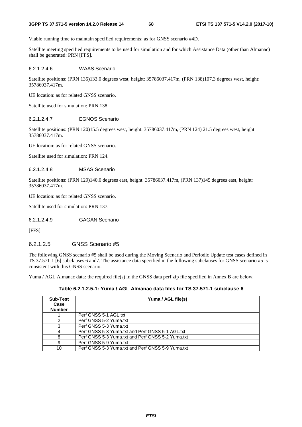Viable running time to maintain specified requirements: as for GNSS scenario #4D.

Satellite meeting specified requirements to be used for simulation and for which Assistance Data (other than Almanac) shall be generated: PRN [FFS].

6.2.1.2.4.6 WAAS Scenario

Satellite positions: (PRN 135)133.0 degrees west, height: 35786037.417m, (PRN 138)107.3 degrees west, height: 35786037.417m.

UE location: as for related GNSS scenario.

Satellite used for simulation: PRN 138.

#### 6.2.1.2.4.7 EGNOS Scenario

Satellite positions: (PRN 120)15.5 degrees west, height: 35786037.417m, (PRN 124) 21.5 degrees west, height: 35786037.417m.

UE location: as for related GNSS scenario.

Satellite used for simulation: PRN 124.

6.2.1.2.4.8 MSAS Scenario

Satellite positions: (PRN 129)140.0 degrees east, height: 35786037.417m, (PRN 137)145 degrees east, height: 35786037.417m.

UE location: as for related GNSS scenario.

Satellite used for simulation: PRN 137.

6.2.1.2.4.9 GAGAN Scenario

[FFS]

# 6.2.1.2.5 GNSS Scenario #5

The following GNSS scenario #5 shall be used during the Moving Scenario and Periodic Update test cases defined in TS 37.571-1 [6] subclauses 6 and7. The assistance data specified in the following subclauses for GNSS scenario #5 is consistent with this GNSS scenario.

Yuma / AGL Almanac data: the required file(s) in the GNSS data perf zip file specified in Annex B are below.

**Table 6.2.1.2.5-1: Yuma / AGL Almanac data files for TS 37.571-1 subclause 6** 

| Sub-Test<br>Case<br><b>Number</b> | Yuma / AGL file(s)                                |
|-----------------------------------|---------------------------------------------------|
|                                   | Perf GNSS 5-1 AGL.txt                             |
|                                   | Perf GNSS 5-2 Yuma.txt                            |
|                                   | Perf GNSS 5-3 Yuma.txt                            |
|                                   | Perf GNSS 5-3 Yuma.txt and Perf GNSS 5-1 AGL.txt  |
| 8                                 | Perf GNSS 5-3 Yuma.txt and Perf GNSS 5-2 Yuma.txt |
| 9                                 | Perf GNSS 5-9 Yuma.txt                            |
| 10                                | Perf GNSS 5-3 Yuma.txt and Perf GNSS 5-9 Yuma.txt |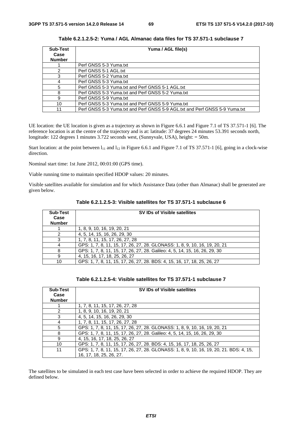| <b>Sub-Test</b> | Yuma / AGL file(s)                                                          |  |
|-----------------|-----------------------------------------------------------------------------|--|
| Case            |                                                                             |  |
| <b>Number</b>   |                                                                             |  |
|                 | Perf GNSS 5-3 Yuma.txt                                                      |  |
|                 | Perf GNSS 5-1 AGL.txt                                                       |  |
| 3               | Perf GNSS 5-2 Yuma.txt                                                      |  |
| 4               | Perf GNSS 5-3 Yuma.txt                                                      |  |
| 5               | Perf GNSS 5-3 Yuma.txt and Perf GNSS 5-1 AGL.txt                            |  |
| 8               | Perf GNSS 5-3 Yuma.txt and Perf GNSS 5-2 Yuma.txt                           |  |
| 9               | Perf GNSS 5-9 Yuma.txt                                                      |  |
| 10              | Perf GNSS 5-3 Yuma.txt and Perf GNSS 5-9 Yuma.txt                           |  |
| 11              | Perf GNSS 5-3 Yuma.txt and Perf GNSS 5-9 AGL.txt and Perf GNSS 5-9 Yuma.txt |  |

**Table 6.2.1.2.5-2: Yuma / AGL Almanac data files for TS 37.571-1 subclause 7** 

UE location: the UE location is given as a trajectory as shown in Figure 6.6.1 and Figure 7.1 of TS 37.571-1 [6]. The reference location is at the centre of the trajectory and is at: latitude: 37 degrees 24 minutes 53.391 seconds north, longitude: 122 degrees 1 minutes 3.722 seconds west, (Sunnyvale, USA), height: = 50m.

Start location: at the point between  $l_{11}$  and  $l_{12}$  in Figure 6.6.1 and Figure 7.1 of TS 37.571-1 [6], going in a clock-wise direction.

Nominal start time: 1st June 2012, 00:01:00 (GPS time).

Viable running time to maintain specified HDOP values: 20 minutes.

Visible satellites available for simulation and for which Assistance Data (other than Almanac) shall be generated are given below.

| <b>Sub-Test</b><br>Case<br><b>Number</b> | SV IDs of Visible satellites                                                |
|------------------------------------------|-----------------------------------------------------------------------------|
|                                          | 1, 8, 9, 10, 16, 19, 20, 21                                                 |
|                                          | 4, 5, 14, 15, 16, 26, 29, 30                                                |
|                                          | 1, 7, 8, 11, 15, 17, 26, 27, 28                                             |
|                                          | GPS: 1, 7, 8, 11, 15, 17, 26, 27, 28. GLONASS: 1, 8, 9, 10, 16, 19, 20, 21  |
| 8                                        | GPS: 1, 7, 8, 11, 15, 17, 26, 27, 28. Galileo: 4, 5, 14, 15, 16, 26, 29, 30 |
|                                          | 4, 15, 16, 17, 18, 25, 26, 27                                               |
| 10                                       | GPS: 1, 7, 8, 11, 15, 17, 26, 27, 28, BDS: 4, 15, 16, 17, 18, 25, 26, 27    |

**Table 6.2.1.2.5-3: Visible satellites for TS 37.571-1 subclause 6** 

| <b>Sub-Test</b><br>Case<br><b>Number</b> | SV IDs of Visible satellites                                                            |
|------------------------------------------|-----------------------------------------------------------------------------------------|
|                                          | 1, 7, 8, 11, 15, 17, 26, 27, 28                                                         |
| 2                                        | 1, 8, 9, 10, 16, 19, 20, 21                                                             |
| 3                                        | 4, 5, 14, 15, 16, 26, 29, 30                                                            |
| 4                                        | 1, 7, 8, 11, 15, 17, 26, 27, 28                                                         |
| 5                                        | GPS: 1, 7, 8, 11, 15, 17, 26, 27, 28. GLONASS: 1, 8, 9, 10, 16, 19, 20, 21              |
| 8                                        | GPS: 1, 7, 8, 11, 15, 17, 26, 27, 28. Galileo: 4, 5, 14, 15, 16, 26, 29, 30             |
| 9                                        | 4, 15, 16, 17, 18, 25, 26, 27                                                           |
| 10                                       | GPS: 1, 7, 8, 11, 15, 17, 26, 27, 28. BDS: 4, 15, 16, 17, 18, 25, 26, 27                |
| 11                                       | GPS: 1, 7, 8, 11, 15, 17, 26, 27, 28. GLONASS: 1, 8, 9, 10, 16, 19, 20, 21. BDS: 4, 15, |
|                                          | 16, 17, 18, 25, 26, 27.                                                                 |

The satellites to be simulated in each test case have been selected in order to achieve the required HDOP. They are defined below.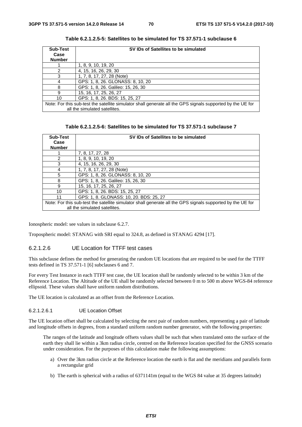| <b>Sub-Test</b> | SV IDs of Satellites to be simulated                                                                       |
|-----------------|------------------------------------------------------------------------------------------------------------|
| Case            |                                                                                                            |
| <b>Number</b>   |                                                                                                            |
|                 | 1, 8, 9, 10, 19, 20                                                                                        |
| $\mathcal{P}$   | 4, 15, 16, 26, 29, 30                                                                                      |
| 3               | 1, 7, 8, 17, 27, 28 (Note)                                                                                 |
|                 | GPS: 1, 8, 26. GLONASS: 8, 10, 20                                                                          |
| 8               | GPS: 1, 8, 26. Galileo: 15, 26, 30                                                                         |
| 9               | 15, 16, 17, 25, 26, 27                                                                                     |
| 10              | GPS: 1, 8, 26. BDS: 15, 25, 27                                                                             |
|                 | Note: For this sub-test the satellite simulator shall generate all the GPS signals supported by the UE for |
|                 | all the simulated satellites.                                                                              |

**Table 6.2.1.2.5-5: Satellites to be simulated for TS 37.571-1 subclause 6** 

| Table 6.2.1.2.5-6: Satellites to be simulated for TS 37.571-1 subclause 7 |  |  |
|---------------------------------------------------------------------------|--|--|
|---------------------------------------------------------------------------|--|--|

| <b>Sub-Test</b>                                                                                            | SV IDs of Satellites to be simulated    |
|------------------------------------------------------------------------------------------------------------|-----------------------------------------|
| Case                                                                                                       |                                         |
| <b>Number</b>                                                                                              |                                         |
|                                                                                                            | 7, 8, 17, 27, 28                        |
| 2                                                                                                          | 1, 8, 9, 10, 19, 20                     |
| 3                                                                                                          | 4, 15, 16, 26, 29, 30                   |
| 4                                                                                                          | 1, 7, 8, 17, 27, 28 (Note)              |
| 5                                                                                                          | GPS: 1, 8, 26. GLONASS: 8, 10, 20       |
| 8                                                                                                          | GPS: 1, 8, 26. Galileo: 15, 26, 30      |
| 9                                                                                                          | 15, 16, 17, 25, 26, 27                  |
| 10                                                                                                         | GPS: 1, 8, 26. BDS: 15, 25, 27          |
| 11                                                                                                         | GPS: 1, 8. GLONASS: 10, 20. BDS: 25, 27 |
| Note: For this sub-test the satellite simulator shall generate all the GPS signals supported by the UE for |                                         |
|                                                                                                            | all the simulated satellites.           |

Ionospheric model: see values in subclause 6.2.7.

Tropospheric model: STANAG with SRI equal to 324.8, as defined in STANAG 4294 [17].

#### 6.2.1.2.6 UE Location for TTFF test cases

This subclause defines the method for generating the random UE locations that are required to be used for the TTFF tests defined in TS 37.571-1 [6] subclauses 6 and 7.

For every Test Instance in each TTFF test case, the UE location shall be randomly selected to be within 3 km of the Reference Location. The Altitude of the UE shall be randomly selected between 0 m to 500 m above WGS-84 reference ellipsoid. These values shall have uniform random distributions.

The UE location is calculated as an offset from the Reference Location.

#### 6.2.1.2.6.1 UE Location Offset

The UE location offset shall be calculated by selecting the next pair of random numbers, representing a pair of latitude and longitude offsets in degrees, from a standard uniform random number generator, with the following properties:

 The ranges of the latitude and longitude offsets values shall be such that when translated onto the surface of the earth they shall lie within a 3km radius circle, centred on the Reference location specified for the GNSS scenario under consideration. For the purposes of this calculation make the following assumptions:

- a) Over the 3km radius circle at the Reference location the earth is flat and the meridians and parallels form a rectangular grid
- b) The earth is spherical with a radius of 6371141m (equal to the WGS 84 value at 35 degrees latitude)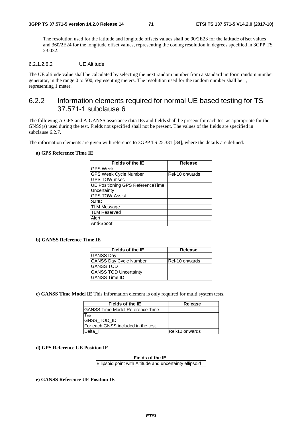The resolution used for the latitude and longitude offsets values shall be 90/2E23 for the latitude offset values and 360/2E24 for the longitude offset values, representing the coding resolution in degrees specified in 3GPP TS 23.032.

#### 6.2.1.2.6.2 UE Altitude

The UE altitude value shall be calculated by selecting the next random number from a standard uniform random number generator, in the range 0 to 500, representing meters. The resolution used for the random number shall be 1, representing 1 meter.

# 6.2.2 Information elements required for normal UE based testing for TS 37.571-1 subclause 6

The following A-GPS and A-GANSS assistance data IEs and fields shall be present for each test as appropriate for the GNSS(s) used during the test. Fields not specified shall not be present. The values of the fields are specified in subclause 6.2.7.

The information elements are given with reference to 3GPP TS 25.331 [34], where the details are defined.

#### **a) GPS Reference Time IE**

| Fields of the IE                        | <b>Release</b> |
|-----------------------------------------|----------------|
| <b>GPS Week</b>                         |                |
| <b>GPS Week Cycle Number</b>            | Rel-10 onwards |
| <b>GPS TOW msec</b>                     |                |
| <b>UE Positioning GPS ReferenceTime</b> |                |
| Uncertainty                             |                |
| <b>GPS TOW Assist</b>                   |                |
| SatID                                   |                |
| <b>TLM Message</b>                      |                |
| <b>TLM Reserved</b>                     |                |
| Alert                                   |                |
| Anti-Spoof                              |                |

#### **b) GANSS Reference Time IE**

| <b>Fields of the IE</b>       | <b>Release</b>        |
|-------------------------------|-----------------------|
| <b>GANSS Day</b>              |                       |
| <b>GANSS Day Cycle Number</b> | <b>Rel-10 onwards</b> |
| <b>GANSS TOD</b>              |                       |
| <b>GANSS TOD Uncertainty</b>  |                       |
| <b>GANSS Time ID</b>          |                       |

**c) GANSS Time Model IE** This information element is only required for multi system tests.

| Fields of the IE                     | Release               |
|--------------------------------------|-----------------------|
| IGANSS Time Model Reference Time     |                       |
| Tao                                  |                       |
| GNSS_TOD_ID                          |                       |
| IFor each GNSS included in the test. |                       |
| Delta T                              | <b>Rel-10 onwards</b> |

#### **d) GPS Reference UE Position IE**

| Fields of the IE                                        |  |  |
|---------------------------------------------------------|--|--|
| Ellipsoid point with Altitude and uncertainty ellipsoid |  |  |

#### **e) GANSS Reference UE Position IE**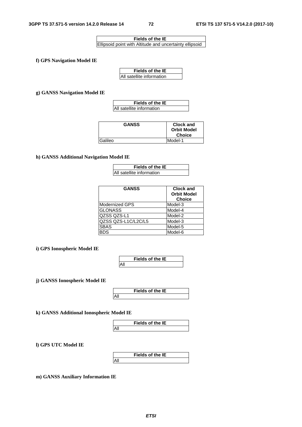| Fields of the IE                                        |  |  |
|---------------------------------------------------------|--|--|
| Ellipsoid point with Altitude and uncertainty ellipsoid |  |  |

**f) GPS Navigation Model IE**

| <b>Fields of the IE</b>   |  |
|---------------------------|--|
| All satellite information |  |

**g) GANSS Navigation Model IE**

| Fields of the IE          |
|---------------------------|
| All satellite information |

| <b>GANSS</b> | <b>Clock and</b><br><b>Orbit Model</b><br><b>Choice</b> |
|--------------|---------------------------------------------------------|
| Galileo      | Model-1                                                 |

**h) GANSS Additional Navigation Model IE**

| Fields of the IE          |  |
|---------------------------|--|
| All satellite information |  |

| <b>GANSS</b>        | <b>Clock and</b><br><b>Orbit Model</b><br><b>Choice</b> |
|---------------------|---------------------------------------------------------|
| Modernized GPS      | Model-3                                                 |
| <b>GLONASS</b>      | Model-4                                                 |
| QZSS QZS-L1         | Model-2                                                 |
| QZSS QZS-L1C/L2C/L5 | Model-3                                                 |
| <b>SBAS</b>         | Model-5                                                 |
| <b>BDS</b>          | Model-6                                                 |

**i) GPS Ionospheric Model IE**

|     | Fields of the IE |
|-----|------------------|
| Αll |                  |

**j) GANSS Ionospheric Model IE**



**k) GANSS Additional Ionospheric Model IE**

|     | <b>Fields of the IE</b> |
|-----|-------------------------|
| All |                         |

**l) GPS UTC Model IE**

| Fields of the IE |  |
|------------------|--|
|                  |  |

**m) GANSS Auxiliary Information IE**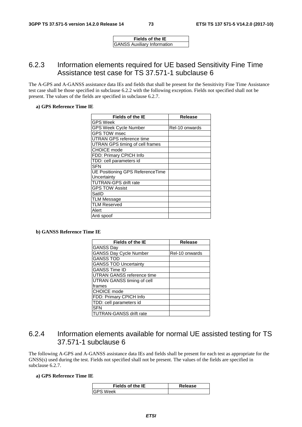**Fields of the IE** GANSS Auxiliary Information

# 6.2.3 Information elements required for UE based Sensitivity Fine Time Assistance test case for TS 37.571-1 subclause 6

The A-GPS and A-GANSS assistance data IEs and fields that shall be present for the Sensitivity Fine Time Assistance test case shall be those specified in subclause 6.2.2 with the following exception. Fields not specified shall not be present. The values of the fields are specified in subclause 6.2.7.

#### **a) GPS Reference Time IE**

| <b>Fields of the IE</b>          | Release        |
|----------------------------------|----------------|
| <b>GPS Week</b>                  |                |
| GPS Week Cycle Number            | Rel-10 onwards |
| <b>GPS TOW msec</b>              |                |
| UTRAN GPS reference time         |                |
| UTRAN GPS timing of cell frames  |                |
| <b>CHOICE</b> mode               |                |
| FDD: Primary CPICH Info          |                |
| TDD: cell parameters id          |                |
| <b>SFN</b>                       |                |
| UE Positioning GPS ReferenceTime |                |
| Uncertainty                      |                |
| <b>TUTRAN-GPS drift rate</b>     |                |
| <b>GPS TOW Assist</b>            |                |
| SatID                            |                |
| <b>TLM Message</b>               |                |
| <b>TLM Reserved</b>              |                |
| Alert                            |                |
| Anti spoof                       |                |

**b) GANSS Reference Time IE** 

| <b>Fields of the IE</b>        | <b>Release</b> |
|--------------------------------|----------------|
| <b>GANSS Day</b>               |                |
| <b>GANSS Day Cycle Number</b>  | Rel-10 onwards |
| <b>GANSS TOD</b>               |                |
| <b>GANSS TOD Uncertainty</b>   |                |
| <b>GANSS Time ID</b>           |                |
| UTRAN GANSS reference time     |                |
| UTRAN GANSS timing of cell     |                |
| frames                         |                |
| <b>CHOICE</b> mode             |                |
| FDD: Primary CPICH Info        |                |
| TDD: cell parameters id        |                |
| <b>SFN</b>                     |                |
| <b>TUTRAN-GANSS drift rate</b> |                |

# 6.2.4 Information elements available for normal UE assisted testing for TS 37.571-1 subclause 6

The following A-GPS and A-GANSS assistance data IEs and fields shall be present for each test as appropriate for the GNSS(s) used during the test. Fields not specified shall not be present. The values of the fields are specified in subclause 6.2.7.

#### **a) GPS Reference Time IE**

| Fields of the IE | Release |
|------------------|---------|
| <b>GPS Week</b>  |         |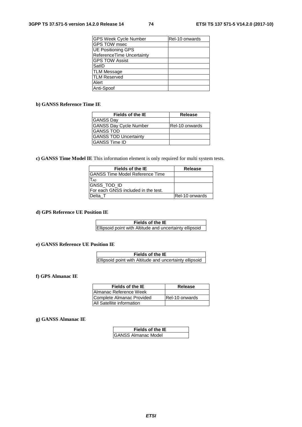| GPS Week Cycle Number     | Rel-10 onwards |
|---------------------------|----------------|
| <b>GPS TOW msec</b>       |                |
| <b>UE Positioning GPS</b> |                |
| ReferenceTime Uncertainty |                |
| <b>GPS TOW Assist</b>     |                |
| SatID                     |                |
| <b>TLM Message</b>        |                |
| <b>TLM Reserved</b>       |                |
| Alert                     |                |
| Anti-Spoof                |                |

#### **b) GANSS Reference Time IE**

| Fields of the IE              | <b>Release</b>  |
|-------------------------------|-----------------|
| <b>GANSS Day</b>              |                 |
| <b>GANSS Day Cycle Number</b> | IRel-10 onwards |
| <b>GANSS TOD</b>              |                 |
| <b>GANSS TOD Uncertainty</b>  |                 |
| IGANSS Time ID                |                 |

**c) GANSS Time Model IE** This information element is only required for multi system tests.

| Fields of the IE                     | Release               |
|--------------------------------------|-----------------------|
| IGANSS Time Model Reference Time     |                       |
| T <sub>A0</sub>                      |                       |
| GNSS_TOD_ID                          |                       |
| IFor each GNSS included in the test. |                       |
| Delta T                              | <b>Rel-10 onwards</b> |

**d) GPS Reference UE Position IE**

**Fields of the IE** Ellipsoid point with Altitude and uncertainty ellipsoid

**e) GANSS Reference UE Position IE**

**Fields of the IE** Ellipsoid point with Altitude and uncertainty ellipsoid

**f) GPS Almanac IE** 

| Fields of the IE                 | Release               |
|----------------------------------|-----------------------|
| <b>IAImanac Reference Week</b>   |                       |
| Complete Almanac Provided        | <b>Rel-10 onwards</b> |
| <b>All Satellite information</b> |                       |

#### **g) GANSS Almanac IE**

| Fields of the IE           |  |
|----------------------------|--|
| <b>GANSS Almanac Model</b> |  |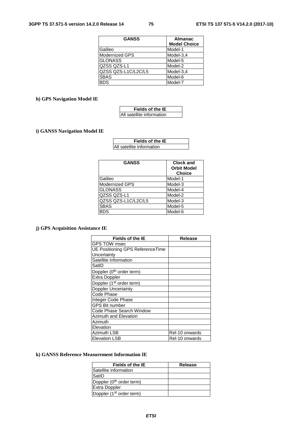| <b>GANSS</b>          | <b>Almanac</b><br><b>Model Choice</b> |
|-----------------------|---------------------------------------|
| Galileo               | Model-1                               |
| <b>Modernized GPS</b> | Model-3,4                             |
| <b>GLONASS</b>        | Model-5                               |
| QZSS QZS-L1           | Model-2                               |
| QZSS QZS-L1C/L2C/L5   | Model-3,4                             |
| <b>SBAS</b>           | Model-6                               |
| BDS.                  | Model-7                               |

## **h) GPS Navigation Model IE**

| Fields of the IE          |  |
|---------------------------|--|
| All satellite information |  |

## **i) GANSS Navigation Model IE**

| Fields of the IE          |  |
|---------------------------|--|
| All satellite information |  |

| <b>GANSS</b>        | <b>Clock and</b><br><b>Orbit Model</b><br><b>Choice</b> |
|---------------------|---------------------------------------------------------|
| Galileo             | Model-1                                                 |
| Modernized GPS      | Model-3                                                 |
| <b>GLONASS</b>      | Model-4                                                 |
| QZSS QZS-L1         | Model-2                                                 |
| QZSS QZS-L1C/L2C/L5 | Model-3                                                 |
| SBAS                | Model-5                                                 |
| <b>BDS</b>          | Model-6                                                 |
|                     |                                                         |

## **j) GPS Acquisition Assistance IE**

| <b>Fields of the IE</b>              | Release        |
|--------------------------------------|----------------|
| <b>GPS TOW msec</b>                  |                |
| UE Positioning GPS ReferenceTime     |                |
| Uncertainty                          |                |
| Satellite information                |                |
| SatID                                |                |
| Doppler (0 <sup>th</sup> order term) |                |
| <b>Extra Doppler</b>                 |                |
| Doppler (1 <sup>st</sup> order term) |                |
| Doppler Uncertainty                  |                |
| Code Phase                           |                |
| Integer Code Phase                   |                |
| <b>GPS Bit number</b>                |                |
| Code Phase Search Window             |                |
| Azimuth and Elevation                |                |
| Azimuth                              |                |
| Elevation                            |                |
| Azimuth LSB                          | Rel-10 onwards |
| <b>Elevation LSB</b>                 | Rel-10 onwards |

#### **k) GANSS Reference Measurement Information IE**

| Fields of the IE                     | Release |
|--------------------------------------|---------|
| Satellite information                |         |
| SatID                                |         |
| Doppler (0 <sup>th</sup> order term) |         |
| <b>Extra Doppler</b>                 |         |
| Doppler (1 <sup>st</sup> order term) |         |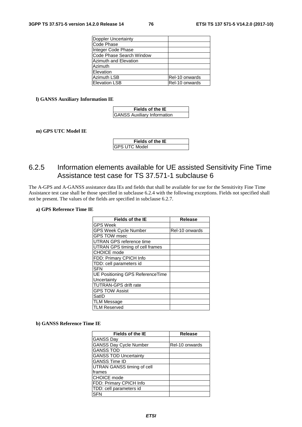| <b>Doppler Uncertainty</b>   |                |
|------------------------------|----------------|
| Code Phase                   |                |
| Integer Code Phase           |                |
| Code Phase Search Window     |                |
| <b>Azimuth and Elevation</b> |                |
| Azimuth                      |                |
| Elevation                    |                |
| <b>Azimuth LSB</b>           | Rel-10 onwards |
| <b>Elevation LSB</b>         | Rel-10 onwards |

#### **l) GANSS Auxiliary Information IE**

| Fields of the IE                   |  |
|------------------------------------|--|
| <b>GANSS Auxiliary Information</b> |  |

**m) GPS UTC Model IE**

| Fields of the IE     |
|----------------------|
| <b>GPS UTC Model</b> |

# 6.2.5 Information elements available for UE assisted Sensitivity Fine Time Assistance test case for TS 37.571-1 subclause 6

The A-GPS and A-GANSS assistance data IEs and fields that shall be available for use for the Sensitivity Fine Time Assistance test case shall be those specified in subclause 6.2.4 with the following exceptions. Fields not specified shall not be present. The values of the fields are specified in subclause 6.2.7.

#### **a) GPS Reference Time IE**

| <b>Fields of the IE</b>          | <b>Release</b> |
|----------------------------------|----------------|
| <b>GPS Week</b>                  |                |
| GPS Week Cycle Number            | Rel-10 onwards |
| <b>GPS TOW msec</b>              |                |
| UTRAN GPS reference time         |                |
| UTRAN GPS timing of cell frames  |                |
| CHOICE mode                      |                |
| FDD: Primary CPICH Info          |                |
| TDD: cell parameters id          |                |
| <b>SFN</b>                       |                |
| UE Positioning GPS ReferenceTime |                |
| Uncertainty                      |                |
| <b>TUTRAN-GPS drift rate</b>     |                |
| <b>GPS TOW Assist</b>            |                |
| SatID                            |                |
| <b>TLM Message</b>               |                |
| <b>TLM Reserved</b>              |                |

#### **b) GANSS Reference Time IE**

| <b>Fields of the IE</b>       | <b>Release</b> |
|-------------------------------|----------------|
| <b>GANSS Day</b>              |                |
| <b>GANSS Day Cycle Number</b> | Rel-10 onwards |
| <b>GANSS TOD</b>              |                |
| <b>GANSS TOD Uncertainty</b>  |                |
| <b>GANSS Time ID</b>          |                |
| UTRAN GANSS timing of cell    |                |
| frames                        |                |
| <b>CHOICE</b> mode            |                |
| FDD: Primary CPICH Info       |                |
| TDD: cell parameters id       |                |
| SFN                           |                |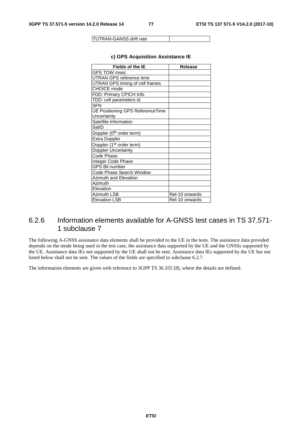TUTRAN-GANSS drift rate

| <b>Fields of the IE</b>                 | Release        |
|-----------------------------------------|----------------|
| <b>GPS TOW msec</b>                     |                |
| <b>UTRAN GPS reference time</b>         |                |
| UTRAN GPS timing of cell frames         |                |
| <b>CHOICE</b> mode                      |                |
| FDD: Primary CPICH Info                 |                |
| TDD: cell parameters id                 |                |
| <b>SFN</b>                              |                |
| <b>UE Positioning GPS ReferenceTime</b> |                |
| Uncertainty                             |                |
| Satellite information                   |                |
| SatID                                   |                |
| Doppler (0 <sup>th</sup> order term)    |                |
| <b>Extra Doppler</b>                    |                |
| Doppler (1 <sup>st</sup> order term)    |                |
| Doppler Uncertainty                     |                |
| Code Phase                              |                |
| Integer Code Phase                      |                |
| <b>GPS Bit number</b>                   |                |
| Code Phase Search Window                |                |
| <b>Azimuth and Elevation</b>            |                |
| Azimuth                                 |                |
| Elevation                               |                |
| <b>Azimuth LSB</b>                      | Rel-10 onwards |
| <b>Elevation LSB</b>                    | Rel-10 onwards |

#### **c) GPS Acquisition Assistance IE**

# 6.2.6 Information elements available for A-GNSS test cases in TS 37.571- 1 subclause 7

The following A-GNSS assistance data elements shall be provided to the UE in the tests. The assistance data provided depends on the mode being used in the test case, the assistance data supported by the UE and the GNSSs supported by the UE. Assistance data IEs not supported by the UE shall not be sent. Assistance data IEs supported by the UE but not listed below shall not be sent. The values of the fields are specified in subclause 6.2.7.

The information elements are given with reference to 3GPP TS 36.355 [8], where the details are defined.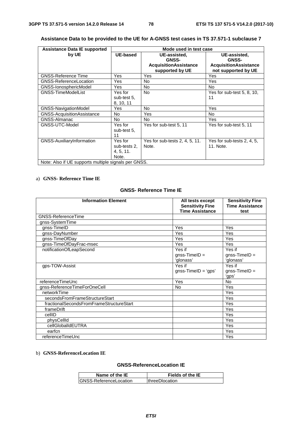| <b>Assistance Data IE supported</b>                  | Mode used in test case                        |                                                 |                                                     |
|------------------------------------------------------|-----------------------------------------------|-------------------------------------------------|-----------------------------------------------------|
| by UE                                                | UE-based                                      | UE-assisted.<br><b>GNSS-</b>                    | UE-assisted.<br><b>GNSS-</b>                        |
|                                                      |                                               | <b>AcquisitionAssistance</b><br>supported by UE | <b>AcquisitionAssistance</b><br>not supported by UE |
| <b>GNSS-Reference Time</b>                           | Yes                                           | Yes                                             | <b>Yes</b>                                          |
| <b>GNSS-ReferenceLocation</b>                        | Yes                                           | No.                                             | Yes                                                 |
| GNSS-IonosphericModel                                | Yes                                           | No.                                             | <b>No</b>                                           |
| <b>GNSS-TimeModelList</b>                            | Yes for<br>sub-test 5.<br>8, 10, 11           | No.                                             | Yes for sub-test 5, 8, 10,<br>11                    |
| GNSS-NavigationModel                                 | Yes                                           | No.                                             | Yes                                                 |
| <b>GNSS-AcquisitionAssistance</b>                    | No.                                           | Yes                                             | No.                                                 |
| <b>GNSS-Almanac</b>                                  | No.                                           | No.                                             | <b>Yes</b>                                          |
| GNSS-UTC-Model                                       | Yes for<br>sub-test 5.<br>11                  | Yes for sub-test 5, 11                          | Yes for sub-test 5, 11                              |
| GNSS-AuxiliaryInformation                            | Yes for<br>sub-tests 2.<br>4, 5, 11.<br>Note. | Yes for sub-tests 2, 4, 5, 11.<br>Note.         | Yes for sub-tests 2, 4, 5,<br>11. Note.             |
| Note: Also if UE supports multiple signals per GNSS. |                                               |                                                 |                                                     |

## **Assistance Data to be provided to the UE for A-GNSS test cases in TS 37.571-1 subclause 7**

**Contract Contract** 

#### a) **GNSS- Reference Time IE**

#### **GNSS- Reference Time IE**

| <b>Information Element</b>               | All tests except<br><b>Sensitivity Fine</b><br><b>Time Assistance</b> | <b>Sensitivity Fine</b><br><b>Time Assistance</b><br>test |
|------------------------------------------|-----------------------------------------------------------------------|-----------------------------------------------------------|
| <b>GNSS-ReferenceTime</b>                |                                                                       |                                                           |
| gnss-SystemTime                          |                                                                       |                                                           |
| gnss-TimeID                              | Yes                                                                   | Yes                                                       |
| gnss-DayNumber                           | Yes                                                                   | Yes                                                       |
| gnss-TimeOfDay                           | Yes                                                                   | Yes                                                       |
| gnss-TimeOfDayFrac-msec                  | Yes                                                                   | Yes                                                       |
| notificationOfLeapSecond                 | Yes if<br>$q$ nss-TimelD =<br>'glonass'                               | Yes if<br>$q$ nss-TimelD =<br>'glonass'                   |
| gps-TOW-Assist                           | Yes if<br>$gnss-TimelD = 'gps'$                                       | Yes if<br>$gnss-TimelD =$<br>'gps'                        |
| referenceTimeUnc                         | Yes                                                                   | <b>No</b>                                                 |
| gnss-ReferenceTimeForOneCell             | No                                                                    | Yes                                                       |
| networkTime                              |                                                                       | Yes                                                       |
| secondsFromFrameStructureStart           |                                                                       | Yes                                                       |
| fractionalSecondsFromFrameStructureStart |                                                                       | Yes                                                       |
| frameDrift                               |                                                                       | Yes                                                       |
| cellID                                   |                                                                       | Yes                                                       |
| physCellId                               |                                                                       | Yes                                                       |
| cellGlobalIdEUTRA                        |                                                                       | Yes                                                       |
| earfcn                                   |                                                                       | Yes                                                       |
| referenceTimeUnc                         |                                                                       | Yes                                                       |

#### b) **GNSS-ReferenceLocation IE**

### **GNSS-ReferenceLocation IE**

| Name of the IE          | Fields of the IE       |
|-------------------------|------------------------|
| IGNSS-ReferenceLocation | <b>IthreeDlocation</b> |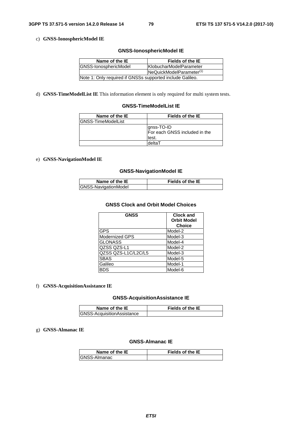#### c) **GNSS-IonosphericModel IE**

#### **GNSS-IonosphericModel IE**

| Name of the IE                                            | Fields of the IE                     |
|-----------------------------------------------------------|--------------------------------------|
| GNSS-IonosphericModel                                     | <b>KlobucharModelParameter</b>       |
|                                                           | NeQuickModelParameter <sup>(1)</sup> |
| Note 1: Only required if GNSSs supported include Galileo. |                                      |

d) **GNSS-TimeModelList IE** This information element is only required for multi system tests.

#### **GNSS-TimeModelList IE**

| Name of the IE             | <b>Fields of the IE</b>                              |
|----------------------------|------------------------------------------------------|
| <b>IGNSS-TimeModelList</b> |                                                      |
|                            | gnss-TO-ID<br>For each GNSS included in the<br>test. |
|                            | deltaT                                               |

#### e) **GNSS-NavigationModel IE**

#### **GNSS-NavigationModel IE**

| Name of the IE       | <b>Fields of the IE</b> |
|----------------------|-------------------------|
| GNSS-NavigationModel |                         |

#### **GNSS Clock and Orbit Model Choices**

| <b>GNSS</b>         | <b>Clock and</b><br><b>Orbit Model</b><br><b>Choice</b> |
|---------------------|---------------------------------------------------------|
| <b>GPS</b>          | Model-2                                                 |
| Modernized GPS      | Model-3                                                 |
| <b>GLONASS</b>      | Model-4                                                 |
| QZSS QZS-L1         | Model-2                                                 |
| QZSS QZS-L1C/L2C/L5 | Model-3                                                 |
| <b>SBAS</b>         | Model-5                                                 |
| Galileo             | Model-1                                                 |
| <b>BDS</b>          | Model-6                                                 |

#### f) **GNSS-AcquisitionAssistance IE**

#### **GNSS-AcquisitionAssistance IE**

| Name of the IE                    | <b>Fields of the IE</b> |
|-----------------------------------|-------------------------|
| <b>GNSS-AcquisitionAssistance</b> |                         |

#### g) **GNSS-Almanac IE**

## **GNSS-Almanac IE**

| Name of the IE       | <b>Fields of the IE</b> |  |
|----------------------|-------------------------|--|
| <b>IGNSS-Almanac</b> |                         |  |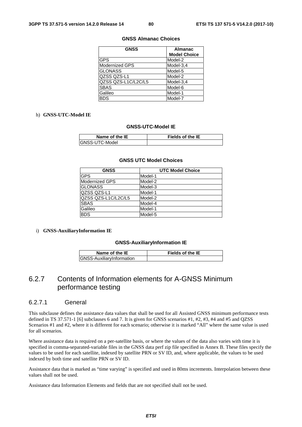#### **GNSS Almanac Choices**

| <b>GNSS</b>          | <b>Almanac</b>      |  |
|----------------------|---------------------|--|
|                      | <b>Model Choice</b> |  |
| <b>GPS</b>           | Model-2             |  |
| Modernized GPS       | Model-3.4           |  |
| <b>GLONASS</b>       | Model-5             |  |
| lQZSS QZS-L1         | Model-2             |  |
| lQZSS QZS-L1C/L2C/L5 | Model-3,4           |  |
| <b>SBAS</b>          | Model-6             |  |
| Galileo              | Model-1             |  |
| <b>BDS</b>           | Model-7             |  |

#### h) **GNSS-UTC-Model IE**

#### **GNSS-UTC-Model IE**

| Name of the IE  | <b>Fields of the IE</b> |  |
|-----------------|-------------------------|--|
| IGNSS-UTC-Model |                         |  |

#### **GNSS UTC Model Choices**

| <b>GNSS</b>         | <b>UTC Model Choice</b> |
|---------------------|-------------------------|
| <b>GPS</b>          | Model-1                 |
| Modernized GPS      | Model-2                 |
| <b>GLONASS</b>      | Model-3                 |
| QZSS QZS-L1         | Model-1                 |
| QZSS QZS-L1C/L2C/L5 | Model-2                 |
| <b>SBAS</b>         | Model-4                 |
| Galileo             | Model-1                 |
| <b>BDS</b>          | Model-5                 |

#### i) **GNSS-AuxiliaryInformation IE**

#### **GNSS-AuxiliaryInformation IE**

| Name of the IE            | <b>Fields of the IE</b> |
|---------------------------|-------------------------|
| GNSS-AuxiliaryInformation |                         |

# 6.2.7 Contents of Information elements for A-GNSS Minimum performance testing

## 6.2.7.1 General

This subclause defines the assistance data values that shall be used for all Assisted GNSS minimum performance tests defined in TS 37.571-1 [6] subclauses 6 and 7. It is given for GNSS scenarios #1, #2, #3, #4 and #5 and QZSS Scenarios #1 and #2, where it is different for each scenario; otherwise it is marked "All" where the same value is used for all scenarios.

Where assistance data is required on a per-satellite basis, or where the values of the data also varies with time it is specified in comma-separated-variable files in the GNSS data perf zip file specified in Annex B. These files specify the values to be used for each satellite, indexed by satellite PRN or SV ID, and, where applicable, the values to be used indexed by both time and satellite PRN or SV ID.

Assistance data that is marked as "time varying" is specified and used in 80ms increments. Interpolation between these values shall not be used.

Assistance data Information Elements and fields that are not specified shall not be used.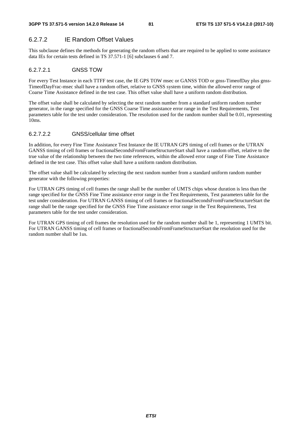## 6.2.7.2 IE Random Offset Values

This subclause defines the methods for generating the random offsets that are required to be applied to some assistance data IEs for certain tests defined in TS 37.571-1 [6] subclauses 6 and 7.

## 6.2.7.2.1 GNSS TOW

For every Test Instance in each TTFF test case, the IE GPS TOW msec or GANSS TOD or gnss-TimeofDay plus gnss-TimeofDayFrac-msec shall have a random offset, relative to GNSS system time, within the allowed error range of Coarse Time Assistance defined in the test case. This offset value shall have a uniform random distribution.

The offset value shall be calculated by selecting the next random number from a standard uniform random number generator, in the range specified for the GNSS Coarse Time assistance error range in the Test Requirements, Test parameters table for the test under consideration. The resolution used for the random number shall be 0.01, representing 10ms.

## 6.2.7.2.2 GNSS/cellular time offset

In addition, for every Fine Time Assistance Test Instance the IE UTRAN GPS timing of cell frames or the UTRAN GANSS timing of cell frames or fractionalSecondsFromFrameStructureStart shall have a random offset, relative to the true value of the relationship between the two time references, within the allowed error range of Fine Time Assistance defined in the test case. This offset value shall have a uniform random distribution.

The offset value shall be calculated by selecting the next random number from a standard uniform random number generator with the following properties:

For UTRAN GPS timing of cell frames the range shall be the number of UMTS chips whose duration is less than the range specified for the GNSS Fine Time assistance error range in the Test Requirements, Test parameters table for the test under consideration. For UTRAN GANSS timing of cell frames or fractionalSecondsFromFrameStructureStart the range shall be the range specified for the GNSS Fine Time assistance error range in the Test Requirements, Test parameters table for the test under consideration.

For UTRAN GPS timing of cell frames the resolution used for the random number shall be 1, representing 1 UMTS bit. For UTRAN GANSS timing of cell frames or fractionalSecondsFromFrameStructureStart the resolution used for the random number shall be 1us.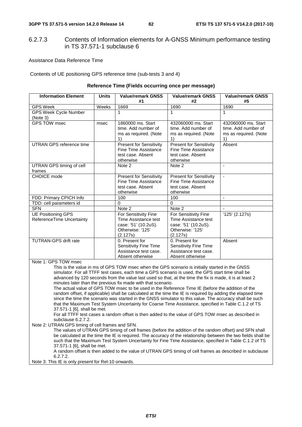## 6.2.7.3 Contents of Information elements for A-GNSS Minimum performance testing in TS 37.571-1 subclause 6

Assistance Data Reference Time

Contents of UE positioning GPS reference time (sub-tests 3 and 4)

## **Reference Time (Fields occurring once per message)**

| <b>Information Element</b>                                                                                                                                                                                                                                                                                                                                                                                                                                                                                                                                                                                                                                                                                                                                                                                                                                                                                                                                                                                                                                                                                                                                                                                                                                     | <b>Units</b> | <b>Value/remark GNSS</b><br>#1                                                                       | <b>Value/remark GNSS</b><br>#2                                                                       | <b>Value/remark GNSS</b><br>#5                                            |  |
|----------------------------------------------------------------------------------------------------------------------------------------------------------------------------------------------------------------------------------------------------------------------------------------------------------------------------------------------------------------------------------------------------------------------------------------------------------------------------------------------------------------------------------------------------------------------------------------------------------------------------------------------------------------------------------------------------------------------------------------------------------------------------------------------------------------------------------------------------------------------------------------------------------------------------------------------------------------------------------------------------------------------------------------------------------------------------------------------------------------------------------------------------------------------------------------------------------------------------------------------------------------|--------------|------------------------------------------------------------------------------------------------------|------------------------------------------------------------------------------------------------------|---------------------------------------------------------------------------|--|
| <b>GPS Week</b>                                                                                                                                                                                                                                                                                                                                                                                                                                                                                                                                                                                                                                                                                                                                                                                                                                                                                                                                                                                                                                                                                                                                                                                                                                                | Weeks        | 1669                                                                                                 | 1690                                                                                                 | 1690                                                                      |  |
| <b>GPS Week Cycle Number</b><br>(Note 3)                                                                                                                                                                                                                                                                                                                                                                                                                                                                                                                                                                                                                                                                                                                                                                                                                                                                                                                                                                                                                                                                                                                                                                                                                       |              | 1                                                                                                    | $\mathbf{1}$                                                                                         | $\mathbf{1}$                                                              |  |
| <b>GPS TOW msec</b>                                                                                                                                                                                                                                                                                                                                                                                                                                                                                                                                                                                                                                                                                                                                                                                                                                                                                                                                                                                                                                                                                                                                                                                                                                            | msec         | 1860000 ms. Start<br>time. Add number of<br>ms as required. (Note<br>1)                              | 432060000 ms. Start<br>time. Add number of<br>ms as required. (Note<br>1)                            | 432060000 ms. Start<br>time. Add number of<br>ms as required. (Note<br>1) |  |
| <b>UTRAN GPS reference time</b>                                                                                                                                                                                                                                                                                                                                                                                                                                                                                                                                                                                                                                                                                                                                                                                                                                                                                                                                                                                                                                                                                                                                                                                                                                |              | <b>Present for Sensitivity</b><br>Fine Time Assistance<br>test case. Absent<br>otherwise             | <b>Present for Sensitivity</b><br><b>Fine Time Assistance</b><br>test case. Absent<br>otherwise      | Absent                                                                    |  |
| <b>UTRAN GPS timing of cell</b><br>frames                                                                                                                                                                                                                                                                                                                                                                                                                                                                                                                                                                                                                                                                                                                                                                                                                                                                                                                                                                                                                                                                                                                                                                                                                      |              | Note 2                                                                                               | Note 2                                                                                               | $\blacksquare$                                                            |  |
| CHOICE mode                                                                                                                                                                                                                                                                                                                                                                                                                                                                                                                                                                                                                                                                                                                                                                                                                                                                                                                                                                                                                                                                                                                                                                                                                                                    |              | <b>Present for Sensitivity</b><br>Fine Time Assistance<br>test case. Absent<br>otherwise             | <b>Present for Sensitivity</b><br><b>Fine Time Assistance</b><br>test case. Absent<br>otherwise      | ÷.                                                                        |  |
| FDD: Primary CPICH Info                                                                                                                                                                                                                                                                                                                                                                                                                                                                                                                                                                                                                                                                                                                                                                                                                                                                                                                                                                                                                                                                                                                                                                                                                                        |              | 100                                                                                                  | 100                                                                                                  | $\overline{\phantom{a}}$                                                  |  |
| TDD: cell parameters id                                                                                                                                                                                                                                                                                                                                                                                                                                                                                                                                                                                                                                                                                                                                                                                                                                                                                                                                                                                                                                                                                                                                                                                                                                        |              | $\Omega$                                                                                             | $\Omega$                                                                                             |                                                                           |  |
| <b>SFN</b>                                                                                                                                                                                                                                                                                                                                                                                                                                                                                                                                                                                                                                                                                                                                                                                                                                                                                                                                                                                                                                                                                                                                                                                                                                                     |              | Note 2                                                                                               | Note 2                                                                                               |                                                                           |  |
| <b>UE Positioning GPS</b><br>ReferenceTime Uncertainty                                                                                                                                                                                                                                                                                                                                                                                                                                                                                                                                                                                                                                                                                                                                                                                                                                                                                                                                                                                                                                                                                                                                                                                                         |              | For Sensitivity Fine<br>Time Assistance test<br>case: '51' (10.2uS).<br>Otherwise: '125'<br>(2.127s) | For Sensitivity Fine<br>Time Assistance test<br>case: '51' (10.2uS).<br>Otherwise: '125'<br>(2.127s) | '125' (2.127s)                                                            |  |
| <b>TUTRAN-GPS drift rate</b>                                                                                                                                                                                                                                                                                                                                                                                                                                                                                                                                                                                                                                                                                                                                                                                                                                                                                                                                                                                                                                                                                                                                                                                                                                   |              | 0. Present for<br><b>Sensitivity Fine Time</b><br>Assistance test case.<br>Absent otherwise          | 0. Present for<br><b>Sensitivity Fine Time</b><br>Assistance test case.<br>Absent otherwise          | Absent                                                                    |  |
| Note 1: GPS TOW msec                                                                                                                                                                                                                                                                                                                                                                                                                                                                                                                                                                                                                                                                                                                                                                                                                                                                                                                                                                                                                                                                                                                                                                                                                                           |              |                                                                                                      |                                                                                                      |                                                                           |  |
| This is the value in ms of GPS TOW msec when the GPS scenario is initially started in the GNSS<br>simulator. For all TTFF test cases, each time a GPS scenario is used, the GPS start time shall be<br>advanced by 120 seconds from the value last used so that, at the time the fix is made, it is at least 2<br>minutes later than the previous fix made with that scenario.<br>The actual value of GPS TOW msec to be used in the Reference Time IE (before the addition of the<br>random offset, if applicable) shall be calculated at the time the IE is required by adding the elapsed time<br>since the time the scenario was started in the GNSS simulator to this value. The accuracy shall be such<br>that the Maximum Test System Uncertainty for Coarse Time Assistance, specified in Table C.1.2 of TS<br>37.571-1 [6], shall be met.<br>For all TTFF test cases a random offset is then added to the value of GPS TOW msec as described in<br>subclause 6.2.7.2.<br>Note 2: UTRAN GPS timing of cell frames and SFN.<br>The values of UTRAN GPS timing of cell frames (before the addition of the random offset) and SFN shall<br>be calculated at the time the IE is required. The accuracy of the relationship between the two fields shall be |              |                                                                                                      |                                                                                                      |                                                                           |  |
| such that the Maximum Test System Uncertainty for Fine Time Assistance, specified in Table C.1.2 of TS<br>37.571-1 [6], shall be met.                                                                                                                                                                                                                                                                                                                                                                                                                                                                                                                                                                                                                                                                                                                                                                                                                                                                                                                                                                                                                                                                                                                          |              |                                                                                                      |                                                                                                      |                                                                           |  |

A random offset is then added to the value of UTRAN GPS timing of cell frames as described in subclause 6.2.7.2.

Note 3: This IE is only present for Rel-10 onwards.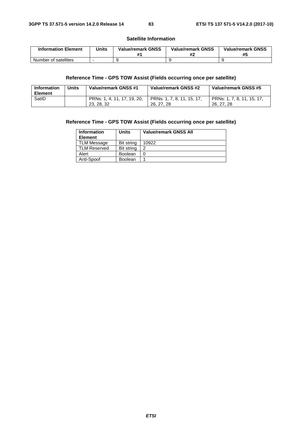#### **Satellite Information**

| <b>Information Element</b> | <b>Jnits</b> | <b>Value/remark GNSS</b> | <b>Value/remark GNSS</b> | <b>Value/remark GNSS</b><br>#5 |
|----------------------------|--------------|--------------------------|--------------------------|--------------------------------|
| Number of satellites       |              |                          |                          |                                |

## **Reference Time - GPS TOW Assist (Fields occurring once per satellite)**

| Information<br><b>Element</b> | Units | Value/remark GNSS #1                      | Value/remark GNSS #2                     | Value/remark GNSS #5                     |
|-------------------------------|-------|-------------------------------------------|------------------------------------------|------------------------------------------|
| SatID                         |       | PRNs: 1, 4, 11, 17, 19, 20,<br>23, 28, 32 | PRNs: 1, 7, 8, 11, 15, 17,<br>26, 27, 28 | PRNs: 1, 7, 8, 11, 15, 17,<br>26, 27, 28 |

## **Reference Time - GPS TOW Assist (Fields occurring once per satellite)**

| <b>Information</b><br><b>Element</b> | Units          | <b>Value/remark GNSS All</b> |
|--------------------------------------|----------------|------------------------------|
| <b>TLM Message</b>                   | Bit string     | 10922                        |
| <b>TLM Reserved</b>                  | Bit string     | ົ                            |
| Alert                                | <b>Boolean</b> |                              |
| Anti-Spoof                           | <b>Boolean</b> |                              |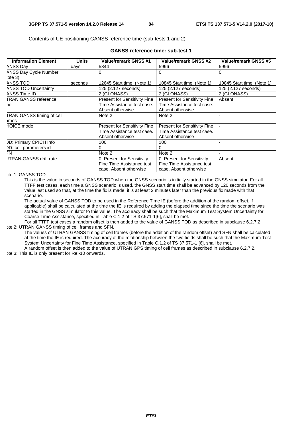Contents of UE positioning GANSS reference time (sub-tests 1 and 2)

#### **GANSS reference time: sub-test 1**

| <b>Information Element</b>       | <b>Units</b> | <b>Value/remark GNSS #1</b>         | <b>Value/remark GNSS #2</b>         | <b>Value/remark GNSS #5</b> |
|----------------------------------|--------------|-------------------------------------|-------------------------------------|-----------------------------|
| ANSS Day                         | days         | 5844                                | 5996                                | 5996                        |
| <b>ANSS Day Cycle Number</b>     |              | $\Omega$                            | 0                                   | $\Omega$                    |
| $\vert$ ote 3)                   |              |                                     |                                     |                             |
| ANSS TOD                         | seconds      | 12645 Start time. (Note 1)          | 10845 Start time. (Note 1)          | 10845 Start time. (Note 1)  |
| <b>ANSS TOD Uncertainty</b>      |              | 125 (2.127 seconds)                 | 125 (2.127 seconds)                 | 125 (2.127 seconds)         |
| ANSS Time ID                     |              | 2 (GLONASS)                         | 2 (GLONASS)                         | 2 (GLONASS)                 |
| <b>TRAN GANSS reference</b>      |              | <b>Present for Sensitivity Fine</b> | <b>Present for Sensitivity Fine</b> | Absent                      |
| ne                               |              | Time Assistance test case.          | Time Assistance test case.          |                             |
|                                  |              | Absent otherwise                    | Absent otherwise                    |                             |
| <b>TRAN GANSS timing of cell</b> |              | Note 2                              | Note 2                              |                             |
| ames                             |              |                                     |                                     |                             |
| <b>HOICE</b> mode                |              | <b>Present for Sensitivity Fine</b> | <b>Present for Sensitivity Fine</b> |                             |
|                                  |              | Time Assistance test case.          | Time Assistance test case.          |                             |
|                                  |              | Absent otherwise                    | Absent otherwise                    |                             |
| <b>DD: Primary CPICH Info</b>    |              | 100                                 | 100                                 |                             |
| DD: cell parameters id           |              | 0                                   | $\Omega$                            |                             |
| FN                               |              | Note 2                              | Note 2                              |                             |
| <b>JTRAN-GANSS drift rate</b>    |              | 0. Present for Sensitivity          | 0. Present for Sensitivity          | Absent                      |
|                                  |              | Fine Time Assistance test           | Fine Time Assistance test           |                             |
|                                  |              | case. Absent otherwise              | case. Absent otherwise              |                             |

#### ote 1: GANSS TOD

This is the value in seconds of GANSS TOD when the GNSS scenario is initially started in the GNSS simulator. For all TTFF test cases, each time a GNSS scenario is used, the GNSS start time shall be advanced by 120 seconds from the value last used so that, at the time the fix is made, it is at least 2 minutes later than the previous fix made with that scenario.

The actual value of GANSS TOD to be used in the Reference Time IE (before the addition of the random offset, if applicable) shall be calculated at the time the IE is required by adding the elapsed time since the time the scenario was started in the GNSS simulator to this value. The accuracy shall be such that the Maximum Test System Uncertainty for Coarse Time Assistance, specified in Table C.1.2 of TS 37.571-1[6], shall be met.

For all TTFF test cases a random offset is then added to the value of GANSS TOD as described in subclause 6.2.7.2. hte 2: UTRAN GANSS timing of cell frames and SFN.

The values of UTRAN GANSS timing of cell frames (before the addition of the random offset) and SFN shall be calculated at the time the IE is required. The accuracy of the relationship between the two fields shall be such that the Maximum Test System Uncertainty for Fine Time Assistance, specified in Table C.1.2 of TS 37.571-1 [6], shall be met.

A random offset is then added to the value of UTRAN GPS timing of cell frames as described in subclause 6.2.7.2.

#### pte 3: This IE is only present for Rel-10 onwards.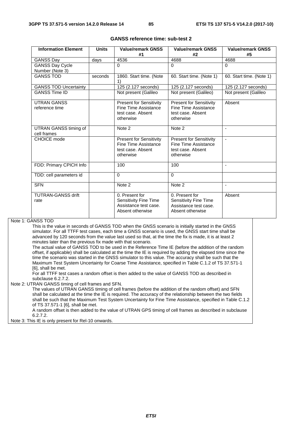| <b>Information Element</b>   | <b>Value/remark GNSS</b><br><b>Units</b><br>#1 |                                             | <b>Value/remark GNSS</b><br>#2 | <b>Value/remark GNSS</b><br>#5 |
|------------------------------|------------------------------------------------|---------------------------------------------|--------------------------------|--------------------------------|
| <b>GANSS Day</b>             | days                                           | 4536                                        | 4688                           | 4688                           |
| <b>GANSS Day Cycle</b>       |                                                | $\Omega$                                    | $\Omega$                       | $\Omega$                       |
| Number (Note 3)              |                                                |                                             |                                |                                |
| <b>GANSS TOD</b>             | seconds                                        | 1860. Start time. (Note<br>$\left( \right)$ | 60. Start time. (Note 1)       | 60. Start time. (Note 1)       |
| <b>GANSS TOD Uncertainty</b> |                                                | 125 (2.127 seconds)                         | 125 (2.127 seconds)            | 125 (2.127 seconds)            |
| <b>GANSS Time ID</b>         |                                                | Not present (Galileo                        | Not present (Galileo)          | Not present (Galileo           |
| <b>UTRAN GANSS</b>           |                                                | <b>Present for Sensitivity</b>              | <b>Present for Sensitivity</b> | Absent                         |
| reference time               |                                                | Fine Time Assistance                        | Fine Time Assistance           |                                |
|                              |                                                | test case. Absent                           | test case. Absent              |                                |
|                              |                                                | otherwise                                   | otherwise                      |                                |
| UTRAN GANSS timing of        |                                                | Note 2                                      | Note 2                         | $\blacksquare$                 |
| cell frames                  |                                                |                                             |                                |                                |
| CHOICE mode                  |                                                | <b>Present for Sensitivity</b>              | <b>Present for Sensitivity</b> | $\blacksquare$                 |
|                              |                                                | Fine Time Assistance                        | Fine Time Assistance           |                                |
|                              |                                                | test case. Absent<br>otherwise              | test case. Absent<br>otherwise |                                |
|                              |                                                |                                             |                                |                                |
| FDD: Primary CPICH Info      |                                                | 100                                         | 100                            | $\blacksquare$                 |
| TDD: cell parameters id      |                                                | $\Omega$                                    | $\Omega$                       |                                |
| <b>SFN</b>                   |                                                | Note 2                                      | Note 2                         | $\blacksquare$                 |
| <b>TUTRAN-GANSS drift</b>    |                                                | 0. Present for                              | 0. Present for                 | Absent                         |
| rate                         |                                                | Sensitivity Fine Time                       | Sensitivity Fine Time          |                                |
|                              |                                                | Assistance test case.                       | Assistance test case.          |                                |
|                              |                                                | Absent otherwise                            | Absent otherwise               |                                |

#### **GANSS reference time: sub-test 2**

Note 1: GANSS TOD

This is the value in seconds of GANSS TOD when the GNSS scenario is initially started in the GNSS simulator. For all TTFF test cases, each time a GNSS scenario is used, the GNSS start time shall be advanced by 120 seconds from the value last used so that, at the time the fix is made, it is at least 2 minutes later than the previous fix made with that scenario.

The actual value of GANSS TOD to be used in the Reference Time IE (before the addition of the random offset, if applicable) shall be calculated at the time the IE is required by adding the elapsed time since the time the scenario was started in the GNSS simulator to this value. The accuracy shall be such that the Maximum Test System Uncertainty for Coarse Time Assistance, specified in Table C.1.2 of TS 37.571-1 [6], shall be met.

For all TTFF test cases a random offset is then added to the value of GANSS TOD as described in subclause 6.2.7.2.

Note 2: UTRAN GANSS timing of cell frames and SFN.

The values of UTRAN GANSS timing of cell frames (before the addition of the random offset) and SFN shall be calculated at the time the IE is required. The accuracy of the relationship between the two fields shall be such that the Maximum Test System Uncertainty for Fine Time Assistance, specified in Table C.1.2 of TS 37.571-1 [6], shall be met.

A random offset is then added to the value of UTRAN GPS timing of cell frames as described in subclause 6.2.7.2.

Note 3: This IE is only present for Rel-10 onwards.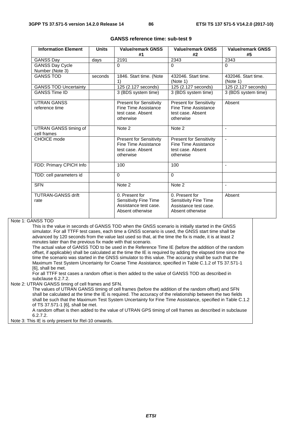| <b>Information Element</b>           | <b>Units</b> | <b>Value/remark GNSS</b><br>#1                                                           | <b>Value/remark GNSS</b><br>#2                                                           | <b>Value/remark GNSS</b><br>#5  |
|--------------------------------------|--------------|------------------------------------------------------------------------------------------|------------------------------------------------------------------------------------------|---------------------------------|
| <b>GANSS Day</b>                     | days         | 2191                                                                                     | 2343                                                                                     | 2343                            |
| <b>GANSS Day Cycle</b>               |              | $\Omega$                                                                                 | $\Omega$                                                                                 | $\Omega$                        |
| Number (Note 3)                      |              |                                                                                          |                                                                                          |                                 |
| <b>GANSS TOD</b>                     | seconds      | 1846. Start time. (Note<br>1)                                                            | 432046. Start time.<br>(Note 1)                                                          | 432046. Start time.<br>(Note 1) |
| <b>GANSS TOD Uncertainty</b>         |              | 125 (2.127 seconds)                                                                      | 125 (2.127 seconds)                                                                      | 125 (2.127 seconds)             |
| <b>GANSS Time ID</b>                 |              | 3 (BDS system time)                                                                      | 3 (BDS system time)                                                                      | 3 (BDS system time)             |
| <b>UTRAN GANSS</b><br>reference time |              | <b>Present for Sensitivity</b><br>Fine Time Assistance<br>test case. Absent<br>otherwise | <b>Present for Sensitivity</b><br>Fine Time Assistance<br>test case. Absent<br>otherwise | Absent                          |
| UTRAN GANSS timing of<br>cell frames |              | Note 2                                                                                   | Note 2                                                                                   |                                 |
| CHOICE mode                          |              | <b>Present for Sensitivity</b><br>Fine Time Assistance<br>test case. Absent<br>otherwise | <b>Present for Sensitivity</b><br>Fine Time Assistance<br>test case. Absent<br>otherwise | $\blacksquare$                  |
| FDD: Primary CPICH Info              |              | 100                                                                                      | 100                                                                                      | $\overline{\phantom{a}}$        |
| TDD: cell parameters id              |              | $\Omega$                                                                                 | $\Omega$                                                                                 |                                 |
| <b>SFN</b>                           |              | Note 2                                                                                   | Note 2                                                                                   |                                 |
| <b>TUTRAN-GANSS drift</b><br>rate    |              | 0. Present for<br>Sensitivity Fine Time<br>Assistance test case.<br>Absent otherwise     | 0. Present for<br>Sensitivity Fine Time<br>Assistance test case.<br>Absent otherwise     | Absent                          |

#### **GANSS reference time: sub-test 9**

Note 1: GANSS TOD

This is the value in seconds of GANSS TOD when the GNSS scenario is initially started in the GNSS simulator. For all TTFF test cases, each time a GNSS scenario is used, the GNSS start time shall be advanced by 120 seconds from the value last used so that, at the time the fix is made, it is at least 2 minutes later than the previous fix made with that scenario.

The actual value of GANSS TOD to be used in the Reference Time IE (before the addition of the random offset, if applicable) shall be calculated at the time the IE is required by adding the elapsed time since the time the scenario was started in the GNSS simulator to this value. The accuracy shall be such that the Maximum Test System Uncertainty for Coarse Time Assistance, specified in Table C.1.2 of TS 37.571-1 [6], shall be met.

For all TTFF test cases a random offset is then added to the value of GANSS TOD as described in subclause 6.2.7.2.

Note 2: UTRAN GANSS timing of cell frames and SFN.

The values of UTRAN GANSS timing of cell frames (before the addition of the random offset) and SFN shall be calculated at the time the IE is required. The accuracy of the relationship between the two fields shall be such that the Maximum Test System Uncertainty for Fine Time Assistance, specified in Table C.1.2 of TS 37.571-1 [6], shall be met.

A random offset is then added to the value of UTRAN GPS timing of cell frames as described in subclause 6.2.7.2.

Note 3: This IE is only present for Rel-10 onwards.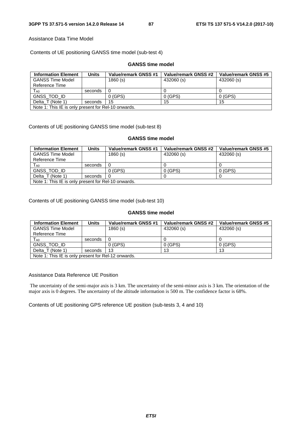#### Assistance Data Time Model

Contents of UE positioning GANSS time model (sub-test 4)

## **GANSS time model**

| <b>Information Element</b> | Units                                              | Value/remark GNSS #1 | Value/remark GNSS #2 | Value/remark GNSS #5 |  |  |
|----------------------------|----------------------------------------------------|----------------------|----------------------|----------------------|--|--|
| <b>GANSS Time Model</b>    |                                                    | 1860(s)              | 432060 (s)           | 432060 (s)           |  |  |
| Reference Time             |                                                    |                      |                      |                      |  |  |
| $T_{AO}$                   | seconds                                            | - 0                  |                      |                      |  |  |
| GNSS TOD ID                |                                                    | 0(GPS)               | 0(GPS)               | 0(GPS)               |  |  |
| Delta T (Note 1)           | seconds                                            | 15                   | 15                   | 15                   |  |  |
|                            | Note 1: This IF is only present for Rel-10 onwards |                      |                      |                      |  |  |

Note 1: This IE is only present for Rel-10 onwards.

Contents of UE positioning GANSS time model (sub-test 8)

#### **GANSS time model**

| <b>Information Element</b>                          | Units   | Value/remark GNSS #1 | Value/remark GNSS #2 | Value/remark GNSS #5 |
|-----------------------------------------------------|---------|----------------------|----------------------|----------------------|
| <b>GANSS Time Model</b>                             |         | 1860 (s)             | 432060 (s)           | 432060 (s)           |
| Reference Time                                      |         |                      |                      |                      |
| T <sub>A0</sub>                                     | seconds | - 0                  |                      |                      |
| GNSS TOD ID                                         |         | 0(GPS)               | 0(GPS)               | 0(GPS)               |
| Delta T (Note 1)                                    | seconds |                      |                      |                      |
| Note 1: This IE is only present for Rel-10 onwards. |         |                      |                      |                      |

Contents of UE positioning GANSS time model (sub-test 10)

#### **GANSS time model**

| <b>Information Element</b>                          | Units   | Value/remark GNSS #1 | Value/remark GNSS #2 | Value/remark GNSS #5 |
|-----------------------------------------------------|---------|----------------------|----------------------|----------------------|
| <b>GANSS Time Model</b>                             |         | 1860(s)              | 432060 (s)           | 432060 (s)           |
| Reference Time                                      |         |                      |                      |                      |
| $T_{A0}$                                            | seconds | - 0                  |                      |                      |
| <b>GNSS TOD ID</b>                                  |         | $0$ (GPS)            | $0$ (GPS)            | $0$ (GPS)            |
| Delta_T (Note 1)                                    | seconds | 13                   | 13                   | 13                   |
| Note 1: This IE is only present for Rel-12 onwards. |         |                      |                      |                      |

#### Assistance Data Reference UE Position

 The uncertainty of the semi-major axis is 3 km. The uncertainty of the semi-minor axis is 3 km. The orientation of the major axis is 0 degrees. The uncertainty of the altitude information is 500 m. The confidence factor is 68%.

Contents of UE positioning GPS reference UE position (sub-tests 3, 4 and 10)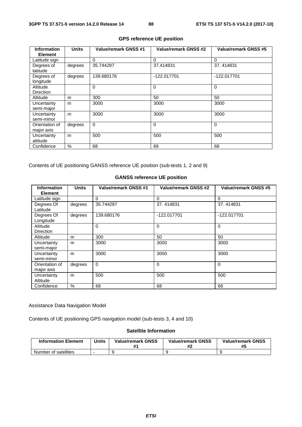| <b>Information</b><br><b>Element</b> | <b>Units</b> | Value/remark GNSS #1 | <b>Value/remark GNSS #2</b> | Value/remark GNSS #5 |
|--------------------------------------|--------------|----------------------|-----------------------------|----------------------|
| Latitude sign                        |              | $\Omega$             | $\Omega$                    | $\Omega$             |
| Degrees of<br>latitude               | degrees      | 35.744287            | 37.414831                   | 37.414831            |
| Degrees of<br>longitude              | degrees      | 139.680176           | $-122.017701$               | -122.017701          |
| Altitude<br><b>Direction</b>         |              | $\Omega$             | $\Omega$                    | $\Omega$             |
| Altitude                             | m            | 300                  | 50                          | 50                   |
| Uncertainty<br>semi-major            | m            | 3000                 | 3000                        | 3000                 |
| Uncertainty<br>semi-minor            | m            | 3000                 | 3000                        | 3000                 |
| Orientation of<br>major axis         | degrees      | $\Omega$             | $\mathbf 0$                 | $\Omega$             |
| Uncertainty<br>altitude              | m            | 500                  | 500                         | 500                  |
| Confidence                           | %            | 68                   | 68                          | 68                   |

## **GPS reference UE position**

Contents of UE positioning GANSS reference UE position (sub-tests 1, 2 and 9)

## **GANSS reference UE position**

| <b>Information</b><br><b>Element</b> | <b>Units</b> | Value/remark GNSS #1 | Value/remark GNSS #2 | Value/remark GNSS #5 |
|--------------------------------------|--------------|----------------------|----------------------|----------------------|
| Latitude sign                        |              | $\Omega$             | $\Omega$             | $\Omega$             |
| Degrees Of<br>Latitude               | degrees      | 35.744287            | 37.414831            | 37.414831            |
| Degrees Of<br>Longitude              | degrees      | 139.680176           | -122.017701          | -122.017701          |
| Altitude<br>Direction                |              | $\mathbf 0$          | $\Omega$             | $\Omega$             |
| Altitude                             | m            | 300                  | 50                   | 50                   |
| Uncertainty<br>semi-major            | m            | 3000                 | 3000                 | 3000                 |
| Uncertainty<br>semi-minor            | m            | 3000                 | 3000                 | 3000                 |
| Orientation of<br>major axis         | degrees      | $\mathbf 0$          | $\Omega$             | $\overline{0}$       |
| Uncertainty<br>Altitude              | m            | 500                  | 500                  | 500                  |
| Confidence                           | $\%$         | 68                   | 68                   | 68                   |

#### Assistance Data Navigation Model

Contents of UE positioning GPS navigation model (sub-tests 3, 4 and 10)

## **Satellite Information**

| <b>Information Element</b> | <b>Units</b> | <b>Value/remark GNSS</b><br># | <b>Value/remark GNSS</b> | <b>Value/remark GNSS</b><br>#5 |
|----------------------------|--------------|-------------------------------|--------------------------|--------------------------------|
| Number of satellites       |              |                               |                          |                                |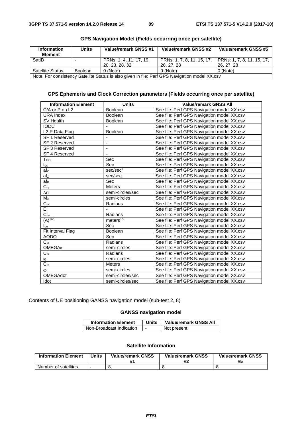| Information<br><b>Element</b>                                                                  | <b>Units</b>   | Value/remark GNSS #1                      | Value/remark GNSS #2                     | Value/remark GNSS #5                     |  |
|------------------------------------------------------------------------------------------------|----------------|-------------------------------------------|------------------------------------------|------------------------------------------|--|
| SatID                                                                                          | -              | PRNs: 1, 4, 11, 17, 19,<br>20, 23, 28, 32 | PRNs: 1, 7, 8, 11, 15, 17,<br>26, 27, 28 | PRNs: 1, 7, 8, 11, 15, 17,<br>26, 27, 28 |  |
| <b>Satellite Status</b>                                                                        | <b>Boolean</b> | 0 (Note)                                  | 0 (Note)                                 | 0 (Note)                                 |  |
| Note: For consistency Satellite Status is also given in file: Perf GPS Navigation model XX.csv |                |                                           |                                          |                                          |  |

**GPS Ephemeris and Clock Correction parameters (Fields occurring once per satellite)** 

#### **GPS Navigation Model (Fields occurring once per satellite)**

| <b>Information Element</b> | <b>Units</b>             | <b>Value/remark GNSS All</b>               |
|----------------------------|--------------------------|--------------------------------------------|
| C/A or P on L2             | <b>Boolean</b>           | See file: Perf GPS Navigation model XX.csv |
| <b>URA Index</b>           | Boolean                  | See file: Perf GPS Navigation model XX.csv |
| SV Health                  | <b>Boolean</b>           | See file: Perf GPS Navigation model XX.csv |
| <b>IODC</b>                |                          | See file: Perf GPS Navigation model XX.csv |
| L <sub>2</sub> P Data Flag | Boolean                  | See file: Perf GPS Navigation model XX.csv |
| SF 1 Reserved              |                          | See file: Perf GPS Navigation model XX.csv |
| SF 2 Reserved              | ٠                        | See file: Perf GPS Navigation model XX.csv |
| <b>SF 3 Reserved</b>       |                          | See file: Perf GPS Navigation model XX.csv |
| SF 4 Reserved              | $\overline{\phantom{0}}$ | See file: Perf GPS Navigation model XX.csv |
| $T_{GD}$                   | Sec                      | See file: Perf GPS Navigation model XX.csv |
| $t_{\rm oc}$               | Sec                      | See file: Perf GPS Navigation model XX.csv |
| $\overline{af_2}$          | sec/sec <sup>2</sup>     | See file: Perf GPS Navigation model XX.csv |
| af <sub>1</sub>            | sec/sec                  | See file: Perf GPS Navigation model XX.csv |
| af <sub>0</sub>            | Sec                      | See file: Perf GPS Navigation model XX.csv |
| $\overline{C_{rs}}$        | <b>Meters</b>            | See file: Perf GPS Navigation model XX.csv |
| $\Delta n$                 | semi-circles/sec         | See file: Perf GPS Navigation model XX.csv |
| M <sub>0</sub>             | semi-circles             | See file: Perf GPS Navigation model XX.csv |
| $\overline{C_{uc}}$        | Radians                  | See file: Perf GPS Navigation model XX.csv |
| E                          |                          | See file: Perf GPS Navigation model XX.csv |
| $\overline{C_{us}}$        | Radians                  | See file: Perf GPS Navigation model XX.csv |
| $(A)^{\frac{1}{2}}$        | meters <sup>1/2</sup>    | See file: Perf GPS Navigation model XX.csv |
| toe                        | Sec                      | See file: Perf GPS Navigation model XX.csv |
| Fit Interval Flag          | Boolean                  | See file: Perf GPS Navigation model XX.csv |
| <b>AODO</b>                | Sec                      | See file: Perf GPS Navigation model XX.csv |
| $C_{ic}$                   | Radians                  | See file: Perf GPS Navigation model XX.csv |
| OMEGA <sub>0</sub>         | semi-circles             | See file: Perf GPS Navigation model XX.csv |
| $C_{is}$                   | Radians                  | See file: Perf GPS Navigation model XX.csv |
| io                         | semi-circles             | See file: Perf GPS Navigation model XX.csv |
| $\overline{C_{rc}}$        | <b>Meters</b>            | See file: Perf GPS Navigation model XX.csv |
| $\omega$                   | semi-circles             | See file: Perf GPS Navigation model XX.csv |
| OMEGAdot                   | semi-circles/sec         | See file: Perf GPS Navigation model XX.csv |
| Idot                       | semi-circles/sec         | See file: Perf GPS Navigation model XX.csv |

Contents of UE positioning GANSS navigation model (sub-test 2, 8)

#### **GANSS navigation model**

| <b>Information Element</b> | Units | <b>Value/remark GNSS All</b> |
|----------------------------|-------|------------------------------|
| Non-Broadcast Indication   |       | Not present                  |

#### **Satellite Information**

| <b>Information Element</b> | <b>Units</b> | <b>Value/remark GNSS</b> | <b>Value/remark GNSS</b><br># | <b>Value/remark GNSS</b><br>#5 |
|----------------------------|--------------|--------------------------|-------------------------------|--------------------------------|
| Number of satellites       |              |                          |                               |                                |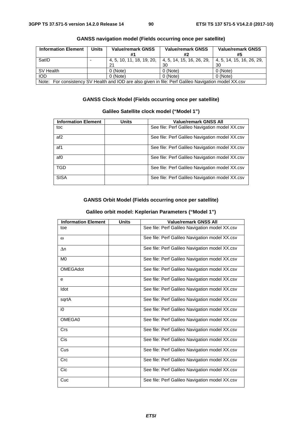| <b>Information Element</b>                                                                           | <b>Units</b> | <b>Value/remark GNSS</b> | <b>Value/remark GNSS</b>                              | <b>Value/remark GNSS</b>  |
|------------------------------------------------------------------------------------------------------|--------------|--------------------------|-------------------------------------------------------|---------------------------|
|                                                                                                      |              |                          | #2                                                    | #5                        |
| SatID                                                                                                |              |                          | 4, 5, 10, 11, 18, 19, 20,   4, 5, 14, 15, 16, 26, 29, | 4, 5, 14, 15, 16, 26, 29, |
|                                                                                                      |              | 21                       | 30                                                    | 30                        |
| SV Health                                                                                            |              | 0 (Note)                 | 0 (Note)                                              | 0 (Note)                  |
| <b>IOD</b>                                                                                           |              | 0 (Note)                 | $0$ (Note)                                            | 0 (Note)                  |
| Note: For consistency SV Health and IOD are also given in file: Perf Galileo Navigation model XX.csv |              |                          |                                                       |                           |

## **GANSS navigation model (Fields occurring once per satellite)**

## **GANSS Clock Model (Fields occurring once per satellite)**

## **Galileo Satellite clock model ("Model 1")**

| <b>Information Element</b> | Units | <b>Value/remark GNSS All</b>                   |
|----------------------------|-------|------------------------------------------------|
|                            |       |                                                |
| toc                        |       | See file: Perf Galileo Navigation model XX.csv |
| af <sub>2</sub>            |       | See file: Perf Galileo Navigation model XX.csv |
| af1                        |       | See file: Perf Galileo Navigation model XX.csv |
| af0                        |       | See file: Perf Galileo Navigation model XX.csv |
| TGD                        |       | See file: Perf Galileo Navigation model XX.csv |
| <b>SISA</b>                |       | See file: Perf Galileo Navigation model XX.csv |

## **GANSS Orbit Model (Fields occurring once per satellite)**

## **Galileo orbit model: Keplerian Parameters ("Model 1")**

| <b>Information Element</b> | <b>Units</b> | <b>Value/remark GNSS All</b>                   |
|----------------------------|--------------|------------------------------------------------|
| toe                        |              | See file: Perf Galileo Navigation model XX.csv |
| $\omega$                   |              | See file: Perf Galileo Navigation model XX.csv |
| $\Delta n$                 |              | See file: Perf Galileo Navigation model XX.csv |
| M <sub>0</sub>             |              | See file: Perf Galileo Navigation model XX.csv |
| <b>OMEGAdot</b>            |              | See file: Perf Galileo Navigation model XX.csv |
| e                          |              | See file: Perf Galileo Navigation model XX.csv |
| Idot                       |              | See file: Perf Galileo Navigation model XX.csv |
| sqrtA                      |              | See file: Perf Galileo Navigation model XX.csv |
| i0                         |              | See file: Perf Galileo Navigation model XX.csv |
| OMEGA0                     |              | See file: Perf Galileo Navigation model XX.csv |
| <b>Crs</b>                 |              | See file: Perf Galileo Navigation model XX.csv |
| <b>Cis</b>                 |              | See file: Perf Galileo Navigation model XX.csv |
| Cus                        |              | See file: Perf Galileo Navigation model XX.csv |
| Crc                        |              | See file: Perf Galileo Navigation model XX.csv |
| Cic                        |              | See file: Perf Galileo Navigation model XX.csv |
| Cuc                        |              | See file: Perf Galileo Navigation model XX.csv |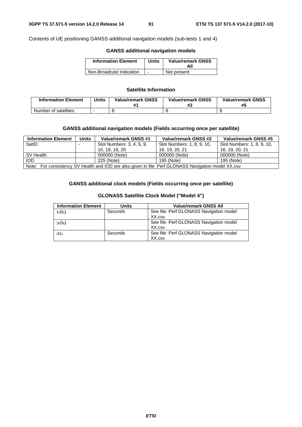Contents of UE positioning GANSS additional navigation models (sub-tests 1 and 4)

## **GANSS additional navigation models**

| <b>Information Element</b> | <b>Units</b> | <b>Value/remark GNSS</b><br>All |
|----------------------------|--------------|---------------------------------|
| Non-Broadcast Indication   |              | Not present                     |

#### **Satellite Information**

| <b>Information Element</b> | <b>Units</b> | <b>Value/remark GNSS</b> | <b>Value/remark GNSS</b> | <b>Value/remark GNSS</b> |
|----------------------------|--------------|--------------------------|--------------------------|--------------------------|
| Number of satellites       |              |                          |                          |                          |

#### **GANSS additional navigation models (Fields occurring once per satellite)**

| <b>Information Element</b>                                                                           | <b>Units</b> | <b>Value/remark GNSS #1</b> | Value/remark GNSS #2       | Value/remark GNSS #5       |
|------------------------------------------------------------------------------------------------------|--------------|-----------------------------|----------------------------|----------------------------|
| SatID                                                                                                |              | Slot Numbers: 3, 4, 5, 9,   | Slot Numbers: 1, 8, 9, 10, | Slot Numbers: 1, 8, 9, 10, |
|                                                                                                      |              | 10. 18. 19. 20              | 16. 19. 20. 21             | 16. 19. 20. 21             |
| SV Health                                                                                            |              | 000000 (Note)               | 000000 (Note)              | 000000 (Note)              |
| <b>IOD</b>                                                                                           |              | 225 (Note)                  | 195 (Note)                 | 195 (Note)                 |
| Note: For consistency SV Health and IOD are also given in file: Perf GLONASS Navigation model XX.csv |              |                             |                            |                            |

#### **GANSS additional clock models (Fields occurring once per satellite)**

| <b>Information Element</b> | Units   | <b>Value/remark GNSS All</b>                      |
|----------------------------|---------|---------------------------------------------------|
| $\tau_n(t_b)$              | Seconds | See file: Perf GLONASS Navigation model<br>XX.csv |
| $\gamma_n(t_b)$            |         | See file: Perf GLONASS Navigation model<br>XX.csv |
| $\Delta \tau$ n            | Seconds | See file: Perf GLONASS Navigation model<br>XX.csv |

#### **GLONASS Satellite Clock Model ("Model 4")**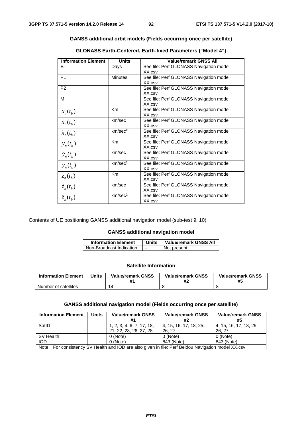#### **GANSS additional orbit models (Fields occurring once per satellite)**

| <b>Information Element</b> | <b>Units</b>        | <b>Value/remark GNSS All</b>                      |
|----------------------------|---------------------|---------------------------------------------------|
| $E_n$                      | Days                | See file: Perf GLONASS Navigation model<br>XX.csv |
| P <sub>1</sub>             | <b>Minutes</b>      | See file: Perf GLONASS Navigation model<br>XX.csv |
| P <sub>2</sub>             |                     | See file: Perf GLONASS Navigation model<br>XX.csv |
| м                          |                     | See file: Perf GLONASS Navigation model<br>XX.csv |
| $x_n(t_h)$                 | Km                  | See file: Perf GLONASS Navigation model<br>XX.csv |
| $\dot{x}_n(t_h)$           | km/sec              | See file: Perf GLONASS Navigation model<br>XX.csv |
| $\ddot{x}_n(t_b)$          | km/sec <sup>2</sup> | See file: Perf GLONASS Navigation model<br>XX.csv |
| $y_n(t_h)$                 | <b>Km</b>           | See file: Perf GLONASS Navigation model<br>XX.csv |
| $\dot{y}_n(t_h)$           | km/sec              | See file: Perf GLONASS Navigation model<br>XX.csv |
| $\ddot{y}_n(t_h)$          | km/sec <sup>2</sup> | See file: Perf GLONASS Navigation model<br>XX.csv |
| $z_n(t_h)$                 | Km                  | See file: Perf GLONASS Navigation model<br>XX.csv |
| $\dot{z}_n(t_h)$           | km/sec              | See file: Perf GLONASS Navigation model<br>XX.csv |
| $\ddot{z}_n(t_h)$          | km/sec <sup>2</sup> | See file: Perf GLONASS Navigation model<br>XX.csv |

**GLONASS Earth-Centered, Earth-fixed Parameters ("Model 4")** 

Contents of UE positioning GANSS additional navigation model (sub-test 9, 10)

#### **GANSS additional navigation model**

| <b>Information Element</b> | Units | <b>Value/remark GNSS All</b> |
|----------------------------|-------|------------------------------|
| Non-Broadcast Indication   |       | Not present                  |

#### **Satellite Information**

| <b>Information Element</b> | <b>Units</b> | <b>Value/remark GNSS</b> | <b>Value/remark GNSS</b><br>π. | <b>Value/remark GNSS</b><br>#5 |
|----------------------------|--------------|--------------------------|--------------------------------|--------------------------------|
| Number of satellites       |              |                          |                                |                                |

### **GANSS additional navigation model (Fields occurring once per satellite)**

| <b>Information Element</b>                                                                          | Units | <b>Value/remark GNSS</b>                            | <b>Value/remark GNSS</b><br>#2   | <b>Value/remark GNSS</b><br>#5  |
|-----------------------------------------------------------------------------------------------------|-------|-----------------------------------------------------|----------------------------------|---------------------------------|
| SatID                                                                                               |       | 1, 2, 3, 4, 6, 7, 17, 18,<br>21, 22, 23, 26, 27, 28 | 4, 15, 16, 17, 18, 25,<br>26, 27 | 4, 15, 16, 17, 18, 25,<br>26.27 |
| SV Health                                                                                           |       | 0 (Note)                                            | 0 (Note)                         | 0 (Note)                        |
| <b>IOD</b>                                                                                          |       | 0 (Note)                                            | 843 (Note)                       | 843 (Note)                      |
| Note: For consistency SV Health and IOD are also given in file: Perf Beidou Navigation model XX.csv |       |                                                     |                                  |                                 |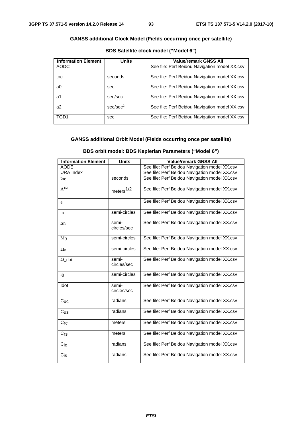## **GANSS additional Clock Model (Fields occurring once per satellite)**

| <b>Information Element</b> | <b>Units</b>         | <b>Value/remark GNSS All</b>                  |
|----------------------------|----------------------|-----------------------------------------------|
| AODC                       |                      | See file: Perf Beidou Navigation model XX.csv |
| toc                        | seconds              | See file: Perf Beidou Navigation model XX.csv |
| a0                         | sec                  | See file: Perf Beidou Navigation model XX.csv |
| a1                         | sec/sec              | See file: Perf Beidou Navigation model XX.csv |
| a2                         | sec/sec <sup>2</sup> | See file: Perf Beidou Navigation model XX.csv |
| TGD1                       | sec                  | See file: Perf Beidou Navigation model XX.csv |

## **BDS Satellite clock model ("Model 6")**

## **GANSS additional Orbit Model (Fields occurring once per satellite)**

#### **BDS orbit model: BDS Keplerian Parameters ("Model 6")**

| <b>Information Element</b> | <b>Units</b>         | <b>Value/remark GNSS All</b>                  |
|----------------------------|----------------------|-----------------------------------------------|
| <b>AODE</b>                |                      | See file: Perf Beidou Navigation model XX.csv |
| <b>URA Index</b>           |                      | See file: Perf Beidou Navigation model XX.csv |
| toe                        | seconds              | See file: Perf Beidou Navigation model XX.csv |
| $A^{1/2}$                  | meters $1/2$         | See file: Perf Beidou Navigation model XX.csv |
| e                          |                      | See file: Perf Beidou Navigation model XX.csv |
| ω                          | semi-circles         | See file: Perf Beidou Navigation model XX.csv |
| $\Delta n$                 | semi-<br>circles/sec | See file: Perf Beidou Navigation model XX.csv |
| M <sub>0</sub>             | semi-circles         | See file: Perf Beidou Navigation model XX.csv |
| $\Omega_0$                 | semi-circles         | See file: Perf Beidou Navigation model XX.csv |
| $\Omega$ _dot              | semi-<br>circles/sec | See file: Perf Beidou Navigation model XX.csv |
| i <sub>0</sub>             | semi-circles         | See file: Perf Beidou Navigation model XX.csv |
| Idot                       | semi-<br>circles/sec | See file: Perf Beidou Navigation model XX.csv |
| $C_{\text{UC}}$            | radians              | See file: Perf Beidou Navigation model XX.csv |
| C <sub>US</sub>            | radians              | See file: Perf Beidou Navigation model XX.csv |
| Cr <sub>C</sub>            | meters               | See file: Perf Beidou Navigation model XX.csv |
| $C_{\text{rs}}$            | meters               | See file: Perf Beidou Navigation model XX.csv |
| $C_{IC}$                   | radians              | See file: Perf Beidou Navigation model XX.csv |
| $C_{\text{IS}}$            | radians              | See file: Perf Beidou Navigation model XX.csv |

*ETSI*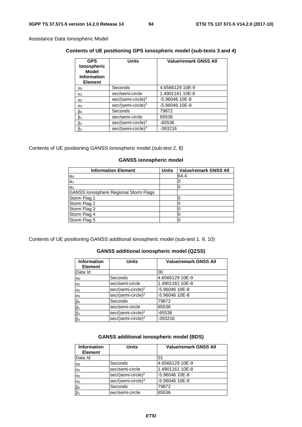Assistance Data Ionospheric Model

## **Contents of UE positioning GPS ionospheric model (sub-tests 3 and 4)**

| <b>GPS</b><br><b>Ionospheric</b><br><b>Model</b><br><b>Information</b><br><b>Element</b> | <b>Units</b>                   | <b>Value/remark GNSS All</b> |
|------------------------------------------------------------------------------------------|--------------------------------|------------------------------|
| $\alpha_0$                                                                               | Seconds                        | 4.6566129 10E-9              |
| $\alpha_1$                                                                               | sec/semi-circle                | 1.4901161 10E-8              |
| $\alpha$ <sub>2</sub>                                                                    | sec/(semi-circle) <sup>2</sup> | -5.96046 10E-8               |
| $\alpha_3$                                                                               | sec/(semi-circle) <sup>3</sup> | -5.96046 10E-8               |
| βo                                                                                       | Seconds                        | 79872                        |
| $\beta_1$                                                                                | sec/semi-circle                | 65536                        |
| β2                                                                                       | sec/(semi-circle) <sup>2</sup> | -65536                       |
| $\beta_3$                                                                                | $sec/(semi-circle)^3$          | -393216                      |

Contents of UE positioning GANSS ionospheric model (sub-test 2, 8)

#### **GANSS ionospheric model**

| <b>Information Element</b>                   | <b>Units</b> | <b>Value/remark GNSS All</b> |
|----------------------------------------------|--------------|------------------------------|
| a <sub>i0</sub>                              |              | 64.4                         |
| a <sub>i1</sub>                              |              | O                            |
| a <sub>i2</sub>                              |              |                              |
| <b>GANSS lonosphere Regional Storm Flags</b> |              |                              |
| Storm Flag 1                                 |              |                              |
| Storm Flag 2                                 |              |                              |
| Storm Flag 3                                 |              |                              |
| Storm Flag 4                                 |              |                              |
| Storm Flag 5                                 |              | O                            |

Contents of UE positioning GANSS additional ionospheric model (sub-test 1, 9, 10)

## **GANSS additional ionospheric model (QZSS)**

| <b>Information</b><br><b>Element</b> | <b>Units</b>                   | <b>Value/remark GNSS All</b> |
|--------------------------------------|--------------------------------|------------------------------|
| Data Id                              |                                | 00                           |
| $\alpha$                             | Seconds                        | 4.6566129 10E-9              |
| $\alpha_1$                           | sec/semi-circle                | 1.4901161 10E-8              |
| $\alpha$ <sub>2</sub>                | sec/(semi-circle) <sup>2</sup> | -5.96046 10E-8               |
| $\alpha_3$                           | sec/(semi-circle) <sup>3</sup> | -5.96046 10E-8               |
| $\beta$ o                            | Seconds                        | 79872                        |
| $\beta_1$                            | sec/semi-circle                | 65536                        |
| $\beta$ <sub>2</sub>                 | sec/(semi-circle) <sup>2</sup> | -65536                       |
| $\beta_3$                            | sec/(semi-circle) <sup>3</sup> | -393216                      |

#### **GANSS additional ionospheric model (BDS)**

| <b>Information</b><br><b>Element</b> | <b>Units</b>                   | <b>Value/remark GNSS All</b> |
|--------------------------------------|--------------------------------|------------------------------|
| Data Id                              |                                | 01                           |
| $\alpha_0$                           | Seconds                        | 4.6566129 10E-9              |
| $\alpha_1$                           | sec/semi-circle                | 1.4901161 10E-8              |
| $\alpha$ <sub>2</sub>                | sec/(semi-circle) <sup>2</sup> | -5.96046 10E-8               |
| $\alpha_3$                           | sec/(semi-circle) <sup>3</sup> | -5.96046 10E-8               |
| βο                                   | Seconds                        | 79872                        |
| $\beta_1$                            | sec/semi-circle                | 65536                        |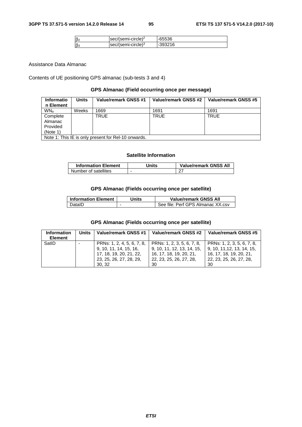|           | $ sec/(semi-circle)^2$ | -65536  |
|-----------|------------------------|---------|
| $\beta_3$ | $ sec/(semi-circle)3$  | -393216 |

Assistance Data Almanac

Contents of UE positioning GPS almanac (sub-tests 3 and 4)

#### **GPS Almanac (Field occurring once per message)**

| <b>Informatio</b><br>n Element | Units | Value/remark GNSS #1                               | Value/remark GNSS #2 | Value/remark GNSS #5 |
|--------------------------------|-------|----------------------------------------------------|----------------------|----------------------|
| <b>WN<sub>a</sub></b>          | Weeks | 1669                                               | 1691                 | 1691                 |
| Complete                       |       | TRUE                                               | <b>TRUE</b>          | <b>TRUE</b>          |
| Almanac                        |       |                                                    |                      |                      |
| Provided                       |       |                                                    |                      |                      |
| (Note 1)                       |       |                                                    |                      |                      |
|                                |       | Note 1: This IF is only present for Rel-10 onwards |                      |                      |

Note 1: This IE is only present for Rel-10 onwards.

#### **Satellite Information**

| <b>Information Element</b> | Jnits | <b>Value/remark GNSS All</b> |
|----------------------------|-------|------------------------------|
| Number of satellites       | ۰     |                              |

## **GPS Almanac (Fields occurring once per satellite)**

| <b>Information Element</b> | Jnits                    | <b>Value/remark GNSS All</b>        |
|----------------------------|--------------------------|-------------------------------------|
| DataID ∶                   | $\overline{\phantom{0}}$ | I See file: Perf GPS Almanac XX.csv |

## **GPS Almanac (Fields occurring once per satellite)**

| <b>Information</b><br><b>Element</b> | Units | Value/remark GNSS #1                                                                                                | Value/remark GNSS #2                                                                                                 | Value/remark GNSS #5                                                                                                 |
|--------------------------------------|-------|---------------------------------------------------------------------------------------------------------------------|----------------------------------------------------------------------------------------------------------------------|----------------------------------------------------------------------------------------------------------------------|
| SatID                                |       | PRNs: 1, 2, 4, 5, 6, 7, 8,<br>9, 10, 11, 14, 15, 16,<br>17, 18, 19, 20, 21, 22,<br>23, 25, 26, 27, 28, 29,<br>30.32 | PRNs: 1, 2, 3, 5, 6, 7, 8,<br>9, 10, 11, 12, 13, 14, 15,<br>16, 17, 18, 19, 20, 21,<br>22, 23, 25, 26, 27, 28,<br>30 | PRNs: 1, 2, 3, 5, 6, 7, 8,<br>9, 10, 11, 12, 13, 14, 15,<br>16, 17, 18, 19, 20, 21,<br>22, 23, 25, 26, 27, 28,<br>30 |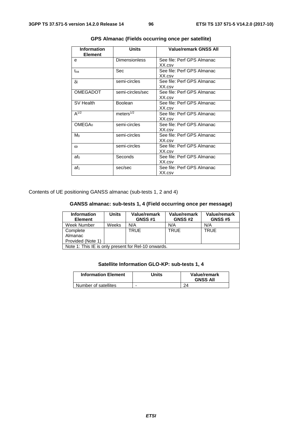| <b>Information</b><br><b>Element</b> | <b>Units</b>         | <b>Value/remark GNSS All</b>         |
|--------------------------------------|----------------------|--------------------------------------|
| e                                    | <b>Dimensionless</b> | See file: Perf GPS Almanac<br>XX.csv |
| toa                                  | Sec                  | See file: Perf GPS Almanac<br>XX.csv |
| δi                                   | semi-circles         | See file: Perf GPS Almanac<br>XX.csv |
| <b>OMEGADOT</b>                      | semi-circles/sec     | See file: Perf GPS Almanac<br>XX.csv |
| SV Health                            | Boolean              | See file: Perf GPS Almanac<br>XX.csv |
| $A^{1/2}$                            | meters $1/2$         | See file: Perf GPS Almanac<br>XX.csv |
| OMEGA <sub>0</sub>                   | semi-circles         | See file: Perf GPS Almanac<br>XX.csv |
| Mo                                   | semi-circles         | See file: Perf GPS Almanac<br>XX.csv |
| $\omega$                             | semi-circles         | See file: Perf GPS Almanac<br>XX.csv |
| afo                                  | Seconds              | See file: Perf GPS Almanac<br>XX.csv |
| af <sub>1</sub>                      | sec/sec              | See file: Perf GPS Almanac<br>XX.csv |

**GPS Almanac (Fields occurring once per satellite)** 

Contents of UE positioning GANSS almanac (sub-tests 1, 2 and 4)

## **GANSS almanac: sub-tests 1, 4 (Field occurring once per message)**

| <b>Information</b><br><b>Element</b>                | <b>Units</b> | Value/remark<br><b>GNSS #1</b> | Value/remark<br><b>GNSS #2</b> | Value/remark<br><b>GNSS #5</b> |  |
|-----------------------------------------------------|--------------|--------------------------------|--------------------------------|--------------------------------|--|
|                                                     |              |                                |                                |                                |  |
| Week Number                                         | Weeks        | N/A                            | N/A                            | N/A                            |  |
| Complete                                            |              | <b>TRUE</b>                    | <b>TRUE</b>                    | <b>TRUE</b>                    |  |
| Almanac                                             |              |                                |                                |                                |  |
| Provided (Note 1)                                   |              |                                |                                |                                |  |
| Note 1: This IE is only present for Rel-10 onwards. |              |                                |                                |                                |  |

## **Satellite Information GLO-KP: sub-tests 1, 4**

| <b>Information Element</b> | Units                    | Value/remark<br><b>GNSS All</b> |
|----------------------------|--------------------------|---------------------------------|
| Number of satellites       | $\overline{\phantom{0}}$ | 24                              |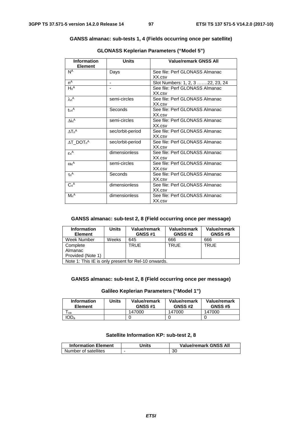#### **GANSS almanac: sub-tests 1, 4 (Fields occurring once per satellite)**

| <b>Information</b><br><b>Element</b> | <b>Units</b>     | <b>Value/remark GNSS All</b>             |
|--------------------------------------|------------------|------------------------------------------|
| $N^A$                                | Days             | See file: Perf GLONASS Almanac<br>XX.csv |
| $n^A$                                |                  | Slot Numbers: 1, 2, 3 22, 23, 24         |
| $H_n^A$                              |                  | See file: Perf GLONASS Almanac<br>XX.csv |
| $\lambda_n$ A                        | semi-circles     | See file: Perf GLONASS Almanac<br>XX.csv |
| $t_{\lambda n}$ A                    | Seconds          | See file: Perf GLONASS Almanac<br>XX.csv |
| $\Delta$ in <sup>A</sup>             | semi-circles     | See file: Perf GLONASS Almanac<br>XX.csv |
| $\Delta T_n^A$                       | sec/orbit-period | See file: Perf GLONASS Almanac<br>XX.csv |
| $\Delta T$ DOT <sub>n</sub> A        | sec/orbit-period | See file: Perf GLONASS Almanac<br>XX.csv |
| $\epsilon_n$ <sup>A</sup>            | dimensionless    | See file: Perf GLONASS Almanac<br>XX.csv |
| $\omega_n^A$                         | semi-circles     | See file: Perf GLONASS Almanac<br>XX.csv |
| $\tau_n$ <sup>A</sup>                | Seconds          | See file: Perf GLONASS Almanac<br>XX.csv |
| $C_n^A$                              | dimensionless    | See file: Perf GLONASS Almanac<br>XX.csv |
| $Mn^A$                               | dimensionless    | See file: Perf GLONASS Almanac<br>XX.csv |

## **GLONASS Keplerian Parameters ("Model 5")**

#### **GANSS almanac: sub-test 2, 8 (Field occurring once per message)**

| <b>Information</b><br><b>Element</b>                | <b>Units</b> | Value/remark<br><b>GNSS #1</b> | Value/remark<br><b>GNSS #2</b> | Value/remark<br><b>GNSS #5</b> |
|-----------------------------------------------------|--------------|--------------------------------|--------------------------------|--------------------------------|
| Week Number                                         | Weeks        | 645                            | 666                            | 666                            |
| Complete                                            |              | TRUE                           | <b>TRUE</b>                    | <b>TRUE</b>                    |
| Almanac                                             |              |                                |                                |                                |
| Provided (Note 1)                                   |              |                                |                                |                                |
| Note 1: This IE is only present for Rel-10 onwards. |              |                                |                                |                                |

#### **GANSS almanac: sub-test 2, 8 (Field occurring once per message)**

#### **Galileo Keplerian Parameters ("Model 1")**

| <b>Information</b><br><b>Element</b> | Units | Value/remark<br><b>GNSS #1</b> | Value/remark<br><b>GNSS #2</b> | Value/remark<br><b>GNSS #5</b> |
|--------------------------------------|-------|--------------------------------|--------------------------------|--------------------------------|
| 0a                                   |       | 147000                         | 147000                         | 147000                         |
| IOD <sub>a</sub>                     |       |                                |                                |                                |

#### **Satellite Information KP: sub-test 2, 8**

| <b>Information Element</b> | Jnits | <b>Value/remark GNSS All</b> |
|----------------------------|-------|------------------------------|
| Number of satellites       |       | 30                           |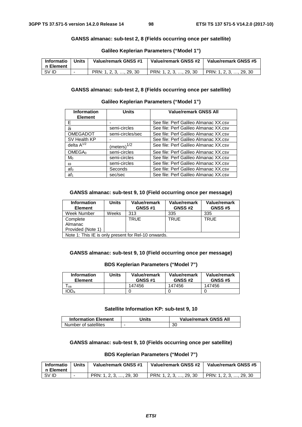#### **GANSS almanac: sub-test 2, 8 (Fields occurring once per satellite)**

| Informatio<br>n Element | Units | Value/remark GNSS #1   | Value/remark GNSS #2   | Value/remark GNSS #5   |
|-------------------------|-------|------------------------|------------------------|------------------------|
| SV ID                   |       | PRN: 1, 2, 3, , 29, 30 | PRN: 1, 2, 3, , 29, 30 | PRN: 1, 2, 3, , 29, 30 |

#### **Galileo Keplerian Parameters ("Model 1")**

#### **GANSS almanac: sub-test 2, 8 (Fields occurring once per satellite)**

#### **Galileo Keplerian Parameters ("Model 1")**

| <b>Information</b> | <b>Units</b>            | <b>Value/remark GNSS All</b>          |
|--------------------|-------------------------|---------------------------------------|
| <b>Element</b>     |                         |                                       |
| F                  |                         | See file: Perf Galileo Almanac XX.csv |
| δi                 | semi-circles            | See file: Perf Galileo Almanac XX.csv |
| <b>OMEGADOT</b>    | semi-circles/sec        | See file: Perf Galileo Almanac XX.csv |
| SV Health KP       |                         | See file: Perf Galileo Almanac XX.csv |
| delta $A^{1/2}$    | (meters) <sup>1/2</sup> | See file: Perf Galileo Almanac XX.csv |
| OMEGA <sub>0</sub> | semi-circles            | See file: Perf Galileo Almanac XX.csv |
| Mo                 | semi-circles            | See file: Perf Galileo Almanac XX.csv |
| $\omega$           | semi-circles            | See file: Perf Galileo Almanac XX.csv |
| af <sub>0</sub>    | Seconds                 | See file: Perf Galileo Almanac XX.csv |
| af <sub>1</sub>    | sec/sec                 | See file: Perf Galileo Almanac XX.csv |

#### **GANSS almanac: sub-test 9, 10 (Field occurring once per message)**

| <b>Information</b><br><b>Element</b>                | <b>Units</b> | Value/remark<br><b>GNSS #1</b> | Value/remark<br><b>GNSS #2</b> | Value/remark<br><b>GNSS #5</b> |  |
|-----------------------------------------------------|--------------|--------------------------------|--------------------------------|--------------------------------|--|
| Week Number                                         | Weeks        | 313                            | 335                            | 335                            |  |
| Complete                                            |              | <b>TRUE</b>                    | <b>TRUE</b>                    | <b>TRUE</b>                    |  |
| Almanac                                             |              |                                |                                |                                |  |
| Provided (Note 1)                                   |              |                                |                                |                                |  |
| Note 1: This IE is only present for Rel-10 onwards. |              |                                |                                |                                |  |

Note 1: This IE is only present for Rel-10 onwards.

### **GANSS almanac: sub-test 9, 10 (Field occurring once per message)**

#### **BDS Keplerian Parameters ("Model 7")**

| <b>Information</b><br><b>Element</b> | Units | Value/remark<br><b>GNSS #1</b> | Value/remark<br><b>GNSS #2</b> | Value/remark<br><b>GNSS #5</b> |
|--------------------------------------|-------|--------------------------------|--------------------------------|--------------------------------|
| oa                                   |       | 147456                         | 147456                         | 147456                         |
| 1OD <sub>a</sub>                     |       |                                |                                |                                |

#### **Satellite Information KP: sub-test 9, 10**

| <b>Information Element</b> | Jnits | <b>Value/remark GNSS All</b> |
|----------------------------|-------|------------------------------|
| Number of satellites       |       | 30                           |

#### **GANSS almanac: sub-test 9, 10 (Fields occurring once per satellite)**

#### **BDS Keplerian Parameters ("Model 7")**

| Informatio<br>n Element | <b>Units</b> | Value/remark GNSS #1   | Value/remark GNSS #2   | Value/remark GNSS #5   |
|-------------------------|--------------|------------------------|------------------------|------------------------|
| SV ID                   |              | PRN: 1, 2, 3, , 29, 30 | PRN: 1, 2, 3, , 29, 30 | PRN: 1, 2, 3, , 29, 30 |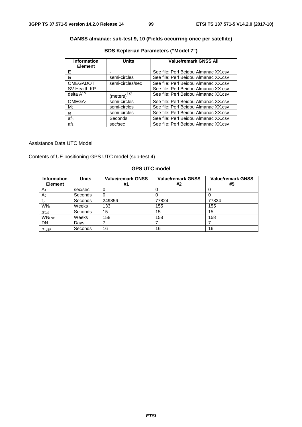## **GANSS almanac: sub-test 9, 10 (Fields occurring once per satellite)**

| <b>Information</b><br><b>Element</b> | <b>Units</b>            | <b>Value/remark GNSS All</b>         |
|--------------------------------------|-------------------------|--------------------------------------|
| F                                    |                         | See file: Perf Beidou Almanac XX.csv |
| δi                                   | semi-circles            | See file: Perf Beidou Almanac XX.csv |
| <b>OMEGADOT</b>                      | semi-circles/sec        | See file: Perf Beidou Almanac XX.csv |
| SV Health KP                         |                         | See file: Perf Beidou Almanac XX.csv |
| delta $A^{1/2}$                      | (meters) <sup>1/2</sup> | See file: Perf Beidou Almanac XX.csv |
| OMEGA <sub>0</sub>                   | semi-circles            | See file: Perf Beidou Almanac XX.csv |
| Mo                                   | semi-circles            | See file: Perf Beidou Almanac XX.csv |
| $\omega$                             | semi-circles            | See file: Perf Beidou Almanac XX.csv |
| af <sub>0</sub>                      | Seconds                 | See file: Perf Beidou Almanac XX.csv |
| af <sub>1</sub>                      | sec/sec                 | See file: Perf Beidou Almanac XX.csv |

## **BDS Keplerian Parameters ("Model 7")**

#### Assistance Data UTC Model

Contents of UE positioning GPS UTC model (sub-test 4)

#### **GPS UTC model**

| <b>Information</b>       | <b>Units</b> | <b>Value/remark GNSS</b> | <b>Value/remark GNSS</b> | <b>Value/remark GNSS</b> |
|--------------------------|--------------|--------------------------|--------------------------|--------------------------|
| <b>Element</b>           |              | #1                       | #2                       | #5                       |
| A <sub>1</sub>           | sec/sec      |                          |                          |                          |
| Ao                       | Seconds      |                          | υ                        |                          |
| $t_{\rm ot}$             | Seconds      | 249856                   | 77824                    | 77824                    |
| <b>WN</b> t              | Weeks        | 133                      | 155                      | 155                      |
| $\Delta t$ <sub>LS</sub> | Seconds      | 15                       | 15                       | 15                       |
| <b>WNLSF</b>             | Weeks        | 158                      | 158                      | 158                      |
| <b>DN</b>                | Days         |                          |                          |                          |
| $\Delta t$ LSF           | Seconds      | 16                       | 16                       | 16                       |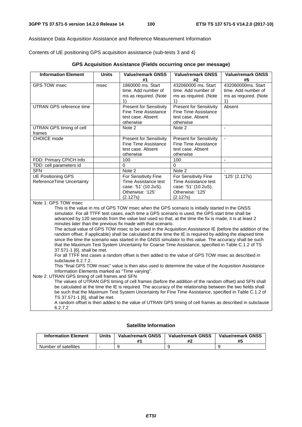Assistance Data Acquisition Assistance and Reference Measurement Information

Contents of UE positioning GPS acquisition assistance (sub-tests 3 and 4)

|  |  | GPS Acquisition Assistance (Fields occurring once per message) |  |  |  |  |
|--|--|----------------------------------------------------------------|--|--|--|--|
|--|--|----------------------------------------------------------------|--|--|--|--|

| #1<br>#2<br>#5<br><b>GPS TOW msec</b><br>1860000 ms. Start<br>432060000 ms. Start<br>432060000ms. Start<br>msec<br>time. Add number of<br>time. Add number of<br>time. Add number of<br>ms as required. (Note<br>ms as required. (Note<br>ms as required. (Note<br>1)<br>1)<br>1)<br><b>UTRAN GPS reference time</b><br><b>Present for Sensitivity</b><br><b>Present for Sensitivity</b><br>Absent<br><b>Fine Time Assistance</b><br><b>Fine Time Assistance</b><br>test case. Absent<br>test case. Absent<br>otherwise<br>otherwise<br>UTRAN GPS timing of cell<br>Note 2<br>Note 2<br>÷,<br>frames<br><b>CHOICE</b> mode<br><b>Present for Sensitivity</b><br><b>Present for Sensitivity</b><br>L.<br><b>Fine Time Assistance</b><br><b>Fine Time Assistance</b><br>test case. Absent<br>test case. Absent<br>otherwise<br>otherwise<br>100<br>100<br>FDD: Primary CPICH Info<br>$\blacksquare$<br>TDD: cell parameters id<br>0<br>$\Omega$<br><b>SFN</b><br>Note 2<br>Note 2<br>$\sim$<br><b>UE Positioning GPS</b><br>$'125'$ (2.127s)<br>For Sensitivity Fine<br>For Sensitivity Fine<br>ReferenceTime Uncertainty<br>Time Assistance test<br>Time Assistance test<br>case: '51' (10.2uS).<br>case: '51' (10.2uS).<br>Otherwise: '125'<br>Otherwise: '125'<br>(2.127s)<br>(2.127s) |
|-----------------------------------------------------------------------------------------------------------------------------------------------------------------------------------------------------------------------------------------------------------------------------------------------------------------------------------------------------------------------------------------------------------------------------------------------------------------------------------------------------------------------------------------------------------------------------------------------------------------------------------------------------------------------------------------------------------------------------------------------------------------------------------------------------------------------------------------------------------------------------------------------------------------------------------------------------------------------------------------------------------------------------------------------------------------------------------------------------------------------------------------------------------------------------------------------------------------------------------------------------------------------------------------|
|                                                                                                                                                                                                                                                                                                                                                                                                                                                                                                                                                                                                                                                                                                                                                                                                                                                                                                                                                                                                                                                                                                                                                                                                                                                                                         |
|                                                                                                                                                                                                                                                                                                                                                                                                                                                                                                                                                                                                                                                                                                                                                                                                                                                                                                                                                                                                                                                                                                                                                                                                                                                                                         |
|                                                                                                                                                                                                                                                                                                                                                                                                                                                                                                                                                                                                                                                                                                                                                                                                                                                                                                                                                                                                                                                                                                                                                                                                                                                                                         |
|                                                                                                                                                                                                                                                                                                                                                                                                                                                                                                                                                                                                                                                                                                                                                                                                                                                                                                                                                                                                                                                                                                                                                                                                                                                                                         |
|                                                                                                                                                                                                                                                                                                                                                                                                                                                                                                                                                                                                                                                                                                                                                                                                                                                                                                                                                                                                                                                                                                                                                                                                                                                                                         |
|                                                                                                                                                                                                                                                                                                                                                                                                                                                                                                                                                                                                                                                                                                                                                                                                                                                                                                                                                                                                                                                                                                                                                                                                                                                                                         |
|                                                                                                                                                                                                                                                                                                                                                                                                                                                                                                                                                                                                                                                                                                                                                                                                                                                                                                                                                                                                                                                                                                                                                                                                                                                                                         |
|                                                                                                                                                                                                                                                                                                                                                                                                                                                                                                                                                                                                                                                                                                                                                                                                                                                                                                                                                                                                                                                                                                                                                                                                                                                                                         |
|                                                                                                                                                                                                                                                                                                                                                                                                                                                                                                                                                                                                                                                                                                                                                                                                                                                                                                                                                                                                                                                                                                                                                                                                                                                                                         |
|                                                                                                                                                                                                                                                                                                                                                                                                                                                                                                                                                                                                                                                                                                                                                                                                                                                                                                                                                                                                                                                                                                                                                                                                                                                                                         |
|                                                                                                                                                                                                                                                                                                                                                                                                                                                                                                                                                                                                                                                                                                                                                                                                                                                                                                                                                                                                                                                                                                                                                                                                                                                                                         |
|                                                                                                                                                                                                                                                                                                                                                                                                                                                                                                                                                                                                                                                                                                                                                                                                                                                                                                                                                                                                                                                                                                                                                                                                                                                                                         |
|                                                                                                                                                                                                                                                                                                                                                                                                                                                                                                                                                                                                                                                                                                                                                                                                                                                                                                                                                                                                                                                                                                                                                                                                                                                                                         |
|                                                                                                                                                                                                                                                                                                                                                                                                                                                                                                                                                                                                                                                                                                                                                                                                                                                                                                                                                                                                                                                                                                                                                                                                                                                                                         |
|                                                                                                                                                                                                                                                                                                                                                                                                                                                                                                                                                                                                                                                                                                                                                                                                                                                                                                                                                                                                                                                                                                                                                                                                                                                                                         |
|                                                                                                                                                                                                                                                                                                                                                                                                                                                                                                                                                                                                                                                                                                                                                                                                                                                                                                                                                                                                                                                                                                                                                                                                                                                                                         |
|                                                                                                                                                                                                                                                                                                                                                                                                                                                                                                                                                                                                                                                                                                                                                                                                                                                                                                                                                                                                                                                                                                                                                                                                                                                                                         |
|                                                                                                                                                                                                                                                                                                                                                                                                                                                                                                                                                                                                                                                                                                                                                                                                                                                                                                                                                                                                                                                                                                                                                                                                                                                                                         |
|                                                                                                                                                                                                                                                                                                                                                                                                                                                                                                                                                                                                                                                                                                                                                                                                                                                                                                                                                                                                                                                                                                                                                                                                                                                                                         |
|                                                                                                                                                                                                                                                                                                                                                                                                                                                                                                                                                                                                                                                                                                                                                                                                                                                                                                                                                                                                                                                                                                                                                                                                                                                                                         |
|                                                                                                                                                                                                                                                                                                                                                                                                                                                                                                                                                                                                                                                                                                                                                                                                                                                                                                                                                                                                                                                                                                                                                                                                                                                                                         |
|                                                                                                                                                                                                                                                                                                                                                                                                                                                                                                                                                                                                                                                                                                                                                                                                                                                                                                                                                                                                                                                                                                                                                                                                                                                                                         |
| Note 1: GPS TOW msec                                                                                                                                                                                                                                                                                                                                                                                                                                                                                                                                                                                                                                                                                                                                                                                                                                                                                                                                                                                                                                                                                                                                                                                                                                                                    |
| This is the value in ms of GPS TOW msec when the GPS scenario is initially started in the GNSS<br>simulator. For all TTFF test cases, each time a GPS scenario is used, the GPS start time shall be                                                                                                                                                                                                                                                                                                                                                                                                                                                                                                                                                                                                                                                                                                                                                                                                                                                                                                                                                                                                                                                                                     |
| advanced by 120 seconds from the value last used so that, at the time the fix is made, it is at least 2                                                                                                                                                                                                                                                                                                                                                                                                                                                                                                                                                                                                                                                                                                                                                                                                                                                                                                                                                                                                                                                                                                                                                                                 |
| minutes later than the previous fix made with that scenario.                                                                                                                                                                                                                                                                                                                                                                                                                                                                                                                                                                                                                                                                                                                                                                                                                                                                                                                                                                                                                                                                                                                                                                                                                            |
| The actual value of GPS TOW msec to be used in the Acquisition Assistance IE (before the addition of the                                                                                                                                                                                                                                                                                                                                                                                                                                                                                                                                                                                                                                                                                                                                                                                                                                                                                                                                                                                                                                                                                                                                                                                |
| random offset, if applicable) shall be calculated at the time the IE is required by adding the elapsed time                                                                                                                                                                                                                                                                                                                                                                                                                                                                                                                                                                                                                                                                                                                                                                                                                                                                                                                                                                                                                                                                                                                                                                             |
| since the time the scenario was started in the GNSS simulator to this value. The accuracy shall be such                                                                                                                                                                                                                                                                                                                                                                                                                                                                                                                                                                                                                                                                                                                                                                                                                                                                                                                                                                                                                                                                                                                                                                                 |
| that the Maximum Test System Uncertainty for Coarse Time Assistance, specified in Table C.1.2 of TS                                                                                                                                                                                                                                                                                                                                                                                                                                                                                                                                                                                                                                                                                                                                                                                                                                                                                                                                                                                                                                                                                                                                                                                     |
| 37.571-1 [6], shall be met.                                                                                                                                                                                                                                                                                                                                                                                                                                                                                                                                                                                                                                                                                                                                                                                                                                                                                                                                                                                                                                                                                                                                                                                                                                                             |
| For all TTFF test cases a random offset is then added to the value of GPS TOW msec as described in                                                                                                                                                                                                                                                                                                                                                                                                                                                                                                                                                                                                                                                                                                                                                                                                                                                                                                                                                                                                                                                                                                                                                                                      |
| subclause 6.2.7.2.                                                                                                                                                                                                                                                                                                                                                                                                                                                                                                                                                                                                                                                                                                                                                                                                                                                                                                                                                                                                                                                                                                                                                                                                                                                                      |
| This "final GPS TOW msec" value is then also used to determine the value of the Acquisition Assistance                                                                                                                                                                                                                                                                                                                                                                                                                                                                                                                                                                                                                                                                                                                                                                                                                                                                                                                                                                                                                                                                                                                                                                                  |
| Information Elements marked as "Time varying".                                                                                                                                                                                                                                                                                                                                                                                                                                                                                                                                                                                                                                                                                                                                                                                                                                                                                                                                                                                                                                                                                                                                                                                                                                          |
| Note 2: UTRAN GPS timing of cell frames and SFN                                                                                                                                                                                                                                                                                                                                                                                                                                                                                                                                                                                                                                                                                                                                                                                                                                                                                                                                                                                                                                                                                                                                                                                                                                         |
| The values of UTRAN GPS timing of cell frames (before the addition of the random offset) and SFN shall                                                                                                                                                                                                                                                                                                                                                                                                                                                                                                                                                                                                                                                                                                                                                                                                                                                                                                                                                                                                                                                                                                                                                                                  |
| be calculated at the time the IE is required. The accuracy of the relationship between the two fields shall                                                                                                                                                                                                                                                                                                                                                                                                                                                                                                                                                                                                                                                                                                                                                                                                                                                                                                                                                                                                                                                                                                                                                                             |
| be such that the Maximum Test System Uncertainty for Fine Time Assistance, specified in Table C.1.2 of                                                                                                                                                                                                                                                                                                                                                                                                                                                                                                                                                                                                                                                                                                                                                                                                                                                                                                                                                                                                                                                                                                                                                                                  |
| TS 37.571-1 [6], shall be met.<br>A random offset is then added to the value of UTRAN GPS timing of cell frames as described in subclause                                                                                                                                                                                                                                                                                                                                                                                                                                                                                                                                                                                                                                                                                                                                                                                                                                                                                                                                                                                                                                                                                                                                               |
| 6.2.7.2                                                                                                                                                                                                                                                                                                                                                                                                                                                                                                                                                                                                                                                                                                                                                                                                                                                                                                                                                                                                                                                                                                                                                                                                                                                                                 |

#### **Satellite Information**

| <b>Information Element</b> | Units | <b>Value/remark GNSS</b> | <b>Value/remark GNSS</b> | <b>Value/remark GNSS</b><br>#5 |
|----------------------------|-------|--------------------------|--------------------------|--------------------------------|
| Number of satellites       |       |                          |                          |                                |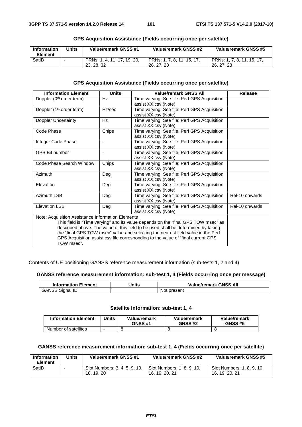| <b>Information</b><br><b>Element</b> | Units | Value/remark GNSS #1                      | Value/remark GNSS #2                     | Value/remark GNSS #5                     |
|--------------------------------------|-------|-------------------------------------------|------------------------------------------|------------------------------------------|
| SatID                                |       | PRNs: 1, 4, 11, 17, 19, 20,<br>23, 28, 32 | PRNs: 1, 7, 8, 11, 15, 17,<br>26, 27, 28 | PRNs: 1, 7, 8, 11, 15, 17,<br>26, 27, 28 |

#### **GPS Acquisition Assistance (Fields occurring once per satellite)**

### **GPS Acquisition Assistance (Fields occurring once per satellite)**

| <b>Information Element</b>                                                        | <b>Units</b>   | <b>Value/remark GNSS All</b>                                                     | Release        |
|-----------------------------------------------------------------------------------|----------------|----------------------------------------------------------------------------------|----------------|
| Doppler (0 <sup>th</sup> order term)                                              | Hz             | Time varying. See file: Perf GPS Acquisition                                     |                |
|                                                                                   |                | assist XX.csv (Note)                                                             |                |
| Doppler (1 <sup>st</sup> order term)                                              | Hz/sec         | Time varying. See file: Perf GPS Acquisition                                     |                |
|                                                                                   |                | assist XX.csv (Note)                                                             |                |
| Doppler Uncertainty                                                               | Hz             | Time varying. See file: Perf GPS Acquisition                                     |                |
|                                                                                   |                | assist XX.csv (Note)                                                             |                |
| Code Phase                                                                        | Chips          | Time varying. See file: Perf GPS Acquisition                                     |                |
|                                                                                   |                | assist XX.csv (Note)                                                             |                |
| Integer Code Phase                                                                |                | Time varying. See file: Perf GPS Acquisition                                     |                |
|                                                                                   |                | assist XX.csv (Note)                                                             |                |
| <b>GPS Bit number</b>                                                             | $\blacksquare$ | Time varying. See file: Perf GPS Acquisition                                     |                |
|                                                                                   |                | assist XX.csv (Note)                                                             |                |
| Code Phase Search Window                                                          | Chips          | Time varying. See file: Perf GPS Acquisition                                     |                |
|                                                                                   |                | assist XX.csv (Note)                                                             |                |
| Azimuth                                                                           | Deg            | Time varying. See file: Perf GPS Acquisition                                     |                |
|                                                                                   |                | assist XX.csv (Note)                                                             |                |
| Elevation                                                                         | Deg            | Time varying. See file: Perf GPS Acquisition                                     |                |
|                                                                                   |                | assist XX.csv (Note)                                                             |                |
| Azimuth LSB                                                                       | Deg            | Time varying. See file: Perf GPS Acquisition                                     | Rel-10 onwards |
|                                                                                   |                | assist XX.csv (Note)                                                             |                |
| <b>Elevation LSB</b>                                                              | Deg            | Time varying. See file: Perf GPS Acquisition                                     | Rel-10 onwards |
|                                                                                   |                |                                                                                  |                |
| Note: Acquisition Assistance Information Elements                                 |                |                                                                                  |                |
| This field is "Time varying" and its value depends on the "final GPS TOW msec" as |                |                                                                                  |                |
| described above. The value of this field to be used shall be determined by taking |                |                                                                                  |                |
|                                                                                   |                | the "final GPS TOW msec" value and selecting the nearest field value in the Perf |                |
|                                                                                   |                | GPS Acquisition assist.csv file corresponding to the value of "final current GPS |                |
| TOW msec".                                                                        |                |                                                                                  |                |

Contents of UE positioning GANSS reference measurement information (sub-tests 1, 2 and 4)

#### **GANSS reference measurement information: sub-test 1, 4 (Fields occurring once per message)**

| <b>Information Element</b> | <b>Inits</b> | <b>Value/remark GNSS All</b> |
|----------------------------|--------------|------------------------------|
| <b>Sidnal IL</b>           |              | present<br>No.               |

#### **Satellite Information: sub-test 1, 4**

| <b>Information Element</b> | <b>Units</b> | Value/remark<br><b>GNSS #1</b> | Value/remark<br><b>GNSS #2</b> | Value/remark<br><b>GNSS #5</b> |
|----------------------------|--------------|--------------------------------|--------------------------------|--------------------------------|
| Number of satellites       |              |                                |                                |                                |

## **GANSS reference measurement information: sub-test 1, 4 (Fields occurring once per satellite)**

| <b>Information</b><br><b>Element</b> | Units                    | Value/remark GNSS #1                        | Value/remark GNSS #2                         | Value/remark GNSS #5                         |
|--------------------------------------|--------------------------|---------------------------------------------|----------------------------------------------|----------------------------------------------|
| SatID                                | $\overline{\phantom{a}}$ | Slot Numbers: 3, 4, 5, 9, 10,<br>18, 19, 20 | Slot Numbers: 1, 8, 9, 10,<br>16, 19, 20, 21 | Slot Numbers: 1, 8, 9, 10,<br>16, 19, 20, 21 |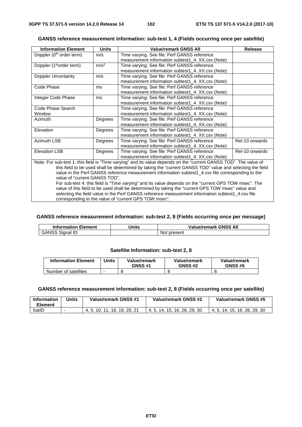| GANSS reference measurement information: sub-test 1, 4 (Fields occurring once per satellite) |  |
|----------------------------------------------------------------------------------------------|--|
|----------------------------------------------------------------------------------------------|--|

| <b>Information Element</b>                                                                                                                                                                                                     | <b>Units</b>     | <b>Value/remark GNSS All</b>                      | <b>Release</b> |  |
|--------------------------------------------------------------------------------------------------------------------------------------------------------------------------------------------------------------------------------|------------------|---------------------------------------------------|----------------|--|
| Doppler (0 <sup>th</sup> order term)                                                                                                                                                                                           | m/s              | Time varying. See file: Perf GANSS reference      |                |  |
|                                                                                                                                                                                                                                |                  | measurement information subtest1_4. XX.csv (Note) |                |  |
| Doppler (1 <sup>st</sup> order term)                                                                                                                                                                                           | m/s <sup>2</sup> | Time varying. See file: Perf GANSS reference      |                |  |
|                                                                                                                                                                                                                                |                  | measurement information subtest1 4. XX.csv (Note) |                |  |
| <b>Doppler Uncertainty</b>                                                                                                                                                                                                     | m/s              | Time varying. See file: Perf GANSS reference      |                |  |
|                                                                                                                                                                                                                                |                  | measurement information subtest1_4. XX.csv (Note) |                |  |
| Code Phase                                                                                                                                                                                                                     | ms               | Time varying. See file: Perf GANSS reference      |                |  |
|                                                                                                                                                                                                                                |                  | measurement information subtest1 4. XX.csv (Note) |                |  |
| Integer Code Phase                                                                                                                                                                                                             | ms               | Time varying. See file: Perf GANSS reference      |                |  |
|                                                                                                                                                                                                                                |                  | measurement information subtest1_4. XX.csv (Note) |                |  |
| Code Phase Search                                                                                                                                                                                                              |                  | Time varying. See file: Perf GANSS reference      |                |  |
| Window                                                                                                                                                                                                                         |                  | measurement information subtest1 4. XX.csv (Note) |                |  |
| Azimuth                                                                                                                                                                                                                        | Degrees          | Time varying. See file: Perf GANSS reference      |                |  |
|                                                                                                                                                                                                                                |                  | measurement information subtest1_4. XX.csv (Note) |                |  |
| Elevation                                                                                                                                                                                                                      | Degrees          | Time varying. See file: Perf GANSS reference      |                |  |
|                                                                                                                                                                                                                                |                  | measurement information subtest1 4. XX.csv (Note) |                |  |
| <b>Azimuth LSB</b>                                                                                                                                                                                                             | Degrees          | Time varying. See file: Perf GANSS reference      | Rel-10 onwards |  |
|                                                                                                                                                                                                                                |                  | measurement information subtest1_4. XX.csv (Note) |                |  |
| <b>Elevation LSB</b>                                                                                                                                                                                                           | Degrees          | Time varying. See file: Perf GANSS reference      | Rel-10 onwards |  |
| measurement information subtest1_4. XX.csv (Note)                                                                                                                                                                              |                  |                                                   |                |  |
|                                                                                                                                                                                                                                |                  |                                                   |                |  |
|                                                                                                                                                                                                                                |                  |                                                   |                |  |
| Note: For sub-test 1: this field is "Time varying" and its value depends on the "current GANSS TOD". The value of<br>this field to be used shall be determined by taking the "current GANSS TOD" value and selecting the field |                  |                                                   |                |  |

value in the Perf GANSS reference measurement information subtest1\_4.csv file corresponding to the value of "current GANSS TOD". For sub-test 4: this field is "Time varying" and its value depends on the "current GPS TOW msec". The value of this field to be used shall be determined by taking the "current GPS TOW msec" value and

selecting the field value in the Perf GANSS reference measurement information subtest1\_4.csv file corresponding to the value of "current GPS TOW msec".

#### **GANSS reference measurement information: sub-test 2, 8 (Fields occurring once per message)**

| <b>Information Element</b>  | Jnits | <b>GNSS All</b><br>Value/remark |
|-----------------------------|-------|---------------------------------|
| GANSS<br>- 115<br>Sidnal ID |       | present<br>N01                  |

#### **Satellite Information: sub-test 2, 8**

| <b>Information Element</b> | Jnits | Value/remark<br><b>GNSS #1</b> | Value/remark<br><b>GNSS #2</b> | Value/remark<br><b>GNSS #5</b> |
|----------------------------|-------|--------------------------------|--------------------------------|--------------------------------|
| Number of satellites       |       |                                |                                |                                |

#### **GANSS reference measurement information: sub-test 2, 8 (Fields occurring once per satellite)**

| <b>Information</b><br>Element | Units | Value/remark GNSS #1     | Value/remark GNSS #2         | Value/remark GNSS #5         |
|-------------------------------|-------|--------------------------|------------------------------|------------------------------|
| SatID                         |       | . 10. 11. 18. 19. 20. 21 | 4, 5, 14, 15, 16, 26, 29, 30 | 4, 5, 14, 15, 16, 26, 29, 30 |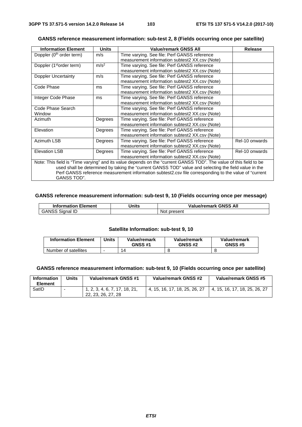GANSS TOD".

| GANSS reference measurement information: sub-test 2, 8 (Fields occurring once per satellite) |
|----------------------------------------------------------------------------------------------|
|----------------------------------------------------------------------------------------------|

| <b>Information Element</b>           | <b>Units</b>     | <b>Value/remark GNSS All</b>                                                                                       | <b>Release</b> |
|--------------------------------------|------------------|--------------------------------------------------------------------------------------------------------------------|----------------|
| Doppler (0 <sup>th</sup> order term) | m/s              | Time varying. See file: Perf GANSS reference                                                                       |                |
|                                      |                  | measurement information subtest2 XX.csv (Note)                                                                     |                |
| Doppler (1 <sup>st</sup> order term) | m/s <sup>2</sup> | Time varying. See file: Perf GANSS reference                                                                       |                |
|                                      |                  | measurement information subtest2 XX.csv (Note)                                                                     |                |
| Doppler Uncertainty                  | m/s              | Time varying. See file: Perf GANSS reference                                                                       |                |
|                                      |                  | measurement information subtest2 XX.csv (Note)                                                                     |                |
| Code Phase                           | ms               | Time varying. See file: Perf GANSS reference                                                                       |                |
|                                      |                  | measurement information subtest2 XX.csv (Note)                                                                     |                |
| Integer Code Phase                   | ms               | Time varying. See file: Perf GANSS reference                                                                       |                |
|                                      |                  | measurement information subtest2 XX.csv (Note)                                                                     |                |
| Code Phase Search                    |                  | Time varying. See file: Perf GANSS reference                                                                       |                |
| Window                               |                  | measurement information subtest2 XX.csv (Note)                                                                     |                |
| Azimuth                              | Degrees          | Time varying. See file: Perf GANSS reference                                                                       |                |
|                                      |                  | measurement information subtest2 XX.csv (Note)                                                                     |                |
| Elevation                            | Degrees          | Time varying. See file: Perf GANSS reference                                                                       |                |
|                                      |                  | measurement information subtest2 XX.csv (Note)                                                                     |                |
| <b>Azimuth LSB</b>                   | Degrees          | Time varying. See file: Perf GANSS reference                                                                       | Rel-10 onwards |
|                                      |                  | measurement information subtest2 XX.csv (Note)                                                                     |                |
| <b>Elevation LSB</b>                 | Degrees          | Time varying. See file: Perf GANSS reference                                                                       | Rel-10 onwards |
|                                      |                  | measurement information subtest2 XX.csv (Note)                                                                     |                |
|                                      |                  | Note: This field is "Time varying" and its value depends on the "current GANSS TOD". The value of this field to be |                |
|                                      |                  | used shall be determined by taking the "current GANSS TOD" value and selecting the field value in the              |                |
|                                      |                  | Perf GANSS reference measurement information subtest2.csv file corresponding to the value of "current              |                |

#### **GANSS reference measurement information: sub-test 9, 10 (Fields occurring once per message)**

| <b>Information Element</b> | <b>Inits</b> | <b>Value/remark GNSS All</b> |
|----------------------------|--------------|------------------------------|
| GANSS<br>Sidnal ID         |              | present<br>Not               |

#### **Satellite Information: sub-test 9, 10**

| <b>Information Element</b> | 'Jnits | Value/remark<br><b>GNSS #1</b> | Value/remark<br><b>GNSS #2</b> | Value/remark<br><b>GNSS #5</b> |
|----------------------------|--------|--------------------------------|--------------------------------|--------------------------------|
| Number of satellites       |        | 14                             |                                |                                |

#### **GANSS reference measurement information: sub-test 9, 10 (Fields occurring once per satellite)**

| <b>Information</b><br><b>Element</b> | Units | Value/remark GNSS #1                                | Value/remark GNSS #2          | Value/remark GNSS #5          |
|--------------------------------------|-------|-----------------------------------------------------|-------------------------------|-------------------------------|
| SatID                                |       | 1, 2, 3, 4, 6, 7, 17, 18, 21,<br>22, 23, 26, 27, 28 | 4, 15, 16, 17, 18, 25, 26, 27 | 4, 15, 16, 17, 18, 25, 26, 27 |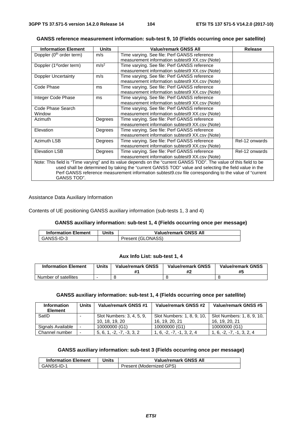| <b>Information Element</b>           | <b>Units</b>     | <b>Value/remark GNSS All</b>                                                                                       | <b>Release</b> |  |  |  |  |
|--------------------------------------|------------------|--------------------------------------------------------------------------------------------------------------------|----------------|--|--|--|--|
| Doppler (0 <sup>th</sup> order term) | m/s              | Time varying. See file: Perf GANSS reference                                                                       |                |  |  |  |  |
|                                      |                  | measurement information subtest9 XX.csv (Note)                                                                     |                |  |  |  |  |
| Doppler (1 <sup>st</sup> order term) | m/s <sup>2</sup> | Time varying. See file: Perf GANSS reference                                                                       |                |  |  |  |  |
|                                      |                  | measurement information subtest9 XX.csv (Note)                                                                     |                |  |  |  |  |
| Doppler Uncertainty                  | m/s              | Time varying. See file: Perf GANSS reference                                                                       |                |  |  |  |  |
|                                      |                  | measurement information subtest9 XX.csv (Note)                                                                     |                |  |  |  |  |
| Code Phase                           | ms               | Time varying. See file: Perf GANSS reference                                                                       |                |  |  |  |  |
|                                      |                  | measurement information subtest9 XX.csv (Note)                                                                     |                |  |  |  |  |
| Integer Code Phase                   | ms               | Time varying. See file: Perf GANSS reference                                                                       |                |  |  |  |  |
|                                      |                  | measurement information subtest9 XX.csv (Note)                                                                     |                |  |  |  |  |
| Code Phase Search                    |                  | Time varying. See file: Perf GANSS reference                                                                       |                |  |  |  |  |
| Window                               |                  | measurement information subtest9 XX.csv (Note)                                                                     |                |  |  |  |  |
| <b>Azimuth</b>                       | Degrees          | Time varying. See file: Perf GANSS reference                                                                       |                |  |  |  |  |
|                                      |                  | measurement information subtest9 XX.csv (Note)                                                                     |                |  |  |  |  |
| Elevation                            | Degrees          | Time varying. See file: Perf GANSS reference                                                                       |                |  |  |  |  |
|                                      |                  | measurement information subtest9 XX.csv (Note)                                                                     |                |  |  |  |  |
| <b>Azimuth LSB</b>                   | Degrees          | Time varying. See file: Perf GANSS reference                                                                       | Rel-12 onwards |  |  |  |  |
|                                      |                  | measurement information subtest9 XX.csv (Note)                                                                     |                |  |  |  |  |
| <b>Elevation LSB</b>                 | Degrees          | Time varying. See file: Perf GANSS reference                                                                       | Rel-12 onwards |  |  |  |  |
|                                      |                  | measurement information subtest9 XX.csv (Note)                                                                     |                |  |  |  |  |
|                                      |                  | Note: This field is "Time varying" and its value depends on the "current GANSS TOD". The value of this field to be |                |  |  |  |  |
|                                      |                  | used shall be determined by taking the "current GANSS TOD" value and selecting the field value in the              |                |  |  |  |  |
|                                      |                  | Perf GANSS reference measurement information subtest9.csv file corresponding to the value of "current"             |                |  |  |  |  |
| GANSS TOD".                          |                  |                                                                                                                    |                |  |  |  |  |

#### **GANSS reference measurement information: sub-test 9, 10 (Fields occurring once per satellite)**

Assistance Data Auxiliary Information

Contents of UE positioning GANSS auxiliary information (sub-tests 1, 3 and 4)

#### **GANSS auxiliary information: sub-test 1, 4 (Fields occurring once per message)**

| <b>Information Element</b> | Jnits | <b>Value/remark GNSS All</b> |
|----------------------------|-------|------------------------------|
| GANSS-ID-3                 |       | Present (GLONASS)            |

#### **Aux Info List: sub-test 1, 4**

| <b>Information Element</b> | <b>Units</b> | <b>Value/remark GNSS</b> | <b>Value/remark GNSS</b> | <b>Value/remark GNSS</b><br>#5 |
|----------------------------|--------------|--------------------------|--------------------------|--------------------------------|
| Number of satellites       |              |                          |                          |                                |

#### **GANSS auxiliary information: sub-test 1, 4 (Fields occurring once per satellite)**

| <b>Information</b><br><b>Element</b> | Units                    | Value/remark GNSS #1        | Value/remark GNSS #2        | Value/remark GNSS #5        |
|--------------------------------------|--------------------------|-----------------------------|-----------------------------|-----------------------------|
| SatID                                |                          | Slot Numbers: 3, 4, 5, 9,   | Slot Numbers: 1, 8, 9, 10,  | Slot Numbers: 1, 8, 9, 10,  |
|                                      |                          | 10, 18, 19, 20              | 16, 19, 20, 21              | 16, 19, 20, 21              |
| Signals Available                    |                          | 10000000 (G1)               | 10000000 (G1)               | 10000000 (G1)               |
| Channel number                       | $\overline{\phantom{a}}$ | $5, 6, 1, -2, -7, -3, 3, 2$ | $1, 6, -2, -7, -1, 3, 2, 4$ | $1, 6, -2, -7, -1, 3, 2, 4$ |

## **GANSS auxiliary information: sub-test 3 (Fields occurring once per message)**

| <b>Information Element</b> | Units | <b>Value/remark GNSS All</b> |
|----------------------------|-------|------------------------------|
| GANSS-ID-1                 |       | Present (Modernized GPS)     |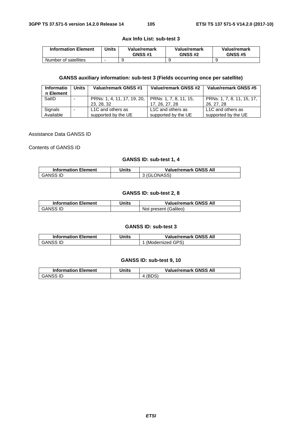#### **Aux Info List: sub-test 3**

| <b>Information Element</b> | Units | Value/remark<br><b>GNSS #1</b> | Value/remark<br><b>GNSS #2</b> | Value/remark<br><b>GNSS #5</b> |
|----------------------------|-------|--------------------------------|--------------------------------|--------------------------------|
| Number of satellites       |       |                                |                                |                                |

## **GANSS auxiliary information: sub-test 3 (Fields occurring once per satellite)**

| <b>Informatio</b><br>n Element | Units | <b>Value/remark GNSS #1</b>                                      | Value/remark GNSS #2                     | Value/remark GNSS #5                     |
|--------------------------------|-------|------------------------------------------------------------------|------------------------------------------|------------------------------------------|
| SatID                          |       | PRNs: 1, 4, 11, 17, 19, 20, PRNs: 1, 7, 8, 11, 15,<br>23, 28, 32 | 17, 26, 27, 28                           | PRNs: 1, 7, 8, 11, 15, 17,<br>26, 27, 28 |
| Signals<br>Available           |       | L1C and others as<br>supported by the UE                         | L1C and others as<br>supported by the UE | L1C and others as<br>supported by the UE |

#### Assistance Data GANSS ID

Contents of GANSS ID

#### **GANSS ID: sub-test 1, 4**

| <b>Information Element</b> | Units | <b>Value/remark GNSS All</b> |
|----------------------------|-------|------------------------------|
| GANSS ID                   |       | 3 (GLONASS)                  |

#### **GANSS ID: sub-test 2, 8**

| <b>Information Element</b> | Jnits | <b>Value/remark GNSS All</b> |
|----------------------------|-------|------------------------------|
| GANSS ID                   |       | Not present (Galileo)        |

#### **GANSS ID: sub-test 3**

| <b>Information Element</b> | Units | <b>Value/remark GNSS All</b> |
|----------------------------|-------|------------------------------|
| GANSS ID                   |       | ' (Modernized GPS)           |

#### **GANSS ID: sub-test 9, 10**

| <b>Information Element</b> | Jnits | <b>Value/remark GNSS All</b> |
|----------------------------|-------|------------------------------|
| <b>GANSS ID</b>            |       |                              |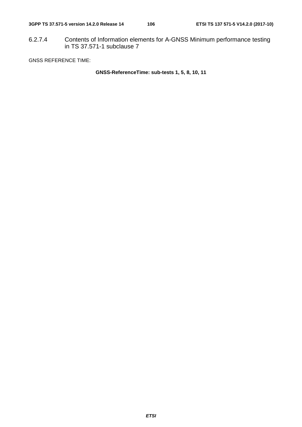6.2.7.4 Contents of Information elements for A-GNSS Minimum performance testing in TS 37.571-1 subclause 7

GNSS REFERENCE TIME:

**GNSS-ReferenceTime: sub-tests 1, 5, 8, 10, 11**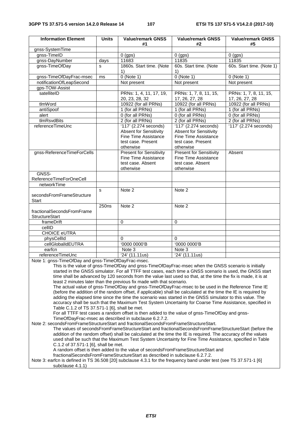| <b>Information Element</b>                                                                                                                                 | <b>Units</b> | <b>Value/remark GNSS</b><br>#1                                                                            | <b>Value/remark GNSS</b><br>#2 | <b>Value/remark GNSS</b><br>#5 |  |
|------------------------------------------------------------------------------------------------------------------------------------------------------------|--------------|-----------------------------------------------------------------------------------------------------------|--------------------------------|--------------------------------|--|
| gnss-SystemTime                                                                                                                                            |              |                                                                                                           |                                |                                |  |
| gnss-TimeID                                                                                                                                                |              | $\overline{0}$ (gps)                                                                                      | $0$ (gps)                      | $0$ (gps)                      |  |
| gnss-DayNumber                                                                                                                                             | days         | 11683                                                                                                     | 11835                          | 11835                          |  |
| gnss-TimeOfDay                                                                                                                                             | S            | 1860s. Start time. (Note                                                                                  | 60s. Start time. (Note         | 60s. Start time. (Note 1)      |  |
|                                                                                                                                                            |              | 1)                                                                                                        | 1)                             |                                |  |
| gnss-TimeOfDayFrac-msec                                                                                                                                    | ms           | $0$ (Note 1)                                                                                              | $0$ (Note 1)                   | $0$ (Note 1)                   |  |
| notificationOfLeapSecond                                                                                                                                   |              | Not present                                                                                               | Not present                    | Not present                    |  |
| gps-TOW-Assist                                                                                                                                             |              |                                                                                                           |                                |                                |  |
| satelliteID                                                                                                                                                |              | PRNs: 1, 4, 11, 17, 19,                                                                                   | PRNs: 1, 7, 8, 11, 15,         | PRNs: 1, 7, 8, 11, 15,         |  |
|                                                                                                                                                            |              | 20, 23, 28, 32                                                                                            | 17, 26, 27, 28                 | 17, 26, 27, 28                 |  |
| tlmWord                                                                                                                                                    |              | 10922 (for all PRNs)                                                                                      | 10922 (for all PRNs)           | 10922 (for all PRNs)           |  |
| antiSpoof                                                                                                                                                  |              | 1 (for all PRNs)                                                                                          | 1 (for all PRNs)               | 1 (for all PRNs)               |  |
| alert                                                                                                                                                      |              | 0 (for all PRNs)                                                                                          | 0 (for all PRNs)               | 0 (for all PRNs)               |  |
| tlmRsvdBits                                                                                                                                                |              | 2 (for all PRNs)                                                                                          | 2 (for all PRNs)               | 2 (for all PRNs)               |  |
| referenceTimeUnc                                                                                                                                           |              | '117' (2.274 seconds)                                                                                     | '117' (2.274 seconds)          | 117' (2.274 seconds)           |  |
|                                                                                                                                                            |              | <b>Absent for Sensitivity</b>                                                                             | <b>Absent for Sensitivity</b>  |                                |  |
|                                                                                                                                                            |              | <b>Fine Time Assistance</b>                                                                               | <b>Fine Time Assistance</b>    |                                |  |
|                                                                                                                                                            |              | test case. Present                                                                                        | test case. Present             |                                |  |
|                                                                                                                                                            |              | otherwise                                                                                                 | otherwise                      |                                |  |
| gnss-ReferenceTimeForCells                                                                                                                                 |              | <b>Present for Sensitivity</b>                                                                            | <b>Present for Sensitivity</b> | Absent                         |  |
|                                                                                                                                                            |              | Fine Time Assistance                                                                                      | <b>Fine Time Assistance</b>    |                                |  |
|                                                                                                                                                            |              | test case. Absent                                                                                         | test case. Absent              |                                |  |
|                                                                                                                                                            |              | otherwise                                                                                                 | otherwise                      |                                |  |
| GNSS-                                                                                                                                                      |              |                                                                                                           |                                |                                |  |
| ReferenceTimeForOneCell                                                                                                                                    |              |                                                                                                           |                                |                                |  |
| networkTime                                                                                                                                                |              |                                                                                                           |                                |                                |  |
|                                                                                                                                                            | s            | Note 2                                                                                                    | Note 2                         |                                |  |
| secondsFromFrameStructure                                                                                                                                  |              |                                                                                                           |                                |                                |  |
| Start                                                                                                                                                      |              |                                                                                                           |                                |                                |  |
|                                                                                                                                                            | 250ns        | Note 2                                                                                                    | Note 2                         |                                |  |
| fractionalSecondsFromFrame                                                                                                                                 |              |                                                                                                           |                                |                                |  |
| <b>StructureStart</b>                                                                                                                                      |              |                                                                                                           |                                |                                |  |
| frameDrift                                                                                                                                                 |              | $\mathbf 0$                                                                                               | 0                              |                                |  |
| cellID                                                                                                                                                     |              |                                                                                                           |                                |                                |  |
| <b>CHOICE eUTRA</b>                                                                                                                                        |              |                                                                                                           |                                |                                |  |
| physCellId                                                                                                                                                 |              | $\Omega$                                                                                                  | $\Omega$                       |                                |  |
| cellGlobalIdEUTRA                                                                                                                                          |              | '0000 0000'B                                                                                              | '0000 0000'B                   |                                |  |
| earfcn                                                                                                                                                     |              | $\overline{\text{Note}}$ 3                                                                                | Note 3                         |                                |  |
| referenceTimeUnc                                                                                                                                           |              | '24' (11.11us)                                                                                            | '24' (11.11us)                 |                                |  |
| Note 1: gnss-TimeOfDay and gnss-TimeOfDayFrac-msec.<br>This is the value of gnss-TimeOfDay and gnss-TimeOfDayFrac-msec when the GNSS scenario is initially |              |                                                                                                           |                                |                                |  |
|                                                                                                                                                            |              |                                                                                                           |                                |                                |  |
|                                                                                                                                                            |              | started in the GNSS simulator. For all TTFF test cases, each time a GNSS scenario is used, the GNSS start |                                |                                |  |
| time shall be advanced by 120 seconds from the value last used so that, at the time the fix is made, it is at                                              |              |                                                                                                           |                                |                                |  |
| least 2 minutes later than the previous fix made with that scenario.                                                                                       |              |                                                                                                           |                                |                                |  |

The actual value of gnss-TimeOfDay and gnss-TimeOfDayFrac-msec to be used in the Reference Time IE (before the addition of the random offset, if applicable) shall be calculated at the time the IE is required by adding the elapsed time since the time the scenario was started in the GNSS simulator to this value. The accuracy shall be such that the Maximum Test System Uncertainty for Coarse Time Assistance, specified in Table C.1.2 of TS 37.571-1 [6], shall be met.

For all TTFF test cases a random offset is then added to the value of gnss-TimeOfDay and gnss-TimeOfDayFrac-msec as described in subclause 6.2.7.2.

Note 2: secondsFromFrameStructureStart and fractionalSecondsFromFrameStructureStart.

The values of secondsFromFrameStructureStart and fractionalSecondsFromFrameStructureStart (before the addition of the random offset) shall be calculated at the time the IE is required. The accuracy of the values used shall be such that the Maximum Test System Uncertainty for Fine Time Assistance, specified in Table C.1.2 of 37.571-1 [6], shall be met.

A random offset is then added to the value of secondsFromFrameStructureStart and

fractionalSecondsFromFrameStructureStart as described in subclause 6.2.7.2.

Note 3: earfcn is defined in TS 36.508 [20] subclause 4.3.1 for the frequency band under test (see TS 37.571-1 [6] subclause 4.1.1)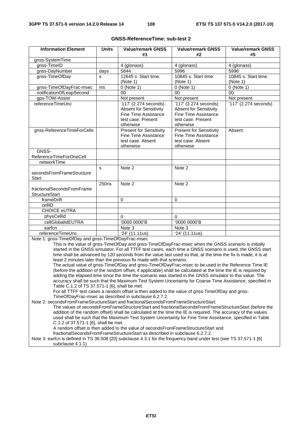| <b>Information Element</b>                                                          | <b>Units</b>      | <b>Value/remark GNSS</b>                                             | <b>Value/remark GNSS</b>                                                                                        | <b>Value/remark GNSS</b>             |
|-------------------------------------------------------------------------------------|-------------------|----------------------------------------------------------------------|-----------------------------------------------------------------------------------------------------------------|--------------------------------------|
|                                                                                     |                   | #1                                                                   | #2                                                                                                              | #5                                   |
| gnss-SystemTime                                                                     |                   |                                                                      |                                                                                                                 |                                      |
| gnss-TimeID                                                                         |                   | 4 (glonass)                                                          | 4 (glonass)                                                                                                     | 4 (glonass)                          |
| gnss-DayNumber                                                                      | days              | 5844                                                                 | 5996                                                                                                            | 5996                                 |
| gnss-TimeOfDay                                                                      | $\mathbf{s}$      | 12645 s. Start time.                                                 | 10845 s. Start time.                                                                                            | 10845 s. Start time.                 |
|                                                                                     |                   | (Note 1)                                                             | (Note 1)                                                                                                        | (Note 1)                             |
| gnss-TimeOfDayFrac-msec                                                             | ms                | $0$ (Note 1)                                                         | $0$ (Note 1)                                                                                                    | $0$ (Note 1)                         |
| notificationOfLeapSecond                                                            |                   | 00                                                                   | 00                                                                                                              | 00                                   |
| gps-TOW-Assist<br>referenceTimeUnc                                                  |                   | Not present                                                          | Not present                                                                                                     | Not present<br>'117' (2.274 seconds) |
|                                                                                     |                   | '117' (2.274 seconds)<br><b>Absent for Sensitivity</b>               | '117' (2.274 seconds)<br><b>Absent for Sensitivity</b>                                                          |                                      |
|                                                                                     |                   | Fine Time Assistance                                                 | Fine Time Assistance                                                                                            |                                      |
|                                                                                     |                   | test case. Present                                                   | test case. Present                                                                                              |                                      |
|                                                                                     |                   | otherwise                                                            | otherwise                                                                                                       |                                      |
| gnss-ReferenceTimeForCells                                                          |                   | <b>Present for Sensitivity</b>                                       | <b>Present for Sensitivity</b>                                                                                  | Absent                               |
|                                                                                     |                   | Fine Time Assistance                                                 | Fine Time Assistance                                                                                            |                                      |
|                                                                                     |                   | test case. Absent                                                    | test case. Absent                                                                                               |                                      |
|                                                                                     |                   | otherwise                                                            | otherwise                                                                                                       |                                      |
| GNSS-                                                                               |                   |                                                                      |                                                                                                                 |                                      |
| ReferenceTimeForOneCell                                                             |                   |                                                                      |                                                                                                                 |                                      |
| networkTime                                                                         |                   |                                                                      |                                                                                                                 |                                      |
|                                                                                     | s                 | Note 2                                                               | Note 2                                                                                                          |                                      |
| secondsFromFrameStructure                                                           |                   |                                                                      |                                                                                                                 |                                      |
| Start                                                                               |                   |                                                                      |                                                                                                                 |                                      |
|                                                                                     | 250 <sub>ns</sub> | Note 2                                                               | Note 2                                                                                                          |                                      |
| fractionalSecondsFromFrame                                                          |                   |                                                                      |                                                                                                                 |                                      |
| StructureStart                                                                      |                   |                                                                      |                                                                                                                 |                                      |
| frameDrift                                                                          |                   | $\Omega$                                                             | 0                                                                                                               |                                      |
| cellID                                                                              |                   |                                                                      |                                                                                                                 |                                      |
| <b>CHOICE eUTRA</b>                                                                 |                   |                                                                      |                                                                                                                 |                                      |
| physCellId                                                                          |                   | 0                                                                    | $\theta$                                                                                                        |                                      |
| cellGlobalIdEUTRA                                                                   |                   | '0000 0000'B                                                         | '0000 0000'B                                                                                                    |                                      |
| earfcn                                                                              |                   | Note 3                                                               | Note 3                                                                                                          |                                      |
| referenceTimeUnc                                                                    |                   | '24' (11.11us)                                                       | '24' (11.11us)                                                                                                  |                                      |
| Note 1: gnss-TimeOfDay and gnss-TimeOfDayFrac-msec                                  |                   |                                                                      |                                                                                                                 |                                      |
|                                                                                     |                   |                                                                      | This is the value of gnss-TimeOfDay and gnss-TimeOfDayFrac-msec when the GNSS scenario is initially             |                                      |
|                                                                                     |                   |                                                                      | started in the GNSS simulator. For all TTFF test cases, each time a GNSS scenario is used, the GNSS start       |                                      |
|                                                                                     |                   | least 2 minutes later than the previous fix made with that scenario. | time shall be advanced by 120 seconds from the value last used so that, at the time the fix is made, it is at   |                                      |
|                                                                                     |                   |                                                                      | The actual value of gnss-TimeOfDay and gnss-TimeOfDayFrac-msec to be used in the Reference Time IE              |                                      |
|                                                                                     |                   |                                                                      | (before the addition of the random offset, if applicable) shall be calculated at the time the IE is required by |                                      |
|                                                                                     |                   |                                                                      | adding the elapsed time since the time the scenario was started in the GNSS simulator to this value. The        |                                      |
|                                                                                     |                   |                                                                      | accuracy shall be such that the Maximum Test System Uncertainty for Coarse Time Assistance, specified in        |                                      |
| Table C.1.2 of TS 37.571-1 [6], shall be met.                                       |                   |                                                                      |                                                                                                                 |                                      |
|                                                                                     |                   |                                                                      | For all TTFF test cases a random offset is then added to the value of gnss-TimeOfDay and gnss-                  |                                      |
|                                                                                     |                   | TimeOfDayFrac-msec as described in subclause 6.2.7.2.                |                                                                                                                 |                                      |
| Note 2: secondsFromFrameStructureStart and fractionalSecondsFromFrameStructureStart |                   |                                                                      |                                                                                                                 |                                      |

#### **GNSS-ReferenceTime: sub-test 2**

Note 2: secondsFromFrameStructureStart and fractionalSecondsFromFrameStructureStart. The values of secondsFromFrameStructureStart and fractionalSecondsFromFrameStructureStart (before the addition of the random offset) shall be calculated at the time the IE is required. The accuracy of the values

used shall be such that the Maximum Test System Uncertainty for Fine Time Assistance, specified in Table C.1.2 of 37.571-1 [6], shall be met.

A random offset is then added to the value of secondsFromFrameStructureStart and

fractionalSecondsFromFrameStructureStart as described in subclause 6.2.7.2.

Note 3: earfcn is defined in TS 36.508 [20] subclause 4.3.1 for the frequency band under test (see TS 37.571-1 [6] subclause 4.1.1)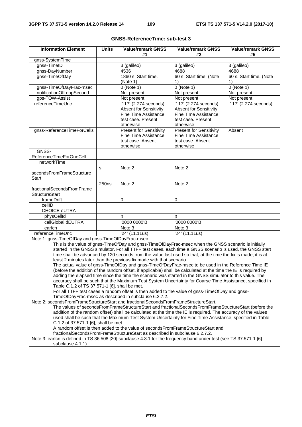| <b>Information Element</b>                         | <b>Units</b>                                                                                                                                                                                                                | <b>Value/remark GNSS</b><br>#1                                       | <b>Value/remark GNSS</b><br>#2                                                                                | <b>Value/remark GNSS</b><br>#5 |  |  |
|----------------------------------------------------|-----------------------------------------------------------------------------------------------------------------------------------------------------------------------------------------------------------------------------|----------------------------------------------------------------------|---------------------------------------------------------------------------------------------------------------|--------------------------------|--|--|
| gnss-SystemTime                                    |                                                                                                                                                                                                                             |                                                                      |                                                                                                               |                                |  |  |
| gnss-TimeID                                        |                                                                                                                                                                                                                             | 3 (galileo)                                                          | 3 (galileo)                                                                                                   | 3 (galileo)                    |  |  |
| gnss-DayNumber                                     |                                                                                                                                                                                                                             | 4536                                                                 | 4688                                                                                                          | 4688                           |  |  |
| gnss-TimeOfDay                                     |                                                                                                                                                                                                                             | 1860 s. Start time.                                                  | 60 s. Start time. (Note                                                                                       | 60 s. Start time. (Note        |  |  |
|                                                    |                                                                                                                                                                                                                             | (Note 1)                                                             | $\left( \right)$                                                                                              | 1)                             |  |  |
| gnss-TimeOfDayFrac-msec                            |                                                                                                                                                                                                                             | $0$ (Note 1)                                                         | $0$ (Note 1)                                                                                                  | $0$ (Note 1)                   |  |  |
| notificationOfLeapSecond                           |                                                                                                                                                                                                                             | Not present                                                          | Not present                                                                                                   | Not present                    |  |  |
| gps-TOW-Assist                                     |                                                                                                                                                                                                                             | Not present                                                          | Not present                                                                                                   | Not present                    |  |  |
| referenceTimeUnc                                   |                                                                                                                                                                                                                             | '117' (2.274 seconds)                                                | '117' (2.274 seconds)                                                                                         | 117' (2.274 seconds)           |  |  |
|                                                    |                                                                                                                                                                                                                             | <b>Absent for Sensitivity</b>                                        | <b>Absent for Sensitivity</b>                                                                                 |                                |  |  |
|                                                    |                                                                                                                                                                                                                             | Fine Time Assistance                                                 | Fine Time Assistance                                                                                          |                                |  |  |
|                                                    |                                                                                                                                                                                                                             | test case. Present                                                   | test case. Present                                                                                            |                                |  |  |
|                                                    |                                                                                                                                                                                                                             | otherwise                                                            | otherwise                                                                                                     |                                |  |  |
| gnss-ReferenceTimeForCells                         |                                                                                                                                                                                                                             | <b>Present for Sensitivity</b>                                       | <b>Present for Sensitivity</b>                                                                                | Absent                         |  |  |
|                                                    |                                                                                                                                                                                                                             | Fine Time Assistance                                                 | Fine Time Assistance                                                                                          |                                |  |  |
|                                                    |                                                                                                                                                                                                                             | test case. Absent                                                    | test case. Absent                                                                                             |                                |  |  |
| GNSS-                                              |                                                                                                                                                                                                                             | otherwise                                                            | otherwise                                                                                                     |                                |  |  |
| ReferenceTimeForOneCell                            |                                                                                                                                                                                                                             |                                                                      |                                                                                                               |                                |  |  |
| networkTime                                        |                                                                                                                                                                                                                             |                                                                      |                                                                                                               |                                |  |  |
|                                                    | s                                                                                                                                                                                                                           | Note 2                                                               | Note 2                                                                                                        |                                |  |  |
| secondsFromFrameStructure                          |                                                                                                                                                                                                                             |                                                                      |                                                                                                               |                                |  |  |
| Start                                              |                                                                                                                                                                                                                             |                                                                      |                                                                                                               |                                |  |  |
|                                                    | 250ns                                                                                                                                                                                                                       | Note 2                                                               | Note 2                                                                                                        |                                |  |  |
| fractionalSecondsFromFrame                         |                                                                                                                                                                                                                             |                                                                      |                                                                                                               |                                |  |  |
| <b>StructureStart</b>                              |                                                                                                                                                                                                                             |                                                                      |                                                                                                               |                                |  |  |
| frameDrift                                         |                                                                                                                                                                                                                             | $\Omega$                                                             | $\Omega$                                                                                                      |                                |  |  |
| cellID                                             |                                                                                                                                                                                                                             |                                                                      |                                                                                                               |                                |  |  |
| <b>CHOICE eUTRA</b>                                |                                                                                                                                                                                                                             |                                                                      |                                                                                                               |                                |  |  |
| physCellId                                         |                                                                                                                                                                                                                             | $\overline{0}$                                                       | $\mathbf{0}$                                                                                                  |                                |  |  |
| cellGlobalIdEUTRA                                  |                                                                                                                                                                                                                             | '0000 0000'B                                                         | '0000 0000'B                                                                                                  |                                |  |  |
| earfcn                                             |                                                                                                                                                                                                                             | Note 3                                                               | Note 3                                                                                                        |                                |  |  |
| referenceTimeUnc                                   |                                                                                                                                                                                                                             | '24' (11.11us)                                                       | '24' (11.11us)                                                                                                |                                |  |  |
| Note 1: gnss-TimeOfDay and gnss-TimeOfDayFrac-msec |                                                                                                                                                                                                                             |                                                                      |                                                                                                               |                                |  |  |
|                                                    |                                                                                                                                                                                                                             |                                                                      | This is the value of gnss-TimeOfDay and gnss-TimeOfDayFrac-msec when the GNSS scenario is initially           |                                |  |  |
|                                                    |                                                                                                                                                                                                                             |                                                                      | started in the GNSS simulator. For all TTFF test cases, each time a GNSS scenario is used, the GNSS start     |                                |  |  |
|                                                    |                                                                                                                                                                                                                             | least 2 minutes later than the previous fix made with that scenario. | time shall be advanced by 120 seconds from the value last used so that, at the time the fix is made, it is at |                                |  |  |
|                                                    |                                                                                                                                                                                                                             |                                                                      | The actual value of gnss-TimeOfDay and gnss-TimeOfDayFrac-msec to be used in the Reference Time IE            |                                |  |  |
|                                                    |                                                                                                                                                                                                                             |                                                                      |                                                                                                               |                                |  |  |
|                                                    | (before the addition of the random offset, if applicable) shall be calculated at the time the IE is required by<br>adding the elapsed time since the time the scenario was started in the GNSS simulator to this value. The |                                                                      |                                                                                                               |                                |  |  |
|                                                    |                                                                                                                                                                                                                             |                                                                      | accuracy shall be such that the Maximum Test System Uncertainty for Coarse Time Assistance, specified in      |                                |  |  |
| Table C.1.2 of TS 37.571-1 [6], shall be met.      |                                                                                                                                                                                                                             |                                                                      |                                                                                                               |                                |  |  |

#### **GNSS-ReferenceTime: sub-test 3**

For all TTFF test cases a random offset is then added to the value of gnss-TimeOfDay and gnss-TimeOfDayFrac-msec as described in subclause 6.2.7.2.

Note 2: secondsFromFrameStructureStart and fractionalSecondsFromFrameStructureStart.

The values of secondsFromFrameStructureStart and fractionalSecondsFromFrameStructureStart (before the addition of the random offset) shall be calculated at the time the IE is required. The accuracy of the values used shall be such that the Maximum Test System Uncertainty for Fine Time Assistance, specified in Table C.1.2 of 37.571-1 [6], shall be met.

A random offset is then added to the value of secondsFromFrameStructureStart and

fractionalSecondsFromFrameStructureStart as described in subclause 6.2.7.2.

Note 3: earfcn is defined in TS 36.508 [20] subclause 4.3.1 for the frequency band under test (see TS 37.571-1 [6] subclause 4.1.1)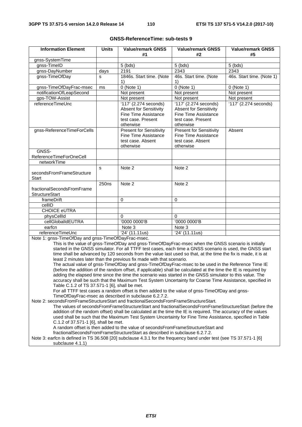| <b>Information Element</b>                               | <b>Units</b> | <b>Value/remark GNSS</b><br>#1                                                                                    | <b>Value/remark GNSS</b><br>#2                                                                                    | <b>Value/remark GNSS</b><br>#5 |
|----------------------------------------------------------|--------------|-------------------------------------------------------------------------------------------------------------------|-------------------------------------------------------------------------------------------------------------------|--------------------------------|
| gnss-SystemTime                                          |              |                                                                                                                   |                                                                                                                   |                                |
| gnss-TimeID                                              |              | $5$ (bds)                                                                                                         | $5$ (bds)                                                                                                         | $5$ (bds)                      |
| gnss-DayNumber                                           | days         | 2191                                                                                                              | 2343                                                                                                              | 2343                           |
| gnss-TimeOfDay                                           | S            | 1846s. Start time. (Note<br>1)                                                                                    | 46s. Start time. (Note<br>1)                                                                                      | 46s. Start time. (Note 1)      |
| gnss-TimeOfDayFrac-msec                                  | ms           | $0$ (Note 1)                                                                                                      | $0$ (Note 1)                                                                                                      | $0$ (Note 1)                   |
| notificationOfLeapSecond                                 |              | Not present                                                                                                       | Not present                                                                                                       | Not present                    |
| gps-TOW-Assist                                           |              | Not present                                                                                                       | Not present                                                                                                       | Not present                    |
| referenceTimeUnc                                         |              | '117' (2.274 seconds)<br><b>Absent for Sensitivity</b><br>Fine Time Assistance<br>test case. Present<br>otherwise | '117' (2.274 seconds)<br><b>Absent for Sensitivity</b><br>Fine Time Assistance<br>test case. Present<br>otherwise | '117' (2.274 seconds)          |
| gnss-ReferenceTimeForCells                               |              | <b>Present for Sensitivity</b><br>Fine Time Assistance<br>test case. Absent<br>otherwise                          | <b>Present for Sensitivity</b><br>Fine Time Assistance<br>test case. Absent<br>otherwise                          | Absent                         |
| GNSS-                                                    |              |                                                                                                                   |                                                                                                                   |                                |
| ReferenceTimeForOneCell                                  |              |                                                                                                                   |                                                                                                                   |                                |
| networkTime                                              |              |                                                                                                                   |                                                                                                                   |                                |
| secondsFromFrameStructure<br><b>Start</b>                | S            | Note 2                                                                                                            | Note 2                                                                                                            |                                |
| fractionalSecondsFromFrame<br><b>StructureStart</b>      | 250ns        | Note 2                                                                                                            | Note 2                                                                                                            |                                |
| frameDrift                                               |              | $\Omega$                                                                                                          | 0                                                                                                                 |                                |
| cellID                                                   |              |                                                                                                                   |                                                                                                                   |                                |
| <b>CHOICE eUTRA</b>                                      |              |                                                                                                                   |                                                                                                                   |                                |
| physCellId                                               |              | $\Omega$                                                                                                          | 0                                                                                                                 |                                |
| cellGlobalIdEUTRA                                        |              | '0000 0000'B                                                                                                      | '0000 0000'B                                                                                                      |                                |
| earfcn                                                   |              | Note 3                                                                                                            | Note 3                                                                                                            |                                |
| referenceTimeUnc                                         |              | '24' (11.11us)                                                                                                    | '24' (11.11us)                                                                                                    |                                |
| Note 1: $q$ nss-TimeOfDay and $q$ nss-TimeOfDayFrac-msec |              |                                                                                                                   |                                                                                                                   |                                |

#### **GNSS-ReferenceTime: sub-tests 9**

OfDay and gnss-TimeOfDayFrac-msec.

This is the value of gnss-TimeOfDay and gnss-TimeOfDayFrac-msec when the GNSS scenario is initially started in the GNSS simulator. For all TTFF test cases, each time a GNSS scenario is used, the GNSS start time shall be advanced by 120 seconds from the value last used so that, at the time the fix is made, it is at least 2 minutes later than the previous fix made with that scenario.

The actual value of gnss-TimeOfDay and gnss-TimeOfDayFrac-msec to be used in the Reference Time IE (before the addition of the random offset, if applicable) shall be calculated at the time the IE is required by adding the elapsed time since the time the scenario was started in the GNSS simulator to this value. The accuracy shall be such that the Maximum Test System Uncertainty for Coarse Time Assistance, specified in Table C.1.2 of TS 37.571-1 [6], shall be met.

For all TTFF test cases a random offset is then added to the value of gnss-TimeOfDay and gnss-TimeOfDayFrac-msec as described in subclause 6.2.7.2.

Note 2: secondsFromFrameStructureStart and fractionalSecondsFromFrameStructureStart.

The values of secondsFromFrameStructureStart and fractionalSecondsFromFrameStructureStart (before the addition of the random offset) shall be calculated at the time the IE is required. The accuracy of the values used shall be such that the Maximum Test System Uncertainty for Fine Time Assistance, specified in Table C.1.2 of 37.571-1 [6], shall be met.

A random offset is then added to the value of secondsFromFrameStructureStart and

fractionalSecondsFromFrameStructureStart as described in subclause 6.2.7.2.

Note 3: earfcn is defined in TS 36.508 [20] subclause 4.3.1 for the frequency band under test (see TS 37.571-1 [6] subclause 4.1.1)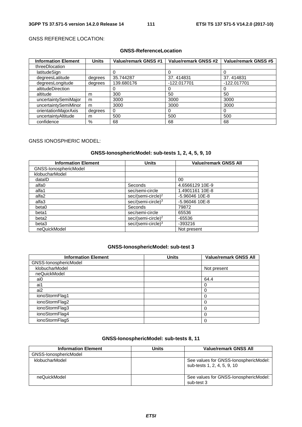#### GNSS REFERENCE LOCATION:

#### **GNSS-ReferenceLocation**

| <b>Information Element</b> | <b>Units</b> | <b>Value/remark GNSS #1</b> | Value/remark GNSS #2 | Value/remark GNSS #5 |
|----------------------------|--------------|-----------------------------|----------------------|----------------------|
| threeDlocation             |              |                             |                      |                      |
| latitudeSign               |              |                             | 0                    |                      |
| degreesLatitude            | degrees      | 35.744287                   | 37.414831            | 37.414831            |
| degreesLongitude           | degrees      | 139.680176                  | -122.017701          | -122.017701          |
| altitudeDirection          |              |                             | 0                    |                      |
| altitude                   | m            | 300                         | 50                   | 50                   |
| uncertaintySemiMajor       | m            | 3000                        | 3000                 | 3000                 |
| uncertaintySemiMinor       | m            | 3000                        | 3000                 | 3000                 |
| orientationMajorAxis       | degrees      | 0                           | 0                    |                      |
| uncertaintyAltitude        | m            | 500                         | 500                  | 500                  |
| confidence                 | %            | 68                          | 68                   | 68                   |

#### GNSS IONOSPHERIC MODEL:

#### **GNSS-IonosphericModel: sub-tests 1, 2, 4, 5, 9, 10**

| <b>Information Element</b> | <b>Units</b>                   | <b>Value/remark GNSS All</b> |
|----------------------------|--------------------------------|------------------------------|
| GNSS-IonosphericModel      |                                |                              |
| klobucharModel             |                                |                              |
| dataID                     |                                | 00                           |
| alfa0                      | Seconds                        | 4.6566129 10E-9              |
| alfa1                      | sec/semi-circle                | 1.4901161 10E-8              |
| alfa2                      | $sec/(semi-circle)^2$          | $-5.96046$ 10E-8             |
| alfa3                      | $sec/(semi-circle)^3$          | $-5.96046$ 10E-8             |
| beta0                      | Seconds                        | 79872                        |
| beta1                      | sec/semi-circle                | 65536                        |
| beta2                      | sec/(semi-circle) <sup>2</sup> | $-65536$                     |
| beta3                      | sec/(semi-circle) <sup>3</sup> | $-393216$                    |
| neQuickModel               |                                | Not present                  |

#### **GNSS-IonosphericModel: sub-test 3**

| <b>Information Element</b> | <b>Units</b> | <b>Value/remark GNSS All</b> |
|----------------------------|--------------|------------------------------|
| GNSS-IonosphericModel      |              |                              |
| klobucharModel             |              | Not present                  |
| neQuickModel               |              |                              |
| ai0                        |              | 64.4                         |
| ai1                        |              |                              |
| ai2                        |              |                              |
| ionoStormFlag1             |              |                              |
| ionoStormFlag2             |              |                              |
| ionoStormFlag3             |              |                              |
| ionoStormFlag4             |              |                              |
| ionoStormFlag5             |              |                              |

### **GNSS-IonosphericModel: sub-tests 8, 11**

| <b>Information Element</b> | Units | <b>Value/remark GNSS All</b>                                         |
|----------------------------|-------|----------------------------------------------------------------------|
| GNSS-IonosphericModel      |       |                                                                      |
| klobucharModel             |       | See values for GNSS-lonosphericModel:<br>sub-tests 1, 2, 4, 5, 9, 10 |
| neQuickModel               |       | See values for GNSS-IonosphericModel:<br>sub-test 3                  |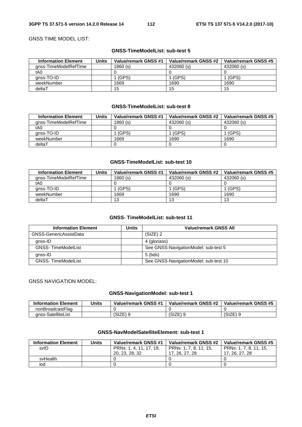#### GNSS TIME MODEL LIST:

#### **GNSS-TimeModelList: sub-test 5**

| <b>Information Element</b> | Jnits | Value/remark GNSS #1 | Value/remark GNSS #2 | Value/remark GNSS #5 |
|----------------------------|-------|----------------------|----------------------|----------------------|
| anss-TimeModelRefTime      |       | 1860(s)              | 432060 (s)           | 432060 (s)           |
| tA0                        |       |                      |                      |                      |
| anss-TO-ID                 |       | (GPS)                | (GPS)                | l (GPS)              |
| weekNumber                 |       | 1669                 | 1690                 | 1690                 |
| deltaT                     |       | 15                   | 15                   | 15                   |

#### **GNSS-TimeModelList: sub-test 8**

| <b>Information Element</b> | Units | Value/remark GNSS #1 | Value/remark GNSS #2 | Value/remark GNSS #5 |
|----------------------------|-------|----------------------|----------------------|----------------------|
| anss-TimeModelRefTime      |       | 1860 (s)             | 432060 (s)           | 432060 (s)           |
| tA0                        |       |                      |                      |                      |
| anss-TO-ID                 |       | (GPS)                | (GPS)                | (GPS)                |
| weekNumber                 |       | 1669                 | 1690                 | 1690                 |
| deltaT                     |       |                      |                      |                      |

#### **GNSS-TimeModelList: sub-test 10**

| <b>Information Element</b> | Units | Value/remark GNSS #1 | Value/remark GNSS #2 | Value/remark GNSS #5 |
|----------------------------|-------|----------------------|----------------------|----------------------|
| anss-TimeModelRefTime      |       | 1860(s)              | 432060 (s)           | 432060 (s)           |
| tA0                        |       |                      |                      |                      |
| anss-TO-ID                 |       | (GPS)                | (GPS)                | 1 (GPS)              |
| weekNumber                 |       | 1669                 | 1690                 | 1690                 |
| deltaT                     |       | 13                   | 13                   | 13                   |

#### **GNSS- TimeModelList: sub-test 11**

| <b>Information Element</b> | Units | <b>Value/remark GNSS All</b>          |
|----------------------------|-------|---------------------------------------|
| GNSS-GenericAssistData     |       | $(SIZE)$ 2                            |
| gnss-ID                    |       | 4 (glonass)                           |
| <b>GNSS-TimeModelList</b>  |       | See GNSS-NavigationModel: sub-test 5  |
| gnss-ID                    |       | $5$ (bds)                             |
| <b>GNSS-TimeModelList</b>  |       | See GNSS-NavigationModel: sub-test 10 |

#### GNSS NAVIGATION MODEL:

#### **GNSS-NavigationModel: sub-test 1**

| <b>Information Element</b> | Units | Value/remark GNSS #1 | Value/remark GNSS #2 | Value/remark GNSS #5 |
|----------------------------|-------|----------------------|----------------------|----------------------|
| nonBroadcastFlag           |       |                      |                      |                      |
| anss-SatelliteList         |       | (SIZE)               | (SIZE)               | (SIZE) 9             |

| <b>Information Element</b> | Units | Value/remark GNSS #1    | Value/remark GNSS #2   | Value/remark GNSS #5   |
|----------------------------|-------|-------------------------|------------------------|------------------------|
| svID                       |       | PRNs: 1, 4, 11, 17, 19, | PRNs: 1, 7, 8, 11, 15, | PRNs: 1, 7, 8, 11, 15, |
|                            |       | 20, 23, 28, 32          | 17, 26, 27, 28         | 17, 26, 27, 28         |
| svHealth                   |       |                         |                        |                        |
| iod                        |       |                         |                        |                        |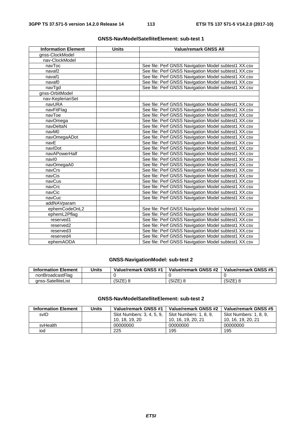| <b>Information Element</b> | <b>Units</b> | <b>Value/remark GNSS All</b>                         |
|----------------------------|--------------|------------------------------------------------------|
| gnss-ClockModel            |              |                                                      |
| nav-ClockModel             |              |                                                      |
| navToc                     |              | See file: Perf GNSS Navigation Model subtest1 XX.csv |
| navaf <sub>2</sub>         |              | See file: Perf GNSS Navigation Model subtest1 XX.csv |
| navaf1                     |              | See file: Perf GNSS Navigation Model subtest1 XX.csv |
| navaf0                     |              | See file: Perf GNSS Navigation Model subtest1 XX.csv |
| navTgd                     |              | See file: Perf GNSS Navigation Model subtest1 XX.csv |
| gnss-OrbitModel            |              |                                                      |
| nav-KeplerianSet           |              |                                                      |
| navURA                     |              | See file: Perf GNSS Navigation Model subtest1 XX.csv |
| navFitFlag                 |              | See file: Perf GNSS Navigation Model subtest1 XX.csv |
| navToe                     |              | See file: Perf GNSS Navigation Model subtest1 XX.csv |
| navOmega                   |              | See file: Perf GNSS Navigation Model subtest1 XX.csv |
| navDeltaN                  |              | See file: Perf GNSS Navigation Model subtest1 XX.csv |
| navM0                      |              | See file: Perf GNSS Navigation Model subtest1 XX.csv |
| navOmegaADot               |              | See file: Perf GNSS Navigation Model subtest1 XX.csv |
| navE                       |              | See file: Perf GNSS Navigation Model subtest1 XX.csv |
| navIDot                    |              | See file: Perf GNSS Navigation Model subtest1 XX.csv |
| navAPowerHalf              |              | See file: Perf GNSS Navigation Model subtest1 XX.csv |
| navl0                      |              | See file: Perf GNSS Navigation Model subtest1 XX.csv |
| navOmegaA0                 |              | See file: Perf GNSS Navigation Model subtest1 XX.csv |
| navCrs                     |              | See file: Perf GNSS Navigation Model subtest1 XX.csv |
| navCis                     |              | See file: Perf GNSS Navigation Model subtest1 XX.csv |
| navCus                     |              | See file: Perf GNSS Navigation Model subtest1 XX.csv |
| navCrc                     |              | See file: Perf GNSS Navigation Model subtest1 XX.csv |
| navCic                     |              | See file: Perf GNSS Navigation Model subtest1 XX.csv |
| navCuc                     |              | See file: Perf GNSS Navigation Model subtest1 XX.csv |
| addNAVparam                |              |                                                      |
| ephemCodeOnL2              |              | See file: Perf GNSS Navigation Model subtest1 XX.csv |
| ephemL2Pflag               |              | See file: Perf GNSS Navigation Model subtest1 XX.csv |
| reserved1                  |              | See file: Perf GNSS Navigation Model subtest1 XX.csv |
| reserved2                  |              | See file: Perf GNSS Navigation Model subtest1 XX.csv |
| reserved3                  |              | See file: Perf GNSS Navigation Model subtest1 XX.csv |
| reserved4                  |              | See file: Perf GNSS Navigation Model subtest1 XX.csv |
| ephemAODA                  |              | See file: Perf GNSS Navigation Model subtest1 XX.csv |

#### **GNSS-NavigationModel: sub-test 2**

| <b>Information Element</b> | Units | Value/remark GNSS #1 | Value/remark GNSS #2 | Value/remark GNSS #5 |
|----------------------------|-------|----------------------|----------------------|----------------------|
| nonBroadcastFlag           |       |                      |                      |                      |
| anss-SatelliteList         |       | (SIZE)               | (SIZE)               | (SIZE                |

| <b>Information Element</b> | <b>Units</b> | Value/remark GNSS #1      | Value/remark GNSS #2   | Value/remark GNSS #5   |
|----------------------------|--------------|---------------------------|------------------------|------------------------|
| svID                       |              | Slot Numbers: 3, 4, 5, 9, | Slot Numbers: 1, 8, 9, | Slot Numbers: 1, 8, 9, |
|                            |              | 10, 18, 19, 20            | 10, 16, 19, 20, 21     | 10, 16, 19, 20, 21     |
| svHealth                   |              | 00000000                  | 00000000               | 00000000               |
| iod                        |              | 225                       | 195                    | 195                    |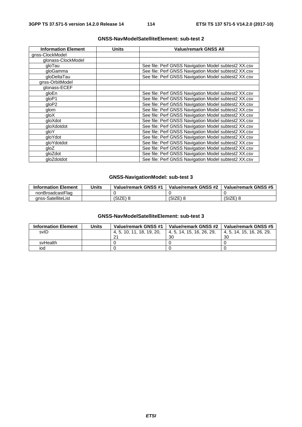| <b>Information Element</b> | Units | <b>Value/remark GNSS All</b>                         |
|----------------------------|-------|------------------------------------------------------|
| gnss-ClockModel            |       |                                                      |
| glonass-ClockModel         |       |                                                      |
| gloTau                     |       | See file: Perf GNSS Navigation Model subtest2 XX.csv |
| gloGamma                   |       | See file: Perf GNSS Navigation Model subtest2 XX.csv |
| gloDeltaTau                |       | See file: Perf GNSS Navigation Model subtest2 XX.csv |
| gnss-OrbitModel            |       |                                                      |
| glonass-ECEF               |       |                                                      |
| gloEn                      |       | See file: Perf GNSS Navigation Model subtest2 XX.csv |
| qloP1                      |       | See file: Perf GNSS Navigation Model subtest2 XX.csv |
| qloP2                      |       | See file: Perf GNSS Navigation Model subtest2 XX.csv |
| glom                       |       | See file: Perf GNSS Navigation Model subtest2 XX.csv |
| qloX                       |       | See file: Perf GNSS Navigation Model subtest2 XX.csv |
| gloXdot                    |       | See file: Perf GNSS Navigation Model subtest2 XX.csv |
| gloXdotdot                 |       | See file: Perf GNSS Navigation Model subtest2 XX.csv |
| qloY                       |       | See file: Perf GNSS Navigation Model subtest2 XX.csv |
| gloYdot                    |       | See file: Perf GNSS Navigation Model subtest2 XX.csv |
| gloYdotdot                 |       | See file: Perf GNSS Navigation Model subtest2 XX.csv |
| qloZ                       |       | See file: Perf GNSS Navigation Model subtest2 XX.csv |
| gloZdot                    |       | See file: Perf GNSS Navigation Model subtest2 XX.csv |
| gloZdotdot                 |       | See file: Perf GNSS Navigation Model subtest2 XX.csv |

#### **GNSS-NavigationModel: sub-test 3**

| <b>Information Element</b> | Units | Value/remark GNSS #1 | Value/remark GNSS #2 | Value/remark GNSS #5 |
|----------------------------|-------|----------------------|----------------------|----------------------|
| nonBroadcastFlag           |       |                      |                      |                      |
| anss-SatelliteList         |       | (SIZE) 8             | (SIZE)               | (SIZE)               |

| <b>Information Element</b> | <b>Units</b> | Value/remark GNSS #1 | Value/remark GNSS #2      | Value/remark GNSS #5      |
|----------------------------|--------------|----------------------|---------------------------|---------------------------|
| svID                       |              | 4.5.10.11.18.19.20.  | 4, 5, 14, 15, 16, 26, 29, | 4, 5, 14, 15, 16, 26, 29, |
|                            |              | 21                   | 30                        | 30                        |
| svHealth                   |              |                      |                           |                           |
| iod                        |              |                      |                           |                           |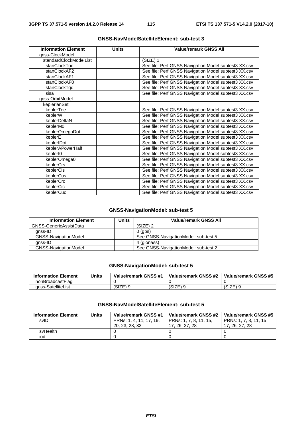| <b>Information Element</b> | <b>Units</b> | <b>Value/remark GNSS All</b>                         |
|----------------------------|--------------|------------------------------------------------------|
| gnss-ClockModel            |              |                                                      |
| standardClockModelList     |              | (SIZE) 1                                             |
| stanClockToc               |              | See file: Perf GNSS Navigation Model subtest3 XX.csv |
| stanClockAF2               |              | See file: Perf GNSS Navigation Model subtest3 XX.csv |
| stanClockAF1               |              | See file: Perf GNSS Navigation Model subtest3 XX.csv |
| stanClockAF0               |              | See file: Perf GNSS Navigation Model subtest3 XX.csv |
| stanClockTgd               |              | See file: Perf GNSS Navigation Model subtest3 XX.csv |
| sisa                       |              | See file: Perf GNSS Navigation Model subtest3 XX.csv |
| gnss-OrbitModel            |              |                                                      |
| keplerianSet               |              |                                                      |
| keplerToe                  |              | See file: Perf GNSS Navigation Model subtest3 XX.csv |
| keplerW                    |              | See file: Perf GNSS Navigation Model subtest3 XX.csv |
| keplerDeltaN               |              | See file: Perf GNSS Navigation Model subtest3 XX.csv |
| keplerM0                   |              | See file: Perf GNSS Navigation Model subtest3 XX.csv |
| keplerOmegaDot             |              | See file: Perf GNSS Navigation Model subtest3 XX.csv |
| keplerE                    |              | See file: Perf GNSS Navigation Model subtest3 XX.csv |
| keplerIDot                 |              | See file: Perf GNSS Navigation Model subtest3 XX.csv |
| keplerAPowerHalf           |              | See file: Perf GNSS Navigation Model subtest3 XX.csv |
| kepler <sub>10</sub>       |              | See file: Perf GNSS Navigation Model subtest3 XX.csv |
| keplerOmega0               |              | See file: Perf GNSS Navigation Model subtest3 XX.csv |
| keplerCrs                  |              | See file: Perf GNSS Navigation Model subtest3 XX.csv |
| keplerCis                  |              | See file: Perf GNSS Navigation Model subtest3 XX.csv |
| keplerCus                  |              | See file: Perf GNSS Navigation Model subtest3 XX.csv |
| keplerCrc                  |              | See file: Perf GNSS Navigation Model subtest3 XX.csv |
| keplerCic                  |              | See file: Perf GNSS Navigation Model subtest3 XX.csv |
| keplerCuc                  |              | See file: Perf GNSS Navigation Model subtest3 XX.csv |

#### **GNSS-NavigationModel: sub-test 5**

| <b>Information Element</b>  | Units | <b>Value/remark GNSS All</b>         |
|-----------------------------|-------|--------------------------------------|
| GNSS-GenericAssistData      |       | (SIZE) 2                             |
| anss-ID                     |       | $0$ (gps)                            |
| GNSS-NavigationModel        |       | See GNSS-NavigationModel: sub-test 5 |
| qnss-ID                     |       | 4 (glonass)                          |
| <b>GNSS-NavigationModel</b> |       | See GNSS-NavigationModel: sub-test 2 |

#### **GNSS-NavigationModel: sub-test 5**

| <b>Information Element</b> | Units | Value/remark GNSS #1 | Value/remark GNSS #2 | Value/remark GNSS #5 |
|----------------------------|-------|----------------------|----------------------|----------------------|
| nonBroadcastFlag           |       |                      |                      |                      |
| anss-SatelliteList         |       | S17F<br>. CILL       | (SIZE)               | 7⊏\ ∩<br>'SIZE       |

| <b>Information Element</b> | <b>Units</b> | Value/remark GNSS #1    | Value/remark GNSS #2   | Value/remark GNSS #5   |
|----------------------------|--------------|-------------------------|------------------------|------------------------|
| svID                       |              | PRNs: 1, 4, 11, 17, 19, | PRNs: 1, 7, 8, 11, 15, | PRNs: 1, 7, 8, 11, 15, |
|                            |              | 20, 23, 28, 32          | 17, 26, 27, 28         | 17, 26, 27, 28         |
| svHealth                   |              |                         |                        |                        |
| iod                        |              |                         |                        |                        |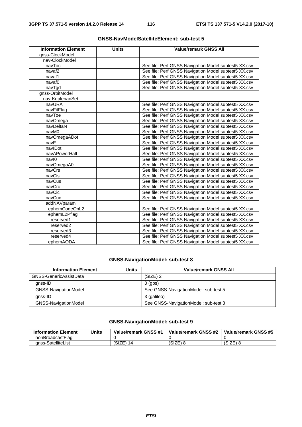| <b>Information Element</b> | <b>Units</b> | <b>Value/remark GNSS All</b>                         |
|----------------------------|--------------|------------------------------------------------------|
| gnss-ClockModel            |              |                                                      |
| nav-ClockModel             |              |                                                      |
| navToc                     |              | See file: Perf GNSS Navigation Model subtest5 XX.csv |
| navaf <sub>2</sub>         |              | See file: Perf GNSS Navigation Model subtest5 XX.csv |
| navaf1                     |              | See file: Perf GNSS Navigation Model subtest5 XX.csv |
| navaf <sub>0</sub>         |              | See file: Perf GNSS Navigation Model subtest5 XX.csv |
| navTgd                     |              | See file: Perf GNSS Navigation Model subtest5 XX.csv |
| gnss-OrbitModel            |              |                                                      |
| nav-KeplerianSet           |              |                                                      |
| navURA                     |              | See file: Perf GNSS Navigation Model subtest5 XX.csv |
| navFitFlag                 |              | See file: Perf GNSS Navigation Model subtest5 XX.csv |
| navToe                     |              | See file: Perf GNSS Navigation Model subtest5 XX.csv |
| navOmega                   |              | See file: Perf GNSS Navigation Model subtest5 XX.csv |
| navDeltaN                  |              | See file: Perf GNSS Navigation Model subtest5 XX.csv |
| navM0                      |              | See file: Perf GNSS Navigation Model subtest5 XX.csv |
| navOmegaADot               |              | See file: Perf GNSS Navigation Model subtest5 XX.csv |
| navE                       |              | See file: Perf GNSS Navigation Model subtest5 XX.csv |
| navIDot                    |              | See file: Perf GNSS Navigation Model subtest5 XX.csv |
| navAPowerHalf              |              | See file: Perf GNSS Navigation Model subtest5 XX.csv |
| navl0                      |              | See file: Perf GNSS Navigation Model subtest5 XX.csv |
| navOmegaA0                 |              | See file: Perf GNSS Navigation Model subtest5 XX.csv |
| navCrs                     |              | See file: Perf GNSS Navigation Model subtest5 XX.csv |
| navCis                     |              | See file: Perf GNSS Navigation Model subtest5 XX.csv |
| navCus                     |              | See file: Perf GNSS Navigation Model subtest5 XX.csv |
| navCrc                     |              | See file: Perf GNSS Navigation Model subtest5 XX.csv |
| navCic                     |              | See file: Perf GNSS Navigation Model subtest5 XX.csv |
| navCuc                     |              | See file: Perf GNSS Navigation Model subtest5 XX.csv |
| addNAVparam                |              |                                                      |
| ephemCodeOnL2              |              | See file: Perf GNSS Navigation Model subtest5 XX.csv |
| ephemL2Pflag               |              | See file: Perf GNSS Navigation Model subtest5 XX.csv |
| reserved1                  |              | See file: Perf GNSS Navigation Model subtest5 XX.csv |
| reserved2                  |              | See file: Perf GNSS Navigation Model subtest5 XX.csv |
| reserved3                  |              | See file: Perf GNSS Navigation Model subtest5 XX.csv |
| reserved4                  |              | See file: Perf GNSS Navigation Model subtest5 XX.csv |
| ephemAODA                  |              | See file: Perf GNSS Navigation Model subtest5 XX.csv |

#### **GNSS-NavigationModel: sub-test 8**

| <b>Information Element</b> | Units | <b>Value/remark GNSS All</b>         |
|----------------------------|-------|--------------------------------------|
| GNSS-GenericAssistData     |       | (SIZE) 2                             |
| anss-ID                    |       | $0$ (aps)                            |
| GNSS-NavigationModel       |       | See GNSS-NavigationModel: sub-test 5 |
| anss-ID                    |       | 3 (galileo)                          |
| GNSS-NavigationModel       |       | See GNSS-NavigationModel: sub-test 3 |

# **GNSS-NavigationModel: sub-test 9**

| <b>Information Element</b> | <b>Units</b> | Value/remark GNSS #1 | Value/remark GNSS #2 | Value/remark GNSS #5 |
|----------------------------|--------------|----------------------|----------------------|----------------------|
| nonBroadcastFlag           |              |                      |                      |                      |
| anss-SatelliteList         |              | (SIZE)<br>IΔ         | (SIZE)               | (SIZE)               |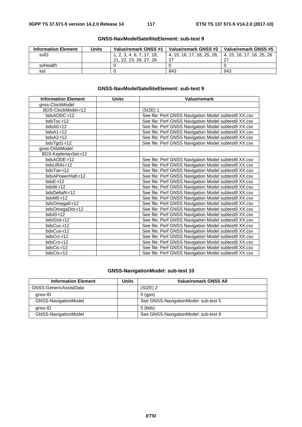| <b>Information Element</b> | <b>Units</b> | Value/remark GNSS #1      | Value/remark GNSS #2       | Value/remark GNSS #5      |
|----------------------------|--------------|---------------------------|----------------------------|---------------------------|
| svID                       |              | 1, 2, 3, 4, 6, 7, 17, 18, | 4. 15. 16. 17. 18. 25. 26. | 4. 15. 16. 17. 18. 25. 26 |
|                            |              | 21, 22, 23, 26, 27, 28    | 27                         |                           |
| svHealth                   |              |                           |                            |                           |
| iod                        |              |                           | 843                        | 843                       |

#### **GNSS-NavModelSatelliteElement: sub-test 9**

| <b>Information Element</b> | <b>Units</b> | Value/remark                                         |
|----------------------------|--------------|------------------------------------------------------|
| gnss-ClockModel            |              |                                                      |
| BDS-ClockModel-r12         |              | $(SIZE)$ 1                                           |
| bdsAODC-r12                |              | See file: Perf GNSS Navigation Model subtest9 XX.csv |
| bdsToc-r12                 |              | See file: Perf GNSS Navigation Model subtest9 XX.csv |
| bdsA0-r12                  |              | See file: Perf GNSS Navigation Model subtest9 XX.csv |
| $bdsA1-r12$                |              | See file: Perf GNSS Navigation Model subtest9 XX.csv |
| bdsA2-r12                  |              | See file: Perf GNSS Navigation Model subtest9 XX.csv |
| bdsTgd1-r12                |              | See file: Perf GNSS Navigation Model subtest9 XX.csv |
| gnss-OrbitModel            |              |                                                      |
| BDS-KeplerianSet-r12       |              |                                                      |
| bdsAODE-r12                |              | See file: Perf GNSS Navigation Model subtest9 XX.csv |
| bdsURAI-r12                |              | See file: Perf GNSS Navigation Model subtest9 XX.csv |
| bdsToe-r12                 |              | See file: Perf GNSS Navigation Model subtest9 XX.csv |
| bdsAPowerHalf-r12          |              | See file: Perf GNSS Navigation Model subtest9 XX.csv |
| bdsE-r12                   |              | See file: Perf GNSS Navigation Model subtest9 XX.csv |
| bdsW-r12                   |              | See file: Perf GNSS Navigation Model subtest9 XX.csv |
| bdsDeltaN-r12              |              | See file: Perf GNSS Navigation Model subtest9 XX.csv |
| bdsM0-r12                  |              | See file: Perf GNSS Navigation Model subtest9 XX.csv |
| bdsOmega0-r12              |              | See file: Perf GNSS Navigation Model subtest9 XX.csv |
| bdsOmegaDot-r12            |              | See file: Perf GNSS Navigation Model subtest9 XX.csv |
| bdsI0-r12                  |              | See file: Perf GNSS Navigation Model subtest9 XX.csv |
| bdsIDot-r12                |              | See file: Perf GNSS Navigation Model subtest9 XX.csv |
| bdsCuc-r12                 |              | See file: Perf GNSS Navigation Model subtest9 XX.csv |
| bdsCus-r12                 |              | See file: Perf GNSS Navigation Model subtest9 XX.csv |
| bdsCrc-r12                 |              | See file: Perf GNSS Navigation Model subtest9 XX.csv |
| bdsCrs-r12                 |              | See file: Perf GNSS Navigation Model subtest9 XX.csv |
| bdsCic-r12                 |              | See file: Perf GNSS Navigation Model subtest9 XX.csv |
| bdsCis-r12                 |              | See file: Perf GNSS Navigation Model subtest9 XX.csv |

#### **GNSS-NavigationModel: sub-test 10**

| <b>Information Element</b> | Units | <b>Value/remark GNSS All</b>         |
|----------------------------|-------|--------------------------------------|
| GNSS-GenericAssistData     |       | $(SIZE)$ 2                           |
| gnss-ID                    |       | $0$ (aps)                            |
| GNSS-NavigationModel       |       | See GNSS-NavigationModel: sub-test 5 |
| anss-ID                    |       | $5$ (bds)                            |
| GNSS-NavigationModel       |       | See GNSS-NavigationModel: sub-test 9 |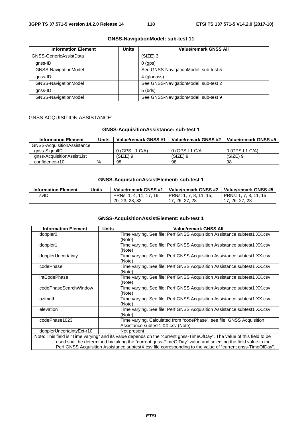#### **GNSS-NavigationModel: sub-test 11**

| <b>Information Element</b> | <b>Units</b> | <b>Value/remark GNSS All</b>         |
|----------------------------|--------------|--------------------------------------|
| GNSS-GenericAssistData     |              | $(SIZE)$ 3                           |
| gnss-ID                    |              | $0$ (aps)                            |
| GNSS-NavigationModel       |              | See GNSS-NavigationModel: sub-test 5 |
| qnss-ID                    |              | 4 (glonass)                          |
| GNSS-NavigationModel       |              | See GNSS-NavigationModel: sub-test 2 |
| qnss-ID                    |              | $5$ (bds)                            |
| GNSS-NavigationModel       |              | See GNSS-NavigationModel: sub-test 9 |

#### GNSS ACQUISITION ASSISTANCE:

#### **GNSS-AcquisitionAssistance: sub-test 1**

| <b>Information Element</b> | Units | Value/remark GNSS #1 | Value/remark GNSS #2 | Value/remark GNSS #5 |
|----------------------------|-------|----------------------|----------------------|----------------------|
| GNSS-AcquisitionAssistance |       |                      |                      |                      |
| gnss-SignalID              |       | $0$ (GPS L1 C/A)     | 0 (GPS L1 C/A        | 0 (GPS L1 C/A)       |
| gnss-AcquisitionAssistList |       | (SIZE) 9             | (SIZE) 9             | $(SIZE)$ 9           |
| confidence-r10             | $\%$  | 98                   | 98                   | 98                   |

#### **GNSS-AcquisitionAssistElement: sub-test 1**

| <b>Information Element</b> | Units | Value/remark GNSS #1    | Value/remark GNSS #2   | Value/remark GNSS #5   |
|----------------------------|-------|-------------------------|------------------------|------------------------|
| svID                       |       | PRNs: 1, 4, 11, 17, 19, | PRNs: 1, 7, 8, 11, 15, | PRNs: 1, 7, 8, 11, 15, |
|                            |       | 20, 23, 28, 32          | 17, 26, 27, 28         | 17. 26. 27. 28         |

| <b>Information Element</b>                                                                                              | <b>Units</b> | <b>Value/remark GNSS All</b>                                                                               |  |  |
|-------------------------------------------------------------------------------------------------------------------------|--------------|------------------------------------------------------------------------------------------------------------|--|--|
| doppler <sub>0</sub>                                                                                                    |              | Time varying. See file: Perf GNSS Acquisition Assistance subtest1 XX.csv                                   |  |  |
|                                                                                                                         |              | (Note)                                                                                                     |  |  |
| doppler1                                                                                                                |              | Time varying. See file: Perf GNSS Acquisition Assistance subtest1 XX.csv                                   |  |  |
|                                                                                                                         |              | (Note)                                                                                                     |  |  |
| dopplerUncertainty                                                                                                      |              | Time varying. See file: Perf GNSS Acquisition Assistance subtest1 XX.csv                                   |  |  |
|                                                                                                                         |              | (Note)                                                                                                     |  |  |
| codePhase                                                                                                               |              | Time varying. See file: Perf GNSS Acquisition Assistance subtest1 XX.csv                                   |  |  |
|                                                                                                                         |              | (Note)                                                                                                     |  |  |
| intCodePhase                                                                                                            |              | Time varying. See file: Perf GNSS Acquisition Assistance subtest1 XX.csv                                   |  |  |
|                                                                                                                         |              | (Note)                                                                                                     |  |  |
| codePhaseSearchWindow                                                                                                   |              | Time varying. See file: Perf GNSS Acquisition Assistance subtest1 XX.csv                                   |  |  |
|                                                                                                                         |              | (Note)                                                                                                     |  |  |
| azimuth                                                                                                                 |              | Time varying. See file: Perf GNSS Acquisition Assistance subtest1 XX.csv                                   |  |  |
|                                                                                                                         |              | (Note)                                                                                                     |  |  |
| elevation                                                                                                               |              | Time varying. See file: Perf GNSS Acquisition Assistance subtest1 XX.csv                                   |  |  |
|                                                                                                                         |              | (Note)                                                                                                     |  |  |
| codePhase1023                                                                                                           |              | Time varying. Calculated from "codePhase", see file: GNSS Acquisition                                      |  |  |
|                                                                                                                         |              | Assistance subtest1 XX.csv (Note)                                                                          |  |  |
| dopplerUncertaintyExt-r10                                                                                               |              | Not present                                                                                                |  |  |
| Note: This field is "Time varying" and its value depends on the "current gnss-TimeOfDay". The value of this field to be |              |                                                                                                            |  |  |
| used shall be determined by taking the "current gnss-TimeOfDay" value and selecting the field value in the              |              |                                                                                                            |  |  |
|                                                                                                                         |              | Perf GNSS Acquisition Assistance subtestX.csv file corresponding to the value of "current gnss-TimeOfDay". |  |  |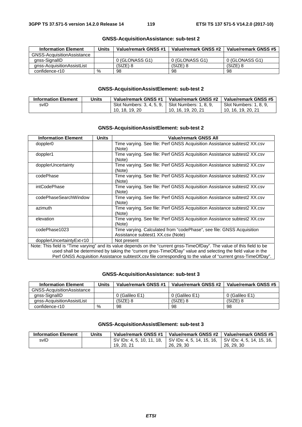| <b>Information Element</b>        | Units | Value/remark GNSS #1 | Value/remark GNSS #2 | Value/remark GNSS #5 |
|-----------------------------------|-------|----------------------|----------------------|----------------------|
| <b>GNSS-AcquisitionAssistance</b> |       |                      |                      |                      |
| anss-SignallD                     |       | 0 (GLONASS G1)       | 0 (GLONASS G1)       | 0 (GLONASS G1)       |
| gnss-AcquisitionAssistList        |       | $(SIZE)$ 8           | (SIZE) 8             | $(SIZE)$ 8           |
| confidence-r10                    | %     | 98                   | 98                   | 98                   |

#### **GNSS-AcquisitionAssistance: sub-test 2**

#### **GNSS-AcquisitionAssistElement: sub-test 2**

| <b>Information Element</b> | Units | Value/remark GNSS #1        | Value/remark GNSS #2   | Value/remark GNSS #5   |
|----------------------------|-------|-----------------------------|------------------------|------------------------|
| svID                       |       | Slot Numbers: 3, 4, 5, 9, 1 | Slot Numbers: 1, 8, 9, | Slot Numbers: 1, 8, 9, |
|                            |       | 10, 18, 19, 20              | 10. 16. 19. 20. 21     | 10, 16, 19, 20, 21     |

#### **GNSS-AcquisitionAssistElement: sub-test 2**

| <b>Information Element</b> | <b>Units</b> | Value/remark GNSS All                                                                                                                                                                                                                 |
|----------------------------|--------------|---------------------------------------------------------------------------------------------------------------------------------------------------------------------------------------------------------------------------------------|
| doppler <sub>0</sub>       |              | Time varying. See file: Perf GNSS Acquisition Assistance subtest2 XX.csv<br>(Note)                                                                                                                                                    |
| doppler1                   |              | Time varying. See file: Perf GNSS Acquisition Assistance subtest2 XX.csv<br>(Note)                                                                                                                                                    |
| dopplerUncertainty         |              | Time varying. See file: Perf GNSS Acquisition Assistance subtest2 XX.csv<br>(Note)                                                                                                                                                    |
| codePhase                  |              | Time varying. See file: Perf GNSS Acquisition Assistance subtest2 XX.csv<br>(Note)                                                                                                                                                    |
| intCodePhase               |              | Time varying. See file: Perf GNSS Acquisition Assistance subtest2 XX.csv<br>(Note)                                                                                                                                                    |
| codePhaseSearchWindow      |              | Time varying. See file: Perf GNSS Acquisition Assistance subtest2 XX.csv<br>(Note)                                                                                                                                                    |
| azimuth                    |              | Time varying. See file: Perf GNSS Acquisition Assistance subtest2 XX.csv<br>(Note)                                                                                                                                                    |
| elevation                  |              | Time varying. See file: Perf GNSS Acquisition Assistance subtest2 XX.csv<br>(Note)                                                                                                                                                    |
| codePhase1023              |              | Time varying. Calculated from "codePhase", see file: GNSS Acquisition<br>Assistance subtest1 XX.csv (Note)                                                                                                                            |
| dopplerUncertaintyExt-r10  |              | Not present                                                                                                                                                                                                                           |
|                            |              | Note: This field is "Time varying" and its value depends on the "current gnss-TimeOfDay". The value of this field to be<br>used shall be determined by taking the "current gnss-TimeOfDay" value and selecting the field value in the |

Perf GNSS Acquisition Assistance subtestX.csv file corresponding to the value of "current gnss-TimeOfDay".

#### **GNSS-AcquisitionAssistance: sub-test 3**

| <b>Information Element</b>        | Units | Value/remark GNSS #1 | Value/remark GNSS #2 | Value/remark GNSS #5 |
|-----------------------------------|-------|----------------------|----------------------|----------------------|
| <b>GNSS-AcquisitionAssistance</b> |       |                      |                      |                      |
| gnss-SignallD                     |       | 0 (Galileo E1)       | 0 (Galileo E1)       | 0 (Galileo E1)       |
| anss-AcquisitionAssistList        |       | (SIZE) 8             | (SIZE) 8             | (SIZE) 8             |
| confidence-r10                    | $\%$  | 98                   | 98                   | 98                   |

| <b>Information Element</b> | Units | Value/remark GNSS #1                                | Value/remark GNSS #2 | Value/remark GNSS #5   |
|----------------------------|-------|-----------------------------------------------------|----------------------|------------------------|
| svID                       |       | SV IDs: 4, 5, 10, 11, 18, SV IDs: 4, 5, 14, 15, 16, |                      | ISV IDs: 4.5.14.15.16. |
|                            |       | 19, 20, 21                                          | 26, 29, 30           | 26, 29, 30             |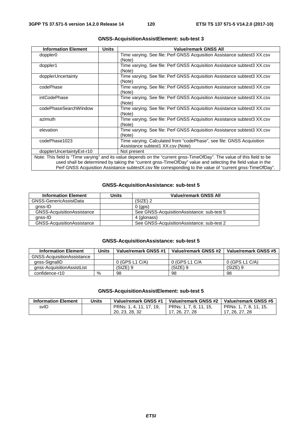| <b>Information Element</b> | <b>Units</b> | <b>Value/remark GNSS All</b>                                                                                            |
|----------------------------|--------------|-------------------------------------------------------------------------------------------------------------------------|
| doppler0                   |              | Time varying. See file: Perf GNSS Acquisition Assistance subtest3 XX.csv<br>(Note)                                      |
| doppler1                   |              | Time varying. See file: Perf GNSS Acquisition Assistance subtest3 XX.csv<br>(Note)                                      |
| dopplerUncertainty         |              | Time varying. See file: Perf GNSS Acquisition Assistance subtest3 XX.csv<br>(Note)                                      |
| codePhase                  |              | Time varying. See file: Perf GNSS Acquisition Assistance subtest3 XX.csv<br>(Note)                                      |
| intCodePhase               |              | Time varying. See file: Perf GNSS Acquisition Assistance subtest3 XX.csv<br>(Note)                                      |
| codePhaseSearchWindow      |              | Time varying. See file: Perf GNSS Acquisition Assistance subtest3 XX.csv<br>(Note)                                      |
| azimuth                    |              | Time varying. See file: Perf GNSS Acquisition Assistance subtest3 XX.csv<br>(Note)                                      |
| elevation                  |              | Time varying. See file: Perf GNSS Acquisition Assistance subtest3 XX.csv<br>(Note)                                      |
| codePhase1023              |              | Time varying. Calculated from "codePhase", see file: GNSS Acquisition<br>Assistance subtest1 XX.csv (Note)              |
| dopplerUncertaintyExt-r10  |              | Not present                                                                                                             |
|                            |              | Note: This field is "Time varying" and its value depends on the "current gnss-TimeOfDay". The value of this field to be |
|                            |              | used shall be determined by taking the "current gnss-TimeOfDay" value and selecting the field value in the              |

#### **GNSS-AcquisitionAssistElement: sub-test 3**

used shall be determined by taking the "current gnss-TimeOfDay" value and selecting the field value in the Perf GNSS Acquisition Assistance subtestX.csv file corresponding to the value of "current gnss-TimeOfDay".

#### **GNSS-AcquisitionAssistance: sub-test 5**

| <b>Information Element</b>        | Units | Value/remark GNSS All                       |
|-----------------------------------|-------|---------------------------------------------|
| GNSS-GenericAssistData            |       | $(SIZE)$ 2                                  |
| anss-ID                           |       | $0$ (gps)                                   |
| <b>GNSS-AcquisitionAssistance</b> |       | See GNSS-Acquisition Assistance: sub-test 5 |
| anss-ID                           |       | 4 (glonass)                                 |
| <b>GNSS-AcquisitionAssistance</b> |       | See GNSS-Acquisition Assistance: sub-test 2 |

#### **GNSS-AcquisitionAssistance: sub-test 5**

| <b>Information Element</b> | <b>Units</b> | Value/remark GNSS #1 | Value/remark GNSS #2 | Value/remark GNSS #5 |
|----------------------------|--------------|----------------------|----------------------|----------------------|
| GNSS-AcquisitionAssistance |              |                      |                      |                      |
| gnss-SignallD              |              | $0$ (GPS L1 C/A)     | 0 (GPS L1 C/A        | 0 (GPS L1 C/A)       |
| gnss-AcquisitionAssistList |              | (SIZE) 9             | $(SIZE)$ 9           | $(SIZE)$ 9           |
| confidence-r10             | %            | 98                   | 98                   | 98                   |

| <b>Information Element</b> | Units | Value/remark GNSS #1    | Value/remark GNSS #2   | Value/remark GNSS #5   |
|----------------------------|-------|-------------------------|------------------------|------------------------|
| svID                       |       | PRNs: 1, 4, 11, 17, 19, | PRNs: 1, 7, 8, 11, 15, | PRNs: 1, 7, 8, 11, 15, |
|                            |       | 20, 23, 28, 32          | 17, 26, 27, 28         | 17, 26, 27, 28         |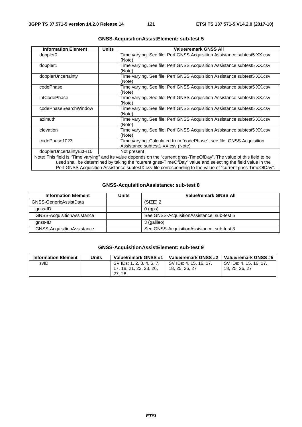| <b>Information Element</b> | <b>Units</b> | <b>Value/remark GNSS All</b>                                                                                            |
|----------------------------|--------------|-------------------------------------------------------------------------------------------------------------------------|
| doppler <sub>0</sub>       |              | Time varying. See file: Perf GNSS Acquisition Assistance subtest5 XX.csv<br>(Note)                                      |
| doppler1                   |              | Time varying. See file: Perf GNSS Acquisition Assistance subtest5 XX.csv<br>(Note)                                      |
| dopplerUncertainty         |              | Time varying. See file: Perf GNSS Acquisition Assistance subtest 5XX.csv<br>(Note)                                      |
| codePhase                  |              | Time varying. See file: Perf GNSS Acquisition Assistance subtest5 XX.csv<br>(Note)                                      |
| intCodePhase               |              | Time varying. See file: Perf GNSS Acquisition Assistance subtest5 XX.csv<br>(Note)                                      |
| codePhaseSearchWindow      |              | Time varying. See file: Perf GNSS Acquisition Assistance subtest 5XX.csv<br>(Note)                                      |
| azimuth                    |              | Time varying. See file: Perf GNSS Acquisition Assistance subtest5 XX.csv<br>(Note)                                      |
| elevation                  |              | Time varying. See file: Perf GNSS Acquisition Assistance subtest 5XX.csv<br>(Note)                                      |
| codePhase1023              |              | Time varying. Calculated from "codePhase", see file: GNSS Acquisition<br>Assistance subtest1 XX.csv (Note)              |
| dopplerUncertaintyExt-r10  |              | Not present                                                                                                             |
|                            |              | Note: This field is "Time varying" and its value depends on the "current gnss-TimeOfDay". The value of this field to be |
|                            |              | used shall be determined by taking the "current gnss-TimeOfDay" value and selecting the field value in the              |
|                            |              | Perf GNSS Acquisition Assistance subtestX.csv file corresponding to the value of "current gnss-TimeOfDay".              |

#### **GNSS-AcquisitionAssistElement: sub-test 5**

#### **GNSS-AcquisitionAssistance: sub-test 8**

| <b>Information Element</b>        | <b>Units</b> | <b>Value/remark GNSS All</b>                |
|-----------------------------------|--------------|---------------------------------------------|
| GNSS-GenericAssistData            |              | $(SIZE)$ 2                                  |
| anss-ID                           |              | $0$ (aps)                                   |
| <b>GNSS-AcquisitionAssistance</b> |              | See GNSS-Acquisition Assistance: sub-test 5 |
| anss-ID                           |              | 3 (galileo)                                 |
| <b>GNSS-AcquisitionAssistance</b> |              | See GNSS-Acquisition Assistance: sub-test 3 |

| <b>Information Element</b> | <b>Units</b> | Value/remark GNSS #1      | Value/remark GNSS #2   | Value/remark GNSS #5   |
|----------------------------|--------------|---------------------------|------------------------|------------------------|
| svID                       |              | SV IDs: 1, 2, 3, 4, 6, 7, | SV IDs: 4, 15, 16, 17, | SV IDs: 4, 15, 16, 17, |
|                            |              | 17. 18. 21. 22. 23. 26.   | 18, 25, 26, 27         | 18, 25, 26, 27         |
|                            |              | 27.28                     |                        |                        |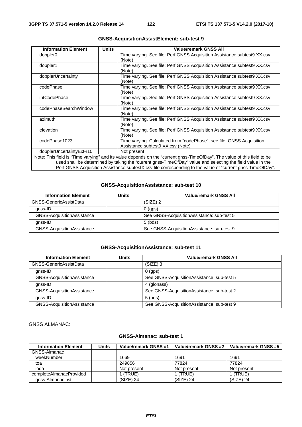| <b>Information Element</b> | <b>Units</b> | <b>Value/remark GNSS All</b>                                                                                            |
|----------------------------|--------------|-------------------------------------------------------------------------------------------------------------------------|
| doppler0                   |              | Time varying. See file: Perf GNSS Acquisition Assistance subtest9 XX.csv<br>(Note)                                      |
| doppler1                   |              | Time varying. See file: Perf GNSS Acquisition Assistance subtest9 XX.csv<br>(Note)                                      |
| dopplerUncertainty         |              | Time varying. See file: Perf GNSS Acquisition Assistance subtest9 XX.csv<br>(Note)                                      |
| codePhase                  |              | Time varying. See file: Perf GNSS Acquisition Assistance subtest9 XX.csv<br>(Note)                                      |
| intCodePhase               |              | Time varying. See file: Perf GNSS Acquisition Assistance subtest9 XX.csv<br>(Note)                                      |
| codePhaseSearchWindow      |              | Time varying. See file: Perf GNSS Acquisition Assistance subtest9 XX.csv<br>(Note)                                      |
| azimuth                    |              | Time varying. See file: Perf GNSS Acquisition Assistance subtest9 XX.csv<br>(Note)                                      |
| elevation                  |              | Time varying. See file: Perf GNSS Acquisition Assistance subtest9 XX.csv<br>(Note)                                      |
| codePhase1023              |              | Time varying. Calculated from "codePhase", see file: GNSS Acquisition<br>Assistance subtest 9 XX.csv (Note)             |
| dopplerUncertaintyExt-r10  |              | Not present                                                                                                             |
|                            |              | Note: This field is "Time varying" and its value depends on the "current gnss-TimeOfDay". The value of this field to be |
|                            |              | used shall be determined by taking the "current gnss-TimeOfDay" value and selecting the field value in the              |
|                            |              | Perf GNSS Acquisition Assistance subtestX.csv file corresponding to the value of "current gnss-TimeOfDay".              |

#### **GNSS-AcquisitionAssistElement: sub-test 9**

#### **GNSS-AcquisitionAssistance: sub-test 10**

| <b>Information Element</b>        | <b>Units</b> | <b>Value/remark GNSS All</b>                |
|-----------------------------------|--------------|---------------------------------------------|
| GNSS-GenericAssistData            |              | (SIZE) 2                                    |
| anss-ID                           |              | $0$ (aps)                                   |
| <b>GNSS-AcquisitionAssistance</b> |              | See GNSS-Acquisition Assistance: sub-test 5 |
| anss-ID                           |              | $5$ (bds)                                   |
| GNSS-AcquisitionAssistance        |              | See GNSS-Acquisition Assistance: sub-test 9 |

#### **GNSS-AcquisitionAssistance: sub-test 11**

| <b>Information Element</b>        | <b>Units</b> | <b>Value/remark GNSS All</b>               |
|-----------------------------------|--------------|--------------------------------------------|
| GNSS-GenericAssistData            |              | $(SIZE)$ 3                                 |
| gnss-ID                           |              | $0$ (qps)                                  |
| <b>GNSS-AcquisitionAssistance</b> |              | See GNSS-AcquisitionAssistance: sub-test 5 |
| gnss-ID                           |              | 4 (glonass)                                |
| <b>GNSS-AcquisitionAssistance</b> |              | See GNSS-AcquisitionAssistance: sub-test 2 |
| gnss-ID                           |              | $5$ (bds)                                  |
| GNSS-AcquisitionAssistance        |              | See GNSS-AcquisitionAssistance: sub-test 9 |

#### GNSS ALMANAC:

| <b>Information Element</b> | Units | Value/remark GNSS #1 | Value/remark GNSS #2 | Value/remark GNSS #5 |
|----------------------------|-------|----------------------|----------------------|----------------------|
| GNSS-Almanac               |       |                      |                      |                      |
| weekNumber                 |       | 1669                 | 1691                 | 1691                 |
| toa                        |       | 249856               | 77824                | 77824                |
| ioda                       |       | Not present          | Not present          | Not present          |
| completeAlmanacProvided    |       | (TRUE)               | (TRUE)               | (TRUE)               |
| anss-AlmanacList           |       | $(SIZE)$ 24          | $(SIZE)$ 24          | $(SIZE)$ 24          |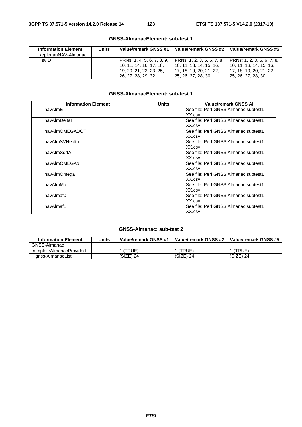| <b>Information Element</b> | Units | Value/remark GNSS #1       | Value/remark GNSS #2       | Value/remark GNSS #5       |
|----------------------------|-------|----------------------------|----------------------------|----------------------------|
| keplerianNAV-Almanac       |       |                            |                            |                            |
| svID                       |       | PRNs: 1, 4, 5, 6, 7, 8, 9, | PRNs: 1, 2, 3, 5, 6, 7, 8, | PRNs: 1, 2, 3, 5, 6, 7, 8, |
|                            |       | 10, 11, 14, 16, 17, 18,    | 10. 11. 13. 14. 15. 16.    | 10. 11. 13. 14. 15. 16.    |
|                            |       | 19, 20, 21, 22, 23, 25,    | 17. 18. 19. 20. 21. 22.    | 17. 18. 19. 20. 21. 22.    |
|                            |       | 26, 27, 28, 29, 32         | 25, 26, 27, 28, 30         | 25, 26, 27, 28, 30         |

### **GNSS-AlmanacElement: sub-test 1**

| <b>Information Element</b> | <b>Units</b> | <b>Value/remark GNSS All</b>         |
|----------------------------|--------------|--------------------------------------|
| navAlmE                    |              | See file: Perf GNSS Almanac subtest1 |
|                            |              | XX.csv                               |
| navAlmDeltal               |              | See file: Perf GNSS Almanac subtest1 |
|                            |              | XX.csv                               |
| navAlmOMEGADOT             |              | See file: Perf GNSS Almanac subtest1 |
|                            |              | XX.csv                               |
| navAlmSVHealth             |              | See file: Perf GNSS Almanac subtest1 |
|                            |              | XX.csv                               |
| navAlmSqrtA                |              | See file: Perf GNSS Almanac subtest1 |
|                            |              | XX.csv                               |
| navAlmOMEGAo               |              | See file: Perf GNSS Almanac subtest1 |
|                            |              | XX.csv                               |
| navAlmOmega                |              | See file: Perf GNSS Almanac subtest1 |
|                            |              | XX.csv                               |
| navAlmMo                   |              | See file: Perf GNSS Almanac subtest1 |
|                            |              | XX.csv                               |
| navAlmaf0                  |              | See file: Perf GNSS Almanac subtest1 |
|                            |              | XX.csv                               |
| navAlmaf1                  |              | See file: Perf GNSS Almanac subtest1 |
|                            |              | XX.csv                               |

| <b>Information Element</b> | Units | Value/remark GNSS #1 | Value/remark GNSS #2 | Value/remark GNSS #5 |
|----------------------------|-------|----------------------|----------------------|----------------------|
| GNSS-Almanac               |       |                      |                      |                      |
| completeAlmanacProvided    |       | (TRUE)               | (TRUE)               | (TRUE)               |
| gnss-AlmanacList           |       | (SIZE) 24            | (SIZE) 24            | $(SIZE)$ 24          |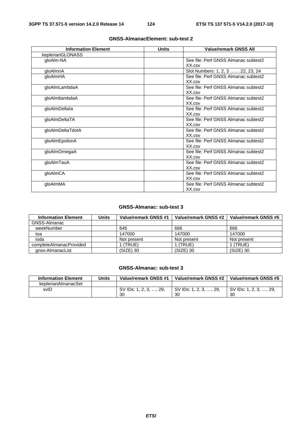| <b>Information Element</b> | <b>Units</b> | <b>Value/remark GNSS All</b>         |
|----------------------------|--------------|--------------------------------------|
| keplerianGLONASS           |              |                                      |
| gloAlm-NA                  |              | See file: Perf GNSS Almanac subtest2 |
|                            |              | XX.csv                               |
| gloAlmnA                   |              | Slot Numbers: 1, 2, 3 22, 23, 24     |
| qloAlmHA                   |              | See file: Perf GNSS Almanac subtest2 |
|                            |              | XX.csv                               |
| gloAlmLambdaA              |              | See file: Perf GNSS Almanac subtest2 |
|                            |              | XX.csv                               |
| gloAlmtlambdaA             |              | See file: Perf GNSS Almanac subtest2 |
|                            |              | XX.csv                               |
| gloAlmDeltala              |              | See file: Perf GNSS Almanac subtest2 |
|                            |              | XX.csv                               |
| gloAlmDeltaTA              |              | See file: Perf GNSS Almanac subtest2 |
|                            |              | XX.csv                               |
| gloAlmDeltaTdotA           |              | See file: Perf GNSS Almanac subtest2 |
|                            |              | XX.csv                               |
| gloAlmEpsilonA             |              | See file: Perf GNSS Almanac subtest2 |
|                            |              | XX.csv                               |
| gloAlmOmegaA               |              | See file: Perf GNSS Almanac subtest2 |
|                            |              | XX.csv                               |
| gloAlmTauA                 |              | See file: Perf GNSS Almanac subtest2 |
|                            |              | XX.csv                               |
| gloAlmCA                   |              | See file: Perf GNSS Almanac subtest2 |
|                            |              | XX.csv                               |
| gloAlmMA                   |              | See file: Perf GNSS Almanac subtest2 |
|                            |              | XX.csv                               |

#### **GNSS-Almanac: sub-test 3**

| <b>Information Element</b> | Units | Value/remark GNSS #1 | Value/remark GNSS #2 | Value/remark GNSS #5 |
|----------------------------|-------|----------------------|----------------------|----------------------|
| GNSS-Almanac               |       |                      |                      |                      |
| weekNumber                 |       | 645                  | 666                  | 666                  |
| toa                        |       | 147000               | 147000               | 147000               |
| ioda                       |       | Not present          | Not present          | Not present          |
| completeAlmanacProvided    |       | (TRUE)               | (TRUE)               | (TRUE)               |
| anss-AlmanacList           |       | (SIZE) 30            | $(SIZE)$ 30          | (SIZE) 30            |

| <b>Information Element</b> | Units | Value/remark GNSS #1   | Value/remark GNSS #2       | Value/remark GNSS #5 |
|----------------------------|-------|------------------------|----------------------------|----------------------|
| keplerianAlmanacSet        |       |                        |                            |                      |
| svID                       |       | SV IDs: 1, 2, 3, , 29, | 29<br>SV IDs: 1, 2, 3, , 1 | SV IDs: 1, 2, 3, , 2 |
|                            |       | 30                     | 30                         | 30                   |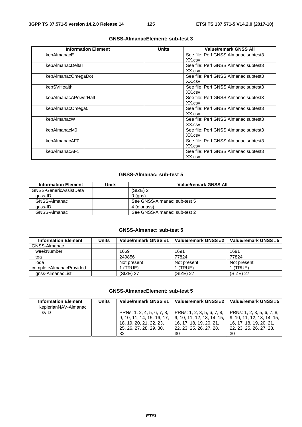| <b>Information Element</b> | <b>Units</b> | Value/remark GNSS All                |
|----------------------------|--------------|--------------------------------------|
| kepAlmanacE                |              | See file: Perf GNSS Almanac subtest3 |
|                            |              | XX.csv                               |
| kepAlmanacDeltal           |              | See file: Perf GNSS Almanac subtest3 |
|                            |              | XX.csv                               |
| kepAlmanacOmegaDot         |              | See file: Perf GNSS Almanac subtest3 |
|                            |              | XX.csv                               |
| kepSVHealth                |              | See file: Perf GNSS Almanac subtest3 |
|                            |              | XX.csv                               |
| kepAlmanacAPowerHalf       |              | See file: Perf GNSS Almanac subtest3 |
|                            |              | XX.csv                               |
| kepAlmanacOmega0           |              | See file: Perf GNSS Almanac subtest3 |
|                            |              | XX.csv                               |
| kepAlmanacW                |              | See file: Perf GNSS Almanac subtest3 |
|                            |              | XX.csv                               |
| kepAlmanacM0               |              | See file: Perf GNSS Almanac subtest3 |
|                            |              | XX.csv                               |
| kepAlmanacAF0              |              | See file: Perf GNSS Almanac subtest3 |
|                            |              | XX.csv                               |
| kepAlmanacAF1              |              | See file: Perf GNSS Almanac subtest3 |
|                            |              | XX.csv                               |

#### **GNSS-Almanac: sub-test 5**

| <b>Information Element</b> | Units | Value/remark GNSS All        |
|----------------------------|-------|------------------------------|
| GNSS-GenericAssistData     |       | (SIZE) 2                     |
| anss-ID                    |       | $0$ (qps)                    |
| GNSS-Almanac               |       | See GNSS-Almanac: sub-test 5 |
| anss-ID                    |       | 4 (glonass)                  |
| GNSS-Almanac               |       | See GNSS-Almanac: sub-test 2 |

#### **GNSS-Almanac: sub-test 5**

| <b>Information Element</b> | <b>Units</b> | Value/remark GNSS #1 | Value/remark GNSS #2 | Value/remark GNSS #5 |
|----------------------------|--------------|----------------------|----------------------|----------------------|
| GNSS-Almanac               |              |                      |                      |                      |
| weekNumber                 |              | 1669                 | 1691                 | 1691                 |
| toa                        |              | 249856               | 77824                | 77824                |
| ioda                       |              | Not present          | Not present          | Not present          |
| completeAlmanacProvided    |              | (TRUE)               | (TRUE)               | 1 (TRUE)             |
| gnss-AlmanacList           |              | $(SIZE)$ 27          | $(SIZE)$ 27          | $(SIZE)$ 27          |

#### **GNSS-AlmanacElement: sub-test 5**

| <b>Information Element</b> | Units | Value/remark GNSS #1       | Value/remark GNSS #2       | Value/remark GNSS #5       |
|----------------------------|-------|----------------------------|----------------------------|----------------------------|
| keplerianNAV-Almanac       |       |                            |                            |                            |
| svID                       |       | PRNs: 1, 2, 4, 5, 6, 7, 8, | PRNs: 1, 2, 3, 5, 6, 7, 8, | PRNs: 1, 2, 3, 5, 6, 7, 8, |
|                            |       | 9, 10, 11, 14, 15, 16, 17, | 9, 10, 11, 12, 13, 14, 15, | 9, 10, 11, 12, 13, 14, 15, |
|                            |       | 18, 19, 20, 21, 22, 23,    | 16. 17. 18. 19. 20. 21.    | 16, 17, 18, 19, 20, 21,    |
|                            |       | 25, 26, 27, 28, 29, 30,    | 22, 23, 25, 26, 27, 28,    | 22, 23, 25, 26, 27, 28,    |
|                            |       | 32                         | 30                         | 30                         |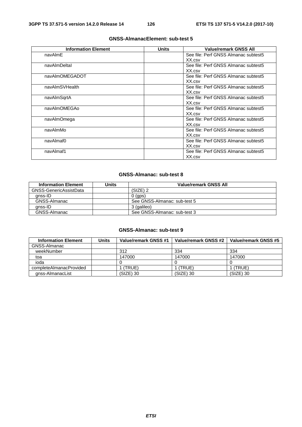| <b>Information Element</b> | <b>Units</b> | <b>Value/remark GNSS All</b>         |
|----------------------------|--------------|--------------------------------------|
| navAlmE                    |              | See file: Perf GNSS Almanac subtest5 |
|                            |              | XX.csv                               |
| navAlmDeltal               |              | See file: Perf GNSS Almanac subtest5 |
|                            |              | XX.csv                               |
| navAlmOMEGADOT             |              | See file: Perf GNSS Almanac subtest5 |
|                            |              | XX.csv                               |
| navAlmSVHealth             |              | See file: Perf GNSS Almanac subtest5 |
|                            |              | XX.csv                               |
| navAlmSqrtA                |              | See file: Perf GNSS Almanac subtest5 |
|                            |              | XX.csv                               |
| navAlmOMEGAo               |              | See file: Perf GNSS Almanac subtest5 |
|                            |              | XX.csv                               |
| navAlmOmega                |              | See file: Perf GNSS Almanac subtest5 |
|                            |              | XX.csv                               |
| navAlmMo                   |              | See file: Perf GNSS Almanac subtest5 |
|                            |              | XX.csv                               |
| navAlmaf0                  |              | See file: Perf GNSS Almanac subtest5 |
|                            |              | XX.csv                               |
| navAlmaf1                  |              | See file: Perf GNSS Almanac subtest5 |
|                            |              | XX.csv                               |

#### **GNSS-Almanac: sub-test 8**

| <b>Information Element</b> | Units | Value/remark GNSS All        |
|----------------------------|-------|------------------------------|
| GNSS-GenericAssistData     |       | (SIZE) 2                     |
| anss-ID                    |       | $0$ (gps)                    |
| GNSS-Almanac               |       | See GNSS-Almanac: sub-test 5 |
| anss-ID                    |       | 3 (galileo)                  |
| GNSS-Almanac               |       | See GNSS-Almanac: sub-test 3 |

| <b>Information Element</b> | <b>Units</b> | Value/remark GNSS #1 | Value/remark GNSS #2 | Value/remark GNSS #5 |
|----------------------------|--------------|----------------------|----------------------|----------------------|
| GNSS-Almanac               |              |                      |                      |                      |
| weekNumber                 |              | 312                  | 334                  | 334                  |
| toa                        |              | 147000               | 147000               | 147000               |
| ioda                       |              |                      |                      |                      |
| completeAlmanacProvided    |              | (TRUE                | (TRUE)               | l (TRUE)             |
| gnss-AlmanacList           |              | (SIZE) 30            | (SIZE) 30            | $(SIZE)$ 30          |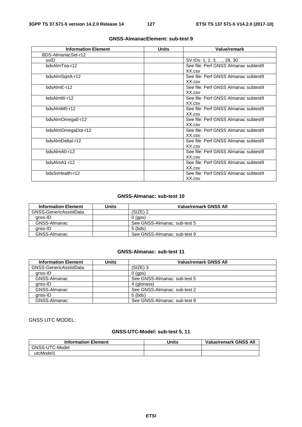| <b>Information Element</b> | <b>Units</b> | Value/remark                         |
|----------------------------|--------------|--------------------------------------|
| BDS-AlmanacSet-r12         |              |                                      |
| svID                       |              | SV IDs: 1, 2, 3, , 29, 30            |
| bdsAlmToa-r12              |              | See file: Perf GNSS Almanac subtest9 |
|                            |              | XX.csv                               |
| bdsAlmSqrtA-r12            |              | See file: Perf GNSS Almanac subtest9 |
|                            |              | XX.csv                               |
| bdsAlmE-r12                |              | See file: Perf GNSS Almanac subtest9 |
|                            |              | XX.csv                               |
| bdsAlmW-r12                |              | See file: Perf GNSS Almanac subtest9 |
|                            |              | XX.csv                               |
| bdsAlmM0-r12               |              | See file: Perf GNSS Almanac subtest9 |
|                            |              | XX.csv                               |
| bdsAlmOmega0-r12           |              | See file: Perf GNSS Almanac subtest9 |
|                            |              | XX.csv                               |
| bdsAlmOmegaDot-r12         |              | See file: Perf GNSS Almanac subtest9 |
|                            |              | XX.csv                               |
| bdsAlmDeltaI-r12           |              | See file: Perf GNSS Almanac subtest9 |
|                            |              | XX.csv                               |
| bdsAlmA0-r12               |              | See file: Perf GNSS Almanac subtest9 |
|                            |              | XX.csv                               |
| bdsAlmA1-r12               |              | See file: Perf GNSS Almanac subtest9 |
|                            |              | XX.csv                               |
| bdsSvHealth-r12            |              | See file: Perf GNSS Almanac subtest9 |
|                            |              | XX.csv                               |

#### **GNSS-Almanac: sub-test 10**

| <b>Information Element</b> | Units | Value/remark GNSS All        |
|----------------------------|-------|------------------------------|
| GNSS-GenericAssistData     |       | (SIZE) 2                     |
| anss-ID                    |       | $0$ (gps)                    |
| GNSS-Almanac               |       | See GNSS-Almanac: sub-test 5 |
| anss-ID                    |       | $5$ (bds)                    |
| GNSS-Almanac               |       | See GNSS-Almanac: sub-test 9 |

#### **GNSS-Almanac: sub-test 11**

| <b>Information Element</b> | <b>Units</b> | <b>Value/remark GNSS All</b> |
|----------------------------|--------------|------------------------------|
| GNSS-GenericAssistData     |              | (SIZE) 3                     |
| anss-ID                    |              | $0$ (gps)                    |
| GNSS-Almanac               |              | See GNSS-Almanac: sub-test 5 |
| anss-ID                    |              | 4 (glonass)                  |
| GNSS-Almanac               |              | See GNSS-Almanac: sub-test 2 |
| anss-ID                    |              | $5$ (bds)                    |
| GNSS-Almanac               |              | See GNSS-Almanac: sub-test 9 |

# GNSS UTC MODEL:

#### **GNSS-UTC-Model: sub-test 5, 11**

| <b>Information Element</b> | Units | <b>Value/remark GNSS All</b> |
|----------------------------|-------|------------------------------|
| GNSS-UTC-Model             |       |                              |
| utcModel1                  |       |                              |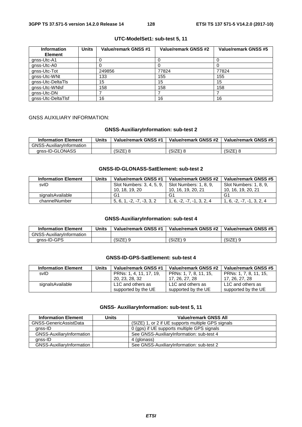| <b>Information</b> | <b>Units</b> | Value/remark GNSS #1 | Value/remark GNSS #2 | Value/remark GNSS #5 |
|--------------------|--------------|----------------------|----------------------|----------------------|
| <b>Element</b>     |              |                      |                      |                      |
| gnss-Utc-A1        |              |                      |                      |                      |
| gnss-Utc-A0        |              |                      |                      |                      |
| gnss-Utc-Tot       |              | 249856               | 77824                | 77824                |
| gnss-Utc-WNt       |              | 133                  | 155                  | 155                  |
| gnss-Utc-DeltaTls  |              | 15                   | 15                   | 15                   |
| gnss-Utc-WNIsf     |              | 158                  | 158                  | 158                  |
| gnss-Utc-DN        |              |                      |                      |                      |
| gnss-Utc-DeltaTlsf |              | 16                   | 16                   | 16                   |

#### **UTC-ModelSet1: sub-test 5, 11**

### GNSS AUXILIARY INFORMATION:

#### **GNSS-AuxiliaryInformation: sub-test 2**

| <b>Information Element</b> | Units | Value/remark GNSS #1 | Value/remark GNSS #2 | Value/remark GNSS #5 |
|----------------------------|-------|----------------------|----------------------|----------------------|
| GNSS-AuxiliarvInformation  |       |                      |                      |                      |
| anss-ID-GLONASS            |       | 'SIZE)               | (SIZE)               | (SIZE)               |

#### **GNSS-ID-GLONASS-SatElement: sub-test 2**

| <b>Information Element</b> | Units | Value/remark GNSS #1      | Value/remark GNSS #2              | Value/remark GNSS #5        |
|----------------------------|-------|---------------------------|-----------------------------------|-----------------------------|
| svID                       |       | Slot Numbers: 3, 4, 5, 9, | Slot Numbers: 1, 8, 9,            | Slot Numbers: 1, 8, 9,      |
|                            |       | 10, 18, 19, 20            | 10, 16, 19, 20, 21                | 10, 16, 19, 20, 21          |
| signalsAvailable           |       | G1                        | G1                                | G1                          |
| channelNumber              |       | $-2$<br>5.6.              | 1 6<br>$-2^{\circ}$<br>$-1$ 3 2 4 | $1, 6, -2, -7, -1, 3, 2, 4$ |

#### **GNSS-AuxiliaryInformation: sub-test 4**

| <b>Information Element</b>       | Units | Value/remark GNSS #1 | Value/remark GNSS #2 | Value/remark GNSS #5 |
|----------------------------------|-------|----------------------|----------------------|----------------------|
| <b>GNSS-AuxiliarvInformation</b> |       |                      |                      |                      |
| anss-ID-GPS                      |       | $(SIZE)$ 9           | (SIZE)               | $(SIZE)$ 9           |

#### **GNSS-ID-GPS-SatElement: sub-test 4**

| <b>Information Element</b> | Units | Value/remark GNSS #1    | Value/remark GNSS #2   | Value/remark GNSS #5   |
|----------------------------|-------|-------------------------|------------------------|------------------------|
| svID                       |       | PRNs: 1, 4, 11, 17, 19, | PRNs: 1, 7, 8, 11, 15, | PRNs: 1, 7, 8, 11, 15, |
|                            |       | 20, 23, 28, 32          | 17, 26, 27, 28         | 17, 26, 27, 28         |
| signalsAvailable           |       | L1C and others as       | L1C and others as      | L1C and others as      |
|                            |       | supported by the UE     | supported by the UE    | supported by the UE    |

#### **GNSS- AuxiliaryInformation: sub-test 5, 11**

| <b>Information Element</b> | Units | <b>Value/remark GNSS All</b>                       |
|----------------------------|-------|----------------------------------------------------|
| GNSS-GenericAssistData     |       | (SIZE) 1, or 2 if UE supports multiple GPS signals |
| anss-ID                    |       | 0 (gps) if UE supports multiple GPS signals        |
| GNSS-AuxiliaryInformation  |       | See GNSS-AuxiliaryInformation: sub-test 4          |
| anss-ID                    |       | 4 (glonass)                                        |
| GNSS-AuxiliaryInformation  |       | See GNSS-AuxiliaryInformation: sub-test 2          |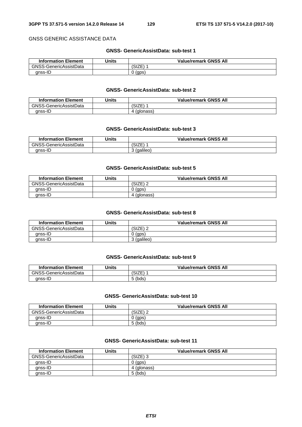#### GNSS GENERIC ASSISTANCE DATA

#### **GNSS- GenericAssistData: sub-test 1**

| <b>Information Element</b> | Jnits | <b>Value/remark GNSS All</b> |
|----------------------------|-------|------------------------------|
| GNSS-GenericAssistData     |       | (SIZE                        |
| anss-ID                    |       | (gps)                        |

#### **GNSS- GenericAssistData: sub-test 2**

| <b>Information Element</b> | <b>Units</b> | <b>Value/remark GNSS All</b> |  |
|----------------------------|--------------|------------------------------|--|
| GNSS-GenericAssistData     |              | SIZE <sup>®</sup>            |  |
| gnss-ID                    |              | (glonass)                    |  |

#### **GNSS- GenericAssistData: sub-test 3**

| <b>Information Element</b> | Units | <b>Value/remark GNSS All</b> |  |
|----------------------------|-------|------------------------------|--|
| GNSS-GenericAssistData     |       | C17E<br>SIZE                 |  |
| anss-ID                    |       | (galileo)                    |  |

#### **GNSS- GenericAssistData: sub-test 5**

| <b>Information Element</b> | Units | <b>Value/remark GNSS All</b> |
|----------------------------|-------|------------------------------|
| GNSS-GenericAssistData     |       | .SIZE)                       |
| anss-ID                    |       | (qps)                        |
| qnss-ID                    |       | (glonass)                    |

#### **GNSS- GenericAssistData: sub-test 8**

| <b>Information Element</b> | Units | <b>Value/remark GNSS All</b> |
|----------------------------|-------|------------------------------|
| GNSS-GenericAssistData     |       | (SIZE) 2                     |
| anss-ID                    |       | (gps)                        |
| anss-ID                    |       | 3 (galileo)                  |

#### **GNSS- GenericAssistData: sub-test 9**

| <b>Information Element</b> | Units | <b>Value/remark GNSS All</b> |
|----------------------------|-------|------------------------------|
| GNSS-GenericAssistData     |       | (SIZE)                       |
| anss-ID                    |       | ⊺ (bds)                      |

#### **GNSS- GenericAssistData: sub-test 10**

| <b>Information Element</b> | Units | <b>Value/remark GNSS All</b> |
|----------------------------|-------|------------------------------|
| GNSS-GenericAssistData     |       | (SIZE)                       |
| anss-ID                    |       | $0$ (gps)                    |
| anss-ID                    |       | $5$ (bds)                    |

#### **GNSS- GenericAssistData: sub-test 11**

| <b>Information Element</b> | Units | <b>Value/remark GNSS All</b> |
|----------------------------|-------|------------------------------|
| GNSS-GenericAssistData     |       | (SIZE)                       |
| anss-ID                    |       | $0$ (gps)                    |
| anss-ID                    |       | (glonass)                    |
| anss-ID                    |       | $5$ (bds)                    |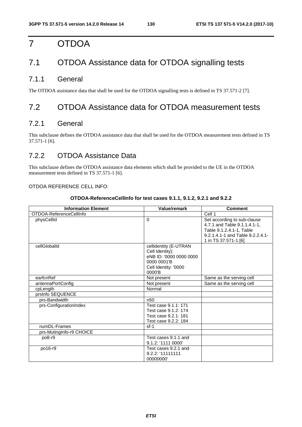# 7 OTDOA

# 7.1 OTDOA Assistance data for OTDOA signalling tests

# 7.1.1 General

The OTDOA assistance data that shall be used for the OTDOA signalling tests is defined in TS 37.571-2 [7].

# 7.2 OTDOA Assistance data for OTDOA measurement tests

# 7.2.1 General

This subclause defines the OTDOA assistance data that shall be used for the OTDOA measurement tests defined in TS 37.571-1 [6].

# 7.2.2 OTDOA Assistance Data

This subclause defines the OTDOA assistance data elements which shall be provided to the UE in the OTDOA measurement tests defined in TS 37.571-1 [6].

#### OTDOA REFERENCE CELL INFO:

| OTDOA-ReferenceCellInfo for test cases 9.1.1, 9.1.2, 9.2.1 and 9.2.2 |  |
|----------------------------------------------------------------------|--|
|                                                                      |  |

| <b>Information Element</b> | <b>Value/remark</b>                                                                                                  | <b>Comment</b>                                                                                                                                      |
|----------------------------|----------------------------------------------------------------------------------------------------------------------|-----------------------------------------------------------------------------------------------------------------------------------------------------|
| OTDOA-ReferenceCellInfo    |                                                                                                                      | Cell 1                                                                                                                                              |
| physCellId                 | $\Omega$                                                                                                             | Set according to sub-clause<br>4.7.1 and Table 9.1.1.4.1-1,<br>Table 9.1.2.4.1-1, Table<br>9.2.1.4.1-1 and Table 9.2.2.4.1-<br>1 in TS 37.571-1 [6] |
| cellGloballd               | cellidentity (E-UTRAN<br>Cell Identity):<br>eNB ID: '0000 0000 0000<br>0000 0001'B<br>Cell Identity: '0000<br>0000'B |                                                                                                                                                     |
| earfcnRef                  | Not present                                                                                                          | Same as the serving cell                                                                                                                            |
| antennaPortConfig          | Not present                                                                                                          | Same as the serving cell                                                                                                                            |
| cpLength                   | Normal                                                                                                               |                                                                                                                                                     |
| prsInfo SEQUENCE           |                                                                                                                      |                                                                                                                                                     |
| prs-Bandwidth              | n <sub>50</sub>                                                                                                      |                                                                                                                                                     |
| prs-ConfigurationIndex     | Test case 9.1.1: 171<br>Test case 9.1.2: 174<br>Test case 9.2.1: 181<br>Test case 9.2.2: 184                         |                                                                                                                                                     |
| numDL-Frames               | $sf-1$                                                                                                               |                                                                                                                                                     |
| prs-MutingInfo-r9 CHOICE   |                                                                                                                      |                                                                                                                                                     |
| po8-r9                     | Test cases 9.1.1 and<br>9.1.2: '1111 0000'                                                                           |                                                                                                                                                     |
| po16-r9                    | Test cases 9.2.1 and<br>9.2.2: '111111111<br>00000000                                                                |                                                                                                                                                     |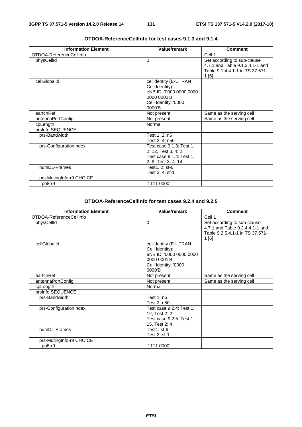| <b>Information Element</b> | <b>Value/remark</b>                                                                                                     | <b>Comment</b>                                                                                             |
|----------------------------|-------------------------------------------------------------------------------------------------------------------------|------------------------------------------------------------------------------------------------------------|
| OTDOA-ReferenceCellInfo    |                                                                                                                         | Cell 1                                                                                                     |
| physCellId                 | $\Omega$                                                                                                                | Set according to sub-clause<br>4.7.1 and Table 9.1.3.4.1-1 and<br>Table 9.1.4.4.1-1 in TS 37.571-<br>1 [6] |
| cellGloballd               | cellidentity (E-UTRAN<br>Cell Identity):<br>eNB ID: '0000 0000 0000<br>0000 0001'B<br>Cell Identity: '0000<br>$0000'$ B |                                                                                                            |
| earfcnRef                  | Not present                                                                                                             | Same as the serving cell                                                                                   |
| antennaPortConfig          | Not present                                                                                                             | Same as the serving cell                                                                                   |
| cpLength                   | Normal                                                                                                                  |                                                                                                            |
| prsInfo SEQUENCE           |                                                                                                                         |                                                                                                            |
| prs-Bandwidth              | Test 1, 2: n6<br>Test 3, 4: n50                                                                                         |                                                                                                            |
| prs-ConfigurationIndex     | Test case 9.1.3: Test 1,<br>2: 12, Test 3, 4: 2<br>Test case 9.1.4: Test 1,<br>2: 9, Test 3, 4: 14                      |                                                                                                            |
| numDL-Frames               | Test1, 2: sf-6<br>Test 3, 4: sf-1                                                                                       |                                                                                                            |
| prs-MutingInfo-r9 CHOICE   |                                                                                                                         |                                                                                                            |
| po8-r9                     | '1111 0000'                                                                                                             |                                                                                                            |

#### **OTDOA-ReferenceCellInfo for test cases 9.1.3 and 9.1.4**

#### **OTDOA-ReferenceCellInfo for test cases 9.2.4 and 9.2.5**

| <b>Information Element</b> | <b>Value/remark</b>                                                                                                  | <b>Comment</b>                                                                                             |
|----------------------------|----------------------------------------------------------------------------------------------------------------------|------------------------------------------------------------------------------------------------------------|
| OTDOA-ReferenceCellInfo    |                                                                                                                      | Cell 1                                                                                                     |
| physCellId                 | $\Omega$                                                                                                             | Set according to sub-clause<br>4.7.1 and Table 9.2.4.4.1-1 and<br>Table 9.2.5.4.1-1 in TS 37.571-<br>1 [6] |
| cellGlobalId               | cellidentity (E-UTRAN<br>Cell Identity):<br>eNB ID: '0000 0000 0000<br>0000 0001 B<br>Cell Identity: '0000<br>0000'B |                                                                                                            |
| earfcnRef                  | Not present                                                                                                          | Same as the serving cell                                                                                   |
| antennaPortConfig          | Not present                                                                                                          | Same as the serving cell                                                                                   |
| cpLength                   | Normal                                                                                                               |                                                                                                            |
| prsInfo SEQUENCE           |                                                                                                                      |                                                                                                            |
| prs-Bandwidth              | Test $1: n6$<br>Test 2: n50                                                                                          |                                                                                                            |
| prs-ConfigurationIndex     | Test case 9.2.4: Test 1:<br>12, Test 2: 2<br>Test case 9.2.5: Test 1:<br>15, Test 2: 4                               |                                                                                                            |
| numDL-Frames               | Test1: sf-6<br>Test 2: sf-1                                                                                          |                                                                                                            |
| prs-MutingInfo-r9 CHOICE   |                                                                                                                      |                                                                                                            |
| po8-r9                     | '1111 0000'                                                                                                          |                                                                                                            |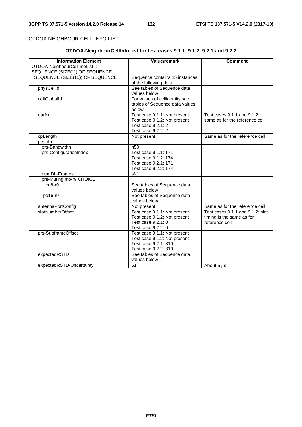OTDOA NEIGHBOUR CELL INFO LIST:

# **OTDOA-NeighbourCellInfoList for test cases 9.1.1, 9.1.2, 9.2.1 and 9.2.2**

| <b>Information Element</b>      | Value/remark                   | <b>Comment</b>                   |
|---------------------------------|--------------------------------|----------------------------------|
| OTDOA-NeighbourCellInfoList ::= |                                |                                  |
| SEQUENCE (SIZE(1)) OF SEQUENCE  |                                |                                  |
| SEQUENCE (SIZE(15)) OF SEQUENCE | Sequence contains 15 instances |                                  |
|                                 | of the following data.         |                                  |
| physCellId                      | See tables of Sequence data    |                                  |
|                                 | values below                   |                                  |
| cellGloballd                    | For values of cellidentity see |                                  |
|                                 | tables of Sequence data values |                                  |
|                                 | below                          |                                  |
| earfcn                          | Test case 9.1.1: Not present   | Test cases 9.1.1 and 9.1.2:      |
|                                 | Test case 9.1.2: Not present   | same as for the reference cell   |
|                                 | Test case 9.2.1: 2             |                                  |
|                                 | Test case 9.2.2: 2             |                                  |
| cpLength                        | Not present                    | Same as for the reference cell   |
| prsinfo                         |                                |                                  |
| prs-Bandwidth                   | n <sub>50</sub>                |                                  |
| prs-ConfigurationIndex          | Test case 9.1.1: 171           |                                  |
|                                 | Test case 9.1.2: 174           |                                  |
|                                 | Test case 9.2.1: 171           |                                  |
|                                 | Test case 9.2.2: 174           |                                  |
| numDL-Frames                    | $sf-1$                         |                                  |
| prs-MutingInfo-r9 CHOICE        |                                |                                  |
| po8-r9                          | See tables of Sequence data    |                                  |
|                                 | values below                   |                                  |
| po16-r9                         | See tables of Sequence data    |                                  |
|                                 | values below                   |                                  |
| antennaPortConfig               | Not present                    | Same as for the reference cell   |
| slotNumberOffset                | Test case 9.1.1: Not present   | Test cases 9.1.1 and 9.1.2; slot |
|                                 | Test case 9.1.2: Not present   | timing is the same as for        |
|                                 | Test case 9.2.1: 0             | reference cell                   |
|                                 | Test case 9.2.2: 0             |                                  |
| prs-SubframeOffset              | Test case 9.1.1: Not present   |                                  |
|                                 | Test case 9.1.2: Not present   |                                  |
|                                 | Test case 9.2.1: 310           |                                  |
|                                 | Test case 9.2.2: 310           |                                  |
| expectedRSTD                    | See tables of Sequence data    |                                  |
|                                 | values below                   |                                  |
| expectedRSTD-Uncertainty        | 51                             | About 5 us                       |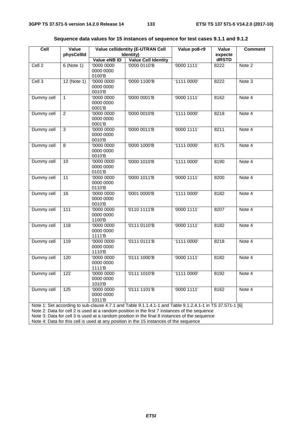| ceil<br>Value<br>physCellId                                                                                                                                                                                                                                                                                                                                                                          |                | <b>Value cellidentity (E-UTRAN Cell</b><br>Identity) |                            | Value po8-r9 | Value<br>expecte | <b>Comment</b> |
|------------------------------------------------------------------------------------------------------------------------------------------------------------------------------------------------------------------------------------------------------------------------------------------------------------------------------------------------------------------------------------------------------|----------------|------------------------------------------------------|----------------------------|--------------|------------------|----------------|
|                                                                                                                                                                                                                                                                                                                                                                                                      |                | Value eNB ID                                         | <b>Value Cell Identity</b> |              | dRSTD            |                |
| Cell <sub>2</sub>                                                                                                                                                                                                                                                                                                                                                                                    | $6$ (Note 1)   | '0000 0000<br>0000 0000<br>0100'B                    | '0000 0110'B               | '00001111'   | 8222             | Note 2         |
| Cell 3                                                                                                                                                                                                                                                                                                                                                                                               | $12$ (Note 1)  | '0000 0000<br>0000 0000<br>0010'B                    | '0000 1100'B               | '1111 0000'  | 8222             | Note 3         |
| Dummy cell                                                                                                                                                                                                                                                                                                                                                                                           | $\mathbf{1}$   | '0000 0000<br>0000 0000<br>0001'B                    | '0000 0001'B               | '00001111'   | 8162             | Note 4         |
| Dummy cell                                                                                                                                                                                                                                                                                                                                                                                           | $\overline{2}$ | '0000 0000<br>0000 0000<br>0001'B                    | '0000 0010'B               | '1111 0000'  | 8218             | Note 4         |
| Dummy cell                                                                                                                                                                                                                                                                                                                                                                                           | 3              | '0000 0000<br>0000 0000<br>0010'B                    | '0000 0011'B               | '00001111'   | 8211             | Note 4         |
| Dummy cell                                                                                                                                                                                                                                                                                                                                                                                           | 8              | '0000 0000<br>0000 0000<br>0010'B                    | '0000 1000'B               | '1111 0000'  | 8175             | Note 4         |
| Dummy cell                                                                                                                                                                                                                                                                                                                                                                                           | 10             | '0000 0000<br>0000 0000<br>0101'B                    | '0000 1010'B               | '1111 0000'  | 8190             | Note 4         |
| Dummy cell                                                                                                                                                                                                                                                                                                                                                                                           | 11             | '0000 0000<br>0000 0000<br>0110'B                    | '0000 1011'B               | '00001111'   | 8200             | Note 4         |
| Dummy cell                                                                                                                                                                                                                                                                                                                                                                                           | 16             | '0000 0000<br>0000 0000<br>0010'B                    | '0001 0000'B               | '1111 0000'  | 8182             | Note 4         |
| Dummy cell                                                                                                                                                                                                                                                                                                                                                                                           | 111            | '0000 0000<br>0000 0000<br>1100'B                    | '0110 1111'B               | '0000 1111'  | 8207             | Note 4         |
| Dummy cell                                                                                                                                                                                                                                                                                                                                                                                           | 118            | '0000 0000<br>0000 0000<br>1111'B                    | '0111 0110'B               | '00001111'   | 8182             | Note 4         |
| Dummy cell                                                                                                                                                                                                                                                                                                                                                                                           | 119            | '0000 0000<br>0000 0000<br>1110'B                    | '0111 0111'B               | '1111 0000'  | 8218             | Note 4         |
| Dummy cell                                                                                                                                                                                                                                                                                                                                                                                           | 120            | '0000 0000<br>0000 0000<br>1111'B                    | '0111 1000'B               | '0000 1111'  | 8182             | Note 4         |
| Dummy cell                                                                                                                                                                                                                                                                                                                                                                                           | 122            | '0000 0000<br>0000 0000<br>1010'B                    | '0111 1010'B               | '1111 0000'  | 8192             | Note 4         |
| Dummy cell                                                                                                                                                                                                                                                                                                                                                                                           | 125            | '0000 0000<br>0000 0000<br>1011'B                    | '0111 1101'B               | '00001111'   | 8162             | Note 4         |
| Note 1: Set according to sub-clause 4.7.1 and Table 9.1.1.4.1-1 and Table 9.1.2.4.1-1 in TS 37.571-1 [6]<br>Note 2: Data for cell 2 is used at a random position in the first 7 instances of the sequence<br>Note 3: Data for cell 3 is used at a random position in the final 8 instances of the sequence<br>Note 4: Data for this cell is used at any position in the 15 instances of the sequence |                |                                                      |                            |              |                  |                |

**Sequence data values for 15 instances of sequence for test cases 9.1.1 and 9.1.2**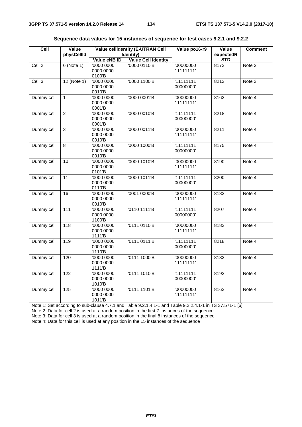| Cell                                                                                                                                                                                                                                                                                                                                                                                                 | Value<br>physCellId | <b>Value cellidentity (E-UTRAN Cell</b><br>Identity) |                            | Value po16-r9          | Value<br>expectedR | <b>Comment</b> |
|------------------------------------------------------------------------------------------------------------------------------------------------------------------------------------------------------------------------------------------------------------------------------------------------------------------------------------------------------------------------------------------------------|---------------------|------------------------------------------------------|----------------------------|------------------------|--------------------|----------------|
|                                                                                                                                                                                                                                                                                                                                                                                                      |                     | Value eNB ID                                         | <b>Value Cell Identity</b> |                        | <b>STD</b>         |                |
| Cell <sub>2</sub>                                                                                                                                                                                                                                                                                                                                                                                    | $6$ (Note 1)        | '0000 0000<br>0000 0000<br>0100'B                    | '0000 0110'B               | '00000000<br>11111111' | 8172               | Note 2         |
| Cell <sub>3</sub>                                                                                                                                                                                                                                                                                                                                                                                    | $12$ (Note 1)       | '0000 0000<br>0000 0000<br>0010'B                    | '0000 1100'B               | 111111111<br>00000000' | 8212               | Note 3         |
| Dummy cell                                                                                                                                                                                                                                                                                                                                                                                           | $\mathbf{1}$        | '0000 0000<br>0000 0000<br>0001'B                    | '0000 0001'B               | '00000000<br>11111111' | 8162               | Note 4         |
| Dummy cell                                                                                                                                                                                                                                                                                                                                                                                           | $\overline{2}$      | '0000 0000<br>0000 0000<br>0001'B                    | '0000 0010'B               | 11111111<br>00000000'  | 8218               | Note 4         |
| Dummy cell                                                                                                                                                                                                                                                                                                                                                                                           | $\overline{3}$      | '0000 0000<br>0000 0000<br>0010'B                    | '0000 0011'B               | '00000000<br>11111111' | 8211               | Note 4         |
| Dummy cell                                                                                                                                                                                                                                                                                                                                                                                           | $\overline{8}$      | '0000 0000<br>0000 0000<br>0010'B                    | '0000 1000'B               | 11111111<br>00000000'  | 8175               | Note 4         |
| Dummy cell                                                                                                                                                                                                                                                                                                                                                                                           | 10                  | '0000 0000<br>0000 0000<br>0101'B                    | '0000 1010'B               | '00000000<br>11111111' | 8190               | Note 4         |
| Dummy cell                                                                                                                                                                                                                                                                                                                                                                                           | 11                  | '0000 0000<br>0000 0000<br>0110'B                    | '0000 1011'B               | 11111111<br>00000000'  | 8200               | Note 4         |
| Dummy cell                                                                                                                                                                                                                                                                                                                                                                                           | 16                  | '0000 0000<br>0000 0000<br>0010'B                    | '0001 0000'B               | '00000000<br>11111111' | 8182               | Note 4         |
| Dummy cell                                                                                                                                                                                                                                                                                                                                                                                           | 111                 | '0000 0000<br>0000 0000<br>1100'B                    | '0110 1111'B               | '11111111<br>00000000' | 8207               | Note 4         |
| Dummy cell                                                                                                                                                                                                                                                                                                                                                                                           | 118                 | '0000 0000<br>0000 0000<br>1111'B                    | '0111 0110'B               | '00000000<br>11111111' | 8182               | Note 4         |
| Dummy cell                                                                                                                                                                                                                                                                                                                                                                                           | 119                 | '0000 0000<br>0000 0000<br>1110'B                    | '0111 0111'B               | 11111111<br>00000000'  | 8218               | Note 4         |
| Dummy cell                                                                                                                                                                                                                                                                                                                                                                                           | 120                 | '0000 0000<br>0000 0000<br>1111'B                    | '0111 1000'B               | '00000000<br>11111111' | 8182               | Note 4         |
| Dummy cell                                                                                                                                                                                                                                                                                                                                                                                           | 122                 | '0000 0000<br>0000 0000<br>1010'B                    | '0111 1010'B               | '11111111<br>00000000' | 8192               | Note 4         |
| Dummy cell                                                                                                                                                                                                                                                                                                                                                                                           | 125                 | '0000 0000<br>0000 0000<br>1011'B                    | '0111 1101'B               | '00000000<br>11111111' | 8162               | Note 4         |
| Note 1: Set according to sub-clause 4.7.1 and Table 9.2.1.4.1-1 and Table 9.2.2.4.1-1 in TS 37.571-1 [6]<br>Note 2: Data for cell 2 is used at a random position in the first 7 instances of the sequence<br>Note 3: Data for cell 3 is used at a random position in the final 8 instances of the sequence<br>Note 4: Data for this cell is used at any position in the 15 instances of the sequence |                     |                                                      |                            |                        |                    |                |

**Sequence data values for 15 instances of sequence for test cases 9.2.1 and 9.2.2**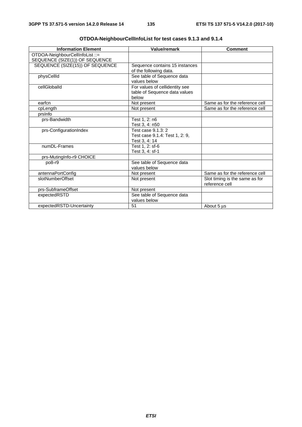| <b>Information Element</b>      | Value/remark                   | <b>Comment</b>                 |
|---------------------------------|--------------------------------|--------------------------------|
| OTDOA-NeighbourCellInfoList ::= |                                |                                |
| SEQUENCE (SIZE(1)) OF SEQUENCE  |                                |                                |
| SEQUENCE (SIZE(15)) OF SEQUENCE | Sequence contains 15 instances |                                |
|                                 | of the following data.         |                                |
| physCellId                      | See table of Sequence data     |                                |
|                                 | values below                   |                                |
| cellGloballd                    | For values of cellidentity see |                                |
|                                 | table of Sequence data values  |                                |
|                                 | below                          |                                |
| earfcn                          | Not present                    | Same as for the reference cell |
| cpLength                        | Not present                    | Same as for the reference cell |
| prsinfo                         |                                |                                |
| prs-Bandwidth                   | Test 1, 2: n6                  |                                |
|                                 | Test 3, 4: n50                 |                                |
| prs-ConfigurationIndex          | Test case 9.1.3: 2             |                                |
|                                 | Test case 9.1.4: Test 1, 2: 9, |                                |
|                                 | Test 3, 4: 14                  |                                |
| numDL-Frames                    | Test 1, 2: sf-6                |                                |
|                                 | Test 3, 4: sf-1                |                                |
| prs-MutingInfo-r9 CHOICE        |                                |                                |
| po8-r9                          | See table of Sequence data     |                                |
|                                 | values below                   |                                |
| antennaPortConfig               | Not present                    | Same as for the reference cell |
| slotNumberOffset                | Not present                    | Slot timing is the same as for |
|                                 |                                | reference cell                 |
| prs-SubframeOffset              | Not present                    |                                |
| expectedRSTD                    | See table of Sequence data     |                                |
|                                 | values below                   |                                |
| expectedRSTD-Uncertainty        | 51                             | About 5 µs                     |

| OTDOA-NeighbourCellInfoList for test cases 9.1.3 and 9.1.4 |  |
|------------------------------------------------------------|--|
|                                                            |  |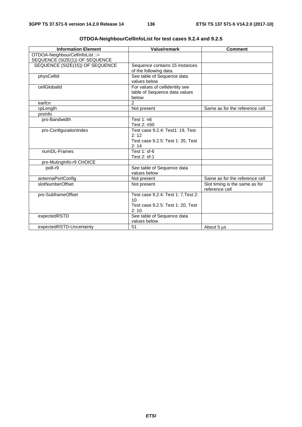| <b>Information Element</b>                                        | <b>Value/remark</b>                                                                                 | <b>Comment</b>                                   |
|-------------------------------------------------------------------|-----------------------------------------------------------------------------------------------------|--------------------------------------------------|
| OTDOA-NeighbourCellInfoList ::=<br>SEQUENCE (SIZE(1)) OF SEQUENCE |                                                                                                     |                                                  |
| SEQUENCE (SIZE(15)) OF SEQUENCE                                   | Sequence contains 15 instances<br>of the following data.                                            |                                                  |
| physCellId                                                        | See table of Sequence data<br>values below                                                          |                                                  |
| cellGloballd                                                      | For values of cellidentity see<br>table of Sequence data values<br>below                            |                                                  |
| earfcn                                                            | $\mathcal{P}$                                                                                       |                                                  |
| cpLength                                                          | Not present                                                                                         | Same as for the reference cell                   |
| prsinfo                                                           |                                                                                                     |                                                  |
| prs-Bandwidth                                                     | Test $1: n6$<br>Test 2: n50                                                                         |                                                  |
| prs-ConfigurationIndex                                            | Test case 9.2.4: Test1: 19, Test<br>2:12<br>Test case 9.2.5: Test 1: 35, Test<br>2:14               |                                                  |
| numDL-Frames                                                      | Test 1: sf-6<br>Test 2: sf-1                                                                        |                                                  |
| prs-MutingInfo-r9 CHOICE                                          |                                                                                                     |                                                  |
| po8-r9                                                            | See table of Sequence data<br>values below                                                          |                                                  |
| antennaPortConfig                                                 | Not present                                                                                         | Same as for the reference cell                   |
| slotNumberOffset                                                  | Not present                                                                                         | Slot timing is the same as for<br>reference cell |
| prs-SubframeOffset                                                | Test case 9.2.4: Test 1: 7, Test 2:<br>10 <sup>1</sup><br>Test case 9.2.5: Test 1: 20, Test<br>2:10 |                                                  |
| expectedRSTD                                                      | See table of Sequence data<br>values below                                                          |                                                  |
| expectedRSTD-Uncertainty                                          | 51                                                                                                  | About 5 us                                       |

|  | OTDOA-NeighbourCellInfoList for test cases 9.2.4 and 9.2.5 |
|--|------------------------------------------------------------|
|  |                                                            |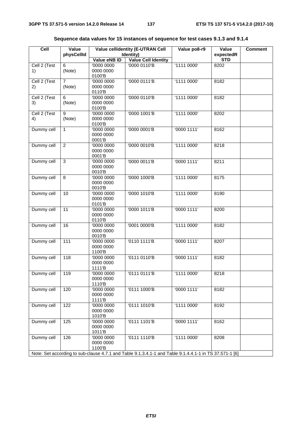| ceil                                                                                                   | Value<br>physCellId      |                                   | <b>Value cellidentity (E-UTRAN Cell</b><br>Identity) | Value po8-r9  | Value<br>expectedR | <b>Comment</b> |
|--------------------------------------------------------------------------------------------------------|--------------------------|-----------------------------------|------------------------------------------------------|---------------|--------------------|----------------|
|                                                                                                        |                          | Value eNB ID                      | <b>Value Cell Identity</b>                           |               | <b>STD</b>         |                |
| Cell 2 (Test<br>1)                                                                                     | 6<br>(Note)              | '0000 0000<br>0000 0000<br>0100'B | '0000 0110'B                                         | '1111 0000'   | 8202               |                |
| Cell 2 (Test<br>2)                                                                                     | $\overline{7}$<br>(Note) | '0000 0000<br>0000 0000<br>0110'B | '0000 0111'B                                         | '1111 0000'   | 8182               |                |
| Cell 2 (Test<br>3)                                                                                     | 6<br>(Note)              | '0000 0000<br>0000 0000<br>0100'B | '0000 0110'B                                         | '1111 0000'   | 8182               |                |
| Cell 2 (Test<br>4)                                                                                     | 9<br>(Note)              | '0000 0000<br>0000 0000<br>0100'B | '0000 1001'B                                         | '1111 0000'   | 8202               |                |
| Dummy cell                                                                                             | $\mathbf{1}$             | '0000 0000<br>0000 0000<br>0001'B | '0000 0001'B                                         | '0000 1111'   | 8162               |                |
| Dummy cell                                                                                             | $\overline{2}$           | '0000 0000<br>0000 0000<br>0001'B | '0000 0010'B                                         | '1111 0000'   | 8218               |                |
| Dummy cell                                                                                             | 3                        | '0000 0000<br>0000 0000<br>0010'B | '0000 0011'B                                         | '00001111'    | 8211               |                |
| Dummy cell                                                                                             | 8                        | '0000 0000<br>0000 0000<br>0010'B | '0000 1000'B                                         | '1111 0000'   | 8175               |                |
| Dummy cell                                                                                             | 10                       | '0000 0000<br>0000 0000<br>0101'B | '0000 1010'B                                         | '1111 0000'   | 8190               |                |
| Dummy cell                                                                                             | 11                       | '0000 0000<br>0000 0000<br>0110'B | '0000 1011'B                                         | '0000 1111'   | 8200               |                |
| Dummy cell                                                                                             | 16                       | '0000 0000<br>0000 0000<br>0010'B | '0001 0000'B                                         | '1111 0000'   | 8182               |                |
| Dummy cell                                                                                             | $\frac{111}{11}$         | '0000 0000<br>0000 0000<br>1100'B | '0110 1111'B                                         | $'0000$ 1111' | 8207               |                |
| Dummy cell                                                                                             | 118                      | '0000 0000<br>0000 0000<br>1111'B | '0111 0110'B                                         | '0000 1111'   | 8182               |                |
| Dummy cell                                                                                             | 119                      | '0000 0000<br>0000 0000<br>1110'B | '0111 0111'B                                         | '1111 0000'   | 8218               |                |
| Dummy cell                                                                                             | 120                      | '0000 0000<br>0000 0000<br>1111'B | '0111 1000'B                                         | '00001111'    | 8182               |                |
| Dummy cell                                                                                             | 122                      | '0000 0000<br>0000 0000<br>1010'B | '0111 1010'B                                         | '1111 0000'   | 8192               |                |
| Dummy cell                                                                                             | 125                      | '0000 0000<br>0000 0000<br>1011'B | '0111 1101'B                                         | '0000 1111'   | 8162               |                |
| Dummy cell                                                                                             | 126                      | '0000 0000<br>0000 0000<br>1100'B | '0111 1110'B                                         | '1111 0000'   | 8208               |                |
| Note: Set according to sub-clause 4.7.1 and Table 9.1.3.4.1-1 and Table 9.1.4.4.1-1 in TS 37.571-1 [6] |                          |                                   |                                                      |               |                    |                |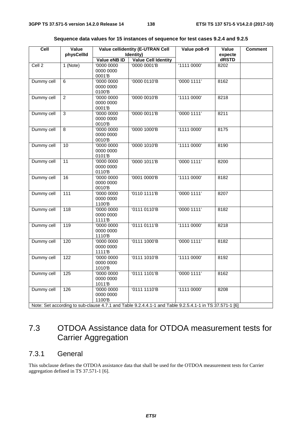| Cell       | <b>Value cellidentity (E-UTRAN Cell</b><br>Value<br>physCellId<br>Identity)                            |                       |                            | Value po8-r9 | Value<br><b>Comment</b><br>expecte |  |  |
|------------|--------------------------------------------------------------------------------------------------------|-----------------------|----------------------------|--------------|------------------------------------|--|--|
|            |                                                                                                        | Value eNB ID          | <b>Value Cell Identity</b> |              | dRSTD                              |  |  |
| Cell 2     | 1 (Note)                                                                                               | '0000 0000            | '0000 0001'B               | '11110000'   | 8202                               |  |  |
|            |                                                                                                        | 0000 0000             |                            |              |                                    |  |  |
|            |                                                                                                        | 0001'B                |                            |              |                                    |  |  |
| Dummy cell | 6                                                                                                      | $\overline{00000000}$ | '0000 0110'B               | '0000 1111'  | 8162                               |  |  |
|            |                                                                                                        | 0000 0000             |                            |              |                                    |  |  |
|            |                                                                                                        | 0100'B                |                            |              |                                    |  |  |
| Dummy cell | $\overline{2}$                                                                                         | '0000 0000            | '0000 0010'B               | '1111 0000'  | 8218                               |  |  |
|            |                                                                                                        | 0000 0000             |                            |              |                                    |  |  |
|            |                                                                                                        | 0001'B                |                            |              |                                    |  |  |
| Dummy cell | $\overline{3}$                                                                                         | '0000 0000            | '0000 0011'B               | '00001111'   | 8211                               |  |  |
|            |                                                                                                        | 0000 0000             |                            |              |                                    |  |  |
|            |                                                                                                        | 0010'B                |                            |              |                                    |  |  |
| Dummy cell | 8                                                                                                      | 00000000              | '0000 1000'B               | '1111 0000'  | 8175                               |  |  |
|            |                                                                                                        | 0000 0000             |                            |              |                                    |  |  |
|            |                                                                                                        | 0010'B                |                            |              |                                    |  |  |
| Dummy cell | 10                                                                                                     | '0000 0000            | '0000 1010'B               | '1111 0000'  | 8190                               |  |  |
|            |                                                                                                        | 0000 0000             |                            |              |                                    |  |  |
|            |                                                                                                        | 0101'B                |                            |              |                                    |  |  |
| Dummy cell | 11                                                                                                     | '0000 0000            | '0000 1011'B               | '0000 1111'  | 8200                               |  |  |
|            |                                                                                                        | 0000 0000             |                            |              |                                    |  |  |
|            |                                                                                                        | 0110'B                |                            |              |                                    |  |  |
| Dummy cell | 16                                                                                                     | $\overline{00000000}$ | '0001 0000'B               | '1111 0000'  | 8182                               |  |  |
|            |                                                                                                        | 0000 0000             |                            |              |                                    |  |  |
|            |                                                                                                        | 0010'B                |                            |              |                                    |  |  |
| Dummy cell | $\frac{111}{11}$                                                                                       | '0000 0000            | '0110 1111'B               | '0000 1111'  | 8207                               |  |  |
|            |                                                                                                        | 0000 0000<br>1100'B   |                            |              |                                    |  |  |
| Dummy cell | $\overline{118}$                                                                                       | '0000 0000            | '0111 0110'B               | '00001111'   | 8182                               |  |  |
|            |                                                                                                        | 0000 0000             |                            |              |                                    |  |  |
|            |                                                                                                        | 1111 <sup>'</sup> B   |                            |              |                                    |  |  |
| Dummy cell | 119                                                                                                    | '0000 0000            | '01110111'B                | '11110000'   | 8218                               |  |  |
|            |                                                                                                        | 0000 0000             |                            |              |                                    |  |  |
|            |                                                                                                        | 1110'B                |                            |              |                                    |  |  |
| Dummy cell | 120                                                                                                    | '0000 0000            | '0111 1000'B               | '00001111'   | 8182                               |  |  |
|            |                                                                                                        | 0000 0000             |                            |              |                                    |  |  |
|            |                                                                                                        | 1111'B                |                            |              |                                    |  |  |
| Dummy cell | 122                                                                                                    | '0000 0000            | '0111 1010'B               | '1111 0000'  | 8192                               |  |  |
|            |                                                                                                        | 0000 0000             |                            |              |                                    |  |  |
|            |                                                                                                        | 1010'B                |                            |              |                                    |  |  |
| Dummy cell | 125                                                                                                    | '0000 0000            | '0111 1101'B               | '0000 1111'  | 8162                               |  |  |
|            |                                                                                                        | 0000 0000             |                            |              |                                    |  |  |
|            |                                                                                                        | 1011'B                |                            |              |                                    |  |  |
| Dummy cell | 126                                                                                                    | 00000000              | '0111 1110'B               | '11110000'   | 8208                               |  |  |
|            |                                                                                                        | 0000 0000             |                            |              |                                    |  |  |
|            |                                                                                                        | 1100'B                |                            |              |                                    |  |  |
|            | Note: Set according to sub-clause 4.7.1 and Table 9.2.4.4.1-1 and Table 9.2.5.4.1-1 in TS 37.571-1 [6] |                       |                            |              |                                    |  |  |

|  |  |  |  | Sequence data values for 15 instances of sequence for test cases 9.2.4 and 9.2.5 |
|--|--|--|--|----------------------------------------------------------------------------------|
|--|--|--|--|----------------------------------------------------------------------------------|

# 7.3 OTDOA Assistance data for OTDOA measurement tests for Carrier Aggregation

# 7.3.1 General

This subclause defines the OTDOA assistance data that shall be used for the OTDOA measurement tests for Carrier aggregation defined in TS 37.571-1 [6].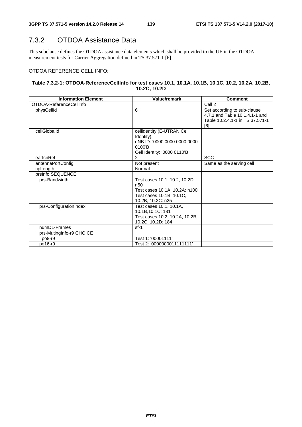# 7.3.2 OTDOA Assistance Data

This subclause defines the OTDOA assistance data elements which shall be provided to the UE in the OTDOA measurement tests for Carrier Aggregation defined in TS 37.571-1 [6].

#### OTDOA REFERENCE CELL INFO:

#### **Table 7.3.2-1: OTDOA-ReferenceCellInfo for test cases 10.1, 10.1A, 10.1B, 10.1C, 10.2, 10.2A, 10.2B, 10.2C, 10.2D**

| <b>Information Element</b> | Value/remark                                                                                                                       | <b>Comment</b>                                                                                          |
|----------------------------|------------------------------------------------------------------------------------------------------------------------------------|---------------------------------------------------------------------------------------------------------|
| OTDOA-ReferenceCellInfo    |                                                                                                                                    | Cell 2                                                                                                  |
| physCellId                 | 6                                                                                                                                  | Set according to sub-clause<br>4.7.1 and Table 10.1.4.1-1 and<br>Table 10.2.4.1-1 in TS 37.571-1<br>[6] |
| cellGloballd               | cellidentity (E-UTRAN Cell<br>Identity):<br>eNB ID: '0000 0000 0000 0000<br>0100'B<br>Cell Identity: '0000 0110'B                  |                                                                                                         |
| earfcnRef                  | $\overline{2}$                                                                                                                     | <b>SCC</b>                                                                                              |
| antennaPortConfig          | Not present                                                                                                                        | Same as the serving cell                                                                                |
| cpLength                   | Normal                                                                                                                             |                                                                                                         |
| prsInfo SEQUENCE           |                                                                                                                                    |                                                                                                         |
| prs-Bandwidth              | Test cases 10.1, 10.2, 10.2D:<br>n <sub>50</sub><br>Test cases 10.1A, 10.2A: n100<br>Test cases 10.1B, 10.1C,<br>10.2B, 10.2C: n25 |                                                                                                         |
| prs-ConfigurationIndex     | Test cases 10.1, 10.1A,<br>10.1B, 10.1C: 181<br>Test cases 10.2, 10.2A, 10.2B,<br>10.2C, 10.2D: 184                                |                                                                                                         |
| numDL-Frames               | $sf-1$                                                                                                                             |                                                                                                         |
| prs-MutingInfo-r9 CHOICE   |                                                                                                                                    |                                                                                                         |
| po8-r9                     | Test 1: '00001111'                                                                                                                 |                                                                                                         |
| po16-r9                    | Test 2: '0000000011111111'                                                                                                         |                                                                                                         |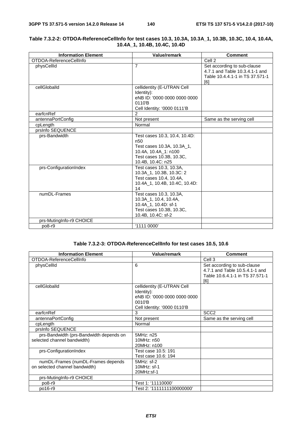| <b>Information Element</b> | <b>Value/remark</b>                                                                                                                                     | <b>Comment</b>                                                                                          |
|----------------------------|---------------------------------------------------------------------------------------------------------------------------------------------------------|---------------------------------------------------------------------------------------------------------|
| OTDOA-ReferenceCellInfo    |                                                                                                                                                         | Cell 2                                                                                                  |
| physCellId                 | $\overline{7}$                                                                                                                                          | Set according to sub-clause<br>4.7.1 and Table 10.3.4.1-1 and<br>Table 10.4.4.1-1 in TS 37.571-1<br>[6] |
| cellGloballd               | cellidentity (E-UTRAN Cell<br>Identity):<br>eNB ID: '0000 0000 0000 0000<br>0110'B<br>Cell Identity: '0000 0111'B                                       |                                                                                                         |
| earfcnRef                  | 2                                                                                                                                                       |                                                                                                         |
| antennaPortConfig          | Not present                                                                                                                                             | Same as the serving cell                                                                                |
| cpLength                   | Normal                                                                                                                                                  |                                                                                                         |
| prsinfo SEQUENCE           |                                                                                                                                                         |                                                                                                         |
| prs-Bandwidth              | Test cases 10.3, 10.4, 10.4D:<br>n <sub>50</sub><br>Test cases 10.3A, 10.3A_1,<br>10.4A, 10.4A_1: n100<br>Test cases 10.3B, 10.3C,<br>10.4B, 10.4C: n25 |                                                                                                         |
| prs-ConfigurationIndex     | Test cases 10.3, 10.3A,<br>10.3A_1, 10.3B, 10.3C: 2<br>Test cases 10.4, 10.4A,<br>10.4A 1, 10.4B, 10.4C, 10.4D:<br>14                                   |                                                                                                         |
| numDL-Frames               | Test cases 10.3, 10.3A,<br>10.3A 1, 10.4, 10.4A,<br>10.4A_1, 10.4D: sf-1<br>Test cases 10.3B, 10.3C,<br>10.4B, 10.4C: sf-2                              |                                                                                                         |
| prs-MutingInfo-r9 CHOICE   |                                                                                                                                                         |                                                                                                         |
| po8-r9                     | '1111 0000'                                                                                                                                             |                                                                                                         |

#### **Table 7.3.2-2: OTDOA-ReferenceCellInfo for test cases 10.3, 10.3A, 10.3A\_1, 10.3B, 10.3C, 10.4, 10.4A, 10.4A\_1, 10.4B, 10.4C, 10.4D**

#### **Table 7.3.2-3: OTDOA-ReferenceCellInfo for test cases 10.5, 10.6**

| <b>Information Element</b>              | <b>Value/remark</b>                                                                                               | <b>Comment</b>                                                                                          |
|-----------------------------------------|-------------------------------------------------------------------------------------------------------------------|---------------------------------------------------------------------------------------------------------|
| OTDOA-ReferenceCellInfo                 |                                                                                                                   | Cell 3                                                                                                  |
| physCellId                              | 6                                                                                                                 | Set according to sub-clause<br>4.7.1 and Table 10.5.4.1-1 and<br>Table 10.6.4.1-1 in TS 37.571-1<br>[6] |
| cellGloballd                            | cellidentity (E-UTRAN Cell<br>Identity):<br>eNB ID: '0000 0000 0000 0000<br>0010'B<br>Cell Identity: '0000 0110'B |                                                                                                         |
| earfcnRef                               | 3                                                                                                                 | SCC <sub>2</sub>                                                                                        |
| antennaPortConfig                       | Not present                                                                                                       | Same as the serving cell                                                                                |
| cpLength                                | Normal                                                                                                            |                                                                                                         |
| prsInfo SEQUENCE                        |                                                                                                                   |                                                                                                         |
| prs-Bandwidth (prs-Bandwidth depends on | 5MHz: n25                                                                                                         |                                                                                                         |
| selected channel bandwidth)             | 10MHz: n50                                                                                                        |                                                                                                         |
|                                         | 20MHz: n100                                                                                                       |                                                                                                         |
| prs-ConfigurationIndex                  | Test case 10.5: 191                                                                                               |                                                                                                         |
|                                         | Test case 10.6: 194                                                                                               |                                                                                                         |
| numDL-Frames (numDL-Frames depends      | $5MHz$ : sf-2                                                                                                     |                                                                                                         |
| on selected channel bandwidth)          | $10MHz$ : sf-1                                                                                                    |                                                                                                         |
|                                         | 20MHz:sf-1                                                                                                        |                                                                                                         |
| prs-MutingInfo-r9 CHOICE                |                                                                                                                   |                                                                                                         |
| po8-r9                                  | Test 1: '11110000'                                                                                                |                                                                                                         |
| po16-r9                                 | Test 2: '1111111100000000'                                                                                        |                                                                                                         |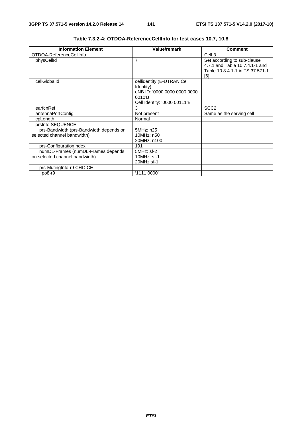| <b>Information Element</b>              | <b>Value/remark</b>          | <b>Comment</b>                  |
|-----------------------------------------|------------------------------|---------------------------------|
| OTDOA-ReferenceCellInfo                 |                              | Cell 3                          |
| physCellId                              | 7                            | Set according to sub-clause     |
|                                         |                              | 4.7.1 and Table 10.7.4.1-1 and  |
|                                         |                              | Table 10.8.4.1-1 in TS 37.571-1 |
|                                         |                              | [6]                             |
| cellGloballd                            | cellidentity (E-UTRAN Cell   |                                 |
|                                         | Identity):                   |                                 |
|                                         | eNB ID: '0000 0000 0000 0000 |                                 |
|                                         | 0010'B                       |                                 |
|                                         | Cell Identity: '0000 00111'B |                                 |
| earfcnRef                               | 3                            | SCC <sub>2</sub>                |
| antennaPortConfig                       | Not present                  | Same as the serving cell        |
| cpLength                                | Normal                       |                                 |
| prsinfo SEQUENCE                        |                              |                                 |
| prs-Bandwidth (prs-Bandwidth depends on | 5MHz: n25                    |                                 |
| selected channel bandwidth)             | 10MHz: n50                   |                                 |
|                                         | 20MHz: n100                  |                                 |
| prs-ConfigurationIndex                  | 191                          |                                 |
| numDL-Frames (numDL-Frames depends      | 5MHz: sf-2                   |                                 |
| on selected channel bandwidth)          | $10MHz$ : sf-1               |                                 |
|                                         | 20MHz:sf-1                   |                                 |
| prs-MutingInfo-r9 CHOICE                |                              |                                 |
| po8-r9                                  | '1111 0000'                  |                                 |

**Table 7.3.2-4: OTDOA-ReferenceCellInfo for test cases 10.7, 10.8**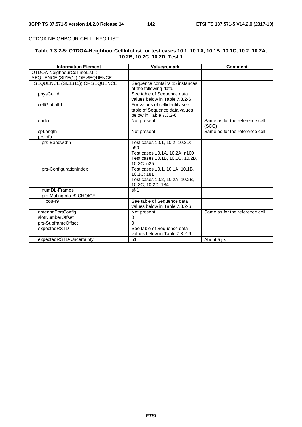#### OTDOA NEIGHBOUR CELL INFO LIST:

#### **Table 7.3.2-5: OTDOA-NeighbourCellInfoList for test cases 10.1, 10.1A, 10.1B, 10.1C, 10.2, 10.2A, 10.2B, 10.2C, 10.2D, Test 1**

| <b>Information Element</b>      | Value/remark                    | <b>Comment</b>                          |  |  |
|---------------------------------|---------------------------------|-----------------------------------------|--|--|
| OTDOA-NeighbourCellInfoList ::= |                                 |                                         |  |  |
| SEQUENCE (SIZE(1)) OF SEQUENCE  |                                 |                                         |  |  |
| SEQUENCE (SIZE(15)) OF SEQUENCE | Sequence contains 15 instances  |                                         |  |  |
|                                 | of the following data.          |                                         |  |  |
| physCellId                      | See table of Sequence data      |                                         |  |  |
|                                 | values below in Table 7.3.2-6   |                                         |  |  |
| cellGloballd                    | For values of cellidentity see  |                                         |  |  |
|                                 | table of Sequence data values   |                                         |  |  |
|                                 | below in Table 7.3.2-6          |                                         |  |  |
| earfcn                          | Not present                     | Same as for the reference cell<br>(SCC) |  |  |
| cpLength                        | Not present                     | Same as for the reference cell          |  |  |
| prsinfo                         |                                 |                                         |  |  |
| prs-Bandwidth                   | Test cases 10.1, 10.2, 10.2D:   |                                         |  |  |
|                                 | n50                             |                                         |  |  |
|                                 | Test cases 10.1A, 10.2A: n100   |                                         |  |  |
|                                 | Test cases 10.1B, 10.1C, 10.2B, |                                         |  |  |
|                                 | 10.2C: n25                      |                                         |  |  |
| prs-ConfigurationIndex          | Test cases 10.1, 10.1A, 10.1B,  |                                         |  |  |
|                                 | 10.1C:181                       |                                         |  |  |
|                                 | Test cases 10.2, 10.2A, 10.2B,  |                                         |  |  |
|                                 | 10.2C, 10.2D: 184               |                                         |  |  |
| numDL-Frames                    | $sf-1$                          |                                         |  |  |
| prs-MutingInfo-r9 CHOICE        |                                 |                                         |  |  |
| po8-r9                          | See table of Sequence data      |                                         |  |  |
|                                 | values below in Table 7.3.2-6   |                                         |  |  |
| antennaPortConfig               | Not present                     | Same as for the reference cell          |  |  |
| slotNumberOffset                | $\Omega$                        |                                         |  |  |
| prs-SubframeOffset              | $\Omega$                        |                                         |  |  |
| expectedRSTD                    | See table of Sequence data      |                                         |  |  |
|                                 | values below in Table 7.3.2-6   |                                         |  |  |
| expectedRSTD-Uncertainty        | 51                              | About 5 us                              |  |  |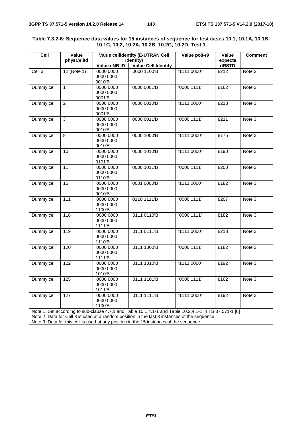| Cell                                                                                                                                                                                                   | Value<br>physCellId | <b>Value cellidentity (E-UTRAN Cell</b><br>Identity) |                            | Value po8-r9 | Value<br>expecte | <b>Comment</b> |
|--------------------------------------------------------------------------------------------------------------------------------------------------------------------------------------------------------|---------------------|------------------------------------------------------|----------------------------|--------------|------------------|----------------|
|                                                                                                                                                                                                        |                     | Value eNB ID                                         | <b>Value Cell Identity</b> |              | dRSTD            |                |
| Cell 3                                                                                                                                                                                                 | $12$ (Note 1)       | '0000 0000<br>0000 0000<br>0010'B                    | '0000 1100'B               | '1111 0000'  | 8212             | Note 2         |
| Dummy cell                                                                                                                                                                                             | $\mathbf{1}$        | '0000 0000<br>0000 0000<br>0001'B                    | '0000 0001'B               | '0000 1111'  | 8162             | Note 3         |
| Dummy cell                                                                                                                                                                                             | $\overline{2}$      | '0000 0000<br>0000 0000<br>0001'B                    | '0000 0010'B               | '1111 0000'  | 8218             | Note 3         |
| Dummy cell                                                                                                                                                                                             | $\overline{3}$      | $\overline{00000000}$<br>0000 0000<br>0010'B         | '0000 0011'B               | '00001111'   | 8211             | Note 3         |
| Dummy cell                                                                                                                                                                                             | 8                   | '0000 0000<br>0000 0000<br>0010'B                    | '0000 1000'B               | '1111 0000'  | 8175             | Note 3         |
| Dummy cell                                                                                                                                                                                             | 10                  | '0000 0000<br>0000 0000<br>0101'B                    | '0000 1010'B               | '1111 0000'  | 8190             | Note 3         |
| Dummy cell                                                                                                                                                                                             | 11                  | '0000 0000<br>0000 0000<br>0110'B                    | '0000 1011'B               | '0000 1111'  | 8200             | Note 3         |
| Dummy cell                                                                                                                                                                                             | 16                  | $\overline{00000000}$<br>0000 0000<br>0010'B         | '0001 0000'B               | '1111 0000'  | 8182             | Note 3         |
| Dummy cell                                                                                                                                                                                             | 111                 | '0000 0000<br>0000 0000<br>1100'B                    | '0110 1111'B               | '00001111'   | 8207             | Note 3         |
| Dummy cell                                                                                                                                                                                             | 118                 | '0000 0000<br>0000 0000<br>1111'B                    | '0111 0110'B               | '00001111'   | 8182             | Note 3         |
| Dummy cell                                                                                                                                                                                             | 119                 | '0000 0000<br>0000 0000<br>1110'B                    | '0111 0111'B               | '1111 0000'  | 8218             | Note 3         |
| Dummy cell                                                                                                                                                                                             | 120                 | '0000 0000<br>0000 0000<br>1111'B                    | '0111 1000'B               | '00001111'   | 8182             | Note 3         |
| Dummy cell                                                                                                                                                                                             | 122                 | '0000 0000<br>0000 0000<br>1010'B                    | '0111 1010'B               | '1111 0000'  | 8192             | Note 3         |
| Dummy cell                                                                                                                                                                                             | $125$               | '0000 0000<br>0000 0000<br>1011'B                    | '01111101'B                | '0000 1111'  | 8162             | Note 3         |
| Dummy cell                                                                                                                                                                                             | 127                 | '0000 0000<br>0000 0000<br>1100'B                    | '0111 1111'B               | '1111 0000'  | 8192             | Note 3         |
| Note 1: Set according to sub-clause 4.7.1 and Table 10.1.4.1-1 and Table 10.2.4.1-1 in TS 37.571-1 [6]<br>Note 2: Data for Cell 3 is used at a random position in the last 8 instances of the sequence |                     |                                                      |                            |              |                  |                |

#### **Table 7.3.2-6: Sequence data values for 15 instances of sequence for test cases 10.1, 10.1A, 10.1B, 10.1C, 10.2, 10.2A, 10.2B, 10.2C, 10.2D, Test 1**

Note 3: Data for this cell is used at any position in the 15 instances of the sequence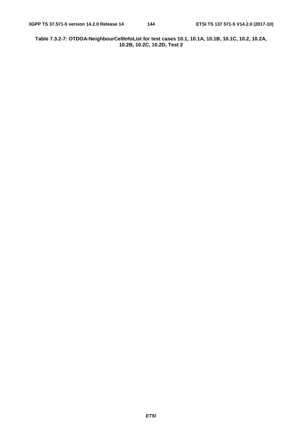**Table 7.3.2-7: OTDOA-NeighbourCellInfoList for test cases 10.1, 10.1A, 10.1B, 10.1C, 10.2, 10.2A, 10.2B, 10.2C, 10.2D, Test 2**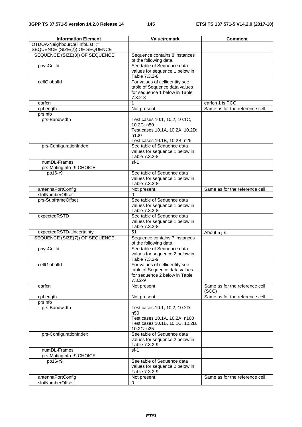| <b>Information Element</b>      | Value/remark                    | <b>Comment</b>                 |
|---------------------------------|---------------------------------|--------------------------------|
| OTDOA-NeighbourCellInfoList ::= |                                 |                                |
| SEQUENCE (SIZE(2)) OF SEQUENCE  |                                 |                                |
| SEQUENCE (SIZE(8)) OF SEQUENCE  | Sequence contains 8 instances   |                                |
|                                 | of the following data.          |                                |
| physCellId                      | See table of Sequence data      |                                |
|                                 | values for sequence 1 below in  |                                |
|                                 | Table 7.3.2-8                   |                                |
| cellGloballd                    | For values of cellidentity see  |                                |
|                                 | table of Sequence data values   |                                |
|                                 | for sequence 1 below in Table   |                                |
|                                 | $7.3.2 - 8$                     |                                |
| earfcn                          | 1                               | earfcn 1 is PCC                |
| cpLength                        | Not present                     | Same as for the reference cell |
| prsinfo                         |                                 |                                |
| prs-Bandwidth                   | Test cases 10.1, 10.2, 10.1C,   |                                |
|                                 | 10.2C: n50                      |                                |
|                                 | Test cases 10.1A, 10.2A, 10.2D: |                                |
|                                 | n100                            |                                |
|                                 | Test cases 10.1B, 10.2B: n25    |                                |
| prs-ConfigurationIndex          | See table of Sequence data      |                                |
|                                 | values for sequence 1 below in  |                                |
|                                 | Table 7.3.2-8                   |                                |
| numDL-Frames                    | $sf-1$                          |                                |
| prs-MutingInfo-r9 CHOICE        |                                 |                                |
| po16-r9                         | See table of Sequence data      |                                |
|                                 | values for sequence 1 below in  |                                |
|                                 | Table 7.3.2-8                   |                                |
| antennaPortConfig               | Not present                     | Same as for the reference cell |
| slotNumberOffset                | 0                               |                                |
|                                 |                                 |                                |
| prs-SubframeOffset              | See table of Sequence data      |                                |
|                                 | values for sequence 1 below in  |                                |
|                                 | Table 7.3.2-8                   |                                |
| expectedRSTD                    | See table of Sequence data      |                                |
|                                 | values for sequence 1 below in  |                                |
|                                 | Table 7.3.2-8                   |                                |
| expectedRSTD-Uncertainty        | 51                              | About 5 µs                     |
| SEQUENCE (SIZE(7)) OF SEQUENCE  | Sequence contains 7 instances   |                                |
|                                 | of the following data.          |                                |
| physCellId                      | See table of Sequence data      |                                |
|                                 | values for sequence 2 below in  |                                |
|                                 | Table 7.3.2-9                   |                                |
| cellGloballd                    | For values of cellidentity see  |                                |
|                                 | table of Sequence data values   |                                |
|                                 | for sequence 2 below in Table   |                                |
|                                 | $7.3.2 - 9$                     |                                |
| earfcn                          | Not present                     | Same as for the reference cell |
|                                 |                                 | (SCC)                          |
| cpLength                        | Not present                     | Same as for the reference cell |
| prsinfo                         |                                 |                                |
| prs-Bandwidth                   | Test cases 10.1, 10.2, 10.2D:   |                                |
|                                 | n <sub>50</sub>                 |                                |
|                                 | Test cases 10.1A, 10.2A: n100   |                                |
|                                 | Test cases 10.1B, 10.1C, 10.2B, |                                |
|                                 | 10.2C: n25                      |                                |
| prs-ConfigurationIndex          | See table of Sequence data      |                                |
|                                 | values for sequence 2 below in  |                                |
|                                 | Table 7.3.2-9                   |                                |
| numDL-Frames                    | $sf-1$                          |                                |
| prs-MutingInfo-r9 CHOICE        |                                 |                                |
| po16-r9                         | See table of Sequence data      |                                |
|                                 | values for sequence 2 below in  |                                |
|                                 | Table 7.3.2-9                   |                                |
| antennaPortConfig               | Not present                     | Same as for the reference cell |
| slotNumberOffset                | $\pmb{0}$                       |                                |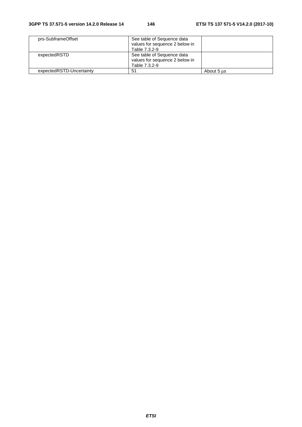| prs-SubframeOffset       | See table of Sequence data     |            |
|--------------------------|--------------------------------|------------|
|                          | values for sequence 2 below in |            |
|                          | Table 7.3.2-9                  |            |
| expectedRSTD             | See table of Sequence data     |            |
|                          | values for sequence 2 below in |            |
|                          | Table 7.3.2-9                  |            |
| expectedRSTD-Uncertainty | 51                             | About 5 us |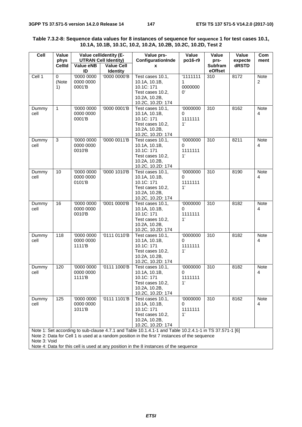| ceil          | Value<br>phys    |                                   | Value cellidentity (E-<br><b>UTRAN Cell Identity)</b> | Value prs-<br>ConfigurationInde                                                                                                                                                                                     | Value<br>po16-r9                        | Value<br>prs-      | Value<br>expecte | Com<br>ment                   |
|---------------|------------------|-----------------------------------|-------------------------------------------------------|---------------------------------------------------------------------------------------------------------------------------------------------------------------------------------------------------------------------|-----------------------------------------|--------------------|------------------|-------------------------------|
|               | <b>CellId</b>    | <b>Value eNB</b><br>ID            | Value Cell<br>Identity                                | x                                                                                                                                                                                                                   |                                         | Subfram<br>eOffset | dRSTD            |                               |
| Cell 1        | 0<br>(Note<br>1) | '0000 0000<br>0000 0000<br>0001'B | '0000 0000'B                                          | Test cases 10.1,<br>10.1A, 10.1B,<br>10.1C: 171<br>Test cases 10.2,<br>10.2A, 10.2B,<br>10.2C, 10.2D: 174                                                                                                           | '1111111<br>1<br>0000000<br>$^{\prime}$ | 310                | 8172             | <b>Note</b><br>$\overline{2}$ |
| Dummy<br>cell | $\mathbf{1}$     | '0000 0000<br>0000 0000<br>0001'B | '0000 0001'B                                          | Test cases 10.1,<br>10.1A, 10.1B,<br>10.1C: 171<br>Test cases 10.2,<br>10.2A, 10.2B,<br>10.2C, 10.2D: 174                                                                                                           | '0000000<br>0<br>1111111<br>1'          | 310                | 8162             | Note<br>4                     |
| Dummy<br>cell | 3                | '0000 0000<br>0000 0000<br>0010'B | '0000 0011'B                                          | Test cases 10.1,<br>10.1A, 10.1B,<br>10.1C: 171<br>Test cases 10.2,<br>10.2A, 10.2B,<br>10.2C, 10.2D: 174                                                                                                           | <b>'0000000</b><br>0<br>1111111<br>1'   | 310                | 8211             | <b>Note</b><br>4              |
| Dummy<br>cell | 10               | '0000 0000<br>0000 0000<br>0101'B | '0000 1010'B                                          | Test cases 10.1,<br>10.1A, 10.1B,<br>10.1C: 171<br>Test cases 10.2,<br>10.2A, 10.2B,<br>10.2C, 10.2D: 174                                                                                                           | '0000000<br>0<br>1111111<br>1'          | $\overline{310}$   | 8190             | <b>Note</b><br>4              |
| Dummy<br>cell | $\overline{16}$  | '0000 0000<br>0000 0000<br>0010'B | '0001 0000'B                                          | Test cases 10.1,<br>10.1A, 10.1B,<br>10.1C: 171<br>Test cases 10.2,<br>10.2A, 10.2B,<br>10.2C, 10.2D: 174                                                                                                           | '0000000<br>0<br>1111111<br>1'          | 310                | 8182             | Note<br>4                     |
| Dummy<br>cell | 118              | '0000 0000<br>0000 0000<br>1111'B | '0111 0110'B                                          | Test cases 10.1,<br>10.1A, 10.1B,<br>10.1C: 171<br>Test cases 10.2,<br>10.2A, 10.2B,<br>10.2C, 10.2D: 174                                                                                                           | '0000000<br>0<br>1111111<br>1'          | 310                | 8182             | Note<br>4                     |
| Dummy<br>cell | 120              | '0000 0000<br>0000 0000<br>1111'B | '0111 1000'B                                          | Test cases 10.1,<br>10.1A, 10.1B,<br>10.1C: 171<br>Test cases 10.2,<br>10.2A, 10.2B,<br>10.2C, 10.2D: 174                                                                                                           | '0000000<br>0<br>1111111<br>1'          | 310                | 8182             | <b>Note</b><br>4              |
| Dummy<br>cell | 125              | '0000 0000<br>0000 0000<br>1011'B | '0111 1101'B                                          | Test cases 10.1,<br>10.1A, 10.1B,<br>10.1C: 171<br>Test cases 10.2,<br>10.2A, 10.2B,<br>10.2C, 10.2D: 174<br>Note 1: Set according to sub-clause 4.7.1 and Table 10.1.4.1-1 and Table 10.2.4.1-1 in TS 37.571-1 [6] | <b>'0000000</b><br>0<br>1111111<br>1'   | 310                | 8162             | <b>Note</b><br>4              |

## **Table 7.3.2-8: Sequence data values for 8 instances of sequence for sequence 1 for test cases 10.1, 10.1A, 10.1B, 10.1C, 10.2, 10.2A, 10.2B, 10.2C, 10.2D, Test 2**

Note 2: Data for Cell 1 is used at a random position in the first 7 instances of the sequence Note 3: Void

Note 4: Data for this cell is used at any position in the 8 instances of the sequence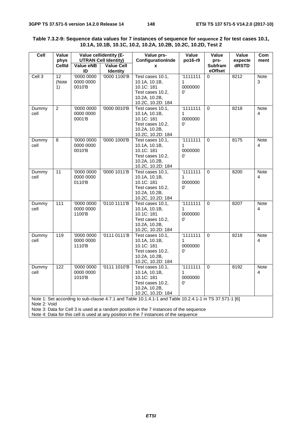| Cell                         | Value                 | Value cellidentity (E-<br><b>UTRAN Cell Identity)</b> |                               | Value prs-<br>Value<br>Value<br>Value                                                                                                                                                                               |                                                            | ConfigurationInde<br>po16-r9<br>prs- |                  |                  |  | Com |
|------------------------------|-----------------------|-------------------------------------------------------|-------------------------------|---------------------------------------------------------------------------------------------------------------------------------------------------------------------------------------------------------------------|------------------------------------------------------------|--------------------------------------|------------------|------------------|--|-----|
|                              | phys<br><b>CellId</b> | Value eNB<br>ID                                       | <b>Value Cell</b><br>Identity | $\mathbf{x}$                                                                                                                                                                                                        |                                                            | <b>Subfram</b><br>eOffset            | expecte<br>dRSTD | ment             |  |     |
| Cell <sub>3</sub>            | 12<br>(Note<br>1)     | '0000 0000<br>0000 0000<br>0010'B                     | '0000 1100'B                  | Test cases 10.1,<br>10.1A, 10.1B,<br>10.1C: 181<br>Test cases 10.2,<br>10.2A, 10.2B,<br>10.2C, 10.2D: 184                                                                                                           | 1111111<br>$\mathbf 1$<br>0000000<br>$\Omega$              | $\Omega$                             | 8212             | <b>Note</b><br>3 |  |     |
| Dummy<br>cell                | $\overline{2}$        | '0000 0000<br>0000 0000<br>0001'B                     | '0000 0010'B                  | Test cases 10.1,<br>10.1A, 10.1B,<br>10.1C: 181<br>Test cases 10.2,<br>10.2A, 10.2B,<br>10.2C, 10.2D: 184                                                                                                           | 1111111<br>1<br>0000000<br>$^{\circ}$                      | $\Omega$                             | 8218             | <b>Note</b><br>4 |  |     |
| Dummy<br>cell                | 8                     | '0000 0000<br>0000 0000<br>0010'B                     | '0000 1000'B                  | Test cases 10.1,<br>10.1A, 10.1B,<br>10.1C: 181<br>Test cases 10.2,<br>10.2A, 10.2B,<br>10.2C, 10.2D: 184                                                                                                           | 1111111<br>1<br>0000000<br>$^{\prime}$                     | $\Omega$                             | 8175             | <b>Note</b><br>4 |  |     |
| Dummy<br>cell                | 11                    | '0000 0000<br>0000 0000<br>0110'B                     | '0000 1011'B                  | Test cases 10.1,<br>10.1A, 10.1B,<br>10.1C: 181<br>Test cases 10.2,<br>10.2A, 10.2B,<br>10.2C, 10.2D: 184                                                                                                           | 1111111<br>$\mathbf 1$<br>0000000<br>$\mathbf{0}^{\prime}$ | $\Omega$                             | 8200             | Note<br>4        |  |     |
| Dummy<br>cell                | $\frac{111}{111}$     | '0000 0000<br>0000 0000<br>1100'B                     | '0110 1111'B                  | Test cases 10.1,<br>10.1A, 10.1B,<br>10.1C: 181<br>Test cases 10.2,<br>10.2A, 10.2B,<br>10.2C, 10.2D: 184                                                                                                           | 1111111<br>$\mathbf{1}$<br>0000000<br>$^{\prime}$          | $\mathbf 0$                          | 8207             | <b>Note</b><br>4 |  |     |
| Dummy<br>cell                | 119                   | '0000 0000<br>0000 0000<br>1110'B                     | '0111 0111'B                  | Test cases 10.1,<br>10.1A, 10.1B,<br>10.1C: 181<br>Test cases 10.2,<br>10.2A, 10.2B,<br>10.2C, 10.2D: 184                                                                                                           | '1111111<br>$\mathbf{1}$<br>0000000<br>$\Omega'$           | $\Omega$                             | 8218             | <b>Note</b><br>4 |  |     |
| Dummy<br>cell                | 122                   | '0000 0000<br>0000 0000<br>1010'B                     | '0111 1010'B                  | Test cases 10.1,<br>10.1A, 10.1B,<br>10.1C: 181<br>Test cases 10.2,<br>10.2A, 10.2B,<br>10.2C, 10.2D: 184<br>Note 1: Set according to sub-clause 4.7.1 and Table 10.1.4.1-1 and Table 10.2.4.1-1 in TS 37.571-1 [6] | 1111111<br>$\mathbf 1$<br>0000000<br>$^{\circ}$            | $\Omega$                             | 8192             | <b>Note</b><br>4 |  |     |
| Note 2: Void<br>$\mathbf{M}$ |                       |                                                       |                               |                                                                                                                                                                                                                     |                                                            |                                      |                  |                  |  |     |

### **Table 7.3.2-9: Sequence data values for 7 instances of sequence for sequence 2 for test cases 10.1, 10.1A, 10.1B, 10.1C, 10.2, 10.2A, 10.2B, 10.2C, 10.2D, Test 2**

Note 3: Data for Cell 3 is used at a random position in the 7 instances of the sequence

Note 4: Data for this cell is used at any position in the 7 instances of the sequence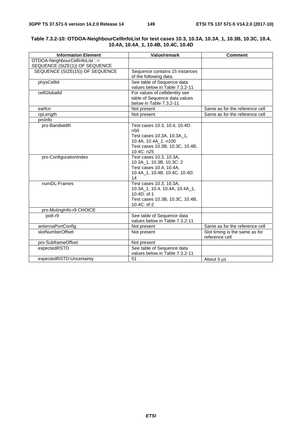| <b>Information Element</b>      | Value/remark                                        | <b>Comment</b>                 |
|---------------------------------|-----------------------------------------------------|--------------------------------|
| OTDOA-NeighbourCellInfoList ::= |                                                     |                                |
| SEQUENCE (SIZE(1)) OF SEQUENCE  |                                                     |                                |
| SEQUENCE (SIZE(15)) OF SEQUENCE | Sequence contains 15 instances                      |                                |
|                                 | of the following data.                              |                                |
| physCellId                      | See table of Sequence data                          |                                |
|                                 | values below in Table 7.3.2-11                      |                                |
| cellGloballd                    | For values of cellidentity see                      |                                |
|                                 | table of Sequence data values                       |                                |
|                                 | below in Table 7.3.2-11                             |                                |
| earfcn                          | Not present                                         | Same as for the reference cell |
| cpLength                        | Not present                                         | Same as for the reference cell |
| prsinfo                         |                                                     |                                |
| prs-Bandwidth                   | Test cases 10.3, 10.4, 10.4D:                       |                                |
|                                 | n <sub>50</sub>                                     |                                |
|                                 | Test cases 10.3A, 10.3A_1,                          |                                |
|                                 | 10.4A, 10.4A_1: n100                                |                                |
|                                 | Test cases 10.3B, 10.3C, 10.4B,                     |                                |
|                                 | 10.4C: n25                                          |                                |
| prs-ConfigurationIndex          | Test cases 10.3, 10.3A,<br>10.3A_1, 10.3B, 10.3C: 2 |                                |
|                                 | Test cases 10.4, 10.4A,                             |                                |
|                                 | 10.4A_1, 10.4B, 10.4C, 10.4D:                       |                                |
|                                 | 14                                                  |                                |
| numDL-Frames                    | Test cases 10.3, 10.3A,                             |                                |
|                                 | 10.3A_1, 10.4, 10.4A, 10.4A_1,                      |                                |
|                                 | 10.4D: sf-1                                         |                                |
|                                 | Test cases 10.3B, 10.3C, 10.4B,                     |                                |
|                                 | 10.4C: sf-2                                         |                                |
| prs-MutingInfo-r9 CHOICE        |                                                     |                                |
| po8-r9                          | See table of Sequence data                          |                                |
|                                 | values below in Table 7.3.2-11                      |                                |
| antennaPortConfig               | Not present                                         | Same as for the reference cell |
| slotNumberOffset                | Not present                                         | Slot timing is the same as for |
|                                 |                                                     | reference cell                 |
| prs-SubframeOffset              | Not present                                         |                                |
| expectedRSTD                    | See table of Sequence data                          |                                |
|                                 | values below in Table 7.3.2-11                      |                                |
| expectedRSTD-Uncertainty        | 51                                                  | About 5 us                     |

#### **Table 7.3.2-10: OTDOA-NeighbourCellInfoList for test cases 10.3, 10.3A, 10.3A\_1, 10.3B, 10.3C, 10.4, 10.4A, 10.4A\_1, 10.4B, 10.4C, 10.4D**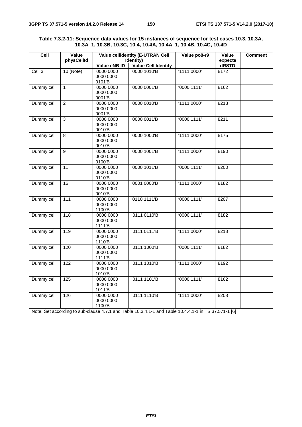#### **Table 7.3.2-11: Sequence data values for 15 instances of sequence for test cases 10.3, 10.3A, 10.3A\_1, 10.3B, 10.3C, 10.4, 10.4A, 10.4A\_1, 10.4B, 10.4C, 10.4D**

| ceil              | Value<br>physCellId |                                                | <b>Value cellidentity (E-UTRAN Cell</b><br>Identity)                                                 | Value po8-r9 | Value<br>expecte | <b>Comment</b> |
|-------------------|---------------------|------------------------------------------------|------------------------------------------------------------------------------------------------------|--------------|------------------|----------------|
|                   |                     | Value eNB ID                                   | <b>Value Cell Identity</b>                                                                           |              | dRSTD            |                |
| Cell <sub>3</sub> | $10$ (Note)         | '0000 0000<br>0000 0000<br>0101'B              | '0000 1010'B                                                                                         | '11110000'   | 8172             |                |
| Dummy cell        | $\mathbf{1}$        | '0000 0000<br>0000 0000<br>0001'B              | '0000 0001'B                                                                                         | '00001111'   | 8162             |                |
| Dummy cell        | $\overline{2}$      | '0000 0000<br>0000 0000<br>0001'B              | '0000 0010'B                                                                                         | '1111 0000'  | 8218             |                |
| Dummy cell        | $\overline{3}$      | $\overline{00000000}$<br>0000 0000<br>0010'B   | '0000 0011'B                                                                                         | '00001111'   | 8211             |                |
| Dummy cell        | 8                   | '0000 0000<br>0000 0000<br>0010'B              | '0000 1000'B                                                                                         | '1111 0000'  | 8175             |                |
| Dummy cell        | $\overline{9}$      | '0000 0000<br>0000 0000<br>0100'B              | '0000 1001'B                                                                                         | '1111 0000'  | 8190             |                |
| Dummy cell        | 11                  | '0000 0000<br>0000 0000<br>0110'B              | '0000 1011'B                                                                                         | '0000 1111'  | 8200             |                |
| Dummy cell        | 16                  | '0000 0000<br>0000 0000<br>0010'B              | '0001 0000'B                                                                                         | '11110000'   | 8182             |                |
| Dummy cell        | $\frac{111}{11}$    | '0000 0000<br>0000 0000<br>1100'B              | '0110 1111'B                                                                                         | '00001111'   | 8207             |                |
| Dummy cell        | $\overline{118}$    | '0000 0000<br>0000 0000<br>1111'B              | '0111 0110'B                                                                                         | '00001111'   | 8182             |                |
| Dummy cell        | 119                 | '0000 0000<br>0000 0000<br>1110'B              | '0111 0111'B                                                                                         | '1111 0000'  | 8218             |                |
| Dummy cell        | 120                 | '0000 0000<br>0000 0000<br>1111 <sup>'</sup> B | '0111 1000'B                                                                                         | '00001111'   | 8182             |                |
| Dummy cell        | 122                 | '0000 0000<br>0000 0000<br>1010'B              | '0111 1010'B                                                                                         | '11110000'   | 8192             |                |
| Dummy cell        | $\frac{1}{25}$      | '0000 0000<br>0000 0000<br>1011'B              | '0111 1101'B                                                                                         | '0000 1111'  | 8162             |                |
| Dummy cell        | 126                 | '0000 0000<br>0000 0000<br>1100'B              | '0111 1110'B                                                                                         | '1111 0000'  | 8208             |                |
|                   |                     |                                                | Note: Set according to sub-clause 4.7.1 and Table 10.3.4.1-1 and Table 10.4.4.1-1 in TS 37.571-1 [6] |              |                  |                |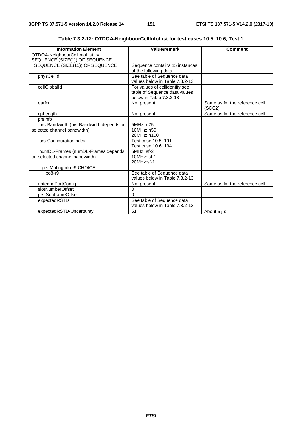| <b>Information Element</b>              | <b>Value/remark</b>            | <b>Comment</b>                           |
|-----------------------------------------|--------------------------------|------------------------------------------|
| OTDOA-NeighbourCellInfoList ::=         |                                |                                          |
| SEQUENCE (SIZE(1)) OF SEQUENCE          |                                |                                          |
| SEQUENCE (SIZE(15)) OF SEQUENCE         | Sequence contains 15 instances |                                          |
|                                         | of the following data.         |                                          |
| physCellId                              | See table of Sequence data     |                                          |
|                                         | values below in Table 7.3.2-13 |                                          |
| cellGloballd                            | For values of cellidentity see |                                          |
|                                         | table of Sequence data values  |                                          |
|                                         | below in Table 7.3.2-13        |                                          |
| earfcn                                  | Not present                    | Same as for the reference cell<br>(SCC2) |
| cpLength                                | Not present                    | Same as for the reference cell           |
| prsinfo                                 |                                |                                          |
| prs-Bandwidth (prs-Bandwidth depends on | 5MHz: n25                      |                                          |
| selected channel bandwidth)             | 10MHz: n50                     |                                          |
|                                         | 20MHz: n100                    |                                          |
| prs-ConfigurationIndex                  | Test case 10.5: 191            |                                          |
|                                         | Test case 10.6: 194            |                                          |
| numDL-Frames (numDL-Frames depends      | $5MHz$ : sf-2                  |                                          |
| on selected channel bandwidth)          | 10MHz: sf-1                    |                                          |
|                                         | 20MHz:sf-1                     |                                          |
| prs-MutingInfo-r9 CHOICE                |                                |                                          |
| $po8-r9$                                | See table of Sequence data     |                                          |
|                                         | values below in Table 7.3.2-13 |                                          |
| antennaPortConfig                       | Not present                    | Same as for the reference cell           |
| slotNumberOffset                        | 0                              |                                          |
| prs-SubframeOffset                      | $\Omega$                       |                                          |
| expectedRSTD                            | See table of Sequence data     |                                          |
|                                         | values below in Table 7.3.2-13 |                                          |
| expectedRSTD-Uncertainty                | 51                             | About 5 µs                               |

**Table 7.3.2-12: OTDOA-NeighbourCellInfoList for test cases 10.5, 10.6, Test 1**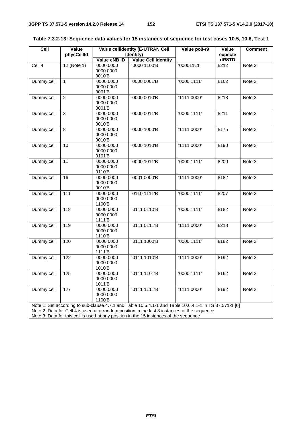| Identity)<br>expecte<br>dRSTD<br>Value eNB ID<br><b>Value Cell Identity</b><br>'00001111'<br>$12$ (Note 1)<br>'0000 0000<br>'0000 1100'B<br>Cell 4<br>8212<br>Note 2<br>0000 0000<br>0010'B<br>'0000 0001'B<br>'00001111'<br>Note 3<br>Dummy cell<br>$\mathbf{1}$<br>'0000 0000<br>8162<br>0000 0000<br>0001'B<br>$\overline{2}$<br>'0000 0010'B<br>'1111 0000'<br>Note 3<br>Dummy cell<br>'0000 0000<br>8218<br>0000 0000<br>0001'B<br>$\overline{3}$<br>'0000 0011'B<br>'00001111'<br>Dummy cell<br>'0000 0000<br>8211<br>Note 3<br>0000 0000<br>0010'B<br>$\overline{8}$<br>'0000 0000<br>'0000 1000'B<br>'1111 0000'<br>Dummy cell<br>8175<br>Note 3<br>0000 0000<br>0010'B<br>00000000<br>'0000 1010'B<br>'1111 0000'<br>Note 3<br>Dummy cell<br>10<br>8190<br>0000 0000<br>0101'B<br>'0000 1011'B<br>'00001111'<br>Dummy cell<br>11<br>'0000 0000<br>8200<br>Note 3<br>0000 0000<br>0110'B<br>'1111 0000'<br>Dummy cell<br>$\overline{00000000}$<br>'0001 0000'B<br>Note 3<br>16<br>8182<br>0000 0000<br>0010'B<br>$\frac{111}{11}$<br>'0000 0000<br>'0110 1111'B<br>'00001111'<br>Dummy cell<br>8207<br>Note 3<br>0000 0000<br>1100'B<br>'00001111'<br>118<br>$\overline{00000000}$<br>'0111 0110'B<br>Note 3<br>Dummy cell<br>8182<br>0000 0000<br>1111'B<br>Dummy cell<br>119<br>'0000 0000<br>'0111 0111'B<br>'1111 0000'<br>Note 3<br>8218<br>0000 0000<br>1110'B<br>'0111 1000'B<br>'00001111'<br>120<br>$\overline{00000000}$<br>Dummy cell<br>8182<br>Note 3<br>0000 0000<br>1111'B<br>'0111 1010'B<br>122<br>'0000 0000<br>'1111 0000'<br>8192<br>Dummy cell<br>Note 3<br>0000 0000<br>1010'B<br>Dummy cell<br>$\sqrt{125}$<br>'0000 0000<br>'0111 1101'B<br>'00001111'<br>8162<br>Note 3<br>0000 0000<br>1011'B<br>'0000 0000<br>'0111 1111'B<br>'1111 0000'<br>Dummy cell<br>127<br>8192<br>Note 3<br>0000 0000 | ceil | Value      | <b>Value cellidentity (E-UTRAN Cell</b> | Value po8-r9 | Value | <b>Comment</b> |
|----------------------------------------------------------------------------------------------------------------------------------------------------------------------------------------------------------------------------------------------------------------------------------------------------------------------------------------------------------------------------------------------------------------------------------------------------------------------------------------------------------------------------------------------------------------------------------------------------------------------------------------------------------------------------------------------------------------------------------------------------------------------------------------------------------------------------------------------------------------------------------------------------------------------------------------------------------------------------------------------------------------------------------------------------------------------------------------------------------------------------------------------------------------------------------------------------------------------------------------------------------------------------------------------------------------------------------------------------------------------------------------------------------------------------------------------------------------------------------------------------------------------------------------------------------------------------------------------------------------------------------------------------------------------------------------------------------------------------------------------------------------------------------------------------------------------------------|------|------------|-----------------------------------------|--------------|-------|----------------|
|                                                                                                                                                                                                                                                                                                                                                                                                                                                                                                                                                                                                                                                                                                                                                                                                                                                                                                                                                                                                                                                                                                                                                                                                                                                                                                                                                                                                                                                                                                                                                                                                                                                                                                                                                                                                                                  |      | physCellId |                                         |              |       |                |
|                                                                                                                                                                                                                                                                                                                                                                                                                                                                                                                                                                                                                                                                                                                                                                                                                                                                                                                                                                                                                                                                                                                                                                                                                                                                                                                                                                                                                                                                                                                                                                                                                                                                                                                                                                                                                                  |      |            |                                         |              |       |                |
|                                                                                                                                                                                                                                                                                                                                                                                                                                                                                                                                                                                                                                                                                                                                                                                                                                                                                                                                                                                                                                                                                                                                                                                                                                                                                                                                                                                                                                                                                                                                                                                                                                                                                                                                                                                                                                  |      |            |                                         |              |       |                |
|                                                                                                                                                                                                                                                                                                                                                                                                                                                                                                                                                                                                                                                                                                                                                                                                                                                                                                                                                                                                                                                                                                                                                                                                                                                                                                                                                                                                                                                                                                                                                                                                                                                                                                                                                                                                                                  |      |            |                                         |              |       |                |
|                                                                                                                                                                                                                                                                                                                                                                                                                                                                                                                                                                                                                                                                                                                                                                                                                                                                                                                                                                                                                                                                                                                                                                                                                                                                                                                                                                                                                                                                                                                                                                                                                                                                                                                                                                                                                                  |      |            |                                         |              |       |                |
|                                                                                                                                                                                                                                                                                                                                                                                                                                                                                                                                                                                                                                                                                                                                                                                                                                                                                                                                                                                                                                                                                                                                                                                                                                                                                                                                                                                                                                                                                                                                                                                                                                                                                                                                                                                                                                  |      |            |                                         |              |       |                |
|                                                                                                                                                                                                                                                                                                                                                                                                                                                                                                                                                                                                                                                                                                                                                                                                                                                                                                                                                                                                                                                                                                                                                                                                                                                                                                                                                                                                                                                                                                                                                                                                                                                                                                                                                                                                                                  |      |            |                                         |              |       |                |
|                                                                                                                                                                                                                                                                                                                                                                                                                                                                                                                                                                                                                                                                                                                                                                                                                                                                                                                                                                                                                                                                                                                                                                                                                                                                                                                                                                                                                                                                                                                                                                                                                                                                                                                                                                                                                                  |      |            |                                         |              |       |                |
|                                                                                                                                                                                                                                                                                                                                                                                                                                                                                                                                                                                                                                                                                                                                                                                                                                                                                                                                                                                                                                                                                                                                                                                                                                                                                                                                                                                                                                                                                                                                                                                                                                                                                                                                                                                                                                  |      |            |                                         |              |       |                |
|                                                                                                                                                                                                                                                                                                                                                                                                                                                                                                                                                                                                                                                                                                                                                                                                                                                                                                                                                                                                                                                                                                                                                                                                                                                                                                                                                                                                                                                                                                                                                                                                                                                                                                                                                                                                                                  |      |            |                                         |              |       |                |
|                                                                                                                                                                                                                                                                                                                                                                                                                                                                                                                                                                                                                                                                                                                                                                                                                                                                                                                                                                                                                                                                                                                                                                                                                                                                                                                                                                                                                                                                                                                                                                                                                                                                                                                                                                                                                                  |      |            |                                         |              |       |                |
|                                                                                                                                                                                                                                                                                                                                                                                                                                                                                                                                                                                                                                                                                                                                                                                                                                                                                                                                                                                                                                                                                                                                                                                                                                                                                                                                                                                                                                                                                                                                                                                                                                                                                                                                                                                                                                  |      |            |                                         |              |       |                |
|                                                                                                                                                                                                                                                                                                                                                                                                                                                                                                                                                                                                                                                                                                                                                                                                                                                                                                                                                                                                                                                                                                                                                                                                                                                                                                                                                                                                                                                                                                                                                                                                                                                                                                                                                                                                                                  |      |            |                                         |              |       |                |
|                                                                                                                                                                                                                                                                                                                                                                                                                                                                                                                                                                                                                                                                                                                                                                                                                                                                                                                                                                                                                                                                                                                                                                                                                                                                                                                                                                                                                                                                                                                                                                                                                                                                                                                                                                                                                                  |      |            |                                         |              |       |                |
|                                                                                                                                                                                                                                                                                                                                                                                                                                                                                                                                                                                                                                                                                                                                                                                                                                                                                                                                                                                                                                                                                                                                                                                                                                                                                                                                                                                                                                                                                                                                                                                                                                                                                                                                                                                                                                  |      |            |                                         |              |       |                |
|                                                                                                                                                                                                                                                                                                                                                                                                                                                                                                                                                                                                                                                                                                                                                                                                                                                                                                                                                                                                                                                                                                                                                                                                                                                                                                                                                                                                                                                                                                                                                                                                                                                                                                                                                                                                                                  |      |            |                                         |              |       |                |
|                                                                                                                                                                                                                                                                                                                                                                                                                                                                                                                                                                                                                                                                                                                                                                                                                                                                                                                                                                                                                                                                                                                                                                                                                                                                                                                                                                                                                                                                                                                                                                                                                                                                                                                                                                                                                                  |      |            |                                         |              |       |                |
|                                                                                                                                                                                                                                                                                                                                                                                                                                                                                                                                                                                                                                                                                                                                                                                                                                                                                                                                                                                                                                                                                                                                                                                                                                                                                                                                                                                                                                                                                                                                                                                                                                                                                                                                                                                                                                  |      |            |                                         |              |       |                |
|                                                                                                                                                                                                                                                                                                                                                                                                                                                                                                                                                                                                                                                                                                                                                                                                                                                                                                                                                                                                                                                                                                                                                                                                                                                                                                                                                                                                                                                                                                                                                                                                                                                                                                                                                                                                                                  |      |            |                                         |              |       |                |
|                                                                                                                                                                                                                                                                                                                                                                                                                                                                                                                                                                                                                                                                                                                                                                                                                                                                                                                                                                                                                                                                                                                                                                                                                                                                                                                                                                                                                                                                                                                                                                                                                                                                                                                                                                                                                                  |      |            |                                         |              |       |                |
|                                                                                                                                                                                                                                                                                                                                                                                                                                                                                                                                                                                                                                                                                                                                                                                                                                                                                                                                                                                                                                                                                                                                                                                                                                                                                                                                                                                                                                                                                                                                                                                                                                                                                                                                                                                                                                  |      |            |                                         |              |       |                |
|                                                                                                                                                                                                                                                                                                                                                                                                                                                                                                                                                                                                                                                                                                                                                                                                                                                                                                                                                                                                                                                                                                                                                                                                                                                                                                                                                                                                                                                                                                                                                                                                                                                                                                                                                                                                                                  |      |            |                                         |              |       |                |
|                                                                                                                                                                                                                                                                                                                                                                                                                                                                                                                                                                                                                                                                                                                                                                                                                                                                                                                                                                                                                                                                                                                                                                                                                                                                                                                                                                                                                                                                                                                                                                                                                                                                                                                                                                                                                                  |      |            |                                         |              |       |                |
|                                                                                                                                                                                                                                                                                                                                                                                                                                                                                                                                                                                                                                                                                                                                                                                                                                                                                                                                                                                                                                                                                                                                                                                                                                                                                                                                                                                                                                                                                                                                                                                                                                                                                                                                                                                                                                  |      |            |                                         |              |       |                |
|                                                                                                                                                                                                                                                                                                                                                                                                                                                                                                                                                                                                                                                                                                                                                                                                                                                                                                                                                                                                                                                                                                                                                                                                                                                                                                                                                                                                                                                                                                                                                                                                                                                                                                                                                                                                                                  |      |            |                                         |              |       |                |
|                                                                                                                                                                                                                                                                                                                                                                                                                                                                                                                                                                                                                                                                                                                                                                                                                                                                                                                                                                                                                                                                                                                                                                                                                                                                                                                                                                                                                                                                                                                                                                                                                                                                                                                                                                                                                                  |      |            |                                         |              |       |                |
|                                                                                                                                                                                                                                                                                                                                                                                                                                                                                                                                                                                                                                                                                                                                                                                                                                                                                                                                                                                                                                                                                                                                                                                                                                                                                                                                                                                                                                                                                                                                                                                                                                                                                                                                                                                                                                  |      |            |                                         |              |       |                |
|                                                                                                                                                                                                                                                                                                                                                                                                                                                                                                                                                                                                                                                                                                                                                                                                                                                                                                                                                                                                                                                                                                                                                                                                                                                                                                                                                                                                                                                                                                                                                                                                                                                                                                                                                                                                                                  |      |            |                                         |              |       |                |
|                                                                                                                                                                                                                                                                                                                                                                                                                                                                                                                                                                                                                                                                                                                                                                                                                                                                                                                                                                                                                                                                                                                                                                                                                                                                                                                                                                                                                                                                                                                                                                                                                                                                                                                                                                                                                                  |      |            |                                         |              |       |                |
|                                                                                                                                                                                                                                                                                                                                                                                                                                                                                                                                                                                                                                                                                                                                                                                                                                                                                                                                                                                                                                                                                                                                                                                                                                                                                                                                                                                                                                                                                                                                                                                                                                                                                                                                                                                                                                  |      |            |                                         |              |       |                |
|                                                                                                                                                                                                                                                                                                                                                                                                                                                                                                                                                                                                                                                                                                                                                                                                                                                                                                                                                                                                                                                                                                                                                                                                                                                                                                                                                                                                                                                                                                                                                                                                                                                                                                                                                                                                                                  |      |            |                                         |              |       |                |
|                                                                                                                                                                                                                                                                                                                                                                                                                                                                                                                                                                                                                                                                                                                                                                                                                                                                                                                                                                                                                                                                                                                                                                                                                                                                                                                                                                                                                                                                                                                                                                                                                                                                                                                                                                                                                                  |      |            |                                         |              |       |                |
|                                                                                                                                                                                                                                                                                                                                                                                                                                                                                                                                                                                                                                                                                                                                                                                                                                                                                                                                                                                                                                                                                                                                                                                                                                                                                                                                                                                                                                                                                                                                                                                                                                                                                                                                                                                                                                  |      |            |                                         |              |       |                |
|                                                                                                                                                                                                                                                                                                                                                                                                                                                                                                                                                                                                                                                                                                                                                                                                                                                                                                                                                                                                                                                                                                                                                                                                                                                                                                                                                                                                                                                                                                                                                                                                                                                                                                                                                                                                                                  |      |            |                                         |              |       |                |
|                                                                                                                                                                                                                                                                                                                                                                                                                                                                                                                                                                                                                                                                                                                                                                                                                                                                                                                                                                                                                                                                                                                                                                                                                                                                                                                                                                                                                                                                                                                                                                                                                                                                                                                                                                                                                                  |      |            |                                         |              |       |                |
|                                                                                                                                                                                                                                                                                                                                                                                                                                                                                                                                                                                                                                                                                                                                                                                                                                                                                                                                                                                                                                                                                                                                                                                                                                                                                                                                                                                                                                                                                                                                                                                                                                                                                                                                                                                                                                  |      |            |                                         |              |       |                |
|                                                                                                                                                                                                                                                                                                                                                                                                                                                                                                                                                                                                                                                                                                                                                                                                                                                                                                                                                                                                                                                                                                                                                                                                                                                                                                                                                                                                                                                                                                                                                                                                                                                                                                                                                                                                                                  |      |            |                                         |              |       |                |
|                                                                                                                                                                                                                                                                                                                                                                                                                                                                                                                                                                                                                                                                                                                                                                                                                                                                                                                                                                                                                                                                                                                                                                                                                                                                                                                                                                                                                                                                                                                                                                                                                                                                                                                                                                                                                                  |      |            |                                         |              |       |                |
|                                                                                                                                                                                                                                                                                                                                                                                                                                                                                                                                                                                                                                                                                                                                                                                                                                                                                                                                                                                                                                                                                                                                                                                                                                                                                                                                                                                                                                                                                                                                                                                                                                                                                                                                                                                                                                  |      |            |                                         |              |       |                |
|                                                                                                                                                                                                                                                                                                                                                                                                                                                                                                                                                                                                                                                                                                                                                                                                                                                                                                                                                                                                                                                                                                                                                                                                                                                                                                                                                                                                                                                                                                                                                                                                                                                                                                                                                                                                                                  |      |            |                                         |              |       |                |
|                                                                                                                                                                                                                                                                                                                                                                                                                                                                                                                                                                                                                                                                                                                                                                                                                                                                                                                                                                                                                                                                                                                                                                                                                                                                                                                                                                                                                                                                                                                                                                                                                                                                                                                                                                                                                                  |      |            |                                         |              |       |                |
|                                                                                                                                                                                                                                                                                                                                                                                                                                                                                                                                                                                                                                                                                                                                                                                                                                                                                                                                                                                                                                                                                                                                                                                                                                                                                                                                                                                                                                                                                                                                                                                                                                                                                                                                                                                                                                  |      |            |                                         |              |       |                |
|                                                                                                                                                                                                                                                                                                                                                                                                                                                                                                                                                                                                                                                                                                                                                                                                                                                                                                                                                                                                                                                                                                                                                                                                                                                                                                                                                                                                                                                                                                                                                                                                                                                                                                                                                                                                                                  |      |            |                                         |              |       |                |
| 1100'B<br>Note 1: Set according to sub-clause 4.7.1 and Table 10.5.4.1-1 and Table 10.6.4.1-1 in TS 37.571-1 [6]                                                                                                                                                                                                                                                                                                                                                                                                                                                                                                                                                                                                                                                                                                                                                                                                                                                                                                                                                                                                                                                                                                                                                                                                                                                                                                                                                                                                                                                                                                                                                                                                                                                                                                                 |      |            |                                         |              |       |                |
| Note 2: Data for Cell 4 is used at a random position in the last 8 instances of the sequence                                                                                                                                                                                                                                                                                                                                                                                                                                                                                                                                                                                                                                                                                                                                                                                                                                                                                                                                                                                                                                                                                                                                                                                                                                                                                                                                                                                                                                                                                                                                                                                                                                                                                                                                     |      |            |                                         |              |       |                |
| Note 3: Data for this cell is used at any position in the 15 instances of the sequence                                                                                                                                                                                                                                                                                                                                                                                                                                                                                                                                                                                                                                                                                                                                                                                                                                                                                                                                                                                                                                                                                                                                                                                                                                                                                                                                                                                                                                                                                                                                                                                                                                                                                                                                           |      |            |                                         |              |       |                |

## **Table 7.3.2-13: Sequence data values for 15 instances of sequence for test cases 10.5, 10.6, Test 1**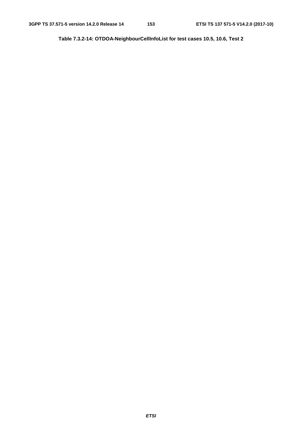**Table 7.3.2-14: OTDOA-NeighbourCellInfoList for test cases 10.5, 10.6, Test 2**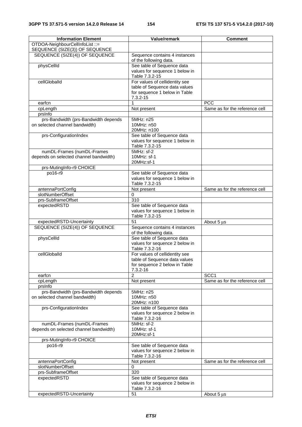| <b>Information Element</b>                                             | <b>Value/remark</b>                                                            | <b>Comment</b>                 |
|------------------------------------------------------------------------|--------------------------------------------------------------------------------|--------------------------------|
| OTDOA-NeighbourCellInfoList ::=                                        |                                                                                |                                |
| SEQUENCE (SIZE(3)) OF SEQUENCE                                         |                                                                                |                                |
| SEQUENCE (SIZE(4)) OF SEQUENCE                                         | Sequence contains 4 instances<br>of the following data.                        |                                |
| physCellId                                                             | See table of Sequence data                                                     |                                |
|                                                                        | values for sequence 1 below in<br>Table 7.3.2-15                               |                                |
| cellGloballd                                                           | For values of cellidentity see                                                 |                                |
|                                                                        | table of Sequence data values                                                  |                                |
|                                                                        | for sequence 1 below in Table<br>$7.3.2 - 15$                                  |                                |
| earfcn                                                                 | 1                                                                              | <b>PCC</b>                     |
| cpLength                                                               | Not present                                                                    | Same as for the reference cell |
| prsinfo                                                                |                                                                                |                                |
| prs-Bandwidth (prs-Bandwidth depends<br>on selected channel bandwidth) | 5MHz: n25<br>10MHz: n50                                                        |                                |
|                                                                        | 20MHz: n100                                                                    |                                |
| prs-ConfigurationIndex                                                 | See table of Sequence data<br>values for sequence 1 below in<br>Table 7.3.2-15 |                                |
| numDL-Frames (numDL-Frames                                             | $5MHz:$ sf-2                                                                   |                                |
| depends on selected channel bandwidth)                                 | 10MHz: sf-1<br>20MHz:sf-1                                                      |                                |
| prs-MutingInfo-r9 CHOICE                                               |                                                                                |                                |
| po16-r9                                                                | See table of Sequence data                                                     |                                |
|                                                                        | values for sequence 1 below in<br>Table 7.3.2-15                               |                                |
| antennaPortConfig                                                      | Not present                                                                    | Same as for the reference cell |
| slotNumberOffset                                                       | 0                                                                              |                                |
| prs-SubframeOffset                                                     | $\overline{310}$                                                               |                                |
| expectedRSTD                                                           | See table of Sequence data<br>values for sequence 1 below in<br>Table 7.3.2-15 |                                |
| expectedRSTD-Uncertainty                                               | 51                                                                             | About 5 µs                     |
| SEQUENCE (SIZE(4)) OF SEQUENCE                                         | Sequence contains 4 instances<br>of the following data.                        |                                |
| physCellId                                                             | See table of Sequence data                                                     |                                |
|                                                                        | values for sequence 2 below in<br>Table 7.3.2-16                               |                                |
| cellGloballd                                                           | For values of cellidentity see                                                 |                                |
|                                                                        | table of Sequence data values                                                  |                                |
|                                                                        | for sequence 2 below in Table                                                  |                                |
|                                                                        | $7.3.2 - 16$                                                                   |                                |
| earfcn                                                                 | 2                                                                              | SCC1                           |
| cpLength<br>prsinfo                                                    | Not present                                                                    | Same as for the reference cell |
| prs-Bandwidth (prs-Bandwidth depends                                   | 5MHz: n25                                                                      |                                |
| on selected channel bandwidth)                                         | 10MHz: n50                                                                     |                                |
|                                                                        | 20MHz: n100                                                                    |                                |
| prs-ConfigurationIndex                                                 | See table of Sequence data                                                     |                                |
|                                                                        | values for sequence 2 below in                                                 |                                |
|                                                                        | Table 7.3.2-16                                                                 |                                |
| numDL-Frames (numDL-Frames<br>depends on selected channel bandwidth)   | 5MHz: sf-2<br>10MHz: sf-1                                                      |                                |
|                                                                        | 20MHz:sf-1                                                                     |                                |
| prs-MutingInfo-r9 CHOICE                                               |                                                                                |                                |
| po16-r9                                                                | See table of Sequence data                                                     |                                |
|                                                                        | values for sequence 2 below in<br>Table 7.3.2-16                               |                                |
| antennaPortConfig                                                      | Not present                                                                    | Same as for the reference cell |
| slotNumberOffset                                                       | 0                                                                              |                                |
| prs-SubframeOffset                                                     | 320                                                                            |                                |
| expectedRSTD                                                           | See table of Sequence data                                                     |                                |
|                                                                        | values for sequence 2 below in<br>Table 7.3.2-16                               |                                |
| expectedRSTD-Uncertainty                                               | 51                                                                             | About 5 µs                     |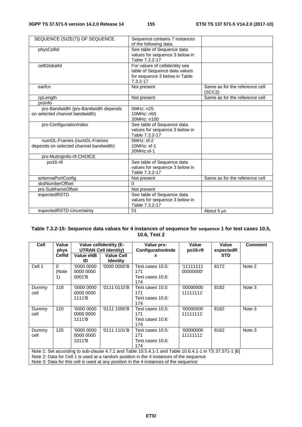| SEQUENCE (SIZE(7)) OF SEQUENCE         | Sequence contains 7 instances                        |                                          |
|----------------------------------------|------------------------------------------------------|------------------------------------------|
|                                        | of the following data.<br>See table of Sequence data |                                          |
| physCellId                             | values for sequence 3 below in                       |                                          |
|                                        | Table 7.3.2-17                                       |                                          |
| cellGloballd                           | For values of cellidentity see                       |                                          |
|                                        | table of Sequence data values                        |                                          |
|                                        | for sequence 3 below in Table                        |                                          |
|                                        | $7.3.2 - 17$                                         |                                          |
| earfcn                                 | Not present                                          | Same as for the reference cell<br>(SCC2) |
| cpLength                               | Not present                                          | Same as for the reference cell           |
| prsinfo                                |                                                      |                                          |
| prs-Bandwidth (prs-Bandwidth depends   | 5MHz: n25                                            |                                          |
| on selected channel bandwidth)         | 10MHz: n50                                           |                                          |
|                                        | 20MHz: n100                                          |                                          |
| prs-ConfigurationIndex                 | See table of Sequence data                           |                                          |
|                                        | values for sequence 3 below in                       |                                          |
|                                        | Table 7.3.2-17                                       |                                          |
| numDL-Frames (numDL-Frames             | $5MHz:$ sf-2                                         |                                          |
| depends on selected channel bandwidth) | 10MHz: sf-1                                          |                                          |
|                                        | 20MHz:sf-1                                           |                                          |
| prs-MutingInfo-r9 CHOICE               |                                                      |                                          |
| po16-r9                                | See table of Sequence data                           |                                          |
|                                        | values for sequence 3 below in                       |                                          |
|                                        | Table 7.3.2-17                                       |                                          |
| antennaPortConfig                      | Not present                                          | Same as for the reference cell           |
| slotNumberOffset                       | 0                                                    |                                          |
| prs-SubframeOffset                     | Not present                                          |                                          |
| expectedRSTD                           | See table of Sequence data                           |                                          |
|                                        | values for sequence 3 below in                       |                                          |
|                                        | Table 7.3.2-17                                       |                                          |
| expectedRSTD-Uncertainty               | 51                                                   | About 5 µs                               |

## **Table 7.3.2-15: Sequence data values for 4 instances of sequence for sequence 1 for test cases 10.5, 10.6, Test 2**

| Cell                                                                                                                                                                                                                                                                                       | Value<br>phys           | <b>Value cellidentity (E-</b><br><b>UTRAN Cell Identity)</b> |                                      | Value prs-<br><b>ConfigurationInde</b>             | Value<br>po16-r9       | Value<br>expectedR | <b>Comment</b> |  |
|--------------------------------------------------------------------------------------------------------------------------------------------------------------------------------------------------------------------------------------------------------------------------------------------|-------------------------|--------------------------------------------------------------|--------------------------------------|----------------------------------------------------|------------------------|--------------------|----------------|--|
|                                                                                                                                                                                                                                                                                            | <b>CellId</b>           | Value eNB<br>ID                                              | <b>Value Cell</b><br><b>Identity</b> | x                                                  |                        | <b>STD</b>         |                |  |
| Cell 1                                                                                                                                                                                                                                                                                     | $\Omega$<br>(Note<br>1) | '0000 0000<br>0000 0000<br>0001'B                            | '0000 0000'B                         | Test cases 10.5:<br>171<br>Test cases 10.6:<br>174 | 111111111<br>00000000' | 8172               | Note 2         |  |
| Dummy<br>cell                                                                                                                                                                                                                                                                              | 118                     | '0000 0000<br>0000 0000<br>1111'B                            | '0111 0110'B                         | Test cases 10.5:<br>171<br>Test cases 10.6:<br>174 | '00000000<br>11111111' | 8182               | Note 3         |  |
| Dummy<br>cell                                                                                                                                                                                                                                                                              | 120                     | '0000 0000<br>0000 0000<br>1111'B                            | '0111 1000'B                         | Test cases 10.5:<br>171<br>Test cases 10.6:<br>174 | '00000000<br>11111111' | 8182               | Note 3         |  |
| Dummy<br>cell                                                                                                                                                                                                                                                                              | 125                     | '0000 0000<br>0000 0000<br>1011'B                            | '0111 1101'B                         | Test cases 10.5:<br>171<br>Test cases 10.6:<br>174 | '00000000<br>11111111' | 8162               | Note 3         |  |
| Note 1: Set according to sub-clause 4.7.1 and Table 10.5.4.1-1 and Table 10.6.4.1-1 in TS 37.571-1 [6]<br>Note 2: Data for Cell 1 is used at a random position in the 4 instances of the sequence<br>Note 3: Data for this cell is used at any position in the 4 instances of the sequence |                         |                                                              |                                      |                                                    |                        |                    |                |  |

Note 3: Data for this cell is used at any position in the 4 instances of the sequence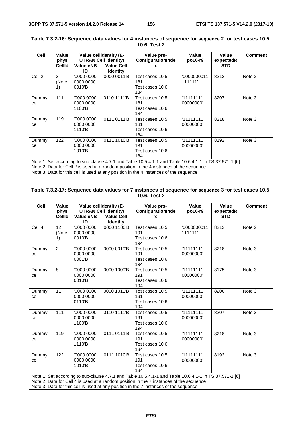| <b>Cell</b>                                                                                                                                                                                                                                                                                | Value<br>phys    | Value cellidentity (E-<br><b>UTRAN Cell Identity)</b> |                                      | Value prs-<br><b>ConfigurationInde</b>             | Value<br>po16-r9       | Value<br>expectedR | <b>Comment</b> |  |
|--------------------------------------------------------------------------------------------------------------------------------------------------------------------------------------------------------------------------------------------------------------------------------------------|------------------|-------------------------------------------------------|--------------------------------------|----------------------------------------------------|------------------------|--------------------|----------------|--|
|                                                                                                                                                                                                                                                                                            | CellId           | Value eNB<br>ID                                       | <b>Value Cell</b><br><b>Identity</b> | x                                                  |                        | <b>STD</b>         |                |  |
| Cell 2                                                                                                                                                                                                                                                                                     | 3<br>(Note<br>1) | '0000 0000<br>0000 0000<br>0010'B                     | '0000 0011'B                         | Test cases 10.5:<br>181<br>Test cases 10.6:<br>184 | '0000000011<br>111111' | 8212               | Note 2         |  |
| Dummy<br>cell                                                                                                                                                                                                                                                                              | 111              | '0000 0000<br>0000 0000<br>1100'B                     | '0110 1111'B                         | Test cases 10.5:<br>181<br>Test cases 10.6:<br>184 | 11111111<br>00000000'  | 8207               | Note 3         |  |
| Dummy<br>cell                                                                                                                                                                                                                                                                              | 119              | '0000 0000<br>0000 0000<br>1110'B                     | '0111 0111'B                         | Test cases 10.5:<br>181<br>Test cases 10.6:<br>184 | 11111111<br>00000000   | 8218               | Note 3         |  |
| Dummy<br>cell                                                                                                                                                                                                                                                                              | 122              | '0000 0000<br>0000 0000<br>1010'B                     | '0111 1010'B                         | Test cases 10.5:<br>181<br>Test cases 10.6:<br>184 | 11111111<br>00000000   | 8192               | Note 3         |  |
| Note 1: Set according to sub-clause 4.7.1 and Table 10.5.4.1-1 and Table 10.6.4.1-1 in TS 37.571-1 [6]<br>Note 2: Data for Cell 2 is used at a random position in the 4 instances of the sequence<br>Note 3: Data for this cell is used at any position in the 4 instances of the sequence |                  |                                                       |                                      |                                                    |                        |                    |                |  |

## **Table 7.3.2-16: Sequence data values for 4 instances of sequence for sequence 2 for test cases 10.5, 10.6, Test 2**

### **Table 7.3.2-17: Sequence data values for 7 instances of sequence for sequence 3 for test cases 10.5, 10.6, Test 2**

| Cell              | Value<br>phys                  | Value cellidentity (E-<br><b>UTRAN Cell Identity)</b> |                                      | Value prs-<br>ConfigurationInde                                                                                                                                                                                                                                                            | Value<br>po16-r9       | Value<br>expectedR | <b>Comment</b> |
|-------------------|--------------------------------|-------------------------------------------------------|--------------------------------------|--------------------------------------------------------------------------------------------------------------------------------------------------------------------------------------------------------------------------------------------------------------------------------------------|------------------------|--------------------|----------------|
|                   | <b>CellId</b>                  | Value eNB<br>ID                                       | <b>Value Cell</b><br><b>Identity</b> | x                                                                                                                                                                                                                                                                                          |                        | <b>STD</b>         |                |
| Cell <sub>4</sub> | 12 <sup>2</sup><br>(Note<br>1) | 0000000<br>0000 0000<br>0010'B                        | $\sqrt[10]{0000}$ 1100'B             | Test cases 10.5:<br>191<br>Test cases 10.6:<br>194                                                                                                                                                                                                                                         | '0000000011<br>111111' | 8212               | Note 2         |
| Dummy<br>cell     | $\overline{2}$                 | '0000 0000<br>0000 0000<br>0001'B                     | '0000 0010'B                         | Test cases 10.5:<br>191<br>Test cases 10.6:<br>194                                                                                                                                                                                                                                         | '11111111<br>00000000' | 8218               | Note 3         |
| Dummy<br>cell     | 8                              | '0000 0000<br>0000 0000<br>0010'B                     | '0000 1000'B                         | Test cases 10.5:<br>191<br>Test cases 10.6:<br>194                                                                                                                                                                                                                                         | 11111111<br>00000000'  | 8175               | Note 3         |
| Dummy<br>cell     | 11                             | '0000 0000<br>0000 0000<br>0110'B                     | '0000 1011'B                         | Test cases 10.5:<br>191<br>Test cases 10.6:<br>194                                                                                                                                                                                                                                         | 111111111<br>00000000' | 8200               | Note 3         |
| Dummy<br>cell     | 111                            | '0000 0000<br>0000 0000<br>1100'B                     | '0110 1111'B                         | Test cases $10.5$ :<br>191<br>Test cases 10.6:<br>194                                                                                                                                                                                                                                      | 11111111<br>00000000'  | 8207               | Note 3         |
| Dummy<br>cell     | 119                            | '0000 0000<br>0000 0000<br>1110'B                     | '0111 0111'B                         | Test cases 10.5:<br>191<br>Test cases 10.6:<br>194                                                                                                                                                                                                                                         | '11111111<br>00000000' | 8218               | Note 3         |
| Dummy<br>cell     | 122                            | '0000 0000<br>0000 0000<br>1010'B                     | '0111 1010'B                         | Test cases 10.5:<br>191<br>Test cases 10.6:<br>194                                                                                                                                                                                                                                         | '11111111<br>00000000' | 8192               | Note 3         |
|                   |                                |                                                       |                                      | Note 1: Set according to sub-clause 4.7.1 and Table 10.5.4.1-1 and Table 10.6.4.1-1 in TS 37.571-1 [6]<br>Note 2: Data for Cell 4 is used at a random position in the 7 instances of the sequence<br>Note 3: Data for this cell is used at any position in the 7 instances of the sequence |                        |                    |                |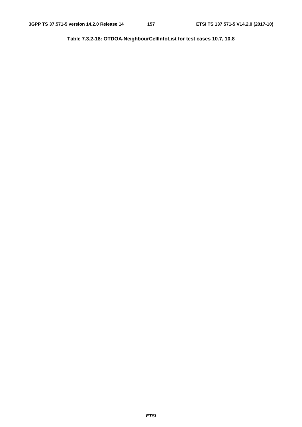**Table 7.3.2-18: OTDOA-NeighbourCellInfoList for test cases 10.7, 10.8**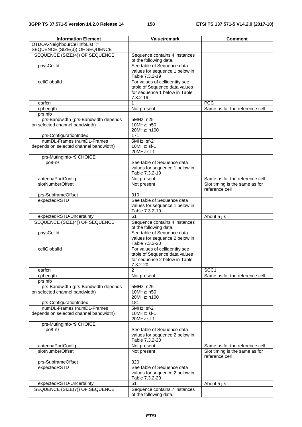| <b>Information Element</b>             | Value/remark                                     | <b>Comment</b>                                   |
|----------------------------------------|--------------------------------------------------|--------------------------------------------------|
| OTDOA-NeighbourCellInfoList ::=        |                                                  |                                                  |
| SEQUENCE (SIZE(3)) OF SEQUENCE         |                                                  |                                                  |
| SEQUENCE (SIZE(4)) OF SEQUENCE         | Sequence contains 4 instances                    |                                                  |
|                                        | of the following data.                           |                                                  |
| physCellId                             | See table of Sequence data                       |                                                  |
|                                        | values for sequence 1 below in                   |                                                  |
|                                        | Table 7.3.2-19                                   |                                                  |
| cellGloballd                           | For values of cellidentity see                   |                                                  |
|                                        | table of Sequence data values                    |                                                  |
|                                        | for sequence 1 below in Table                    |                                                  |
|                                        | 7.3.2-19                                         |                                                  |
| earfcn                                 | $\mathbf{1}$                                     | PCC                                              |
| cpLength                               | Not present                                      | Same as for the reference cell                   |
| prsinfo                                |                                                  |                                                  |
| prs-Bandwidth (prs-Bandwidth depends   | 5MHz: n25                                        |                                                  |
| on selected channel bandwidth)         | 10MHz: n50                                       |                                                  |
|                                        | 20MHz: n100                                      |                                                  |
| prs-ConfigurationIndex                 | 171                                              |                                                  |
| numDL-Frames (numDL-Frames             | 5MHz: sf-2<br>10MHz: sf-1                        |                                                  |
| depends on selected channel bandwidth) | 20MHz:sf-1                                       |                                                  |
|                                        |                                                  |                                                  |
| prs-MutingInfo-r9 CHOICE               |                                                  |                                                  |
| po8-r9                                 | See table of Sequence data                       |                                                  |
|                                        | values for sequence 1 below in<br>Table 7.3.2-19 |                                                  |
|                                        |                                                  | Same as for the reference cell                   |
| antennaPortConfig<br>slotNumberOffset  | Not present                                      |                                                  |
|                                        | Not present                                      | Slot timing is the same as for<br>reference cell |
| prs-SubframeOffset                     | $\overline{310}$                                 |                                                  |
| expectedRSTD                           | See table of Sequence data                       |                                                  |
|                                        | values for sequence 1 below in                   |                                                  |
|                                        | Table 7.3.2-19                                   |                                                  |
| expectedRSTD-Uncertainty               | 51                                               | About 5 µs                                       |
| SEQUENCE (SIZE(4)) OF SEQUENCE         | Sequence contains 4 instances                    |                                                  |
|                                        | of the following data.                           |                                                  |
| physCellId                             | See table of Sequence data                       |                                                  |
|                                        | values for sequence 2 below in                   |                                                  |
|                                        | Table 7.3.2-20                                   |                                                  |
| cellGloballd                           | For values of cellidentity see                   |                                                  |
|                                        | table of Sequence data values                    |                                                  |
|                                        | for sequence 2 below in Table                    |                                                  |
|                                        | 7.3.2-20                                         |                                                  |
| earfcn                                 | $\overline{2}$                                   | SCC <sub>1</sub>                                 |
| cpLength                               | Not present                                      | Same as for the reference cell                   |
| prsinfo                                |                                                  |                                                  |
| prs-Bandwidth (prs-Bandwidth depends   | 5MHz: n25                                        |                                                  |
| on selected channel bandwidth)         | 10MHz: n50                                       |                                                  |
|                                        | 20MHz: n100                                      |                                                  |
| prs-ConfigurationIndex                 | 181                                              |                                                  |
| numDL-Frames (numDL-Frames             | 5MHz: sf-2                                       |                                                  |
| depends on selected channel bandwidth) | 10MHz: sf-1                                      |                                                  |
|                                        | 20MHz:sf-1                                       |                                                  |
| prs-MutingInfo-r9 CHOICE               |                                                  |                                                  |
| po8-r9                                 | See table of Sequence data                       |                                                  |
|                                        | values for sequence 2 below in                   |                                                  |
|                                        | Table 7.3.2-20                                   |                                                  |
| antennaPortConfig                      | Not present                                      | Same as for the reference cell                   |
| slotNumberOffset                       | Not present                                      | Slot timing is the same as for                   |
|                                        |                                                  | reference cell                                   |
| prs-SubframeOffset                     | 320                                              |                                                  |
| expectedRSTD                           | See table of Sequence data                       |                                                  |
|                                        | values for sequence 2 below in                   |                                                  |
|                                        | Table 7.3.2-20                                   |                                                  |
| expectedRSTD-Uncertainty               | 51                                               | About 5 µs                                       |
| SEQUENCE (SIZE(7)) OF SEQUENCE         | Sequence contains 7 instances                    |                                                  |
|                                        | of the following data.                           |                                                  |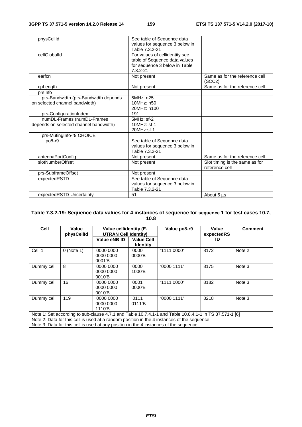| physCellId                                                             | See table of Sequence data<br>values for sequence 3 below in<br>Table 7.3.2-21                                   |                                                  |
|------------------------------------------------------------------------|------------------------------------------------------------------------------------------------------------------|--------------------------------------------------|
| cellGloballd                                                           | For values of cellidentity see<br>table of Sequence data values<br>for sequence 3 below in Table<br>$7.3.2 - 21$ |                                                  |
| earfcn                                                                 | Not present                                                                                                      | Same as for the reference cell<br>(SCC2)         |
| cpLength                                                               | Not present                                                                                                      | Same as for the reference cell                   |
| prsinfo                                                                |                                                                                                                  |                                                  |
| prs-Bandwidth (prs-Bandwidth depends<br>on selected channel bandwidth) | 5MHz: n25<br>10MHz: n50<br>20MHz: n100                                                                           |                                                  |
| prs-ConfigurationIndex                                                 | 191                                                                                                              |                                                  |
| numDL-Frames (numDL-Frames<br>depends on selected channel bandwidth)   | $5MHz:$ sf-2<br>10MHz: sf-1<br>20MHz:sf-1                                                                        |                                                  |
| prs-MutingInfo-r9 CHOICE                                               |                                                                                                                  |                                                  |
| po8-r9                                                                 | See table of Sequence data<br>values for sequence 3 below in<br>Table 7.3.2-21                                   |                                                  |
| antennaPortConfig                                                      | Not present                                                                                                      | Same as for the reference cell                   |
| slotNumberOffset                                                       | Not present                                                                                                      | Slot timing is the same as for<br>reference cell |
| prs-SubframeOffset                                                     | Not present                                                                                                      |                                                  |
| expectedRSTD                                                           | See table of Sequence data<br>values for sequence 3 below in<br>Table 7.3.2-21                                   |                                                  |
| expectedRSTD-Uncertainty                                               | 51                                                                                                               | About 5 us                                       |

### **Table 7.3.2-19: Sequence data values for 4 instances of sequence for sequence 1 for test cases 10.7, 10.8**

| Cell       | Value<br>physCellId                                                                                                                                                                                  | Value cellidentity (E-<br><b>UTRAN Cell Identity)</b> |                                      | Value po8-r9 | Value<br>expectedRS | <b>Comment</b> |  |
|------------|------------------------------------------------------------------------------------------------------------------------------------------------------------------------------------------------------|-------------------------------------------------------|--------------------------------------|--------------|---------------------|----------------|--|
|            |                                                                                                                                                                                                      | Value eNB ID                                          | <b>Value Cell</b><br><b>Identity</b> |              | TD                  |                |  |
| Cell 1     | $0$ (Note 1)                                                                                                                                                                                         | '0000 0000<br>0000 0000<br>0001'B                     | '0000<br>0000'B                      | '1111 0000'  | 8172                | Note 2         |  |
| Dummy cell | 8                                                                                                                                                                                                    | '0000 0000<br>0000 0000<br>0010'B                     | '0000<br>1000'B                      | 0000 1111'   | 8175                | Note 3         |  |
| Dummy cell | 16                                                                                                                                                                                                   | '0000 0000<br>0000 0000<br>0010'B                     | '0001<br>0000'B                      | '1111 0000'  | 8182                | Note 3         |  |
| Dummy cell | 119                                                                                                                                                                                                  | '0000 0000<br>0000 0000<br>1110'B                     | 0111<br>0111'B                       | '00001111'   | 8218                | Note 3         |  |
|            | Note 1: Set according to sub-clause 4.7.1 and Table 10.7.4.1-1 and Table 10.8.4.1-1 in TS 37.571-1 [6]<br>Note 2: Data for this cell is used at a random position in the 4 instances of the sequence |                                                       |                                      |              |                     |                |  |

Note 3: Data for this cell is used at any position in the 4 instances of the sequence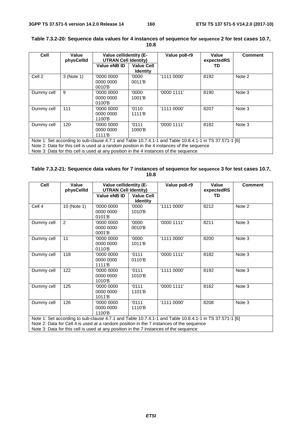| Cell              | Value<br>physCellId                                                                                                                                                                                                                                                                           | <b>Value cellidentity (E-</b><br><b>UTRAN Cell Identity)</b> |                                      | Value po8-r9 | Value<br>expectedRS | <b>Comment</b> |
|-------------------|-----------------------------------------------------------------------------------------------------------------------------------------------------------------------------------------------------------------------------------------------------------------------------------------------|--------------------------------------------------------------|--------------------------------------|--------------|---------------------|----------------|
|                   |                                                                                                                                                                                                                                                                                               | Value eNB ID                                                 | <b>Value Cell</b><br><b>Identity</b> |              | TD.                 |                |
| Cell <sub>2</sub> | 3 (Note 1)                                                                                                                                                                                                                                                                                    | '0000 0000<br>0000 0000<br>0010'B                            | '0000<br>0011'B                      | '1111 0000'  | 8192                | Note 2         |
| Dummy cell        | 9                                                                                                                                                                                                                                                                                             | '0000 0000<br>0000 0000<br>0100'B                            | '0000'<br>1001 <sup>'</sup> B        | '0000 1111'  | 8190                | Note 3         |
| Dummy cell        | 111                                                                                                                                                                                                                                                                                           | '0000 0000<br>0000 0000<br>1100'B                            | '0110'<br>1111 <sup>'</sup> B        | '1111 0000'  | 8207                | Note 3         |
| Dummy cell        | 120                                                                                                                                                                                                                                                                                           | '0000 0000<br>0000 0000<br>1111 <sup>'</sup> B               | 0111<br>1000'B                       | '00001111'   | 8182                | Note 3         |
|                   | Note 1: Set according to sub-clause 4.7.1 and Table 10.7.4.1-1 and Table 10.8.4.1-1 in TS 37.571-1 [6]<br>Note 2: Data for this cell is used at a random position in the 4 instances of the sequence<br>Note 3: Data for this cell is used at any position in the 4 instances of the sequence |                                                              |                                      |              |                     |                |

#### **Table 7.3.2-20: Sequence data values for 4 instances of sequence for sequence 2 for test cases 10.7, 10.8**

| Table 7.3.2-21: Sequence data values for 7 instances of sequence for sequence 3 for test cases 10.7, |
|------------------------------------------------------------------------------------------------------|
| 10.8                                                                                                 |

| Cell                                                                                                                                                                                                                                                                                       | Value<br>physCellId | <b>Value cellidentity (E-</b><br><b>UTRAN Cell Identity)</b> |                                      | Value po8-r9 | Value<br>expectedRS | <b>Comment</b> |
|--------------------------------------------------------------------------------------------------------------------------------------------------------------------------------------------------------------------------------------------------------------------------------------------|---------------------|--------------------------------------------------------------|--------------------------------------|--------------|---------------------|----------------|
|                                                                                                                                                                                                                                                                                            |                     | Value eNB ID                                                 | <b>Value Cell</b><br><b>Identity</b> |              | TD.                 |                |
| Cell 4                                                                                                                                                                                                                                                                                     | 10 (Note 1)         | '0000 0000<br>0000 0000<br>0101'B                            | '0000'<br>1010'B                     | '1111 0000'  | 8212                | Note 2         |
| Dummy cell                                                                                                                                                                                                                                                                                 | 2                   | '0000 0000<br>0000 0000<br>0001'B                            | '0000<br>0010'B                      | '0000 1111'  | 8211                | Note 3         |
| Dummy cell                                                                                                                                                                                                                                                                                 | 11                  | '0000 0000<br>0000 0000<br>0110'B                            | '0000<br>1011'B                      | '1111 0000'  | 8200                | Note 3         |
| Dummy cell                                                                                                                                                                                                                                                                                 | 118                 | '0000 0000<br>0000 0000<br>1111 <sup>'</sup> B               | '0111<br>0110'B                      | '0000 1111'  | 8182                | Note 3         |
| Dummy cell                                                                                                                                                                                                                                                                                 | 122                 | '0000 0000<br>0000 0000<br>1010'B                            | '0111<br>1010'B                      | '1111 0000'  | 8192                | Note 3         |
| Dummy cell                                                                                                                                                                                                                                                                                 | 125                 | '0000 0000<br>0000 0000<br>1011'B                            | '0111<br>1101'B                      | '0000 1111'  | 8162                | Note 3         |
| Dummy cell                                                                                                                                                                                                                                                                                 | 126                 | '0000 0000<br>0000 0000<br>1100'B                            | '0111<br>1110'B                      | '1111 0000'  | 8208                | Note 3         |
| Note 1: Set according to sub-clause 4.7.1 and Table 10.7.4.1-1 and Table 10.8.4.1-1 in TS 37.571-1 [6]<br>Note 2: Data for Cell 4 is used at a random position in the 7 instances of the sequence<br>Note 3: Data for this cell is used at any position in the 7 instances of the sequence |                     |                                                              |                                      |              |                     |                |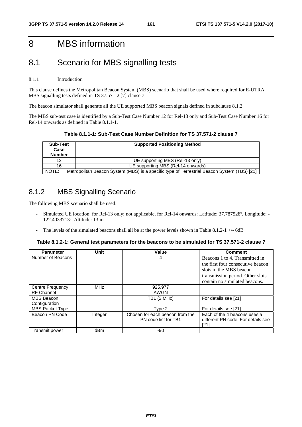# 8 MBS information

# 8.1 Scenario for MBS signalling tests

## 8.1.1 Introduction

This clause defines the Metropolitan Beacon System (MBS) scenario that shall be used where required for E-UTRA MBS signalling tests defined in TS 37.571-2 [7] clause 7.

The beacon simulator shall generate all the UE supported MBS beacon signals defined in subclause 8.1.2.

The MBS sub-test case is identified by a Sub-Test Case Number 12 for Rel-13 only and Sub-Test Case Number 16 for Rel-14 onwards as defined in Table 8.1.1-1.

**Table 8.1.1-1: Sub-Test Case Number Definition for TS 37.571-2 clause 7** 

| <b>Sub-Test</b><br>Case<br><b>Number</b> | <b>Supported Positioning Method</b>                                                         |
|------------------------------------------|---------------------------------------------------------------------------------------------|
| 12                                       | UE supporting MBS (Rel-13 only)                                                             |
| 16                                       | UE supporting MBS (Rel-14 onwards)                                                          |
| NOTE:                                    | Metropolitan Beacon System (MBS) is a specific type of Terrestrial Beacon System (TBS) [21] |

## 8.1.2 MBS Signalling Scenario

The following MBS scenario shall be used:

- Simulated UE location for Rel-13 only: not applicable, for Rel-14 onwards: Latitude: 37.787528°, Longitude: -122.40337 13º, Altitude: 13 m
- The levels of the simulated beacons shall all be at the power levels shown in Table 8.1.2-1 +/- 6dB

| Table 8.1.2-1: General test parameters for the beacons to be simulated for TS 37.571-2 clause 7 |  |
|-------------------------------------------------------------------------------------------------|--|
|-------------------------------------------------------------------------------------------------|--|

| <b>Parameter</b>        | Unit            | Value                                                   | <b>Comment</b>                                                             |
|-------------------------|-----------------|---------------------------------------------------------|----------------------------------------------------------------------------|
| Number of Beacons       |                 | 4                                                       | Beacons 1 to 4. Transmitted in                                             |
|                         |                 |                                                         | the first four consecutive beacon                                          |
|                         |                 |                                                         | slots in the MBS beacon                                                    |
|                         |                 |                                                         | transmission period. Other slots                                           |
|                         |                 |                                                         | contain no simulated beacons.                                              |
| <b>Centre Frequency</b> | <b>MHz</b>      | 925.977                                                 |                                                                            |
| <b>RF Channel</b>       |                 | AWGN                                                    |                                                                            |
| MBS Beacon              |                 | TB1 (2 MHz)                                             | For details see [21]                                                       |
| Configuration           |                 |                                                         |                                                                            |
| <b>MBS Packet Type</b>  |                 | Type 2                                                  | For details see [21]                                                       |
| Beacon PN Code          | Integer         | Chosen for each beacon from the<br>PN code list for TB1 | Each of the 4 beacons uses a<br>different PN code. For details see<br>[21] |
| Transmit power          | dB <sub>m</sub> | -90                                                     |                                                                            |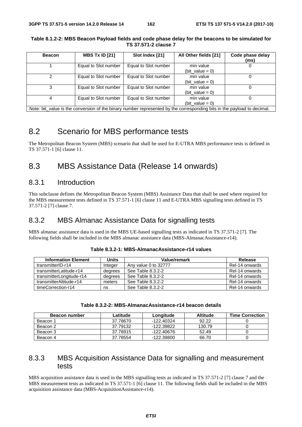| <b>Beacon</b> | <b>MBS Tx ID [21]</b> | Slot Index [21]                                                                                                         | All Other fields [21]           | Code phase delay<br>(ms) |
|---------------|-----------------------|-------------------------------------------------------------------------------------------------------------------------|---------------------------------|--------------------------|
|               | Equal to Slot number  | Equal to Slot number                                                                                                    | min value<br>(bit value = $0$ ) |                          |
| 2             | Equal to Slot number  | Equal to Slot number                                                                                                    | min value<br>(bit value = $0$ ) |                          |
| 3             | Equal to Slot number  | Equal to Slot number                                                                                                    | min value<br>(bit value = $0$ ) |                          |
|               | Equal to Slot number  | Equal to Slot number                                                                                                    | min value<br>(bit value = $0$ ) |                          |
|               |                       | Note: bit_value is the conversion of the binary number represented by the corresponding bits in the payload to decimal. |                                 |                          |

#### **Table 8.1.2-2: MBS Beacon Payload fields and code phase delay for the beacons to be simulated for TS 37.571-2 clause 7**

# 8.2 Scenario for MBS performance tests

The Metropolitan Beacon System (MBS) scenario that shall be used for E-UTRA MBS performance tests is defined in TS 37.571-1 [6] clause 11.

# 8.3 MBS Assistance Data (Release 14 onwards)

## 8.3.1 Introduction

This subclause defines the Metropolitan Beacon System (MBS) Assistance Data that shall be used where required for the MBS measurement tests defined in TS 37.571-1 [6] clause 11 and E-UTRA MBS signalling tests defined in TS 37.571-2 [7] clause 7.

## 8.3.2 MBS Almanac Assistance Data for signalling tests

MBS almanac assistance data is used in the MBS UE-based signalling tests as indicated in TS 37.571-2 [7]. The following fields shall be included in the MBS almanac assistance data (MBS-AlmanacAssistance-r14).

| <b>Information Element</b> | Units   | Value/remark         | Release        |
|----------------------------|---------|----------------------|----------------|
| transmitterID-r14          | Integer | Any value 0 to 32777 | Rel-14 onwards |
| transmitterLatitude-r14    | degrees | See Table 8.3.2-2    | Rel-14 onwards |
| transmitterLongitude-r14   | degrees | See Table 8.3.2-2    | Rel-14 onwards |
| transmitterAltitude-r14    | meters  | See Table 8.3.2-2    | Rel-14 onwards |
| timeCorrection-r14         | ns      | See Table 8.3.2-2    | Rel-14 onwards |

| Table 8.3.2-1: MBS-AlmanacAssistance-r14 values |  |
|-------------------------------------------------|--|
|-------------------------------------------------|--|

| <b>Beacon number</b> | Latitude | Longitude    | <b>Altitude</b> | <b>Time Correction</b> |
|----------------------|----------|--------------|-----------------|------------------------|
| Beacon 1             | 37.78670 | -122.40324   | 92.22           |                        |
| Beacon 2             | 37.79132 | -122.39822   | 130.79          |                        |
| Beacon 3             | 37.78915 | $-122.40676$ | 52.49           |                        |
| Beacon 4             | 37.78554 | $-122.39800$ | 66.70           |                        |

## 8.3.3 MBS Acquisition Assistance Data for signalling and measurement tests

MBS acquisition assistance data is used in the MBS signalling tests as indicated in TS 37.571-2 [7] clause 7 and the MBS measurement tests as indicated in TS 37.571-1 [6] clause 11. The following fields shall be included in the MBS acquisition assistance data (MBS-AcquisitionAssistance-r14).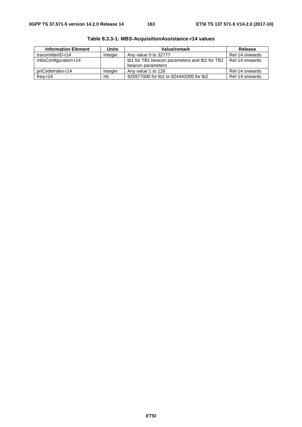| <b>Information Element</b> | <b>Units</b> | Value/remark                                  | Release        |  |
|----------------------------|--------------|-----------------------------------------------|----------------|--|
| transmitterID-r14          | Integer      | Any value 0 to 32777                          | Rel-14 onwards |  |
| mbsConfiguration-r14       |              | tb1 for TB1 beacon parameters and tb2 for TB2 | Rel-14 onwards |  |
|                            |              | beacon parameters                             |                |  |
| pnCodeIndex-r14            | Integer      | Any value 1 to 128                            | Rel-14 onwards |  |
| $freq-r14$                 | Hz           | 925977000 for tb1 or 924442000 for tb2        | Rel-14 onwards |  |

**Table 8.3.3-1: MBS-AcquisitionAssistance-r14 values**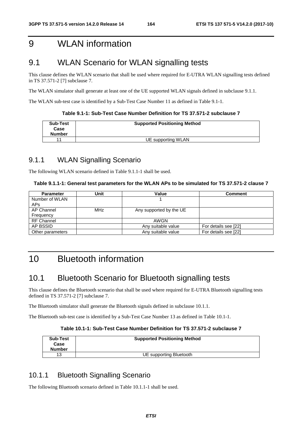# 9 WLAN information

# 9.1 WLAN Scenario for WLAN signalling tests

This clause defines the WLAN scenario that shall be used where required for E-UTRA WLAN signalling tests defined in TS 37.571-2 [7] subclause 7.

The WLAN simulator shall generate at least one of the UE supported WLAN signals defined in subclause 9.1.1.

The WLAN sub-test case is identified by a Sub-Test Case Number 11 as defined in Table 9.1-1.

| Table 9.1-1: Sub-Test Case Number Definition for TS 37.571-2 subclause 7_ |
|---------------------------------------------------------------------------|
|                                                                           |

| Sub-Test<br>Case<br><b>Number</b> | <b>Supported Positioning Method</b> |
|-----------------------------------|-------------------------------------|
|                                   | UE supporting WLAN                  |

## 9.1.1 WLAN Signalling Scenario

The following WLAN scenario defined in Table 9.1.1-1 shall be used.

## **Table 9.1.1-1: General test parameters for the WLAN APs to be simulated for TS 37.571-2 clause 7**

| <b>Parameter</b>  | Unit | Value                   | <b>Comment</b>       |
|-------------------|------|-------------------------|----------------------|
| Number of WLAN    |      |                         |                      |
| <b>APs</b>        |      |                         |                      |
| AP Channel        | MHz  | Any supported by the UE |                      |
| Frequency         |      |                         |                      |
| <b>RF Channel</b> |      | AWGN                    |                      |
| AP BSSID          |      | Any suitable value      | For details see [22] |
| Other parameters  |      | Any suitable value      | For details see [22] |

# 10 Bluetooth information

# 10.1 Bluetooth Scenario for Bluetooth signalling tests

This clause defines the Bluetooth scenario that shall be used where required for E-UTRA Bluetooth signalling tests defined in TS 37.571-2 [7] subclause 7.

The Bluetooth simulator shall generate the Bluetooth signals defined in subclause 10.1.1.

The Bluetooth sub-test case is identified by a Sub-Test Case Number 13 as defined in Table 10.1-1.

#### **Table 10.1-1: Sub-Test Case Number Definition for TS 37.571-2 subclause 7**

| <b>Sub-Test</b><br>Case<br><b>Number</b> | <b>Supported Positioning Method</b> |
|------------------------------------------|-------------------------------------|
| 13                                       | UE supporting Bluetooth             |

## 10.1.1 Bluetooth Signalling Scenario

The following Bluetooth scenario defined in Table 10.1.1-1 shall be used.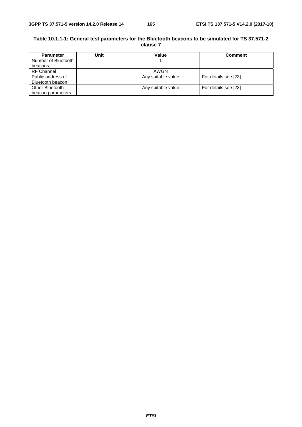## **Table 10.1.1-1: General test parameters for the Bluetooth beacons to be simulated for TS 37.571-2 clause 7**

| <b>Parameter</b>    | Jnit | Value              | <b>Comment</b>       |
|---------------------|------|--------------------|----------------------|
| Number of Bluetooth |      |                    |                      |
| beacons             |      |                    |                      |
| <b>RF Channel</b>   |      | AWGN               |                      |
| Public address of   |      | Any suitable value | For details see [23] |
| Bluetooth beacon    |      |                    |                      |
| Other Bluetooth     |      | Any suitable value | For details see [23] |
| beacon parameters   |      |                    |                      |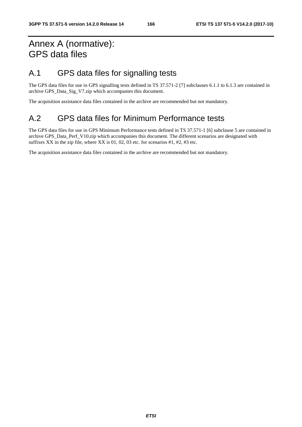# Annex A (normative): GPS data files

# A.1 GPS data files for signalling tests

The GPS data files for use in GPS signalling tests defined in TS 37.571-2 [7] subclauses 6.1.1 to 6.1.3 are contained in archive GPS\_Data\_Sig\_V7.zip which accompanies this document.

The acquisition assistance data files contained in the archive are recommended but not mandatory.

# A.2 GPS data files for Minimum Performance tests

The GPS data files for use in GPS Minimum Performance tests defined in TS 37.571-1 [6] subclause 5 are contained in archive GPS\_Data\_Perf\_V10.zip which accompanies this document. The different scenarios are designated with suffixes XX in the zip file, where XX is  $01, 02, 03$  etc. for scenarios  $\#1, \#2, \#3$  etc.

The acquisition assistance data files contained in the archive are recommended but not mandatory.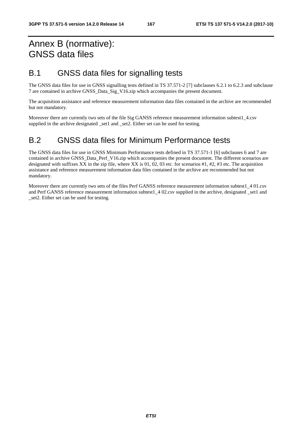# Annex B (normative): GNSS data files

# B.1 GNSS data files for signalling tests

The GNSS data files for use in GNSS signalling tests defined in TS 37.571-2 [7] subclauses 6.2.1 to 6.2.3 and subclause 7 are contained in archive GNSS\_Data\_Sig\_V16.zip which accompanies the present document.

The acquisition assistance and reference measurement information data files contained in the archive are recommended but not mandatory.

Moreover there are currently two sets of the file Sig GANSS reference measurement information subtest1\_4.csv supplied in the archive designated set1 and set2. Either set can be used for testing.

# B.2 GNSS data files for Minimum Performance tests

The GNSS data files for use in GNSS Minimum Performance tests defined in TS 37.571-1 [6] subclauses 6 and 7 are contained in archive GNSS\_Data\_Perf\_V16.zip which accompanies the present document. The different scenarios are designated with suffixes XX in the zip file, where XX is 01, 02, 03 etc. for scenarios #1, #2, #3 etc. The acquisition assistance and reference measurement information data files contained in the archive are recommended but not mandatory.

Moreover there are currently two sets of the files Perf GANSS reference measurement information subtest1 4 01.csv and Perf GANSS reference measurement information subtest1 402.csv supplied in the archive, designated set1 and \_set2. Either set can be used for testing.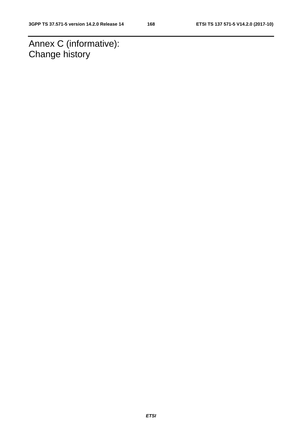Annex C (informative): Change history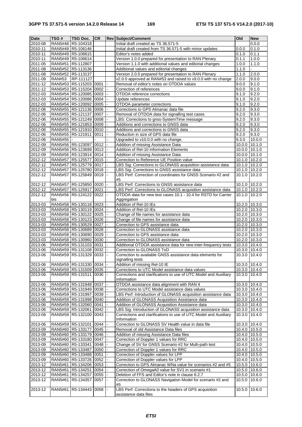| <b>Date</b>        | TSG#          | <b>TSG Doc.</b>                                      | <b>CR</b> |                          | <b>Rev Subject/Comment</b>                                                                                      | $\overline{O}$ ld       | <b>New</b>      |
|--------------------|---------------|------------------------------------------------------|-----------|--------------------------|-----------------------------------------------------------------------------------------------------------------|-------------------------|-----------------|
| 2010-08            |               | RAN5#48 R5-104318                                    |           |                          | Initial draft created as TS 36.571-5                                                                            |                         | 0.0.0           |
| 2010-11            |               | RAN5#49 R5-106146                                    |           |                          | Initial draft created from TS 36.571-5 with minor updates                                                       | 0.0.0                   | 0.1.0           |
| 2010-11            |               | RAN5#49 R5-106615                                    |           |                          | Editor's notes added                                                                                            | 0.1.0                   | 0.1.1           |
| 2010-11            |               | RAN5#49 R5-106614                                    |           |                          | Version 1.0.0 prepared for presentation to RAN Plenary                                                          | 0.1.1                   | 1.0.0           |
| $2011 - 05$        |               | RAN5#51 R5-112807                                    |           |                          | Version 1.1.0 with additional values and editorial changes<br>Additional values and editorial changes           | 1.0.0<br>1.1.0          | 1.1.0           |
| 2011-08<br>2011-08 |               | RAN5#52 R5-113136<br>RAN5#52 R5-113137               |           |                          | Version 2.0.0 prepared for presentation to RAN Plenary                                                          | 1.1.0                   | 2.0.0           |
| 2011-09            | <b>RAN#53</b> | RP-111127                                            |           |                          | v2.0.0 approved at RAN#53 and raised to v9.0.0 with no change                                                   | 2.0.0                   | 9.0.0           |
| 2011-12            |               | RAN5#53 R5-115203 0001                               |           |                          | Removal of editor's notes on OTDOA values                                                                       | 9.0.0                   | 9.1.0           |
| 2011-12            |               | RAN5#53 R5-115204 0002                               |           | $\overline{\phantom{a}}$ | Correction of references                                                                                        | 9.0.0                   | 9.1.0           |
| 2012-03            |               | RAN5#54 R5-120085 0003                               |           |                          | OTDOA reference corrections                                                                                     | 9.1.0                   | 9.2.0           |
| 2012-03            |               | RAN5#54 R5-120086 0004                               |           |                          | Update references                                                                                               | 9.1.0                   | 9.2.0           |
| 2012-03            |               | RAN5#54 R5-120092 0005                               |           | $\overline{\phantom{a}}$ | OTDOA parameter corrections                                                                                     | 9.1.0                   | 9.2.0           |
| 2012-06            |               | RAN5#55   R5-121136   0006                           |           |                          | Corrections to GPS Almanac data file                                                                            | 9.2.0                   | 9.3.0           |
| 2012-06            |               | RAN5#55 R5-121137 0007                               |           |                          | Removal of OTDOA data for signalling test cases                                                                 | 9.2.0                   | 9.3.0           |
| 2012-06            |               | RAN5#55 R5-121249 0008                               |           | $\overline{\phantom{a}}$ | LBS: Corrections to gnss-SystemTime message                                                                     | 9.2.0                   | 9.3.0           |
| 2012-06            |               | RAN5#55 R5-121853 0009                               |           |                          | Additions and corrections to GNSS data                                                                          | 9.2.0                   | 9.3.0           |
| 2012-06            |               | RAN5#55 R5-121910 0010                               |           |                          | Additions and corrections to GNSS data                                                                          | 9.2.0                   | 9.3.0           |
| 2012-06<br>2012-06 | RAN5#55  -    | RAN5#55 R5-121911 0011                               |           | $\overline{\phantom{a}}$ | Reduction in size of GPS data file<br>Upgraded to v10.0.0 with no change.                                       | 9.2.0<br>9.3.0          | 9.3.0<br>10.0.0 |
| 2012-09            |               | RAN5#56 R5-123097 0012                               |           |                          | Addition of missing Assistance Data                                                                             | 10.0.0                  | 10.1.0          |
| 2012-09            |               | RAN5#56   R5-123699   0013                           |           | $\omega$                 | Addition of Rel-10 Information Elements                                                                         | 10.0.0                  | 10.1.0          |
| 2012-09            |               | RAN5#56 R5-123914 0014                               |           |                          | Addition of missing Assistance Data                                                                             | 10.0.0                  | 10.1.0          |
| 2012-12            |               | RAN5#57 R5-125577 0015                               |           |                          | Correction to Reference UE Position value                                                                       | 10.1.0 10.2.0           |                 |
| 2012-12            |               | RAN5#57 R5-125779 0017                               |           |                          | LBS Sig: Corrections to GLONASS acquisition assistance data                                                     | 10.1.0                  | 10.2.0          |
| 2012-12            |               | RAN5#57 R5-125780 0018                               |           |                          | LBS Sig: Corrections to GNSS assistance data                                                                    | 10.1.0                  | 10.2.0          |
| 2012-12            |               | RAN5#57   R5-125849   0019                           |           |                          | LBS Perf: Correction of coordinates for GNSS Scenario #2 and                                                    | 10.1.0                  | 10.2.0          |
|                    |               |                                                      |           |                          | #5                                                                                                              |                         |                 |
| 2012-12            |               | RAN5#57   R5-125850   0020                           |           | $\blacksquare$           | LBS Perf: Corrections to GNSS assistance data                                                                   | 10.1.0                  | 10.2.0          |
| 2012-12            |               | RAN5#57   R5-125917   0021                           |           |                          | LBS Perf: Corrections to GLONASS acquisition assistance data                                                    | 10.1.0                  | 10.2.0          |
| 2012-12            | bis           | RAN5#56 R5-124122 0022                               |           |                          | OTDOA data for new test cases 10.1 - 10.4 for RSTD for Carrier                                                  | 10.1.0                  | 10.2.0          |
| 2013-03            |               | RAN5#58 R5-130118 0023                               |           | $\blacksquare$           | Aggregation<br>Addition of Rel-10 IEs                                                                           | 10.2.0                  | 10.3.0          |
| 2013-03            |               | RAN5#58 R5-130119 0024                               |           |                          | Addition of Rel-10 IEs                                                                                          | 10.2.0 10.3.0           |                 |
| 2013-03            |               | RAN5#58 R5-130122 0025                               |           |                          | Change of file names for assistance data                                                                        | 10.2.0 10.3.0           |                 |
| 2013-03            |               | RAN5#58   R5-130123   0026                           |           | $\blacksquare$           | Change of file names for assistance data                                                                        | 10.2.0                  | 10.3.0          |
| 2013-03            |               | RAN5#58 R5-130529 0027                               |           |                          | Correction to GPS assistance data                                                                               | 10.2.0 10.3.0           |                 |
| 2013-03            |               | RAN5#58 R5-130689 0028                               |           |                          | Correction to GLONASS assistance data                                                                           | 10.2.0 10.3.0           |                 |
| 2013-03            |               | RAN5#58 R5-130690 0029                               |           |                          | Correction to GPS assistance data                                                                               | 10.2.0                  | 10.3.0          |
| 2013-03            |               | RAN5#58 R5-130960 0030                               |           |                          | Correction to GLONASS assistance data                                                                           | 10.2.0 10.3.0           |                 |
| 2013-06            |               | RAN5#59 R5-131103 0031                               |           |                          | Additional OTDOA assistance data for new inter-frequency tests                                                  | 10.3.0 10.4.0           |                 |
| 2013-06            |               | RAN5#59 R5-131108 0032                               |           |                          | Correction to GLONASS ToD<br>Correction to available GNSS assistance data elements for                          | 10.3.0                  | 10.4.0          |
| 2013-06            |               | RAN5#59 R5-131329                                    | 0033      |                          | signalling tests                                                                                                | 10.3.0                  | 10.4.0          |
| 2013-06            |               | RAN5#59 R5-131330 0034 -                             |           |                          | Addition of missing Rel-10 IE                                                                                   | 10.3.0 10.4.0           |                 |
| 2013-06            |               | RAN5#59 R5-131509 0035                               |           |                          | Corrections to UTC Model assistance data values                                                                 | 10.3.0 10.4.0           |                 |
| 2013-06            |               | RAN5#59 R5-131511 0036 -                             |           |                          | Corrections and clarifications to use of UTC Model and Auxiliary                                                | 10.3.0 10.4.0           |                 |
|                    |               |                                                      |           |                          | Information                                                                                                     |                         |                 |
| 2013-06            |               | RAN5#59 R5-131948 0037                               |           |                          | OTDOA assistance data alignment with RAN 4                                                                      | 10.3.0                  | 10.4.0          |
| 2013-06            |               | RAN5#59 R5-131949 0038                               |           |                          | Corrections to UTC Model assistance data values                                                                 | 10.3.0 10.4.0           |                 |
| 2013-06            |               | RAN5#59 R5-131997 0039                               |           |                          | LBS Perf: Introduction of GLONASS acquisition assistance data                                                   | 10.3.0 10.4.0           |                 |
| 2013-06            |               | RAN5#59 R5-131998 0040                               |           |                          | Addition of GLONASS Acquisition Assistance data                                                                 | 10.3.0 10.4.0           |                 |
| 2013-06            |               | RAN5#59 R5-132060 0041                               |           |                          | Addition of GLONASS Acquisition Assistance data<br>LBS Sig: Introduction of GLONASS acquisition assistance data | 10.3.0                  | 10.4.0          |
| 2013-06<br>2013-06 |               | RAN5#59 R5-132061 0042<br>RAN5#59 R5-132100 0043     |           |                          | Corrections and clarifications to use of UTC Model and Auxiliary                                                | 10.3.0 10.4.0<br>10.3.0 | 10.4.0          |
|                    |               |                                                      |           |                          | Information                                                                                                     |                         |                 |
| 2013-06            |               | RAN5#59 R5-132101 0044                               |           |                          | Correction to GLONASS SV Health value in data file                                                              | 10.3.0                  | $\sqrt{10.4.0}$ |
| 2013-09            |               | RAN5#60 R5-133177 0045                               |           | ı.                       | Removal of old Assistance Data files                                                                            | 10.4.0 10.5.0           |                 |
| 2013-09            |               | RAN5#60 R5-133179 0046                               |           |                          | Addition of missing Assistance Data files                                                                       | 10.4.0 10.5.0           |                 |
| 2013-09            |               | RAN5#60 R5-133180 0047                               |           |                          | Correction of Doppler 1 values for RRC                                                                          | 10.4.0 10.5.0           |                 |
| 2013-09            |               | RAN5#60 R5-133341 0048                               |           |                          | Change of SV for GNSS Scenario #2 for Multi-path test                                                           | 10.4.0 10.5.0           |                 |
| 2013-09            |               | RAN5#60 R5-133487 0050                               |           |                          | Correction of Doppler 1 values for RRC                                                                          | 10.4.0 10.5.0           |                 |
| 2013-09            |               | RAN5#60   R5-133488   0051                           |           |                          | Correction of Doppler values for LPP                                                                            | 10.4.0 10.5.0           |                 |
| 2013-09            |               | RAN5#60 R5-133726 0052                               |           |                          | Correction of Doppler values for LPP                                                                            | 10.4.0 10.5.0           |                 |
| 2013-12            |               | RAN5#61   R5-134206   0053                           |           |                          | Correction to GPS Almanac WNa value for scenarios #2 and #5                                                     | 10.5.0 10.6.0           |                 |
| 2013-12<br>2013-12 |               | RAN5#61   R5-134251   0054<br>RAN5#61 R5-134257 0055 |           |                          | Correction of OmegaA0 value for SV1 in scenario #1<br>Deletion of FFS and Editor's note in clause 6.2.7         | 10.5.0 10.6.0<br>10.5.0 | 10.6.0          |
| 2013-12            |               | RAN5#61 R5-134357 0057                               |           |                          | Correction to GLONASS Navigation Model for scenario #2 and                                                      | 10.5.0                  | 10.6.0          |
|                    |               |                                                      |           |                          | #5                                                                                                              |                         |                 |
| 2013-12            | RAN5#61       | R5-134443 0058                                       |           | $\overline{a}$           | LBS Perf: Corrections to the headers of GPS acquisition                                                         | 10.5.0                  | 10.6.0          |
|                    |               |                                                      |           |                          | assistance data files                                                                                           |                         |                 |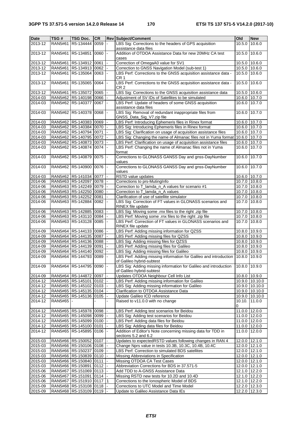| <b>Date</b>        | TSG#           | <b>TSG Doc.</b>                | <b>CR</b> |                | Rev Subject/Comment                                                                                   | Old                            | <b>New</b>     |
|--------------------|----------------|--------------------------------|-----------|----------------|-------------------------------------------------------------------------------------------------------|--------------------------------|----------------|
| 2013-12            | RAN5#61        | R5-134444 0059                 |           |                | LBS Sig: Corrections to the headers of GPS acquisition<br>assistance data files                       | 10.5.0                         | 10.6.0         |
| 2013-12            |                | RAN5#61 R5-134851 0060         |           |                | Addition of OTDOA Assistance Data for new 20MHz CA test<br>cases                                      | 10.5.0                         | 10.6.0         |
| 2013-12            |                | RAN5#61   R5-134912   0061     |           |                | Correction of OmegaA0 value for SV1                                                                   | 10.5.0 10.6.0                  |                |
| 2013-12            |                | RAN5#61 R5-134913 0062         |           |                | Correction to GNSS Navigation Model (sub-test 1)                                                      | 10.5.0 10.6.0                  |                |
| 2013-12            |                | RAN5#61 R5-135064 0063         |           |                | LBS Perf: Corrections to the GNSS acquisition assistance data -                                       | 10.5.0                         | 10.6.0         |
| 2013-12            |                | RAN5#61 R5-135065 0064         |           | $\blacksquare$ | CR 1<br>LBS Perf: Corrections to the GNSS acquisition assistance data -<br>CR 2                       | 10.5.0                         | 10.6.0         |
| 2013-12            |                | RAN5#61 R5-135072 0065         |           |                | LBS Sig: Corrections to the GNSS acquisition assistance data                                          | 10.5.0 10.6.0                  |                |
| 2014-03            |                | RAN5#62 R5-140198 0066         |           |                | Adjustment of SV IDs of Satellites to be simulated                                                    | 10.6.0 10.7.0                  |                |
| 2014-03            |                | RAN5#62 R5-140377 0067 -       |           |                | LBS Perf: Update of headers of some GNSS acquisition<br>assistance data files                         | 10.6.0 10.7.0                  |                |
| 2014-03            |                | RAN5#62 R5-140378 0068         |           |                | LBS Sig: Removal of redundant inappropriate files from<br>GNSS_Data_Sig_V7.zip file                   | 10.6.0                         | 10.7.0         |
| 2014-03            |                | RAN5#62 R5-140383 0069         |           |                | LBS Perf: Introducing Ephemeris files in Rinex format                                                 | 10.6.0 10.7.0                  |                |
| 2014-03            |                | RAN5#62 R5-140384 0070         |           |                | LBS Sig: Introducing Ephemeris files in Rinex format                                                  | 10.6.0 10.7.0                  |                |
| 2014-03            |                | RAN5#62 R5-140794 0071         |           |                | LBS Sig: Clarification on usage of acquisition assistance files                                       | 10.6.0 10.7.0                  |                |
| 2014-03            |                | RAN5#62 R5-140795 0072         |           |                | LBS Sig: Changing the name of Almanac files not in Yuma format                                        | 10.6.0 10.7.0                  |                |
| 2014-03            |                | RAN5#62 R5-140873 0073         |           |                | LBS Perf: Clarification on usage of acquisition assistance files                                      | 10.6.0 10.7.0                  |                |
| 2014-03            |                | RAN5#62 R5-140874 0074         |           |                | LBS Perf: Changing the name of Almanac files not in Yuma<br>format                                    | 10.6.0 10.7.0                  |                |
| 2014-03            |                | RAN5#62 R5-140879 0075         |           |                | Corrections to GLONASS GANSS Day and gnss-DayNumber<br>values                                         | 10.6.0                         | 10.7.0         |
| 2014-03            |                | RAN5#62 R5-140900 0076         |           |                | Corrections to GLONASS GANSS Day and gnss-DayNumber<br>values                                         | 10.6.0                         | 10.7.0         |
| 2014-03            |                | RAN5#62 R5-141034 0077         |           |                | RSTD value updates                                                                                    | 10.6.0 10.7.0                  |                |
| 2014-06            |                | RAN5#63 R5-142097 0078         |           |                | Corrections to prs-MutingInfo                                                                         | 10.7.0 10.8.0                  |                |
| 2014-06            |                | RAN5#63 R5-142249 0079         |           |                | Correction to T_lamda_n_A values for scenario #1                                                      | 10.7.0 10.8.0                  |                |
| 2014-06            |                | RAN5#63 R5-142250 0080         |           |                | Correction to T_lamda_n_A values                                                                      | 10.7.0 10.8.0                  |                |
| 2014-06            |                | RAN5#63 R5-142252 0081         |           |                | Clarification of use of satellite simulator                                                           | 10.7.0 10.8.0                  |                |
| 2014-06            |                | RAN5#63 R5-142884 0082         |           |                | LBS Sig: Correction of FT values in GLONASS scenarios and<br>RINEX file update                        | 10.7.0 10.8.0                  |                |
| 2014-06            |                | RAN5#63 R5-142885 0083         |           |                | LBS Sig: Moving some .rnx files to the right .zip file                                                | 10.7.0 10.8.0                  |                |
| 2014-06            |                | RAN5#63 R5-143110 0084         |           |                | LBS Perf: Moving some .rnx files to the right .zip file                                               | 10.7.0 10.8.0                  |                |
| 2014-06            |                | RAN5#63 R5-143128 0085         |           |                | LBS Perf: Correction of FT values in GLONASS scenarios and<br>RINEX file update                       | 10.7.0 10.8.0                  |                |
| 2014-09            |                | RAN5#64 R5-144133 0086         |           |                | LBS Perf: Adding missing information for QZSS                                                         | 10.8.0 10.9.0                  |                |
| 2014-09            |                | RAN5#64 R5-144135 0087         |           |                | LBS Perf: Adding missing files for QZSS                                                               | 10.8.0 10.9.0                  |                |
| 2014-09            |                | RAN5#64   R5-144136   0088     |           |                | LBS Sig: Adding missing files for QZSS                                                                | 10.8.0 10.9.0                  |                |
| 2014-09            |                | RAN5#64 R5-144139 0091         |           |                | LBS Perf: Adding missing files for Galileo                                                            | 10.8.0 10.9.0                  |                |
| 2014-09            |                | RAN5#64 R5-144140 0092         |           |                | LBS Sig: Adding missing files for Galileo                                                             | 10.8.0 10.9.0                  |                |
| 2014-09            |                | RAN5#64 R5-144793 0089         |           |                | LBS Perf: Adding missing information for Galileo and introduction<br>of Galileo hybrid-subtest        | 10.8.0                         | 10.9.0         |
| 2014-09            |                | RAN5#64 R5-144795 0090 -       |           |                | LBS Sig: Adding missing information for Galileo and introduction<br>of Galileo hybrid-subtest         | 10.8.0 10.9.0                  |                |
| 2014-09            |                | RAN5#64 R5-144872 0097         |           |                | Updates OTDOA Neighbour Cell Info List                                                                | 10.8.0 10.9.0                  |                |
| 2014-12            |                | RAN5#65 R5-145101 0102         |           |                | LBS Perf: Adding missing information for Galileo                                                      |                                | 10.9.0 10.10.0 |
| 2014-12            |                | RAN5#65 R5-145102 0103         |           |                | LBS Sig: Adding missing information for Galileo                                                       |                                | 10.9.0 10.10.0 |
| 2014-12            |                | RAN5#65   R5-145135   0104     |           |                | Clarification to OTDOA Assistance Data                                                                |                                | 10.9.0 10.10.0 |
| 2014-12            |                | RAN5#65 R5-145136 0105         |           |                | Update Galileo ICD reference                                                                          |                                | 10.9.0 10.10.0 |
| 2014-12            | <b>RAN5#65</b> |                                |           |                | Raised to v11.0.0 with no change                                                                      | 10.10.<br>0                    | 11.0.0         |
| 2014-12            |                | RAN5#65   R5-145978   0098     |           | I –            | LBS Perf: Adding test scenarios for Beidou                                                            | 11.0.0 12.0.0                  |                |
| 2014-12            |                | RAN5#65 R5-145098 0099         |           |                | LBS Sig: Adding test scenarios for Beidou                                                             | 11.0.0 12.0.0                  |                |
| 2014-12            |                | RAN5#65 R5-145099 0100         |           |                | LBS Perf: Adding data files for Beidou                                                                | 11.0.0 12.0.0                  |                |
|                    |                |                                |           |                |                                                                                                       |                                |                |
| 2014-12<br>2014-12 |                | RAN5#65   R5-145100   0101     |           |                | LBS Sig: Adding data files for Beidou<br>Addition of Editor's Note concerning missing data for TDD in | 11.0.0 12.0.0<br>11.0.0 12.0.0 |                |
|                    |                | RAN5#65 R5-145895 0106         |           |                | sections 5.2 and 6.2                                                                                  |                                |                |
| 2015-03            |                | RAN5#66   R5-150052   0107     |           |                | Updates to expectedRSTD values following changes in RAN 4                                             | 12.0.0 12.1.0                  |                |
| 2015-03            |                | RAN5#66 R5-150106 0108         |           |                | Change Nprs value in tests 10.3B, 10.3C, 10.4B, 10.4C                                                 | 12.0.0 12.1.0                  |                |
| 2015-03            |                | RAN5#66 R5-150237 0109         |           |                | LBS Perf: Correction to simulated BDS satellites                                                      | 12.0.0 12.1.0                  |                |
| 2015-03            |                | RAN5#66 R5-150839 0110         |           |                | Missing Abbreviations in Specification                                                                | 12.0.0 12.1.0                  |                |
| 2015-03            |                | RAN5#66   R5-150840   0111     |           |                | Missing OTDOA CA Test Cases                                                                           | 12.0.0 12.1.0                  |                |
| 2015-03            |                | RAN5#66 R5-150891 0112         |           |                | Abbreviation Corrections for BDS in 37.571-5                                                          | 12.0.0 12.1.0                  |                |
| 2015-06            |                | RAN5#67   R5-151069   0113     |           |                | Add TDD to A-GNSS Assistance Data                                                                     | 12.1.0 12.2.0                  |                |
| 2015-06            |                | RAN5#67   R5-151091   0114     |           |                | Missing RSTD new tests for 10.2D and 10.4D                                                            | 12.1.0 12.2.0                  |                |
| 2015-06            |                | RAN5#67   R5-151910   0117   1 |           |                | Corrections to the Ionospheric Model of BDS                                                           | 12.1.0 12.2.0                  |                |
| 2015-09            |                | RAN5#68   R5-153108   0118     |           |                | Corrections to UTC Model and Time Model                                                               | 12.2.0 12.3.0                  |                |
| 2015-09            |                | RAN5#68 R5-153109 0119  -      |           |                | Update to Galileo Assistance Data IEs                                                                 | 12.2.0 12.3.0                  |                |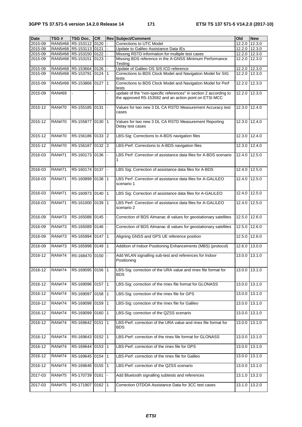| Date    | TSG#          | TSG Doc.                 | <b>CR</b> | <b>Rev Subject/Comment</b>                                                                                                  | Old    | <b>New</b> |
|---------|---------------|--------------------------|-----------|-----------------------------------------------------------------------------------------------------------------------------|--------|------------|
| 2015-09 | RAN5#68       | R5-153112 0120           |           | Corrections to UTC Model                                                                                                    | 12.2.0 | 12.3.0     |
| 2015-09 |               | RAN5#68 R5-153113 0121   |           | Update to Galileo Assistance Data IEs                                                                                       | 12.2.0 | 12.3.0     |
| 2015-09 |               | RAN5#68 R5-153150 0122   |           | Missing RSTD information for multiple test cases                                                                            | 12.2.0 | 12.3.0     |
| 2015-09 |               | RAN5#68 R5-153151 0123   |           | Missing BDS reference in the A-GNSS Minimum Performance<br>Testing                                                          | 12.2.0 | 12.3.0     |
| 2015-09 |               | RAN5#68 R5-153664 0126 - |           | Update of Galileo OS SIS ICD reference                                                                                      | 12.2.0 | 12.3.0     |
| 2015-09 |               | RAN5#68 R5-153791 0124 1 |           | Corrections to BDS Clock Model and Navigation Model for SIG<br>tests                                                        | 12.2.0 | 12.3.0     |
| 2015-09 |               | RAN5#68 R5-153866 0127 1 |           | Corrections to BDS Clock Model and Navigation Model for Perf<br>tests                                                       | 12.2.0 | 12.3.0     |
| 2015-09 | <b>RAN#69</b> |                          |           | update of the "non-specific references" in section 2 according to<br>the approved R5-153582 and an action point on ETSI MCC | 12.2.0 | 12.3.0     |
| 2015-12 | <b>RAN#70</b> | R5-155185 0131           |           | Values for two new 3 DL CA RSTD Measurement Accuracy test<br>cases                                                          | 12.3.0 | 12.4.0     |
| 2015-12 | <b>RAN#70</b> | R5-155877 0130 1         |           | Values for two new 3 DL CA RSTD Measurement Reporting<br>Delay test cases                                                   | 12.3.0 | 12.4.0     |
| 2015-12 | <b>RAN#70</b> | R5-156186 0133 2         |           | LBS-Sig: Corrections to A-BDS navigation files                                                                              | 12.3.0 | 12.4.0     |
| 2015-12 | <b>RAN#70</b> | R5-156187 0132 2         |           | LBS-Perf: Corrections to A-BDS navigation files                                                                             | 12.3.0 | 12.4.0     |
| 2016-03 | <b>RAN#71</b> | R5-160173 0136 -         |           | LBS Perf: Correction of assistance data files for A-BDS scenario<br>1                                                       | 12.4.0 | 12.5.0     |
| 2016-03 | <b>RAN#71</b> | R5-160174 0137 -         |           | LBS Sig: Correction of assistance data files for A-BDS                                                                      | 12.4.0 | 12.5.0     |
| 2016-03 | <b>RAN#71</b> | R5-160899 0138 1         |           | LBS Perf: Correction of assistance data files for A-GALILEO<br>scenario 1                                                   | 12.4.0 | 12.5.0     |
| 2016-03 | <b>RAN#71</b> | R5-160973 0140 1         |           | LBS Sig: Correction of assistance data files for A-GALILEO                                                                  | 12.4.0 | 12.5.0     |
| 2016-03 | <b>RAN#71</b> | R5-161000 0139 1         |           | LBS Perf: Correction of assistance data files for A-GALILEO<br>scenario 2                                                   | 12.4.0 | 12.5.0     |
| 2016-09 | <b>RAN#73</b> | R5-165088 0145 -         |           | Correction of BDS Almanac di values for geostationary satellites                                                            | 12.5.0 | 12.6.0     |
| 2016-09 | <b>RAN#73</b> | R5-165089 0146 -         |           | Correction of BDS Almanac di values for geostationary satellites                                                            | 12.5.0 | 12.6.0     |
| 2016-09 | <b>RAN#73</b> | R5-165994 0147 1         |           | Aligning GNSS and GPS UE reference position                                                                                 | 12.5.0 | 12.6.0     |
| 2016-09 | <b>RAN#73</b> | R5-165998 0149 1         |           | Addition of Indoor Positioning Enhancements (MBS) (protocol)                                                                | 12.6.0 | 13.0.0     |
| 2016-12 | <b>RAN#74</b> | R5-168470 0150           |           | Add WLAN signalling sub-test and references for Indoor<br>Positioning                                                       | 13.0.0 | 13.1.0     |
| 2016-12 | <b>RAN#74</b> | R5-169095 0156 1         |           | LBS-Sig: correction of the URA value and rinex file format for<br><b>BDS</b>                                                | 13.0.0 | 13.1.0     |
| 2016-12 | <b>RAN#74</b> | R5-169096 0157 1         |           | LBS-Sig: correction of the rinex file format for GLONASS                                                                    | 13.0.0 | 13.1.0     |
| 2016-12 | <b>RAN#74</b> | R5-169097 0158 1         |           | LBS-Sig: correction of the rinex file for GPS                                                                               | 13.0.0 | 13.1.0     |
| 2016-12 | <b>RAN#74</b> | R5-169098 0159 1         |           | LBS-Sig: correction of the rinex file for Galileo                                                                           | 13.0.0 | 13.1.0     |
| 2016-12 | <b>RAN#74</b> | R5-169099 0160 1         |           | LBS-Sig: correction of the QZSS scenario                                                                                    | 13.0.0 | 13.1.0     |
| 2016-12 | <b>RAN#74</b> | R5-169642 0151 1         |           | LBS-Perf: correction of the URA value and rinex file format for<br><b>BDS</b>                                               | 13.0.0 | 13.1.0     |
| 2016-12 | <b>RAN#74</b> | R5-169643 0152 1         |           | LBS-Perf: correction of the rinex file format for GLONASS                                                                   | 13.0.0 | 13.1.0     |
| 2016-12 | <b>RAN#74</b> | R5-169644 0153 1         |           | LBS-Perf: correction of the rinex file for GPS                                                                              | 13.0.0 | 13.1.0     |
| 2016-12 | <b>RAN#74</b> | R5-169645 0154 1         |           | LBS-Perf: correction of the rinex file for Galileo                                                                          | 13.0.0 | 13.1.0     |
| 2016-12 | <b>RAN#74</b> | R5-169646 0155 1         |           | LBS-Perf: correction of the QZSS scenario                                                                                   | 13.0.0 | 13.1.0     |
| 2017-03 | <b>RAN#75</b> | R5-170739 0161 -         |           | Add Bluetooth signalling subtests and references                                                                            | 13.1.0 | 13.2.0     |
| 2017-03 | <b>RAN#75</b> | R5-171907 0162 1         |           | Correction OTDOA Assistance Data for 3CC test cases                                                                         | 13.1.0 | 13.2.0     |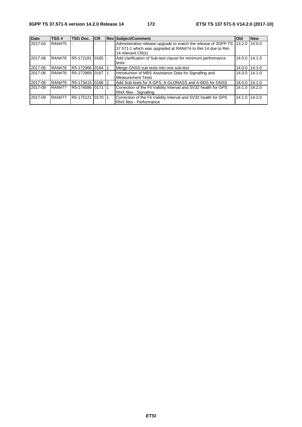| <b>Date</b> | TSG#          | <b>TSG Doc.</b>    | <b>ICR</b>  | <b>Rev Subject/Comment</b>                                                                                                                         | Old    | <b>New</b>    |
|-------------|---------------|--------------------|-------------|----------------------------------------------------------------------------------------------------------------------------------------------------|--------|---------------|
| 2017-03     | <b>RAN#75</b> |                    |             | Administrative release upgrade to match the release of 3GPP TS<br>37.571-1 which was upgraded at RAN#74 to Rel-14 due to Rel-<br>14 relevant CR(s) | 13.2.0 | 14.0.0        |
| 2017-06     | <b>RAN#76</b> | R5-172181          | $10165$ $-$ | Add clarification of Sub-test clause for minimum performance<br>tests                                                                              | 14.0.0 | 14.1.0        |
| 2017-06     | <b>RAN#76</b> | R5-172966 0164     |             | Merge GNSS sub-tests into one sub-test                                                                                                             | 14.0.0 | 14.1.0        |
| 2017-06     | <b>RAN#76</b> | R5-172969 0167     |             | Introduction of MBS Assistance Data for Signalling and<br>Measurement Tests                                                                        |        | 14.0.0 14.1.0 |
| 2017-06     | <b>RAN#76</b> | R5-173415 0166 2   |             | Add Sub-tests for A-GPS, A-GLONASS and A-BDS for GNSS                                                                                              | 14.0.0 | 14.1.0        |
| 2017-09     | <b>RAN#77</b> | R5-174586  0171  1 |             | Correction of the Fit Validity Interval and SV32 health for GPS<br>RNX files - Signalling                                                          | 14.1.0 | 14.2.0        |
| 2017-09     | <b>RAN#77</b> | R5-175121 0170 1   |             | Correction of the Fit Validity Interval and SV32 health for GPS<br><b>RNX files - Performance</b>                                                  | 14.1.0 | 14.2.0        |